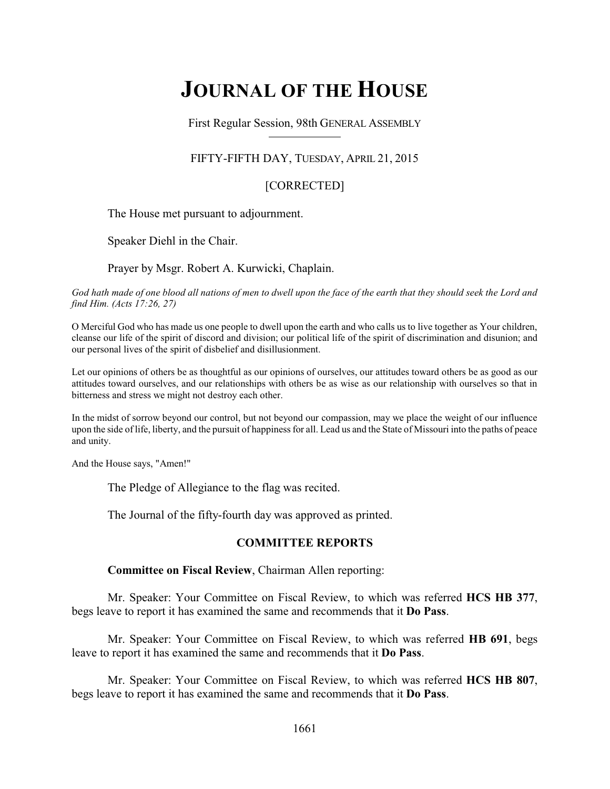# **JOURNAL OF THE HOUSE**

First Regular Session, 98th GENERAL ASSEMBLY

### FIFTY-FIFTH DAY, TUESDAY, APRIL 21, 2015

### [CORRECTED]

The House met pursuant to adjournment.

Speaker Diehl in the Chair.

Prayer by Msgr. Robert A. Kurwicki, Chaplain.

*God hath made of one blood all nations of men to dwell upon the face of the earth that they should seek the Lord and find Him. (Acts 17:26, 27)*

O Merciful God who has made us one people to dwell upon the earth and who calls us to live together as Your children, cleanse our life of the spirit of discord and division; our political life of the spirit of discrimination and disunion; and our personal lives of the spirit of disbelief and disillusionment.

Let our opinions of others be as thoughtful as our opinions of ourselves, our attitudes toward others be as good as our attitudes toward ourselves, and our relationships with others be as wise as our relationship with ourselves so that in bitterness and stress we might not destroy each other.

In the midst of sorrow beyond our control, but not beyond our compassion, may we place the weight of our influence upon the side of life, liberty, and the pursuit of happiness for all. Lead us and the State of Missouri into the paths of peace and unity.

And the House says, "Amen!"

The Pledge of Allegiance to the flag was recited.

The Journal of the fifty-fourth day was approved as printed.

### **COMMITTEE REPORTS**

**Committee on Fiscal Review**, Chairman Allen reporting:

Mr. Speaker: Your Committee on Fiscal Review, to which was referred **HCS HB 377**, begs leave to report it has examined the same and recommends that it **Do Pass**.

Mr. Speaker: Your Committee on Fiscal Review, to which was referred **HB 691**, begs leave to report it has examined the same and recommends that it **Do Pass**.

Mr. Speaker: Your Committee on Fiscal Review, to which was referred **HCS HB 807**, begs leave to report it has examined the same and recommends that it **Do Pass**.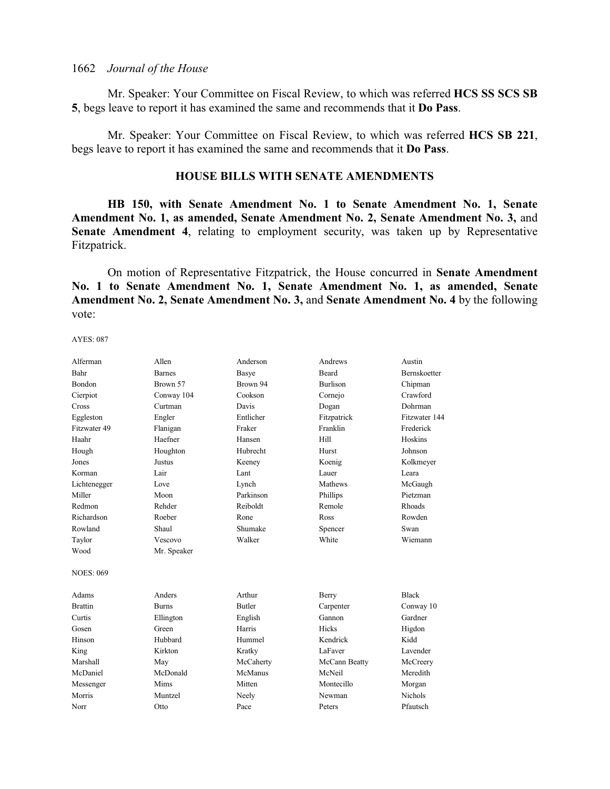Mr. Speaker: Your Committee on Fiscal Review, to which was referred **HCS SS SCS SB 5**, begs leave to report it has examined the same and recommends that it **Do Pass**.

Mr. Speaker: Your Committee on Fiscal Review, to which was referred **HCS SB 221**, begs leave to report it has examined the same and recommends that it **Do Pass**.

### **HOUSE BILLS WITH SENATE AMENDMENTS**

**HB 150, with Senate Amendment No. 1 to Senate Amendment No. 1, Senate Amendment No. 1, as amended, Senate Amendment No. 2, Senate Amendment No. 3,** and **Senate Amendment 4**, relating to employment security, was taken up by Representative Fitzpatrick.

On motion of Representative Fitzpatrick, the House concurred in **Senate Amendment No. 1 to Senate Amendment No. 1, Senate Amendment No. 1, as amended, Senate Amendment No. 2, Senate Amendment No. 3,** and **Senate Amendment No. 4** by the following vote:

| Alferman         | Allen         | Anderson      | Andrews         | Austin              |
|------------------|---------------|---------------|-----------------|---------------------|
| Bahr             | <b>Barnes</b> | Basye         | <b>Beard</b>    | <b>Bernskoetter</b> |
| Bondon           | Brown 57      | Brown 94      | <b>Burlison</b> | Chipman             |
| Cierpiot         | Conway 104    | Cookson       | Cornejo         | Crawford            |
| Cross            | Curtman       | Davis         | Dogan           | Dohrman             |
| Eggleston        | Engler        | Entlicher     | Fitzpatrick     | Fitzwater 144       |
| Fitzwater 49     | Flanigan      | Fraker        | Franklin        | Frederick           |
| Haahr            | Haefner       | Hansen        | Hill            | Hoskins             |
| Hough            | Houghton      | Hubrecht      | Hurst           | Johnson             |
| Jones            | Justus        | Keeney        | Koenig          | Kolkmeyer           |
| Korman           | Lair          | Lant          | Lauer           | Leara               |
| Lichtenegger     | Love          | Lynch         | Mathews         | McGaugh             |
| Miller           | Moon          | Parkinson     | Phillips        | Pietzman            |
| Redmon           | Rehder        | Reiboldt      | Remole          | Rhoads              |
| Richardson       | Roeber        | Rone          | Ross            | Rowden              |
| Rowland          | Shaul         | Shumake       | Spencer         | Swan                |
| Taylor           | Vescovo       | Walker        | White           | Wiemann             |
| Wood             | Mr. Speaker   |               |                 |                     |
| <b>NOES: 069</b> |               |               |                 |                     |
| Adams            | Anders        | Arthur        | Berry           | <b>Black</b>        |
| <b>Brattin</b>   | <b>Burns</b>  | <b>Butler</b> | Carpenter       | Conway 10           |
| Curtis           | Ellington     | English       | Gannon          | Gardner             |
| Gosen            | Green         | Harris        | Hicks           | Higdon              |
| Hinson           | Hubbard       | Hummel        | Kendrick        | Kidd                |
| King             | Kirkton       | Kratky        | LaFaver         | Lavender            |
| Marshall         | May           | McCaherty     | McCann Beatty   | McCreery            |
| McDaniel         | McDonald      | McManus       | McNeil          | Meredith            |
| Messenger        | Mims          | Mitten        | Montecillo      | Morgan              |
| Morris           | Muntzel       | Neely         | Newman          | Nichols             |
| Norr             | Otto          | Pace          | Peters          | Pfautsch            |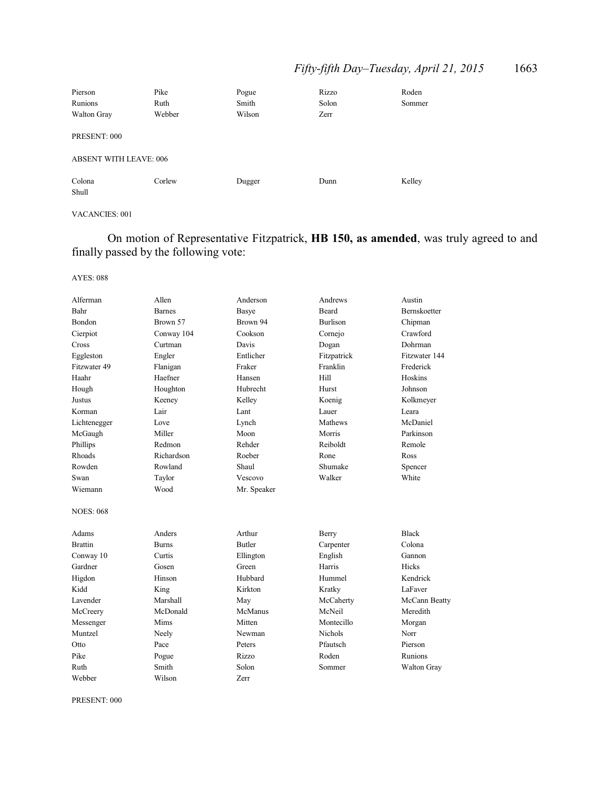## *Fifty-fifth Day–Tuesday, April 21, 2015* 1663

| Pierson                       | Pike   | Pogue  | Rizzo | Roden  |  |
|-------------------------------|--------|--------|-------|--------|--|
| Runions                       | Ruth   | Smith  | Solon | Sommer |  |
| Walton Gray                   | Webber | Wilson | Zerr  |        |  |
| PRESENT: 000                  |        |        |       |        |  |
| <b>ABSENT WITH LEAVE: 006</b> |        |        |       |        |  |
| Colona<br>Shull               | Corlew | Dugger | Dunn  | Kelley |  |

### VACANCIES: 001

On motion of Representative Fitzpatrick, **HB 150, as amended**, was truly agreed to and finally passed by the following vote:

#### AYES: 088

| Alferman         | Allen         | Anderson      | Andrews      | Austin              |
|------------------|---------------|---------------|--------------|---------------------|
| Bahr             | <b>Barnes</b> | Basye         | <b>Beard</b> | <b>Bernskoetter</b> |
| Bondon           | Brown 57      | Brown 94      | Burlison     | Chipman             |
| Cierpiot         | Conway 104    | Cookson       | Cornejo      | Crawford            |
| Cross            | Curtman       | Davis         | Dogan        | Dohrman             |
| Eggleston        | Engler        | Entlicher     | Fitzpatrick  | Fitzwater 144       |
| Fitzwater 49     | Flanigan      | Fraker        | Franklin     | Frederick           |
| Haahr            | Haefner       | Hansen        | Hill         | Hoskins             |
| Hough            | Houghton      | Hubrecht      | Hurst        | Johnson             |
| Justus           | Keeney        | Kelley        | Koenig       | Kolkmeyer           |
| Korman           | Lair          | Lant          | Lauer        | Leara               |
| Lichtenegger     | Love          | Lynch         | Mathews      | McDaniel            |
| McGaugh          | Miller        | Moon          | Morris       | Parkinson           |
| Phillips         | Redmon        | Rehder        | Reiboldt     | Remole              |
| Rhoads           | Richardson    | Roeber        | Rone         | Ross                |
| Rowden           | Rowland       | Shaul         | Shumake      | Spencer             |
| Swan             | Taylor        | Vescovo       | Walker       | White               |
| Wiemann          | Wood          | Mr. Speaker   |              |                     |
| <b>NOES: 068</b> |               |               |              |                     |
| Adams            | Anders        | Arthur        | Berry        | <b>Black</b>        |
| <b>Brattin</b>   | <b>Burns</b>  | <b>Butler</b> | Carpenter    | Colona              |
| Conway 10        | Curtis        | Ellington     | English      | Gannon              |
| Gardner          | Gosen         | Green         | Harris       | <b>Hicks</b>        |
| Higdon           | Hinson        | Hubbard       | Hummel       | Kendrick            |
| Kidd             | King          | Kirkton       | Kratky       | LaFaver             |
| Lavender         | Marshall      | May           | McCaherty    | McCann Beatty       |
| McCreery         | McDonald      | McManus       | McNeil       | Meredith            |
| Messenger        | Mims          | Mitten        | Montecillo   | Morgan              |
| Muntzel          | Neely         | Newman        | Nichols      | Norr                |
| Otto             | Pace          | Peters        | Pfautsch     | Pierson             |
| Pike             | Pogue         | Rizzo         | Roden        | <b>Runions</b>      |
| Ruth             | Smith         | Solon         | Sommer       | Walton Gray         |
| Webber           | Wilson        | <b>Zerr</b>   |              |                     |

PRESENT: 000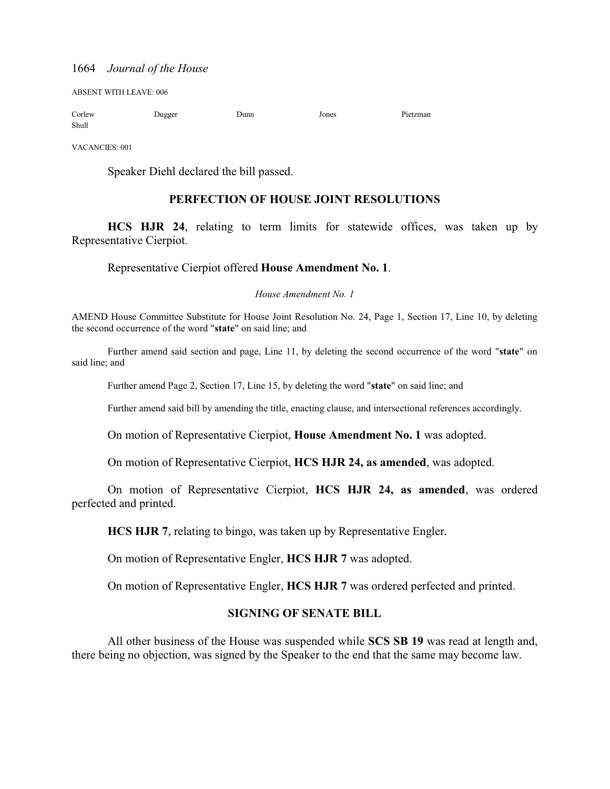ABSENT WITH LEAVE: 006

| Corlew | Dugger | Dunn | Jones | Pietzman |
|--------|--------|------|-------|----------|
| Shull  |        |      |       |          |

VACANCIES: 001

Speaker Diehl declared the bill passed.

### **PERFECTION OF HOUSE JOINT RESOLUTIONS**

**HCS HJR 24**, relating to term limits for statewide offices, was taken up by Representative Cierpiot.

#### Representative Cierpiot offered **House Amendment No. 1**.

*House Amendment No. 1*

AMEND House Committee Substitute for House Joint Resolution No. 24, Page 1, Section 17, Line 10, by deleting the second occurrence of the word "**state**" on said line; and

Further amend said section and page, Line 11, by deleting the second occurrence of the word "**state**" on said line; and

Further amend Page 2, Section 17, Line 15, by deleting the word "**state**" on said line; and

Further amend said bill by amending the title, enacting clause, and intersectional references accordingly.

On motion of Representative Cierpiot, **House Amendment No. 1** was adopted.

On motion of Representative Cierpiot, **HCS HJR 24, as amended**, was adopted.

On motion of Representative Cierpiot, **HCS HJR 24, as amended**, was ordered perfected and printed.

**HCS HJR 7**, relating to bingo, was taken up by Representative Engler.

On motion of Representative Engler, **HCS HJR 7** was adopted.

On motion of Representative Engler, **HCS HJR 7** was ordered perfected and printed.

### **SIGNING OF SENATE BILL**

All other business of the House was suspended while **SCS SB 19** was read at length and, there being no objection, was signed by the Speaker to the end that the same may become law.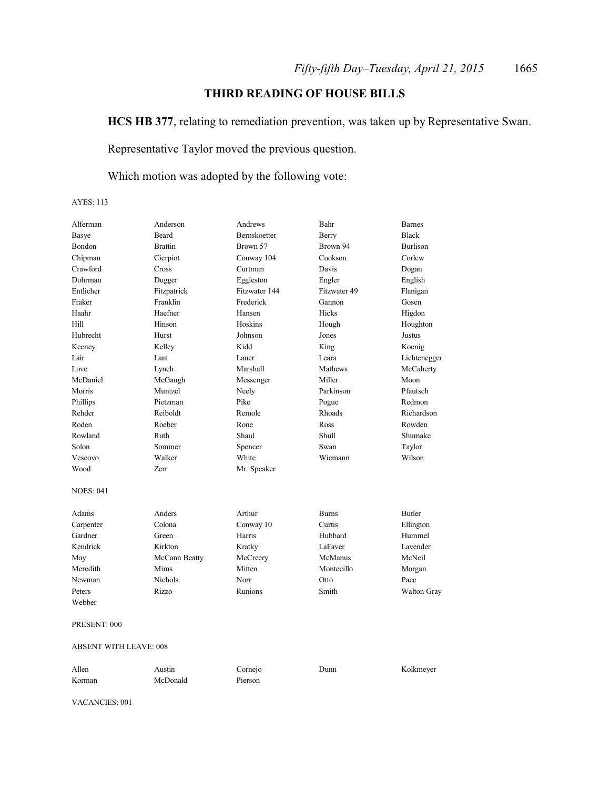### **THIRD READING OF HOUSE BILLS**

**HCS HB 377**, relating to remediation prevention, was taken up by Representative Swan.

Representative Taylor moved the previous question.

### Which motion was adopted by the following vote:

AYES: 113

| Alferman         | Anderson       | Andrews       | Bahr         | <b>Barnes</b>   |
|------------------|----------------|---------------|--------------|-----------------|
| <b>Basye</b>     | Beard          | Bernskoetter  | Berry        | <b>Black</b>    |
| Bondon           | <b>Brattin</b> | Brown 57      | Brown 94     | <b>Burlison</b> |
| Chipman          | Cierpiot       | Conway 104    | Cookson      | Corlew          |
| Crawford         | Cross          | Curtman       | Davis        | Dogan           |
| Dohrman          | Dugger         | Eggleston     | Engler       | English         |
| Entlicher        | Fitzpatrick    | Fitzwater 144 | Fitzwater 49 | Flanigan        |
| Fraker           | Franklin       | Frederick     | Gannon       | Gosen           |
| Haahr            | Haefner        | Hansen        | Hicks        | Higdon          |
| Hill             | Hinson         | Hoskins       | Hough        | Houghton        |
| Hubrecht         | Hurst          | Johnson       | Jones        | Justus          |
| Keeney           | Kelley         | Kidd          | King         | Koenig          |
| Lair             | Lant           | Lauer         | Leara        | Lichtenegger    |
| Love             | Lynch          | Marshall      | Mathews      | McCaherty       |
| McDaniel         | McGaugh        | Messenger     | Miller       | Moon            |
| Morris           | Muntzel        | Neely         | Parkinson    | Pfautsch        |
| Phillips         | Pietzman       | Pike          | Pogue        | Redmon          |
| Rehder           | Reiboldt       | Remole        | Rhoads       | Richardson      |
| Roden            | Roeber         | Rone          | Ross         | Rowden          |
| Rowland          | Ruth           | Shaul         | Shull        | Shumake         |
| Solon            | Sommer         | Spencer       | Swan         | Taylor          |
| Vescovo          | Walker         | White         | Wiemann      | Wilson          |
| Wood             | Zerr           | Mr. Speaker   |              |                 |
| <b>NOES: 041</b> |                |               |              |                 |
| Adams            | Anders         | Arthur        | <b>Burns</b> | <b>Butler</b>   |
| Carpenter        | Colona         | Conway 10     | Curtis       | Ellington       |
| Gardner          | Green          | Harris        | Hubbard      | Hummel          |
| Kendrick         | Kirkton        | Kratky        | LaFaver      | Lavender        |
| May              | McCann Beatty  | McCreery      | McManus      | McNeil          |
| Meredith         | Mims           | Mitten        | Montecillo   | Morgan          |
| Newman           | <b>Nichols</b> | Norr          | Otto         | Pace            |
| Peters           | Rizzo          | Runions       | Smith        | Walton Gray     |
| Webber           |                |               |              |                 |
| PRESENT: 000     |                |               |              |                 |

| Allen  | Austin   | $C$ ornejo | Dunn | Kolkmeyer |
|--------|----------|------------|------|-----------|
| Korman | McDonald | Pierson    |      |           |

VACANCIES: 001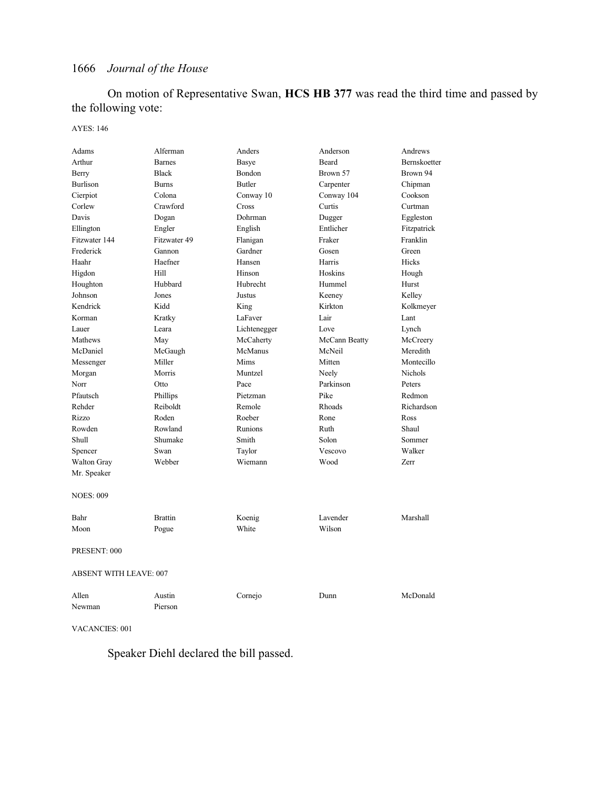On motion of Representative Swan, **HCS HB 377** was read the third time and passed by the following vote:

#### AYES: 146

| Adams                         | Alferman       | Anders       | Anderson      | Andrews        |
|-------------------------------|----------------|--------------|---------------|----------------|
| Arthur                        | <b>Barnes</b>  | <b>Basye</b> | Beard         | Bernskoetter   |
| Berry                         | <b>Black</b>   | Bondon       | Brown 57      | Brown 94       |
| <b>Burlison</b>               | <b>Burns</b>   | Butler       | Carpenter     | Chipman        |
| Cierpiot                      | Colona         | Conway 10    | Conway 104    | Cookson        |
| Corlew                        | Crawford       | Cross        | Curtis        | Curtman        |
| Davis                         | Dogan          | Dohrman      | Dugger        | Eggleston      |
| Ellington                     | Engler         | English      | Entlicher     | Fitzpatrick    |
| Fitzwater 144                 | Fitzwater 49   | Flanigan     | Fraker        | Franklin       |
| Frederick                     | Gannon         | Gardner      | Gosen         | Green          |
| Haahr                         | Haefner        | Hansen       | Harris        | Hicks          |
| Higdon                        | Hill           | Hinson       | Hoskins       | Hough          |
| Houghton                      | Hubbard        | Hubrecht     | Hummel        | Hurst          |
| Johnson                       | Jones          | Justus       | Keeney        | Kelley         |
| Kendrick                      | Kidd           | King         | Kirkton       | Kolkmeyer      |
| Korman                        | Kratky         | LaFaver      | Lair          | Lant           |
| Lauer                         | Leara          | Lichtenegger | Love          | Lynch          |
| Mathews                       | May            | McCaherty    | McCann Beatty | McCreery       |
| McDaniel                      | McGaugh        | McManus      | McNeil        | Meredith       |
| Messenger                     | Miller         | Mims         | Mitten        | Montecillo     |
| Morgan                        | Morris         | Muntzel      | Neely         | <b>Nichols</b> |
| Norr                          | Otto           | Pace         | Parkinson     | Peters         |
| Pfautsch                      | Phillips       | Pietzman     | Pike          | Redmon         |
| Rehder                        | Reiboldt       | Remole       | Rhoads        | Richardson     |
| Rizzo                         | Roden          | Roeber       | Rone          | Ross           |
| Rowden                        | Rowland        | Runions      | Ruth          | Shaul          |
| Shull                         | Shumake        | Smith        | Solon         | Sommer         |
| Spencer                       | Swan           | Taylor       | Vescovo       | Walker         |
| <b>Walton Gray</b>            | Webber         | Wiemann      | Wood          | Zerr           |
| Mr. Speaker                   |                |              |               |                |
| <b>NOES: 009</b>              |                |              |               |                |
| Bahr                          | <b>Brattin</b> | Koenig       | Lavender      | Marshall       |
| Moon                          | Pogue          | White        | Wilson        |                |
| PRESENT: 000                  |                |              |               |                |
| <b>ABSENT WITH LEAVE: 007</b> |                |              |               |                |
| Allen                         | Austin         | Cornejo      | Dunn          | McDonald       |
| Newman                        | Pierson        |              |               |                |

VACANCIES: 001

Speaker Diehl declared the bill passed.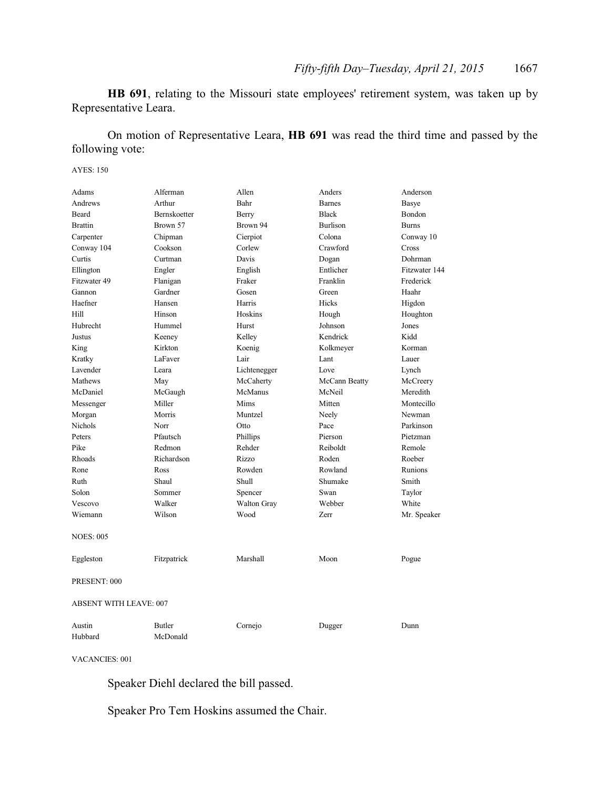**HB 691**, relating to the Missouri state employees' retirement system, was taken up by Representative Leara.

On motion of Representative Leara, **HB 691** was read the third time and passed by the following vote:

AYES: 150

| Adams                         | Alferman            | Allen        | Anders          | Anderson      |  |
|-------------------------------|---------------------|--------------|-----------------|---------------|--|
| Andrews                       | Arthur              | Bahr         | <b>Barnes</b>   | Basye         |  |
| Beard                         | <b>Bernskoetter</b> | Berry        | <b>Black</b>    | Bondon        |  |
| <b>Brattin</b>                | Brown 57            | Brown 94     | <b>Burlison</b> | <b>Burns</b>  |  |
| Carpenter                     | Chipman             | Cierpiot     | Colona          | Conway 10     |  |
| Conway 104                    | Cookson             | Corlew       | Crawford        | Cross         |  |
| Curtis                        | Curtman             | Davis        | Dogan           | Dohrman       |  |
| Ellington                     | Engler              | English      | Entlicher       | Fitzwater 144 |  |
| Fitzwater 49                  | Flanigan            | Fraker       | Franklin        | Frederick     |  |
| Gannon                        | Gardner             | Gosen        | Green           | Haahr         |  |
| Haefner                       | Hansen              | Harris       | Hicks           | Higdon        |  |
| Hill                          | Hinson              | Hoskins      | Hough           | Houghton      |  |
| Hubrecht                      | Hummel              | Hurst        | Johnson         | Jones         |  |
| Justus                        | Keeney              | Kelley       | Kendrick        | Kidd          |  |
| King                          | Kirkton             | Koenig       | Kolkmeyer       | Korman        |  |
| Kratky                        | LaFaver             | Lair         | Lant            | Lauer         |  |
| Lavender                      | Leara               | Lichtenegger | Love            | Lynch         |  |
| Mathews                       | May                 | McCaherty    | McCann Beatty   | McCreery      |  |
| McDaniel                      | McGaugh             | McManus      | McNeil          | Meredith      |  |
| Messenger                     | Miller              | Mims         | Mitten          | Montecillo    |  |
| Morgan                        | Morris              | Muntzel      | Neely           | Newman        |  |
| Nichols                       | Norr                | Otto         | Pace            | Parkinson     |  |
| Peters                        | Pfautsch            | Phillips     | Pierson         | Pietzman      |  |
| Pike                          | Redmon              | Rehder       | Reiboldt        | Remole        |  |
| Rhoads                        | Richardson          | <b>Rizzo</b> | Roden           | Roeber        |  |
| Rone                          | Ross                | Rowden       | Rowland         | Runions       |  |
| Ruth                          | Shaul               | Shull        | Shumake         | Smith         |  |
| Solon                         | Sommer              | Spencer      | Swan            | Taylor        |  |
| Vescovo                       | Walker              | Walton Gray  | Webber          | White         |  |
| Wiemann                       | Wilson              | Wood         | Zerr            | Mr. Speaker   |  |
| <b>NOES: 005</b>              |                     |              |                 |               |  |
| Eggleston                     | Fitzpatrick         | Marshall     | Moon            | Pogue         |  |
| PRESENT: 000                  |                     |              |                 |               |  |
| <b>ABSENT WITH LEAVE: 007</b> |                     |              |                 |               |  |
| Austin                        | Butler              | Cornejo      | Dugger          | Dunn          |  |
| Hubbard                       | McDonald            |              |                 |               |  |

VACANCIES: 001

Speaker Diehl declared the bill passed.

Speaker Pro Tem Hoskins assumed the Chair.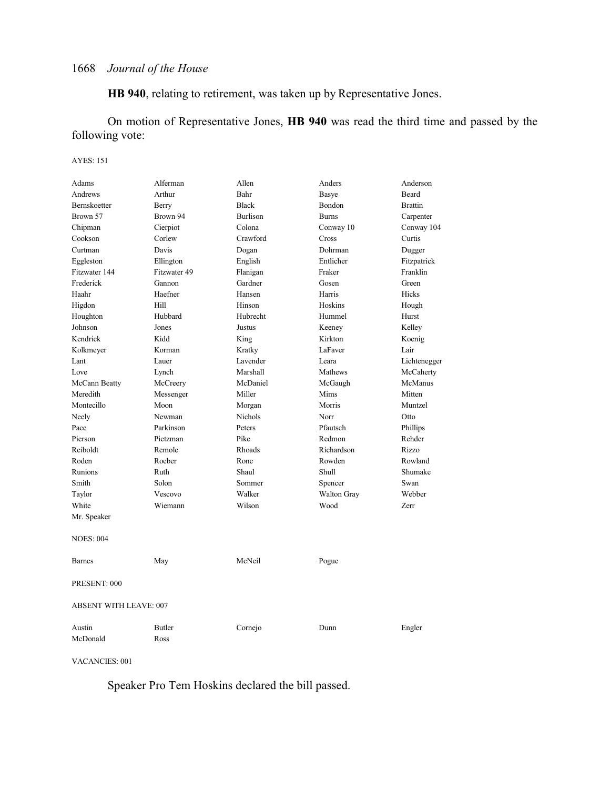**HB 940**, relating to retirement, was taken up by Representative Jones.

On motion of Representative Jones, **HB 940** was read the third time and passed by the following vote:

#### AYES: 151

| Adams                         | Alferman      | Allen           | Anders             | Anderson       |  |
|-------------------------------|---------------|-----------------|--------------------|----------------|--|
| Andrews                       | Arthur        | Bahr            | Basye              | Beard          |  |
| Bernskoetter                  | Berry         | <b>Black</b>    | Bondon             | <b>Brattin</b> |  |
| Brown 57                      | Brown 94      | <b>Burlison</b> | <b>Burns</b>       | Carpenter      |  |
| Chipman                       | Cierpiot      | Colona          | Conway 10          | Conway 104     |  |
| Cookson                       | Corlew        | Crawford        | Cross              | Curtis         |  |
| Curtman                       | Davis         | Dogan           | Dohrman            | Dugger         |  |
| Eggleston                     | Ellington     | English         | Entlicher          | Fitzpatrick    |  |
| Fitzwater 144                 | Fitzwater 49  | Flanigan        | Fraker             | Franklin       |  |
| Frederick                     | Gannon        | Gardner         | Gosen              | Green          |  |
| Haahr                         | Haefner       | Hansen          | Harris             | Hicks          |  |
| Higdon                        | Hill          | Hinson          | Hoskins            | Hough          |  |
| Houghton                      | Hubbard       | Hubrecht        | Hummel             | Hurst          |  |
| Johnson                       | Jones         | Justus          | Keeney             | Kelley         |  |
| Kendrick                      | Kidd          | King            | Kirkton            | Koenig         |  |
| Kolkmeyer                     | Korman        | Kratky          | LaFaver            | Lair           |  |
| Lant                          | Lauer         | Lavender        | Leara              | Lichtenegger   |  |
| Love                          | Lynch         | Marshall        | Mathews            | McCaherty      |  |
| McCann Beatty                 | McCreery      | McDaniel        | McGaugh            | McManus        |  |
| Meredith                      | Messenger     | Miller          | Mims               | Mitten         |  |
| Montecillo                    | Moon          | Morgan          | Morris             | Muntzel        |  |
| Neely                         | Newman        | Nichols         | Norr               | Otto           |  |
| Pace                          | Parkinson     | Peters          | Pfautsch           | Phillips       |  |
| Pierson                       | Pietzman      | Pike            | Redmon             | Rehder         |  |
| Reiboldt                      | Remole        | Rhoads          | Richardson         | Rizzo          |  |
| Roden                         | Roeber        | Rone            | Rowden             | Rowland        |  |
| Runions                       | Ruth          | Shaul           | Shull              | Shumake        |  |
| Smith                         | Solon         | Sommer          | Spencer            | Swan           |  |
| Taylor                        | Vescovo       | Walker          | <b>Walton Gray</b> | Webber         |  |
| White                         | Wiemann       | Wilson          | Wood               | Zerr           |  |
| Mr. Speaker                   |               |                 |                    |                |  |
| <b>NOES: 004</b>              |               |                 |                    |                |  |
| <b>Barnes</b>                 | May           | McNeil          | Pogue              |                |  |
| PRESENT: 000                  |               |                 |                    |                |  |
| <b>ABSENT WITH LEAVE: 007</b> |               |                 |                    |                |  |
| Austin                        | <b>Butler</b> | Cornejo         | Dunn               | Engler         |  |
| McDonald                      | Ross          |                 |                    |                |  |

VACANCIES: 001

Speaker Pro Tem Hoskins declared the bill passed.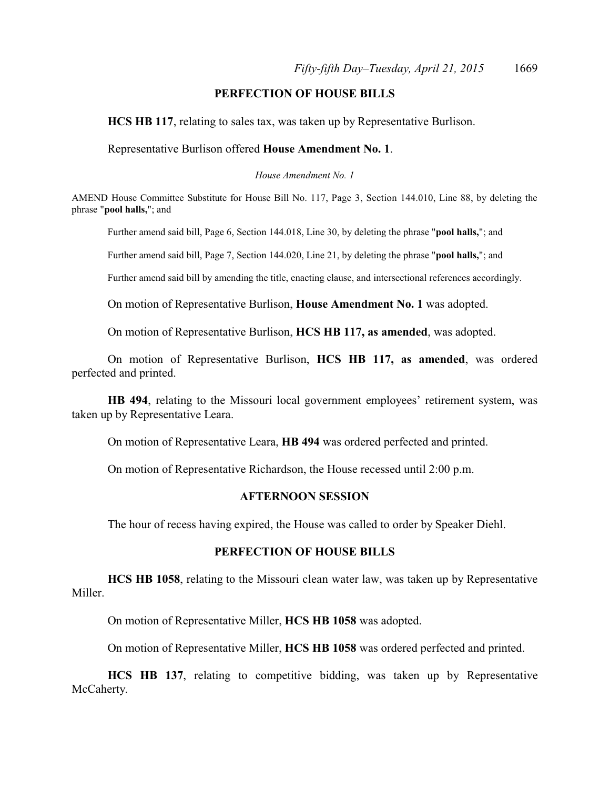### **PERFECTION OF HOUSE BILLS**

**HCS HB 117**, relating to sales tax, was taken up by Representative Burlison.

Representative Burlison offered **House Amendment No. 1**.

*House Amendment No. 1*

AMEND House Committee Substitute for House Bill No. 117, Page 3, Section 144.010, Line 88, by deleting the phrase "**pool halls,**"; and

Further amend said bill, Page 6, Section 144.018, Line 30, by deleting the phrase "**pool halls,**"; and

Further amend said bill, Page 7, Section 144.020, Line 21, by deleting the phrase "**pool halls,**"; and

Further amend said bill by amending the title, enacting clause, and intersectional references accordingly.

On motion of Representative Burlison, **House Amendment No. 1** was adopted.

On motion of Representative Burlison, **HCS HB 117, as amended**, was adopted.

On motion of Representative Burlison, **HCS HB 117, as amended**, was ordered perfected and printed.

**HB 494**, relating to the Missouri local government employees' retirement system, was taken up by Representative Leara.

On motion of Representative Leara, **HB 494** was ordered perfected and printed.

On motion of Representative Richardson, the House recessed until 2:00 p.m.

#### **AFTERNOON SESSION**

The hour of recess having expired, the House was called to order by Speaker Diehl.

#### **PERFECTION OF HOUSE BILLS**

**HCS HB 1058**, relating to the Missouri clean water law, was taken up by Representative Miller.

On motion of Representative Miller, **HCS HB 1058** was adopted.

On motion of Representative Miller, **HCS HB 1058** was ordered perfected and printed.

**HCS HB 137**, relating to competitive bidding, was taken up by Representative McCaherty.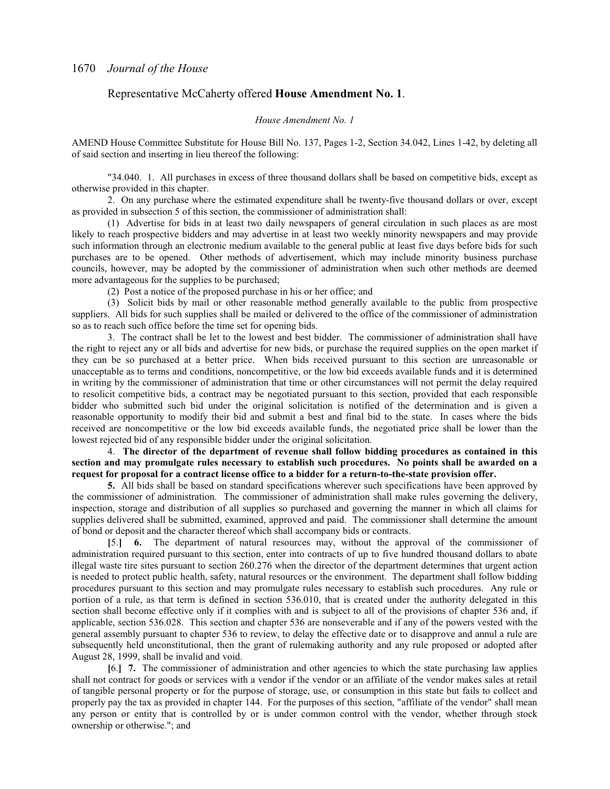#### Representative McCaherty offered **House Amendment No. 1**.

#### *House Amendment No. 1*

AMEND House Committee Substitute for House Bill No. 137, Pages 1-2, Section 34.042, Lines 1-42, by deleting all of said section and inserting in lieu thereof the following:

"34.040. 1. All purchases in excess of three thousand dollars shall be based on competitive bids, except as otherwise provided in this chapter.

2. On any purchase where the estimated expenditure shall be twenty-five thousand dollars or over, except as provided in subsection 5 of this section, the commissioner of administration shall:

(1) Advertise for bids in at least two daily newspapers of general circulation in such places as are most likely to reach prospective bidders and may advertise in at least two weekly minority newspapers and may provide such information through an electronic medium available to the general public at least five days before bids for such purchases are to be opened. Other methods of advertisement, which may include minority business purchase councils, however, may be adopted by the commissioner of administration when such other methods are deemed more advantageous for the supplies to be purchased;

(2) Post a notice of the proposed purchase in his or her office; and

(3) Solicit bids by mail or other reasonable method generally available to the public from prospective suppliers. All bids for such supplies shall be mailed or delivered to the office of the commissioner of administration so as to reach such office before the time set for opening bids.

3. The contract shall be let to the lowest and best bidder. The commissioner of administration shall have the right to reject any or all bids and advertise for new bids, or purchase the required supplies on the open market if they can be so purchased at a better price. When bids received pursuant to this section are unreasonable or unacceptable as to terms and conditions, noncompetitive, or the low bid exceeds available funds and it is determined in writing by the commissioner of administration that time or other circumstances will not permit the delay required to resolicit competitive bids, a contract may be negotiated pursuant to this section, provided that each responsible bidder who submitted such bid under the original solicitation is notified of the determination and is given a reasonable opportunity to modify their bid and submit a best and final bid to the state. In cases where the bids received are noncompetitive or the low bid exceeds available funds, the negotiated price shall be lower than the lowest rejected bid of any responsible bidder under the original solicitation.

4. **The director of the department of revenue shall follow bidding procedures as contained in this section and may promulgate rules necessary to establish such procedures. No points shall be awarded on a request for proposal for a contract license office to a bidder for a return-to-the-state provision offer.**

**5.** All bids shall be based on standard specifications wherever such specifications have been approved by the commissioner of administration. The commissioner of administration shall make rules governing the delivery, inspection, storage and distribution of all supplies so purchased and governing the manner in which all claims for supplies delivered shall be submitted, examined, approved and paid. The commissioner shall determine the amount of bond or deposit and the character thereof which shall accompany bids or contracts.

**[**5.**] 6.** The department of natural resources may, without the approval of the commissioner of administration required pursuant to this section, enter into contracts of up to five hundred thousand dollars to abate illegal waste tire sites pursuant to section 260.276 when the director of the department determines that urgent action is needed to protect public health, safety, natural resources or the environment. The department shall follow bidding procedures pursuant to this section and may promulgate rules necessary to establish such procedures. Any rule or portion of a rule, as that term is defined in section 536.010, that is created under the authority delegated in this section shall become effective only if it complies with and is subject to all of the provisions of chapter 536 and, if applicable, section 536.028. This section and chapter 536 are nonseverable and if any of the powers vested with the general assembly pursuant to chapter 536 to review, to delay the effective date or to disapprove and annul a rule are subsequently held unconstitutional, then the grant of rulemaking authority and any rule proposed or adopted after August 28, 1999, shall be invalid and void.

**[**6.**] 7.** The commissioner of administration and other agencies to which the state purchasing law applies shall not contract for goods or services with a vendor if the vendor or an affiliate of the vendor makes sales at retail of tangible personal property or for the purpose of storage, use, or consumption in this state but fails to collect and properly pay the tax as provided in chapter 144. For the purposes of this section, "affiliate of the vendor" shall mean any person or entity that is controlled by or is under common control with the vendor, whether through stock ownership or otherwise."; and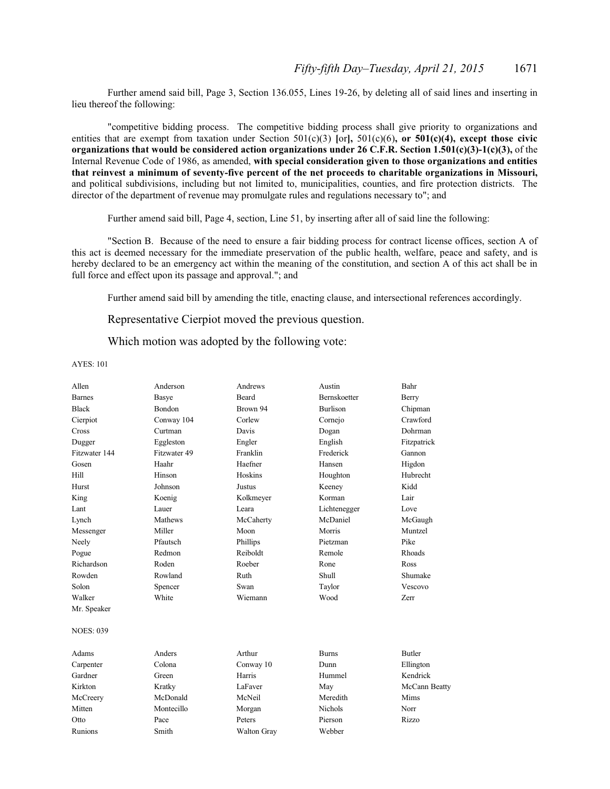Further amend said bill, Page 3, Section 136.055, Lines 19-26, by deleting all of said lines and inserting in lieu thereof the following:

"competitive bidding process. The competitive bidding process shall give priority to organizations and entities that are exempt from taxation under Section 501(c)(3) **[**or**],** 501(c)(6)**, or 501(c)(4), except those civic organizations that would be considered action organizations under 26 C.F.R. Section 1.501(c)(3)-1(c)(3),** of the Internal Revenue Code of 1986, as amended, **with special consideration given to those organizations and entities that reinvest a minimum of seventy-five percent of the net proceeds to charitable organizations in Missouri,** and political subdivisions, including but not limited to, municipalities, counties, and fire protection districts. The director of the department of revenue may promulgate rules and regulations necessary to"; and

Further amend said bill, Page 4, section, Line 51, by inserting after all of said line the following:

"Section B. Because of the need to ensure a fair bidding process for contract license offices, section A of this act is deemed necessary for the immediate preservation of the public health, welfare, peace and safety, and is hereby declared to be an emergency act within the meaning of the constitution, and section A of this act shall be in full force and effect upon its passage and approval."; and

Further amend said bill by amending the title, enacting clause, and intersectional references accordingly.

Representative Cierpiot moved the previous question.

Which motion was adopted by the following vote:

| <b>Bernskoetter</b><br>Basye<br><b>Beard</b><br><b>Barnes</b><br>Berry<br>Bondon<br><b>Burlison</b><br>Brown 94<br>Chipman<br>Crawford<br>Conway 104<br>Corlew<br>Cornejo<br>Curtman<br>Davis<br>Dohrman<br>Dogan<br>English<br>Eggleston<br>Engler<br>Fitzpatrick<br>Dugger<br>Fitzwater 49<br>Frederick<br>Fitzwater 144<br>Franklin<br>Gannon<br>Haefner<br>Haahr<br>Higdon<br>Hansen<br>Hoskins<br>Hubrecht<br>Hinson<br>Houghton<br>Johnson<br><b>Justus</b><br>Kidd<br>Hurst<br>Keeney<br>Korman<br>Lair<br>King<br>Koenig<br>Kolkmeyer<br>Lauer<br>Leara<br>Lant<br>Lichtenegger<br>Love<br>McDaniel<br>Mathews<br>McCaherty<br>McGaugh<br>Miller<br>Morris<br>Muntzel<br>Messenger<br>Moon<br>Pfautsch<br>Pike<br>Phillips<br>Pietzman<br>Redmon<br>Reiboldt<br>Rhoads<br>Pogue<br>Remole<br>Roden<br>Roeber<br>Rone<br>Ross<br>Rowland<br>Ruth<br>Shull<br>Shumake<br>Solon<br>Swan<br>Spencer<br>Taylor<br>Vescovo<br>White<br>Walker<br>Wiemann<br>Wood<br>Zerr<br>Mr. Speaker<br>Anders<br>Arthur<br><b>Butler</b><br><b>Burns</b><br>Colona<br>Dunn<br>Conway 10<br>Ellington<br>Kendrick<br>Harris<br>Green<br>Hummel<br>Kratky<br>LaFaver<br>May<br>McCann Beatty<br>McDonald<br>McCreery<br>McNeil<br>Meredith<br>Mims<br>Montecillo<br><b>Nichols</b><br>Norr<br>Morgan<br>Peters<br>Pierson<br>Pace<br>Rizzo<br>Otto<br>Runions<br>Smith<br>Webber<br><b>Walton Gray</b> | Allen            | Anderson | Andrews | Austin | Bahr |
|--------------------------------------------------------------------------------------------------------------------------------------------------------------------------------------------------------------------------------------------------------------------------------------------------------------------------------------------------------------------------------------------------------------------------------------------------------------------------------------------------------------------------------------------------------------------------------------------------------------------------------------------------------------------------------------------------------------------------------------------------------------------------------------------------------------------------------------------------------------------------------------------------------------------------------------------------------------------------------------------------------------------------------------------------------------------------------------------------------------------------------------------------------------------------------------------------------------------------------------------------------------------------------------------------------------------------------------------------------------------------------------------|------------------|----------|---------|--------|------|
|                                                                                                                                                                                                                                                                                                                                                                                                                                                                                                                                                                                                                                                                                                                                                                                                                                                                                                                                                                                                                                                                                                                                                                                                                                                                                                                                                                                            |                  |          |         |        |      |
|                                                                                                                                                                                                                                                                                                                                                                                                                                                                                                                                                                                                                                                                                                                                                                                                                                                                                                                                                                                                                                                                                                                                                                                                                                                                                                                                                                                            | <b>Black</b>     |          |         |        |      |
|                                                                                                                                                                                                                                                                                                                                                                                                                                                                                                                                                                                                                                                                                                                                                                                                                                                                                                                                                                                                                                                                                                                                                                                                                                                                                                                                                                                            | Cierpiot         |          |         |        |      |
|                                                                                                                                                                                                                                                                                                                                                                                                                                                                                                                                                                                                                                                                                                                                                                                                                                                                                                                                                                                                                                                                                                                                                                                                                                                                                                                                                                                            | Cross            |          |         |        |      |
|                                                                                                                                                                                                                                                                                                                                                                                                                                                                                                                                                                                                                                                                                                                                                                                                                                                                                                                                                                                                                                                                                                                                                                                                                                                                                                                                                                                            |                  |          |         |        |      |
|                                                                                                                                                                                                                                                                                                                                                                                                                                                                                                                                                                                                                                                                                                                                                                                                                                                                                                                                                                                                                                                                                                                                                                                                                                                                                                                                                                                            |                  |          |         |        |      |
|                                                                                                                                                                                                                                                                                                                                                                                                                                                                                                                                                                                                                                                                                                                                                                                                                                                                                                                                                                                                                                                                                                                                                                                                                                                                                                                                                                                            | Gosen            |          |         |        |      |
|                                                                                                                                                                                                                                                                                                                                                                                                                                                                                                                                                                                                                                                                                                                                                                                                                                                                                                                                                                                                                                                                                                                                                                                                                                                                                                                                                                                            | Hill             |          |         |        |      |
|                                                                                                                                                                                                                                                                                                                                                                                                                                                                                                                                                                                                                                                                                                                                                                                                                                                                                                                                                                                                                                                                                                                                                                                                                                                                                                                                                                                            |                  |          |         |        |      |
|                                                                                                                                                                                                                                                                                                                                                                                                                                                                                                                                                                                                                                                                                                                                                                                                                                                                                                                                                                                                                                                                                                                                                                                                                                                                                                                                                                                            |                  |          |         |        |      |
|                                                                                                                                                                                                                                                                                                                                                                                                                                                                                                                                                                                                                                                                                                                                                                                                                                                                                                                                                                                                                                                                                                                                                                                                                                                                                                                                                                                            |                  |          |         |        |      |
|                                                                                                                                                                                                                                                                                                                                                                                                                                                                                                                                                                                                                                                                                                                                                                                                                                                                                                                                                                                                                                                                                                                                                                                                                                                                                                                                                                                            | Lynch            |          |         |        |      |
|                                                                                                                                                                                                                                                                                                                                                                                                                                                                                                                                                                                                                                                                                                                                                                                                                                                                                                                                                                                                                                                                                                                                                                                                                                                                                                                                                                                            |                  |          |         |        |      |
|                                                                                                                                                                                                                                                                                                                                                                                                                                                                                                                                                                                                                                                                                                                                                                                                                                                                                                                                                                                                                                                                                                                                                                                                                                                                                                                                                                                            | Neely            |          |         |        |      |
|                                                                                                                                                                                                                                                                                                                                                                                                                                                                                                                                                                                                                                                                                                                                                                                                                                                                                                                                                                                                                                                                                                                                                                                                                                                                                                                                                                                            |                  |          |         |        |      |
|                                                                                                                                                                                                                                                                                                                                                                                                                                                                                                                                                                                                                                                                                                                                                                                                                                                                                                                                                                                                                                                                                                                                                                                                                                                                                                                                                                                            | Richardson       |          |         |        |      |
|                                                                                                                                                                                                                                                                                                                                                                                                                                                                                                                                                                                                                                                                                                                                                                                                                                                                                                                                                                                                                                                                                                                                                                                                                                                                                                                                                                                            | Rowden           |          |         |        |      |
|                                                                                                                                                                                                                                                                                                                                                                                                                                                                                                                                                                                                                                                                                                                                                                                                                                                                                                                                                                                                                                                                                                                                                                                                                                                                                                                                                                                            |                  |          |         |        |      |
|                                                                                                                                                                                                                                                                                                                                                                                                                                                                                                                                                                                                                                                                                                                                                                                                                                                                                                                                                                                                                                                                                                                                                                                                                                                                                                                                                                                            |                  |          |         |        |      |
|                                                                                                                                                                                                                                                                                                                                                                                                                                                                                                                                                                                                                                                                                                                                                                                                                                                                                                                                                                                                                                                                                                                                                                                                                                                                                                                                                                                            |                  |          |         |        |      |
|                                                                                                                                                                                                                                                                                                                                                                                                                                                                                                                                                                                                                                                                                                                                                                                                                                                                                                                                                                                                                                                                                                                                                                                                                                                                                                                                                                                            | <b>NOES: 039</b> |          |         |        |      |
|                                                                                                                                                                                                                                                                                                                                                                                                                                                                                                                                                                                                                                                                                                                                                                                                                                                                                                                                                                                                                                                                                                                                                                                                                                                                                                                                                                                            | Adams            |          |         |        |      |
|                                                                                                                                                                                                                                                                                                                                                                                                                                                                                                                                                                                                                                                                                                                                                                                                                                                                                                                                                                                                                                                                                                                                                                                                                                                                                                                                                                                            | Carpenter        |          |         |        |      |
|                                                                                                                                                                                                                                                                                                                                                                                                                                                                                                                                                                                                                                                                                                                                                                                                                                                                                                                                                                                                                                                                                                                                                                                                                                                                                                                                                                                            | Gardner          |          |         |        |      |
|                                                                                                                                                                                                                                                                                                                                                                                                                                                                                                                                                                                                                                                                                                                                                                                                                                                                                                                                                                                                                                                                                                                                                                                                                                                                                                                                                                                            | Kirkton          |          |         |        |      |
|                                                                                                                                                                                                                                                                                                                                                                                                                                                                                                                                                                                                                                                                                                                                                                                                                                                                                                                                                                                                                                                                                                                                                                                                                                                                                                                                                                                            |                  |          |         |        |      |
|                                                                                                                                                                                                                                                                                                                                                                                                                                                                                                                                                                                                                                                                                                                                                                                                                                                                                                                                                                                                                                                                                                                                                                                                                                                                                                                                                                                            | Mitten           |          |         |        |      |
|                                                                                                                                                                                                                                                                                                                                                                                                                                                                                                                                                                                                                                                                                                                                                                                                                                                                                                                                                                                                                                                                                                                                                                                                                                                                                                                                                                                            |                  |          |         |        |      |
|                                                                                                                                                                                                                                                                                                                                                                                                                                                                                                                                                                                                                                                                                                                                                                                                                                                                                                                                                                                                                                                                                                                                                                                                                                                                                                                                                                                            |                  |          |         |        |      |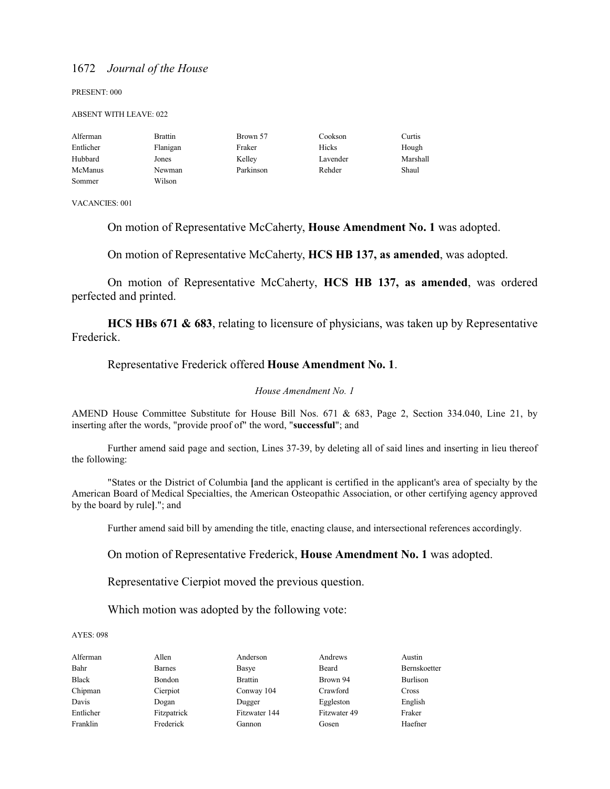PRESENT: 000

#### ABSENT WITH LEAVE: 022

| Alferman  | <b>Brattin</b> | Brown 57  | Cookson  | Curtis   |
|-----------|----------------|-----------|----------|----------|
| Entlicher | Flanigan       | Fraker    | Hicks    | Hough    |
| Hubbard   | Jones          | Kelley    | Lavender | Marshall |
| McManus   | Newman         | Parkinson | Rehder   | Shaul    |
| Sommer    | Wilson         |           |          |          |

VACANCIES: 001

On motion of Representative McCaherty, **House Amendment No. 1** was adopted.

On motion of Representative McCaherty, **HCS HB 137, as amended**, was adopted.

On motion of Representative McCaherty, **HCS HB 137, as amended**, was ordered perfected and printed.

**HCS HBs 671 & 683**, relating to licensure of physicians, was taken up by Representative Frederick.

#### Representative Frederick offered **House Amendment No. 1**.

#### *House Amendment No. 1*

AMEND House Committee Substitute for House Bill Nos. 671 & 683, Page 2, Section 334.040, Line 21, by inserting after the words, "provide proof of" the word, "**successful**"; and

Further amend said page and section, Lines 37-39, by deleting all of said lines and inserting in lieu thereof the following:

"States or the District of Columbia **[**and the applicant is certified in the applicant's area of specialty by the American Board of Medical Specialties, the American Osteopathic Association, or other certifying agency approved by the board by rule**]**."; and

Further amend said bill by amending the title, enacting clause, and intersectional references accordingly.

On motion of Representative Frederick, **House Amendment No. 1** was adopted.

Representative Cierpiot moved the previous question.

Which motion was adopted by the following vote:

#### AYES: 098

Alferman Allen Anderson Andrews Austin Bahr Barnes Basye Beard Bernskoetter Black Bondon Brattin Brown 94 Burlison Chipman Cierpiot Conway 104 Crawford Cross Davis Dogan Dugger Eggleston English Entlicher Fitzpatrick Fitzwater 144 Fitzwater 49 Fraker Franklin Frederick Gannon Gosen Haefner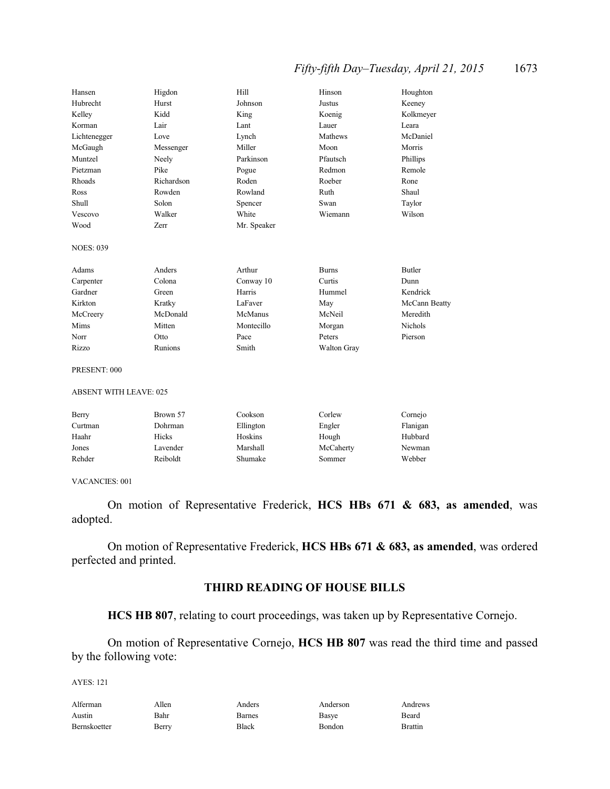### *Fifty-fifth Day–Tuesday, April 21, 2015* 1673

| Hansen                    | Higdon                        | Hill         | Hinson              | Houghton           |  |
|---------------------------|-------------------------------|--------------|---------------------|--------------------|--|
| Hubrecht                  | Hurst                         | Johnson      | <b>Justus</b>       | Keeney             |  |
| Kelley                    | Kidd                          | King         | Koenig              | Kolkmeyer          |  |
| Korman                    | Lair                          | Lant         | Lauer               | Leara              |  |
| Lichtenegger              | Love                          | Lynch        | Mathews             | McDaniel           |  |
| McGaugh                   | Messenger                     | Miller       | Moon                | Morris             |  |
| Muntzel                   | Neely                         | Parkinson    | Pfautsch            | Phillips           |  |
| Pietzman                  | Pike                          | Pogue        | Redmon              | Remole             |  |
| Rhoads                    | Richardson                    | Roden        | Roeber              | Rone               |  |
| Ross                      | Rowden                        | Rowland      | Ruth                | Shaul              |  |
| Shull                     | Solon                         | Spencer      | Swan                | Taylor             |  |
| Vescovo                   | Walker                        | White        | Wiemann             | Wilson             |  |
| Wood                      | Zerr                          | Mr. Speaker  |                     |                    |  |
| <b>NOES: 039</b>          |                               |              |                     |                    |  |
| Adams                     | Anders                        | Arthur       | <b>Burns</b>        | Butler             |  |
| Carpenter                 | Colona                        | Conway 10    | Curtis              | Dunn               |  |
| Gardner                   | Green                         | Harris       | Hummel              | Kendrick           |  |
| Kirkton                   | Kratky                        | LaFaver      | May                 | McCann Beatty      |  |
| McCreery                  | McDonald                      | McManus      | McNeil              | Meredith           |  |
| Mims                      | Mitten                        | Montecillo   | Morgan              | <b>Nichols</b>     |  |
| Norr                      | Otto                          | Pace         | Peters              | Pierson            |  |
| Rizzo                     | Runions                       | Smith        | Walton Gray         |                    |  |
| PRESENT: 000              |                               |              |                     |                    |  |
|                           | <b>ABSENT WITH LEAVE: 025</b> |              |                     |                    |  |
| $\mathbf{D}_{\mathbf{a}}$ | $P_{\rm row}$ 57              | $C_{\Omega}$ | Carl <sub>av1</sub> | C <sub>omain</sub> |  |

| Brown 57 | Cookson   | Corlew | Cornejo            |
|----------|-----------|--------|--------------------|
| Dohrman  | Ellington | Engler | Flanigan           |
| Hicks    | Hoskins   |        | Hubbard            |
| Lavender | Marshall  |        | Newman             |
| Reiboldt | Shumake   | Sommer | Webber             |
|          |           |        | Hough<br>McCaherty |

#### VACANCIES: 001

On motion of Representative Frederick, **HCS HBs 671 & 683, as amended**, was adopted.

On motion of Representative Frederick, **HCS HBs 671 & 683, as amended**, was ordered perfected and printed.

### **THIRD READING OF HOUSE BILLS**

### **HCS HB 807**, relating to court proceedings, was taken up by Representative Cornejo.

On motion of Representative Cornejo, **HCS HB 807** was read the third time and passed by the following vote:

| Alferman     | Allen | Anders | Anderson | Andrews        |
|--------------|-------|--------|----------|----------------|
| Austin       | Bahr  | Barnes | Basye    | Beard          |
| Bernskoetter | Berry | Black  | Bondon   | <b>Brattin</b> |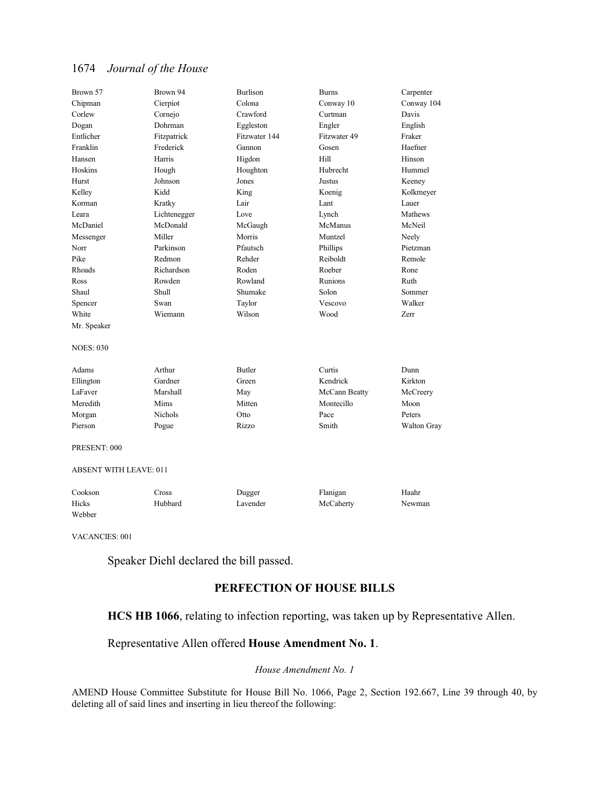| Brown 57                      | Brown 94       | <b>Burlison</b> | <b>Burns</b>   | Carpenter   |
|-------------------------------|----------------|-----------------|----------------|-------------|
| Chipman                       | Cierpiot       | Colona          | Conway 10      | Conway 104  |
| Corlew                        | Cornejo        | Crawford        | Curtman        | Davis       |
| Dogan                         | Dohrman        | Eggleston       | Engler         | English     |
| Entlicher                     | Fitzpatrick    | Fitzwater 144   | Fitzwater 49   | Fraker      |
| Franklin                      | Frederick      | Gannon          | Gosen          | Haefner     |
| Hansen                        | Harris         | Higdon          | Hill           | Hinson      |
| Hoskins                       | Hough          | Houghton        | Hubrecht       | Hummel      |
| Hurst                         | Johnson        | Jones           | Justus         | Keeney      |
| Kelley                        | Kidd           | King            | Koenig         | Kolkmeyer   |
| Korman                        | Kratky         | Lair            | Lant           | Lauer       |
| I eara                        | Lichtenegger   | Love            | Lynch          | Mathews     |
| McDaniel                      | McDonald       | McGaugh         | McManus        | McNeil      |
| Messenger                     | Miller         | Morris          | Muntzel        | Neely       |
| Norr                          | Parkinson      | Pfautsch        | Phillips       | Pietzman    |
| Pike                          | Redmon         | Rehder          | Reiboldt       | Remole      |
| Rhoads                        | Richardson     | Roden           | Roeber         | Rone        |
| Ross                          | Rowden         | Rowland         | <b>Runions</b> | Ruth        |
| Shaul                         | Shull          | Shumake         | Solon          | Sommer      |
| Spencer                       | Swan           | Taylor          | Vescovo        | Walker      |
| White                         | Wiemann        | Wilson          | Wood           | Zerr        |
| Mr. Speaker                   |                |                 |                |             |
| <b>NOES: 030</b>              |                |                 |                |             |
| Adams                         | Arthur         | <b>Butler</b>   | Curtis         | Dunn        |
| Ellington                     | Gardner        | Green           | Kendrick       | Kirkton     |
| LaFaver                       | Marshall       | May             | McCann Beatty  | McCreery    |
| Meredith                      | Mims           | Mitten          | Montecillo     | Moon        |
| Morgan                        | <b>Nichols</b> | Otto            | Pace           | Peters      |
| Pierson                       | Pogue          | Rizzo           | Smith          | Walton Gray |
| PRESENT: 000                  |                |                 |                |             |
| <b>ABSENT WITH LEAVE: 011</b> |                |                 |                |             |
| Cookson                       | Cross          | Dugger          | Flanigan       | Haahr       |
| Hicks                         | Hubbard        | Lavender        | McCaherty      | Newman      |

VACANCIES: 001

Webber

Speaker Diehl declared the bill passed.

### **PERFECTION OF HOUSE BILLS**

### **HCS HB 1066**, relating to infection reporting, was taken up by Representative Allen.

### Representative Allen offered **House Amendment No. 1**.

#### *House Amendment No. 1*

AMEND House Committee Substitute for House Bill No. 1066, Page 2, Section 192.667, Line 39 through 40, by deleting all of said lines and inserting in lieu thereof the following: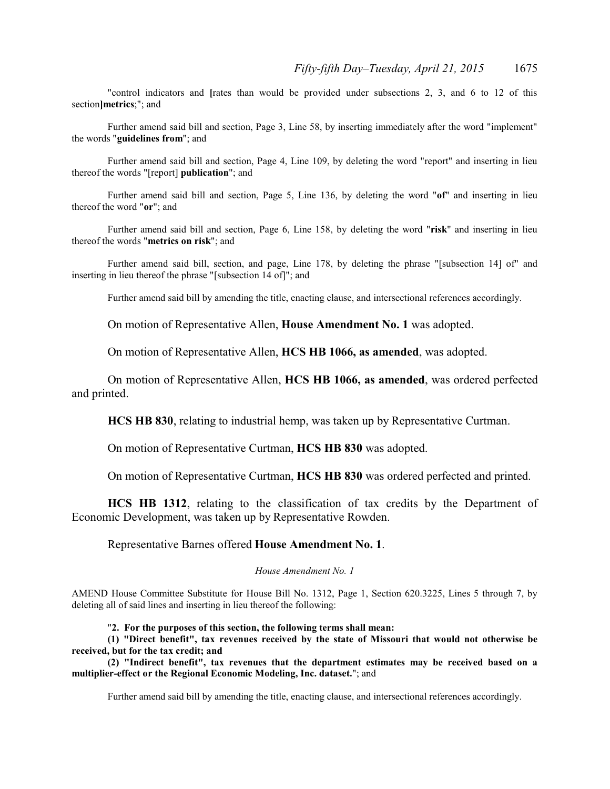"control indicators and **[**rates than would be provided under subsections 2, 3, and 6 to 12 of this section**]metrics**;"; and

Further amend said bill and section, Page 3, Line 58, by inserting immediately after the word "implement" the words "**guidelines from**"; and

Further amend said bill and section, Page 4, Line 109, by deleting the word "report" and inserting in lieu thereof the words "[report] **publication**"; and

Further amend said bill and section, Page 5, Line 136, by deleting the word "**of**" and inserting in lieu thereof the word "**or**"; and

Further amend said bill and section, Page 6, Line 158, by deleting the word "**risk**" and inserting in lieu thereof the words "**metrics on risk**"; and

Further amend said bill, section, and page, Line 178, by deleting the phrase "[subsection 14] of" and inserting in lieu thereof the phrase "[subsection 14 of]"; and

Further amend said bill by amending the title, enacting clause, and intersectional references accordingly.

On motion of Representative Allen, **House Amendment No. 1** was adopted.

On motion of Representative Allen, **HCS HB 1066, as amended**, was adopted.

On motion of Representative Allen, **HCS HB 1066, as amended**, was ordered perfected and printed.

**HCS HB 830**, relating to industrial hemp, was taken up by Representative Curtman.

On motion of Representative Curtman, **HCS HB 830** was adopted.

On motion of Representative Curtman, **HCS HB 830** was ordered perfected and printed.

**HCS HB 1312**, relating to the classification of tax credits by the Department of Economic Development, was taken up by Representative Rowden.

Representative Barnes offered **House Amendment No. 1**.

#### *House Amendment No. 1*

AMEND House Committee Substitute for House Bill No. 1312, Page 1, Section 620.3225, Lines 5 through 7, by deleting all of said lines and inserting in lieu thereof the following:

"**2. For the purposes of this section, the following terms shall mean:**

**(1) "Direct benefit", tax revenues received by the state of Missouri that would not otherwise be received, but for the tax credit; and**

**(2) "Indirect benefit", tax revenues that the department estimates may be received based on a multiplier-effect or the Regional Economic Modeling, Inc. dataset.**"; and

Further amend said bill by amending the title, enacting clause, and intersectional references accordingly.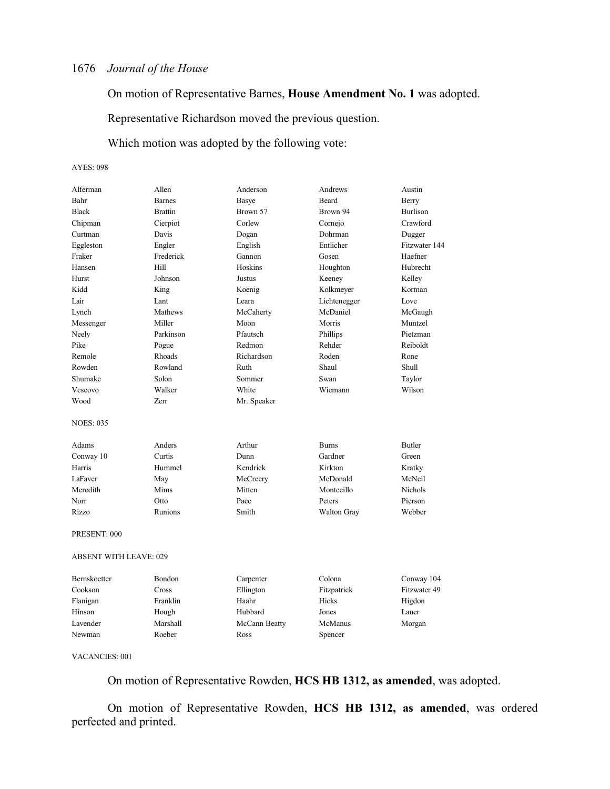On motion of Representative Barnes, **House Amendment No. 1** was adopted.

Representative Richardson moved the previous question.

Which motion was adopted by the following vote:

#### AYES: 098

| Alferman                      | Allen          | Anderson      | Andrews            | Austin          |
|-------------------------------|----------------|---------------|--------------------|-----------------|
| Bahr                          | <b>Barnes</b>  | Basye         | <b>Beard</b>       | Berry           |
| <b>Black</b>                  | <b>Brattin</b> | Brown 57      | Brown 94           | <b>Burlison</b> |
| Chipman                       | Cierpiot       | Corlew        | Cornejo            | Crawford        |
| Curtman                       | Davis          | Dogan         | Dohrman            | Dugger          |
| Eggleston                     | Engler         | English       | Entlicher          | Fitzwater 144   |
| Fraker                        | Frederick      | Gannon        | Gosen              | Haefner         |
| Hansen                        | Hill           | Hoskins       | Houghton           | Hubrecht        |
| Hurst                         | Johnson        | Justus        | Keeney             | Kelley          |
| Kidd                          | King           | Koenig        | Kolkmeyer          | Korman          |
| Lair                          | Lant           | Leara         | Lichtenegger       | Love            |
| Lynch                         | Mathews        | McCaherty     | McDaniel           | McGaugh         |
| Messenger                     | Miller         | Moon          | Morris             | Muntzel         |
| Neely                         | Parkinson      | Pfautsch      | Phillips           | Pietzman        |
| Pike                          | Pogue          | Redmon        | Rehder             | Reiboldt        |
| Remole                        | Rhoads         | Richardson    | Roden              | Rone            |
| Rowden                        | Rowland        | Ruth          | Shaul              | Shull           |
| Shumake                       | Solon          | Sommer        | Swan               | Taylor          |
| Vescovo                       | Walker         | White         | Wiemann            | Wilson          |
| Wood                          | <b>Zerr</b>    | Mr. Speaker   |                    |                 |
| <b>NOES: 035</b>              |                |               |                    |                 |
| Adams                         | Anders         | Arthur        | <b>Burns</b>       | <b>Butler</b>   |
| Conway 10                     | Curtis         | Dunn          | Gardner            | Green           |
| Harris                        | Hummel         | Kendrick      | Kirkton            | Kratky          |
| LaFaver                       | May            | McCreery      | McDonald           | McNeil          |
| Meredith                      | Mims           | Mitten        | Montecillo         | <b>Nichols</b>  |
| Norr                          | Otto           | Pace          | Peters             | Pierson         |
| Rizzo                         | Runions        | Smith         | <b>Walton Gray</b> | Webber          |
| PRESENT: 000                  |                |               |                    |                 |
| <b>ABSENT WITH LEAVE: 029</b> |                |               |                    |                 |
| <b>Bernskoetter</b>           | Bondon         | Carpenter     | Colona             | Conway 104      |
| Cookson                       | Cross          | Ellington     | Fitzpatrick        | Fitzwater 49    |
| Flanigan                      | Franklin       | Haahr         | Hicks              | Higdon          |
| Hinson                        | Hough          | Hubbard       | Jones              | Lauer           |
| Lavender                      | Marshall       | McCann Beatty | McManus            | Morgan          |
| Newman                        | Roeber         | Ross          | Spencer            |                 |

#### VACANCIES: 001

On motion of Representative Rowden, **HCS HB 1312, as amended**, was adopted.

On motion of Representative Rowden, **HCS HB 1312, as amended**, was ordered perfected and printed.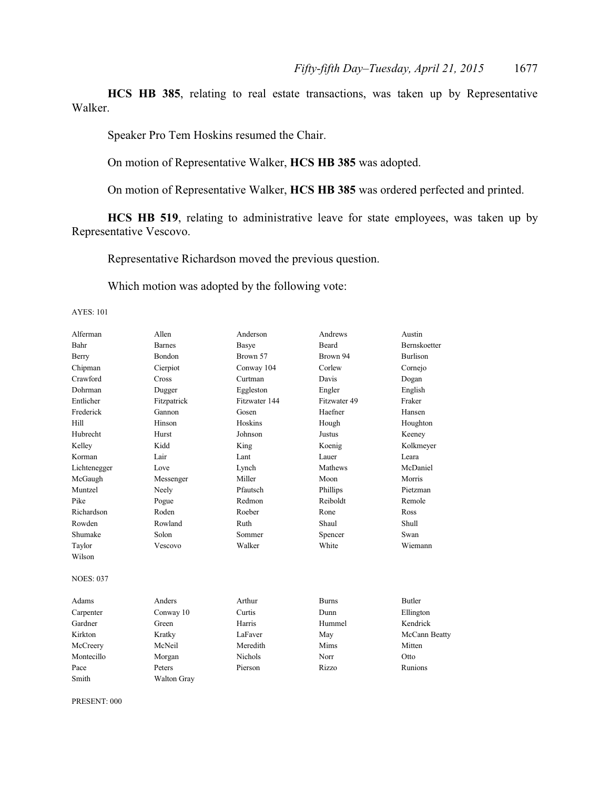**HCS HB 385**, relating to real estate transactions, was taken up by Representative Walker.

Speaker Pro Tem Hoskins resumed the Chair.

On motion of Representative Walker, **HCS HB 385** was adopted.

On motion of Representative Walker, **HCS HB 385** was ordered perfected and printed.

**HCS HB 519**, relating to administrative leave for state employees, was taken up by Representative Vescovo.

Representative Richardson moved the previous question.

Which motion was adopted by the following vote:

AYES: 101

| Alferman         | Allen              | Anderson       | Andrews      | Austin              |
|------------------|--------------------|----------------|--------------|---------------------|
| Bahr             | <b>Barnes</b>      | Basye          | <b>Beard</b> | <b>Bernskoetter</b> |
| Berry            | <b>Bondon</b>      | Brown 57       | Brown 94     | <b>Burlison</b>     |
| Chipman          | Cierpiot           | Conway 104     | Corlew       | Cornejo             |
| Crawford         | Cross              | Curtman        | Davis        | Dogan               |
| Dohrman          | Dugger             | Eggleston      | Engler       | English             |
| Entlicher        | Fitzpatrick        | Fitzwater 144  | Fitzwater 49 | Fraker              |
| Frederick        | Gannon             | Gosen          | Haefner      | Hansen              |
| Hill             | Hinson             | Hoskins        | Hough        | Houghton            |
| Hubrecht         | Hurst              | Johnson        | Justus       | Keeney              |
| Kelley           | Kidd               | King           | Koenig       | Kolkmeyer           |
| Korman           | Lair               | Lant           | Lauer        | Leara               |
| Lichtenegger     | Love               | Lynch          | Mathews      | McDaniel            |
| McGaugh          | Messenger          | Miller         | Moon         | Morris              |
| Muntzel          | Neely              | Pfautsch       | Phillips     | Pietzman            |
| Pike             | Pogue              | Redmon         | Reiboldt     | Remole              |
| Richardson       | Roden              | Roeber         | Rone         | Ross                |
| Rowden           | Rowland            | Ruth           | Shaul        | Shull               |
| Shumake          | Solon              | Sommer         | Spencer      | Swan                |
| Taylor           | Vescovo            | Walker         | White        | Wiemann             |
| Wilson           |                    |                |              |                     |
| <b>NOES: 037</b> |                    |                |              |                     |
| Adams            | Anders             | Arthur         | <b>Burns</b> | <b>Butler</b>       |
| Carpenter        | Conway 10          | Curtis         | Dunn         | Ellington           |
| Gardner          | Green              | Harris         | Hummel       | Kendrick            |
| Kirkton          | Kratky             | LaFaver        | May          | McCann Beatty       |
| McCreery         | McNeil             | Meredith       | Mims         | Mitten              |
| Montecillo       | Morgan             | <b>Nichols</b> | Norr         | Otto                |
| Pace             | Peters             | Pierson        | Rizzo        | Runions             |
| Smith            | <b>Walton Gray</b> |                |              |                     |

PRESENT: 000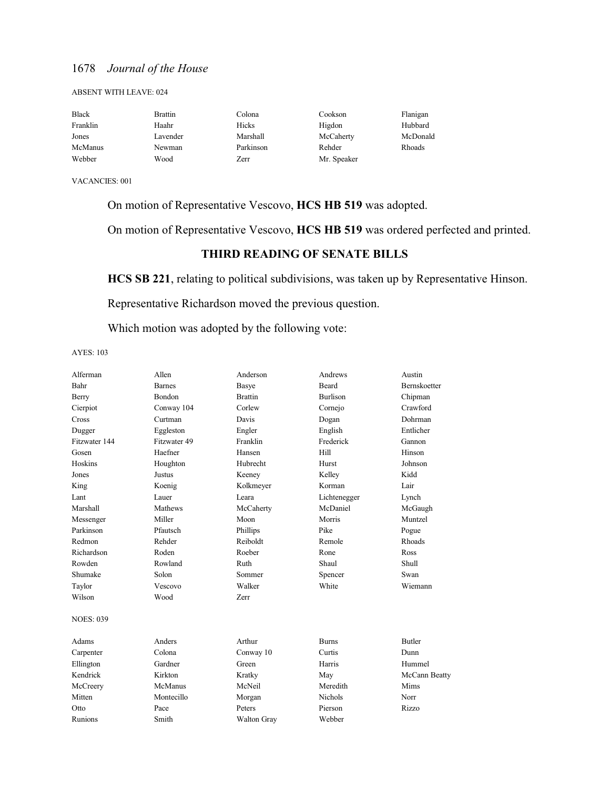#### ABSENT WITH LEAVE: 024

| <b>Black</b> | Brattin  | Colona    | Cookson     | Flanigan |
|--------------|----------|-----------|-------------|----------|
| Franklin     | Haahr    | Hicks     | Higdon      | Hubbard  |
| Jones        | Lavender | Marshall  | McCaherty   | McDonald |
| McManus      | Newman   | Parkinson | Rehder      | Rhoads   |
| Webber       | Wood     | Zerr      | Mr. Speaker |          |

VACANCIES: 001

On motion of Representative Vescovo, **HCS HB 519** was adopted.

On motion of Representative Vescovo, **HCS HB 519** was ordered perfected and printed.

### **THIRD READING OF SENATE BILLS**

**HCS SB 221**, relating to political subdivisions, was taken up by Representative Hinson.

Representative Richardson moved the previous question.

Which motion was adopted by the following vote:

| Alferman         | Allen         | Anderson           | Andrews         | Austin        |
|------------------|---------------|--------------------|-----------------|---------------|
| Bahr             | <b>Barnes</b> | Basye              | Beard           | Bernskoetter  |
| Berry            | <b>Bondon</b> | <b>Brattin</b>     | <b>Burlison</b> | Chipman       |
| Cierpiot         | Conway 104    | Corlew             | Cornejo         | Crawford      |
| Cross            | Curtman       | Davis              | Dogan           | Dohrman       |
| Dugger           | Eggleston     | Engler             | English         | Entlicher     |
| Fitzwater 144    | Fitzwater 49  | Franklin           | Frederick       | Gannon        |
| Gosen            | Haefner       | Hansen             | Hill            | Hinson        |
| Hoskins          | Houghton      | Hubrecht           | Hurst           | Johnson       |
| Jones            | Justus        | Keeney             | Kelley          | Kidd          |
| King             | Koenig        | Kolkmeyer          | Korman          | Lair          |
| Lant             | Lauer         | Leara              | Lichtenegger    | Lynch         |
| Marshall         | Mathews       | McCaherty          | McDaniel        | McGaugh       |
| Messenger        | Miller        | Moon               | Morris          | Muntzel       |
| Parkinson        | Pfautsch      | Phillips           | Pike            | Pogue         |
| Redmon           | Rehder        | Reiboldt           | Remole          | Rhoads        |
| Richardson       | Roden         | Roeber             | Rone            | Ross          |
| Rowden           | Rowland       | Ruth               | Shaul           | Shull         |
| Shumake          | Solon         | Sommer             | Spencer         | Swan          |
| Taylor           | Vescovo       | Walker             | White           | Wiemann       |
| Wilson           | Wood          | <b>Zerr</b>        |                 |               |
| <b>NOES: 039</b> |               |                    |                 |               |
| Adams            | Anders        | Arthur             | <b>Burns</b>    | <b>Butler</b> |
| Carpenter        | Colona        | Conway 10          | Curtis          | Dunn          |
| Ellington        | Gardner       | Green              | Harris          | Hummel        |
| Kendrick         | Kirkton       | Kratky             | May             | McCann Beatty |
| McCreery         | McManus       | McNeil             | Meredith        | Mims          |
| Mitten           | Montecillo    | Morgan             | Nichols         | Norr          |
| Otto             | Pace          | Peters             | Pierson         | Rizzo         |
| Runions          | Smith         | <b>Walton Gray</b> | Webber          |               |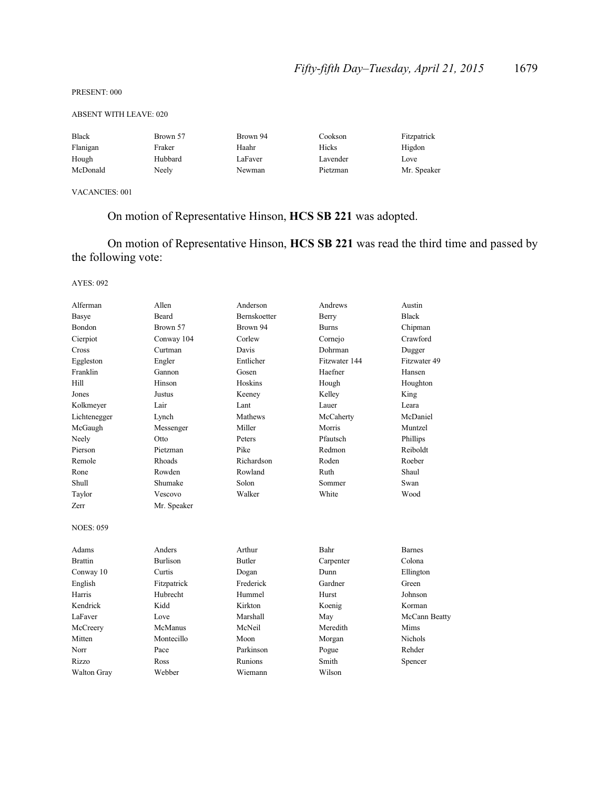#### PRESENT: 000

#### ABSENT WITH LEAVE: 020

| <b>Black</b> | Brown 57 | Brown 94 | Cookson  | Fitzpatrick |
|--------------|----------|----------|----------|-------------|
| Flanigan     | Fraker   | Haahr    | Hicks    | Higdon      |
| Hough        | Hubbard  | LaFaver  | Lavender | Love        |
| McDonald     | Neely    | Newman   | Pietzman | Mr. Speaker |

VACANCIES: 001

## On motion of Representative Hinson, **HCS SB 221** was adopted.

On motion of Representative Hinson, **HCS SB 221** was read the third time and passed by the following vote:

| Alferman           | Allen           | Anderson      | Andrews       | Austin        |
|--------------------|-----------------|---------------|---------------|---------------|
| <b>Basye</b>       | Beard           | Bernskoetter  | Berry         | <b>Black</b>  |
| Bondon             | Brown 57        | Brown 94      | <b>Burns</b>  | Chipman       |
| Cierpiot           | Conway 104      | Corlew        | Cornejo       | Crawford      |
| Cross              | Curtman         | Davis         | Dohrman       | Dugger        |
| Eggleston          | Engler          | Entlicher     | Fitzwater 144 | Fitzwater 49  |
| Franklin           | Gannon          | Gosen         | Haefner       | Hansen        |
| Hill               | Hinson          | Hoskins       | Hough         | Houghton      |
| Jones              | Justus          | Keeney        | Kelley        | King          |
| Kolkmeyer          | Lair            | Lant          | Lauer         | Leara         |
| Lichtenegger       | Lynch           | Mathews       | McCaherty     | McDaniel      |
| McGaugh            | Messenger       | Miller        | Morris        | Muntzel       |
| Neely              | Otto            | Peters        | Pfautsch      | Phillips      |
| Pierson            | Pietzman        | Pike          | Redmon        | Reiboldt      |
| Remole             | Rhoads          | Richardson    | Roden         | Roeber        |
| Rone               | Rowden          | Rowland       | Ruth          | Shaul         |
| Shull              | Shumake         | Solon         | Sommer        | Swan          |
| Taylor             | Vescovo         | Walker        | White         | Wood          |
| Zerr               | Mr. Speaker     |               |               |               |
| <b>NOES: 059</b>   |                 |               |               |               |
| Adams              | Anders          | Arthur        | Bahr          | <b>Barnes</b> |
| <b>Brattin</b>     | <b>Burlison</b> | <b>Butler</b> | Carpenter     | Colona        |
| Conway 10          | Curtis          | Dogan         | Dunn          | Ellington     |
| English            | Fitzpatrick     | Frederick     | Gardner       | Green         |
| Harris             | Hubrecht        | Hummel        | Hurst         | Johnson       |
| Kendrick           | Kidd            | Kirkton       | Koenig        | Korman        |
| LaFaver            | Love            | Marshall      | May           | McCann Beatty |
| McCreery           | McManus         | McNeil        | Meredith      | Mims          |
| Mitten             | Montecillo      | Moon          | Morgan        | Nichols       |
| Norr               | Pace            | Parkinson     | Pogue         | Rehder        |
| Rizzo              | Ross            | Runions       | Smith         | Spencer       |
| <b>Walton Gray</b> | Webber          | Wiemann       | Wilson        |               |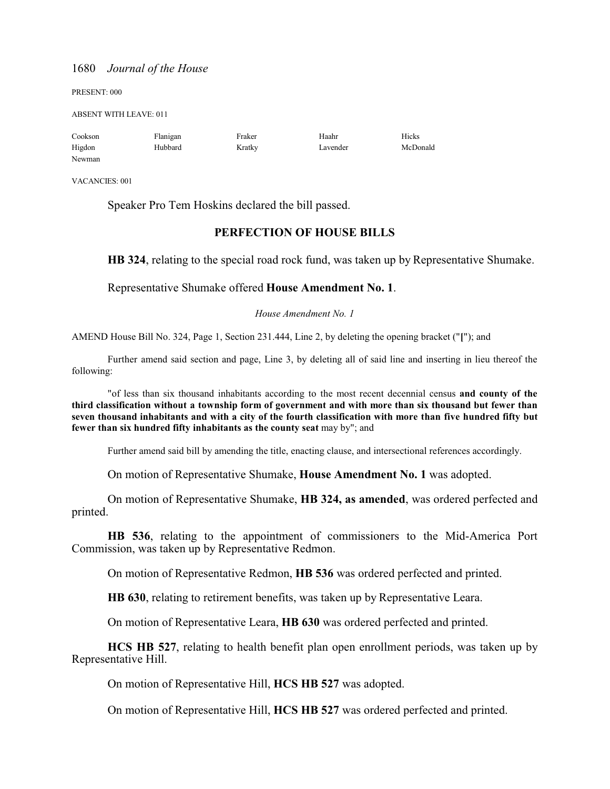PRESENT: 000

ABSENT WITH LEAVE: 011

| Cookson | Flanigan | Fraker | Haahr    | Hicks    |
|---------|----------|--------|----------|----------|
| Higdon  | Hubbard  | Kratky | Lavender | McDonald |
| Newman  |          |        |          |          |

VACANCIES: 001

Speaker Pro Tem Hoskins declared the bill passed.

### **PERFECTION OF HOUSE BILLS**

**HB 324**, relating to the special road rock fund, was taken up by Representative Shumake.

Representative Shumake offered **House Amendment No. 1**.

*House Amendment No. 1*

AMEND House Bill No. 324, Page 1, Section 231.444, Line 2, by deleting the opening bracket ("**[**"); and

Further amend said section and page, Line 3, by deleting all of said line and inserting in lieu thereof the following:

"of less than six thousand inhabitants according to the most recent decennial census **and county of the third classification without a township form of government and with more than six thousand but fewer than seven thousand inhabitants and with a city of the fourth classification with more than five hundred fifty but fewer than six hundred fifty inhabitants as the county seat** may by"; and

Further amend said bill by amending the title, enacting clause, and intersectional references accordingly.

On motion of Representative Shumake, **House Amendment No. 1** was adopted.

On motion of Representative Shumake, **HB 324, as amended**, was ordered perfected and printed.

**HB 536**, relating to the appointment of commissioners to the Mid-America Port Commission, was taken up by Representative Redmon.

On motion of Representative Redmon, **HB 536** was ordered perfected and printed.

**HB 630**, relating to retirement benefits, was taken up by Representative Leara.

On motion of Representative Leara, **HB 630** was ordered perfected and printed.

**HCS HB 527**, relating to health benefit plan open enrollment periods, was taken up by Representative Hill.

On motion of Representative Hill, **HCS HB 527** was adopted.

On motion of Representative Hill, **HCS HB 527** was ordered perfected and printed.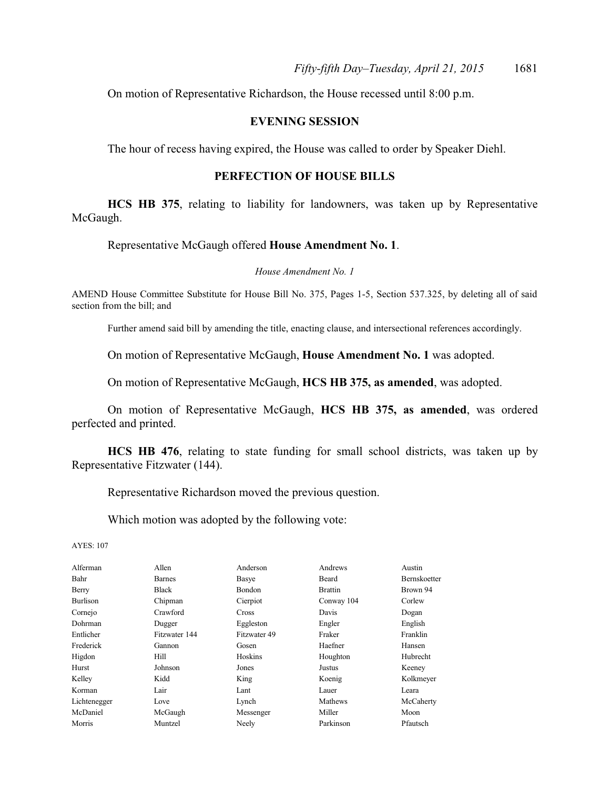On motion of Representative Richardson, the House recessed until 8:00 p.m.

### **EVENING SESSION**

The hour of recess having expired, the House was called to order by Speaker Diehl.

#### **PERFECTION OF HOUSE BILLS**

**HCS HB 375**, relating to liability for landowners, was taken up by Representative McGaugh.

Representative McGaugh offered **House Amendment No. 1**.

*House Amendment No. 1*

AMEND House Committee Substitute for House Bill No. 375, Pages 1-5, Section 537.325, by deleting all of said section from the bill; and

Further amend said bill by amending the title, enacting clause, and intersectional references accordingly.

On motion of Representative McGaugh, **House Amendment No. 1** was adopted.

On motion of Representative McGaugh, **HCS HB 375, as amended**, was adopted.

On motion of Representative McGaugh, **HCS HB 375, as amended**, was ordered perfected and printed.

**HCS HB 476**, relating to state funding for small school districts, was taken up by Representative Fitzwater (144).

Representative Richardson moved the previous question.

Which motion was adopted by the following vote:

| Alferman        | Allen         | Anderson      | Andrews        | Austin              |
|-----------------|---------------|---------------|----------------|---------------------|
| Bahr            | <b>Barnes</b> | Basye         | Beard          | <b>Bernskoetter</b> |
| Berry           | <b>Black</b>  | <b>Bondon</b> | <b>Brattin</b> | Brown 94            |
| <b>Burlison</b> | Chipman       | Cierpiot      | Conway 104     | Corlew              |
| Cornejo         | Crawford      | <b>Cross</b>  | Davis          | Dogan               |
| Dohrman         | Dugger        | Eggleston     | Engler         | English             |
| Entlicher       | Fitzwater 144 | Fitzwater 49  | Fraker         | Franklin            |
| Frederick       | Gannon        | Gosen         | Haefner        | Hansen              |
| Higdon          | Hill.         | Hoskins       | Houghton       | Hubrecht            |
| Hurst           | Johnson       | Jones         | Justus         | Keeney              |
| Kelley          | Kidd          | King          | Koenig         | Kolkmeyer           |
| Korman          | Lair          | Lant          | Lauer          | Leara               |
| Lichtenegger    | Love          | Lynch         | Mathews        | McCaherty           |
| McDaniel        | McGaugh       | Messenger     | Miller         | Moon                |
| Morris          | Muntzel       | Neely         | Parkinson      | Pfautsch            |
|                 |               |               |                |                     |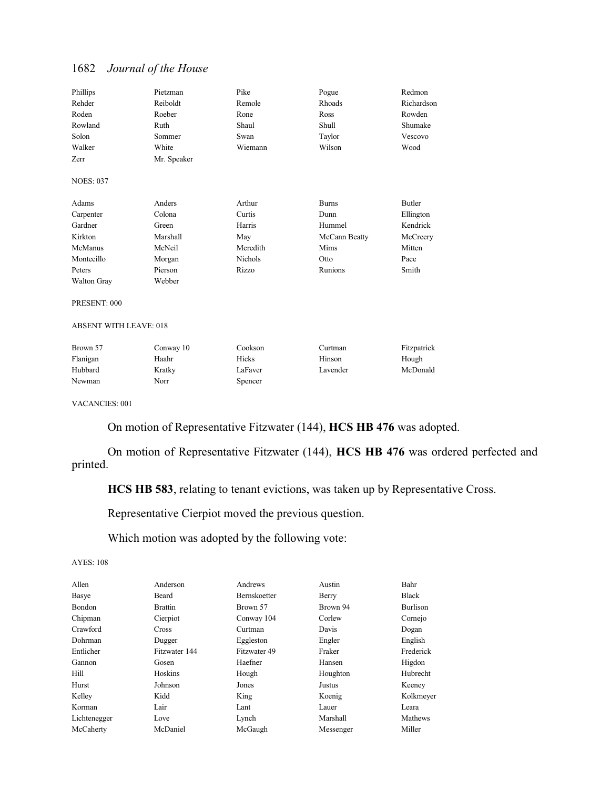| Phillips           | Pietzman    | Pike     | Pogue         | Redmon     |
|--------------------|-------------|----------|---------------|------------|
| Rehder             | Reiboldt    | Remole   | Rhoads        | Richardson |
| Roden              | Roeber      | Rone     | Ross          | Rowden     |
| Rowland            | Ruth        | Shaul    | Shull         | Shumake    |
| Solon              | Sommer      | Swan     | Taylor        | Vescovo    |
| Walker             | White       | Wiemann  | Wilson        | Wood       |
| Zerr               | Mr. Speaker |          |               |            |
| <b>NOES: 037</b>   |             |          |               |            |
| Adams              | Anders      | Arthur   | <b>Burns</b>  | Butler     |
| Carpenter          | Colona      | Curtis   | Dunn          | Ellington  |
| Gardner            | Green       | Harris   | Hummel        | Kendrick   |
| Kirkton            | Marshall    | May      | McCann Beatty | McCreery   |
| McManus            | McNeil      | Meredith | Mims          | Mitten     |
| Montecillo         | Morgan      | Nichols  | Otto          | Pace       |
| Peters             | Pierson     | Rizzo    | Runions       | Smith      |
| <b>Walton Gray</b> | Webber      |          |               |            |
| PRESENT: 000       |             |          |               |            |

#### ABSENT WITH LEAVE: 018

| Brown 57 | Conway 10 | Cookson | Curtman  | Fitzpatrick |
|----------|-----------|---------|----------|-------------|
| Flanigan | Haahr     | Hicks   | Hinson   | Hough       |
| Hubbard  | Kratky    | LaFaver | Lavender | McDonald    |
| Newman   | Norr      | Spencer |          |             |

VACANCIES: 001

On motion of Representative Fitzwater (144), **HCS HB 476** was adopted.

On motion of Representative Fitzwater (144), **HCS HB 476** was ordered perfected and printed.

**HCS HB 583**, relating to tenant evictions, was taken up by Representative Cross.

Representative Cierpiot moved the previous question.

Which motion was adopted by the following vote:

| Allen        | Anderson       | Andrews      | Austin    | Bahr      |
|--------------|----------------|--------------|-----------|-----------|
| Basye        | Beard          | Bernskoetter | Berry     | Black     |
| Bondon       | <b>Brattin</b> | Brown 57     | Brown 94  | Burlison  |
| Chipman      | Cierpiot       | Conway 104   | Corlew    | Cornejo   |
| Crawford     | Cross          | Curtman      | Davis     | Dogan     |
| Dohrman      | Dugger         | Eggleston    | Engler    | English   |
| Entlicher    | Fitzwater 144  | Fitzwater 49 | Fraker    | Frederick |
| Gannon       | Gosen          | Haefner      | Hansen    | Higdon    |
| Hill         | Hoskins        | Hough        | Houghton  | Hubrecht  |
| Hurst        | Johnson        | Jones        | Justus    | Keeney    |
| Kelley       | Kidd           | King         | Koenig    | Kolkmeyer |
| Korman       | Lair           | Lant         | Lauer     | Leara     |
| Lichtenegger | Love           | Lynch        | Marshall  | Mathews   |
| McCaherty    | McDaniel       | McGaugh      | Messenger | Miller    |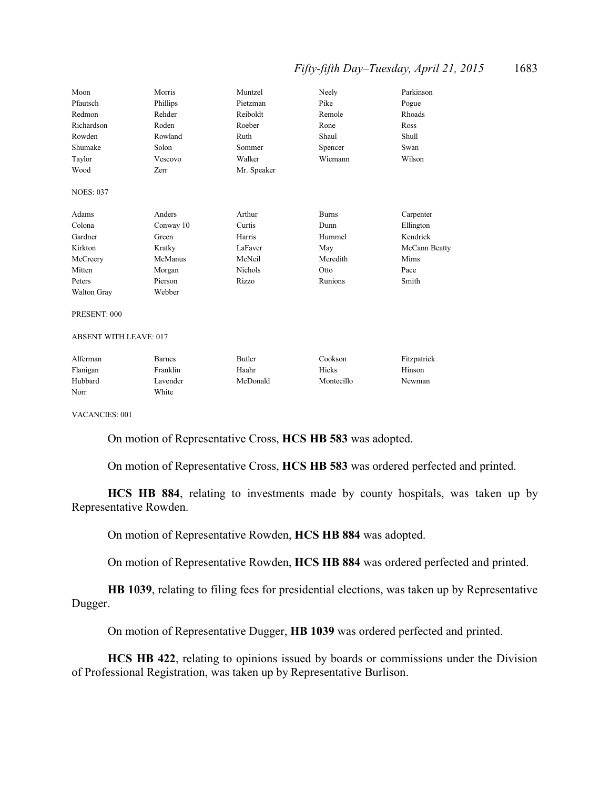### *Fifty-fifth Day–Tuesday, April 21, 2015* 1683

| Moon             | Morris    | Muntzel     | Neely        | Parkinson     |
|------------------|-----------|-------------|--------------|---------------|
| Pfautsch         | Phillips  | Pietzman    | Pike         | Pogue         |
| Redmon           | Rehder    | Reiboldt    | Remole       | Rhoads        |
| Richardson       | Roden     | Roeber      | Rone         | Ross          |
| Rowden           | Rowland   | Ruth        | Shaul        | Shull         |
| Shumake          | Solon     | Sommer      | Spencer      | Swan          |
| Taylor           | Vescovo   | Walker      | Wiemann      | Wilson        |
| Wood             | Zerr      | Mr. Speaker |              |               |
| <b>NOES: 037</b> |           |             |              |               |
| Adams            | Anders    | Arthur      | <b>Burns</b> | Carpenter     |
| Colona           | Conway 10 | Curtis      | Dunn         | Ellington     |
| Gardner          | Green     | Harris      | Hummel       | Kendrick      |
| Kirkton          | Kratky    | LaFaver     | May          | McCann Beatty |
| McCreery         | McManus   | McNeil      | Meredith     | Mims          |
| Mitten           | Morgan    | Nichols     | Otto         | Pace          |
| Peters           | Pierson   | Rizzo       | Runions      | Smith         |
| Walton Gray      | Webber    |             |              |               |
| PRESENT: 000     |           |             |              |               |

ABSENT WITH LEAVE: 017

| Alferman | <b>Barnes</b> | Butler   | Cookson    | Fitzpatrick |
|----------|---------------|----------|------------|-------------|
| Flanigan | Franklin      | Haahr    | Hicks      | Hinson      |
| Hubbard  | Lavender      | McDonald | Montecillo | Newman      |
| Norr     | White         |          |            |             |

VACANCIES: 001

On motion of Representative Cross, **HCS HB 583** was adopted.

On motion of Representative Cross, **HCS HB 583** was ordered perfected and printed.

**HCS HB 884**, relating to investments made by county hospitals, was taken up by Representative Rowden.

On motion of Representative Rowden, **HCS HB 884** was adopted.

On motion of Representative Rowden, **HCS HB 884** was ordered perfected and printed.

**HB 1039**, relating to filing fees for presidential elections, was taken up by Representative Dugger.

On motion of Representative Dugger, **HB 1039** was ordered perfected and printed.

**HCS HB 422**, relating to opinions issued by boards or commissions under the Division of Professional Registration, was taken up by Representative Burlison.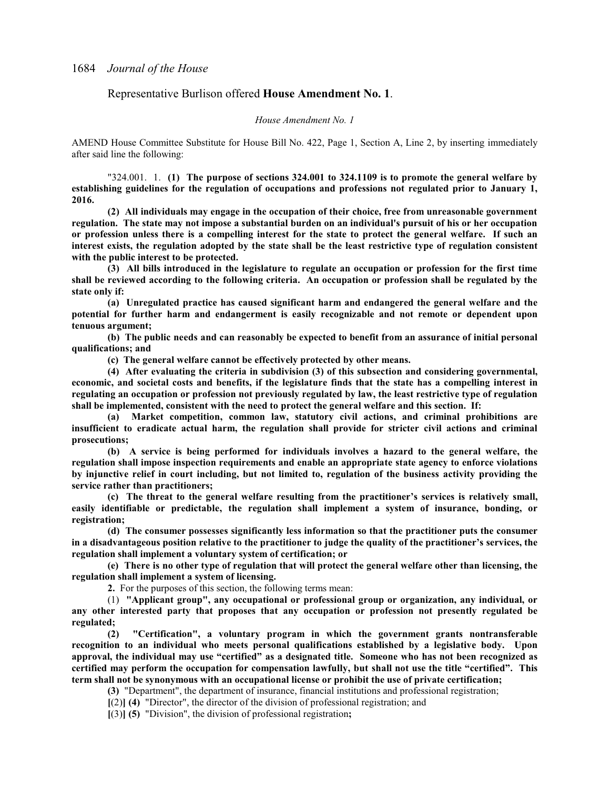#### Representative Burlison offered **House Amendment No. 1**.

#### *House Amendment No. 1*

AMEND House Committee Substitute for House Bill No. 422, Page 1, Section A, Line 2, by inserting immediately after said line the following:

"324.001. 1. **(1) The purpose of sections 324.001 to 324.1109 is to promote the general welfare by establishing guidelines for the regulation of occupations and professions not regulated prior to January 1, 2016.**

**(2) All individuals may engage in the occupation of their choice, free from unreasonable government regulation. The state may not impose a substantial burden on an individual's pursuit of his or her occupation or profession unless there is a compelling interest for the state to protect the general welfare. If such an interest exists, the regulation adopted by the state shall be the least restrictive type of regulation consistent with the public interest to be protected.**

**(3) All bills introduced in the legislature to regulate an occupation or profession for the first time shall be reviewed according to the following criteria. An occupation or profession shall be regulated by the state only if:**

**(a) Unregulated practice has caused significant harm and endangered the general welfare and the potential for further harm and endangerment is easily recognizable and not remote or dependent upon tenuous argument;**

**(b) The public needs and can reasonably be expected to benefit from an assurance of initial personal qualifications; and**

**(c) The general welfare cannot be effectively protected by other means.**

**(4) After evaluating the criteria in subdivision (3) of this subsection and considering governmental, economic, and societal costs and benefits, if the legislature finds that the state has a compelling interest in regulating an occupation or profession not previously regulated by law, the least restrictive type of regulation shall be implemented, consistent with the need to protect the general welfare and this section. If:**

**(a) Market competition, common law, statutory civil actions, and criminal prohibitions are insufficient to eradicate actual harm, the regulation shall provide for stricter civil actions and criminal prosecutions;**

**(b) A service is being performed for individuals involves a hazard to the general welfare, the regulation shall impose inspection requirements and enable an appropriate state agency to enforce violations by injunctive relief in court including, but not limited to, regulation of the business activity providing the service rather than practitioners;**

**(c) The threat to the general welfare resulting from the practitioner's services is relatively small, easily identifiable or predictable, the regulation shall implement a system of insurance, bonding, or registration;**

**(d) The consumer possesses significantly less information so that the practitioner puts the consumer in a disadvantageous position relative to the practitioner to judge the quality of the practitioner's services, the regulation shall implement a voluntary system of certification; or**

**(e) There is no other type of regulation that will protect the general welfare other than licensing, the regulation shall implement a system of licensing.**

**2.** For the purposes of this section, the following terms mean:

(1) **"Applicant group", any occupational or professional group or organization, any individual, or any other interested party that proposes that any occupation or profession not presently regulated be regulated;**

**(2) "Certification", a voluntary program in which the government grants nontransferable recognition to an individual who meets personal qualifications established by a legislative body. Upon approval, the individual may use "certified" as a designated title. Someone who has not been recognized as certified may perform the occupation for compensation lawfully, but shall not use the title "certified". This term shall not be synonymous with an occupational license or prohibit the use of private certification;**

**(3)** "Department", the department of insurance, financial institutions and professional registration;

**[**(2)**] (4)** "Director", the director of the division of professional registration; and

**[**(3)**] (5)** "Division", the division of professional registration**;**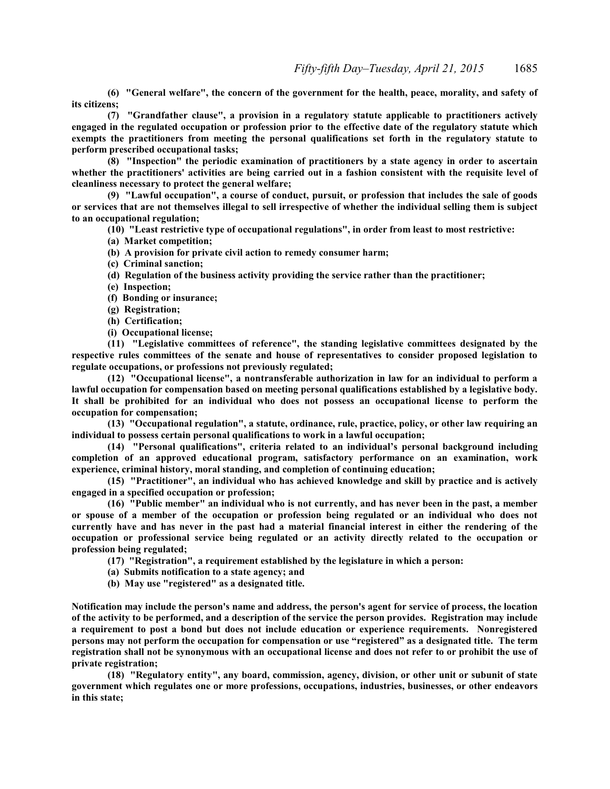**(6) "General welfare", the concern of the government for the health, peace, morality, and safety of its citizens;**

**(7) "Grandfather clause", a provision in a regulatory statute applicable to practitioners actively engaged in the regulated occupation or profession prior to the effective date of the regulatory statute which exempts the practitioners from meeting the personal qualifications set forth in the regulatory statute to perform prescribed occupational tasks;**

**(8) "Inspection" the periodic examination of practitioners by a state agency in order to ascertain whether the practitioners' activities are being carried out in a fashion consistent with the requisite level of cleanliness necessary to protect the general welfare;**

**(9) "Lawful occupation", a course of conduct, pursuit, or profession that includes the sale of goods or services that are not themselves illegal to sell irrespective of whether the individual selling them is subject to an occupational regulation;**

**(10) "Least restrictive type of occupational regulations", in order from least to most restrictive:**

**(a) Market competition;**

**(b) A provision for private civil action to remedy consumer harm;**

**(c) Criminal sanction;**

**(d) Regulation of the business activity providing the service rather than the practitioner;**

**(e) Inspection;**

**(f) Bonding or insurance;**

**(g) Registration;**

**(h) Certification;**

**(i) Occupational license;**

**(11) "Legislative committees of reference", the standing legislative committees designated by the respective rules committees of the senate and house of representatives to consider proposed legislation to regulate occupations, or professions not previously regulated;**

**(12) "Occupational license", a nontransferable authorization in law for an individual to perform a lawful occupation for compensation based on meeting personal qualifications established by a legislative body. It shall be prohibited for an individual who does not possess an occupational license to perform the occupation for compensation;**

**(13) "Occupational regulation", a statute, ordinance, rule, practice, policy, or other law requiring an individual to possess certain personal qualifications to work in a lawful occupation;**

**(14) "Personal qualifications", criteria related to an individual's personal background including completion of an approved educational program, satisfactory performance on an examination, work experience, criminal history, moral standing, and completion of continuing education;**

**(15) "Practitioner", an individual who has achieved knowledge and skill by practice and is actively engaged in a specified occupation or profession;**

**(16) "Public member" an individual who is not currently, and has never been in the past, a member or spouse of a member of the occupation or profession being regulated or an individual who does not currently have and has never in the past had a material financial interest in either the rendering of the occupation or professional service being regulated or an activity directly related to the occupation or profession being regulated;**

**(17) "Registration", a requirement established by the legislature in which a person:**

**(a) Submits notification to a state agency; and**

**(b) May use "registered" as a designated title.**

**Notification may include the person's name and address, the person's agent for service of process, the location of the activity to be performed, and a description of the service the person provides. Registration may include a requirement to post a bond but does not include education or experience requirements. Nonregistered persons may not perform the occupation for compensation or use "registered" as a designated title. The term registration shall not be synonymous with an occupational license and does not refer to or prohibit the use of private registration;**

**(18) "Regulatory entity", any board, commission, agency, division, or other unit or subunit of state government which regulates one or more professions, occupations, industries, businesses, or other endeavors in this state;**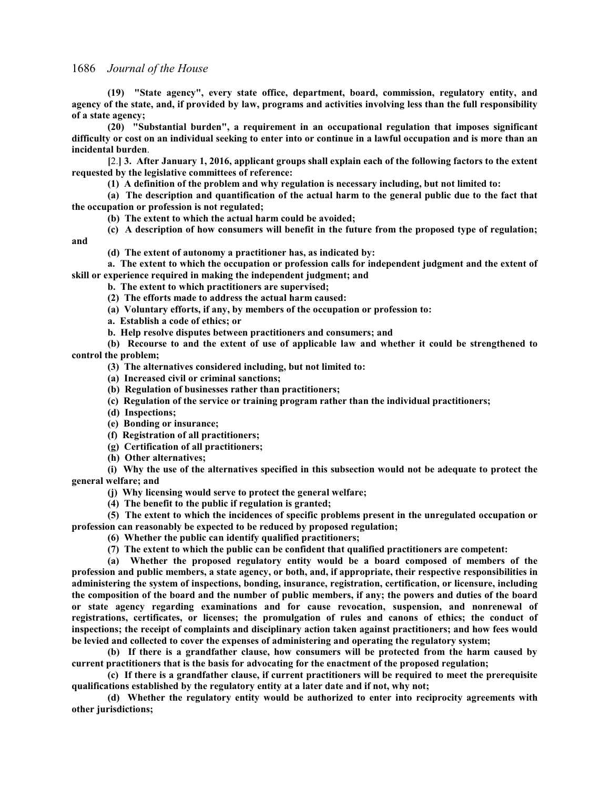**(19) "State agency", every state office, department, board, commission, regulatory entity, and agency of the state, and, if provided by law, programs and activities involving less than the full responsibility of a state agency;**

**(20) "Substantial burden", a requirement in an occupational regulation that imposes significant difficulty or cost on an individual seeking to enter into or continue in a lawful occupation and is more than an incidental burden**.

**[**2.**] 3. After January 1, 2016, applicant groups shall explain each of the following factors to the extent requested by the legislative committees of reference:**

**(1) A definition of the problem and why regulation is necessary including, but not limited to:**

**(a) The description and quantification of the actual harm to the general public due to the fact that the occupation or profession is not regulated;**

**(b) The extent to which the actual harm could be avoided;**

**(c) A description of how consumers will benefit in the future from the proposed type of regulation; and**

**(d) The extent of autonomy a practitioner has, as indicated by:**

**a. The extent to which the occupation or profession calls for independent judgment and the extent of skill or experience required in making the independent judgment; and**

**b. The extent to which practitioners are supervised;**

**(2) The efforts made to address the actual harm caused:**

**(a) Voluntary efforts, if any, by members of the occupation or profession to:**

**a. Establish a code of ethics; or**

**b. Help resolve disputes between practitioners and consumers; and**

**(b) Recourse to and the extent of use of applicable law and whether it could be strengthened to control the problem;**

**(3) The alternatives considered including, but not limited to:**

**(a) Increased civil or criminal sanctions;**

**(b) Regulation of businesses rather than practitioners;**

**(c) Regulation of the service or training program rather than the individual practitioners;**

**(d) Inspections;**

**(e) Bonding or insurance;**

**(f) Registration of all practitioners;**

**(g) Certification of all practitioners;**

**(h) Other alternatives;**

**(i) Why the use of the alternatives specified in this subsection would not be adequate to protect the general welfare; and**

**(j) Why licensing would serve to protect the general welfare;**

**(4) The benefit to the public if regulation is granted;**

**(5) The extent to which the incidences of specific problems present in the unregulated occupation or profession can reasonably be expected to be reduced by proposed regulation;**

**(6) Whether the public can identify qualified practitioners;**

**(7) The extent to which the public can be confident that qualified practitioners are competent:**

**(a) Whether the proposed regulatory entity would be a board composed of members of the profession and public members, a state agency, or both, and, if appropriate, their respective responsibilities in administering the system of inspections, bonding, insurance, registration, certification, or licensure, including the composition of the board and the number of public members, if any; the powers and duties of the board or state agency regarding examinations and for cause revocation, suspension, and nonrenewal of registrations, certificates, or licenses; the promulgation of rules and canons of ethics; the conduct of inspections; the receipt of complaints and disciplinary action taken against practitioners; and how fees would be levied and collected to cover the expenses of administering and operating the regulatory system;**

**(b) If there is a grandfather clause, how consumers will be protected from the harm caused by current practitioners that is the basis for advocating for the enactment of the proposed regulation;**

**(c) If there is a grandfather clause, if current practitioners will be required to meet the prerequisite qualifications established by the regulatory entity at a later date and if not, why not;**

**(d) Whether the regulatory entity would be authorized to enter into reciprocity agreements with other jurisdictions;**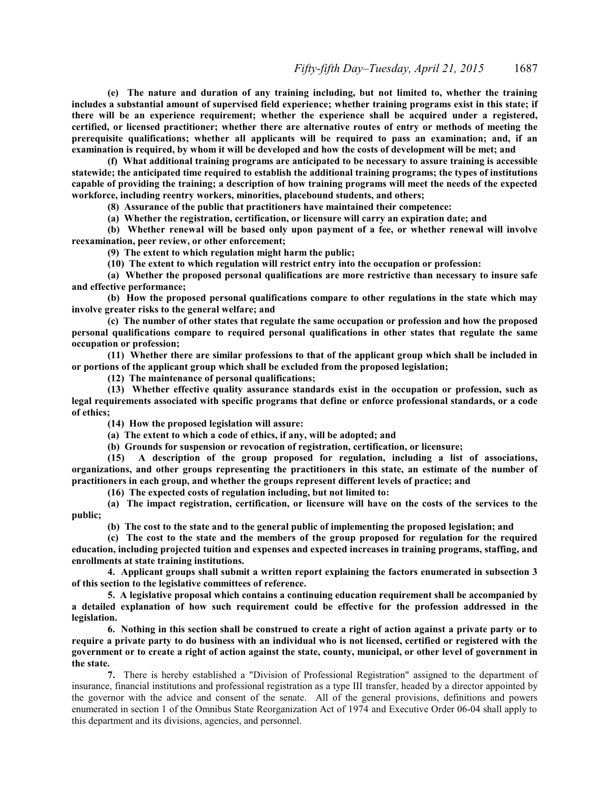**(e) The nature and duration of any training including, but not limited to, whether the training includes a substantial amount of supervised field experience; whether training programs exist in this state; if there will be an experience requirement; whether the experience shall be acquired under a registered, certified, or licensed practitioner; whether there are alternative routes of entry or methods of meeting the prerequisite qualifications; whether all applicants will be required to pass an examination; and, if an examination is required, by whom it will be developed and how the costs of development will be met; and**

**(f) What additional training programs are anticipated to be necessary to assure training is accessible statewide; the anticipated time required to establish the additional training programs; the types of institutions capable of providing the training; a description of how training programs will meet the needs of the expected workforce, including reentry workers, minorities, placebound students, and others;**

**(8) Assurance of the public that practitioners have maintained their competence:**

**(a) Whether the registration, certification, or licensure will carry an expiration date; and**

**(b) Whether renewal will be based only upon payment of a fee, or whether renewal will involve reexamination, peer review, or other enforcement;**

**(9) The extent to which regulation might harm the public;**

**(10) The extent to which regulation will restrict entry into the occupation or profession:**

**(a) Whether the proposed personal qualifications are more restrictive than necessary to insure safe and effective performance;**

**(b) How the proposed personal qualifications compare to other regulations in the state which may involve greater risks to the general welfare; and**

**(c) The number of other states that regulate the same occupation or profession and how the proposed personal qualifications compare to required personal qualifications in other states that regulate the same occupation or profession;**

**(11) Whether there are similar professions to that of the applicant group which shall be included in or portions of the applicant group which shall be excluded from the proposed legislation;**

**(12) The maintenance of personal qualifications;**

**(13) Whether effective quality assurance standards exist in the occupation or profession, such as legal requirements associated with specific programs that define or enforce professional standards, or a code of ethics;**

**(14) How the proposed legislation will assure:**

**(a) The extent to which a code of ethics, if any, will be adopted; and**

**(b) Grounds for suspension or revocation of registration, certification, or licensure;**

**(15) A description of the group proposed for regulation, including a list of associations, organizations, and other groups representing the practitioners in this state, an estimate of the number of practitioners in each group, and whether the groups represent different levels of practice; and**

**(16) The expected costs of regulation including, but not limited to:**

**(a) The impact registration, certification, or licensure will have on the costs of the services to the public;**

**(b) The cost to the state and to the general public of implementing the proposed legislation; and**

**(c) The cost to the state and the members of the group proposed for regulation for the required education, including projected tuition and expenses and expected increases in training programs, staffing, and enrollments at state training institutions.**

**4. Applicant groups shall submit a written report explaining the factors enumerated in subsection 3 of this section to the legislative committees of reference.**

**5. A legislative proposal which contains a continuing education requirement shall be accompanied by a detailed explanation of how such requirement could be effective for the profession addressed in the legislation.**

**6. Nothing in this section shall be construed to create a right of action against a private party or to require a private party to do business with an individual who is not licensed, certified or registered with the government or to create a right of action against the state, county, municipal, or other level of government in the state.**

**7.** There is hereby established a "Division of Professional Registration" assigned to the department of insurance, financial institutions and professional registration as a type III transfer, headed by a director appointed by the governor with the advice and consent of the senate. All of the general provisions, definitions and powers enumerated in section 1 of the Omnibus State Reorganization Act of 1974 and Executive Order 06-04 shall apply to this department and its divisions, agencies, and personnel.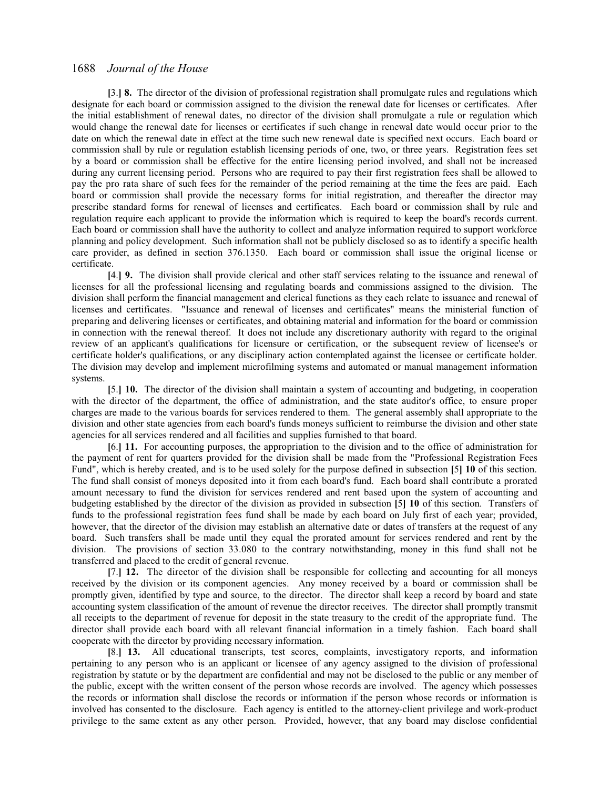**[**3.**] 8.** The director of the division of professional registration shall promulgate rules and regulations which designate for each board or commission assigned to the division the renewal date for licenses or certificates. After the initial establishment of renewal dates, no director of the division shall promulgate a rule or regulation which would change the renewal date for licenses or certificates if such change in renewal date would occur prior to the date on which the renewal date in effect at the time such new renewal date is specified next occurs. Each board or commission shall by rule or regulation establish licensing periods of one, two, or three years. Registration fees set by a board or commission shall be effective for the entire licensing period involved, and shall not be increased during any current licensing period. Persons who are required to pay their first registration fees shall be allowed to pay the pro rata share of such fees for the remainder of the period remaining at the time the fees are paid. Each board or commission shall provide the necessary forms for initial registration, and thereafter the director may prescribe standard forms for renewal of licenses and certificates. Each board or commission shall by rule and regulation require each applicant to provide the information which is required to keep the board's records current. Each board or commission shall have the authority to collect and analyze information required to support workforce planning and policy development. Such information shall not be publicly disclosed so as to identify a specific health care provider, as defined in section 376.1350. Each board or commission shall issue the original license or certificate.

**[**4.**] 9.** The division shall provide clerical and other staff services relating to the issuance and renewal of licenses for all the professional licensing and regulating boards and commissions assigned to the division. The division shall perform the financial management and clerical functions as they each relate to issuance and renewal of licenses and certificates. "Issuance and renewal of licenses and certificates" means the ministerial function of preparing and delivering licenses or certificates, and obtaining material and information for the board or commission in connection with the renewal thereof. It does not include any discretionary authority with regard to the original review of an applicant's qualifications for licensure or certification, or the subsequent review of licensee's or certificate holder's qualifications, or any disciplinary action contemplated against the licensee or certificate holder. The division may develop and implement microfilming systems and automated or manual management information systems.

**[**5.**] 10.** The director of the division shall maintain a system of accounting and budgeting, in cooperation with the director of the department, the office of administration, and the state auditor's office, to ensure proper charges are made to the various boards for services rendered to them. The general assembly shall appropriate to the division and other state agencies from each board's funds moneys sufficient to reimburse the division and other state agencies for all services rendered and all facilities and supplies furnished to that board.

**[**6.**] 11.** For accounting purposes, the appropriation to the division and to the office of administration for the payment of rent for quarters provided for the division shall be made from the "Professional Registration Fees Fund", which is hereby created, and is to be used solely for the purpose defined in subsection **[**5**] 10** of this section. The fund shall consist of moneys deposited into it from each board's fund. Each board shall contribute a prorated amount necessary to fund the division for services rendered and rent based upon the system of accounting and budgeting established by the director of the division as provided in subsection **[**5**] 10** of this section. Transfers of funds to the professional registration fees fund shall be made by each board on July first of each year; provided, however, that the director of the division may establish an alternative date or dates of transfers at the request of any board. Such transfers shall be made until they equal the prorated amount for services rendered and rent by the division. The provisions of section 33.080 to the contrary notwithstanding, money in this fund shall not be transferred and placed to the credit of general revenue.

**[**7.**] 12.** The director of the division shall be responsible for collecting and accounting for all moneys received by the division or its component agencies. Any money received by a board or commission shall be promptly given, identified by type and source, to the director. The director shall keep a record by board and state accounting system classification of the amount of revenue the director receives. The director shall promptly transmit all receipts to the department of revenue for deposit in the state treasury to the credit of the appropriate fund. The director shall provide each board with all relevant financial information in a timely fashion. Each board shall cooperate with the director by providing necessary information.

**[**8.**] 13.** All educational transcripts, test scores, complaints, investigatory reports, and information pertaining to any person who is an applicant or licensee of any agency assigned to the division of professional registration by statute or by the department are confidential and may not be disclosed to the public or any member of the public, except with the written consent of the person whose records are involved. The agency which possesses the records or information shall disclose the records or information if the person whose records or information is involved has consented to the disclosure. Each agency is entitled to the attorney-client privilege and work-product privilege to the same extent as any other person. Provided, however, that any board may disclose confidential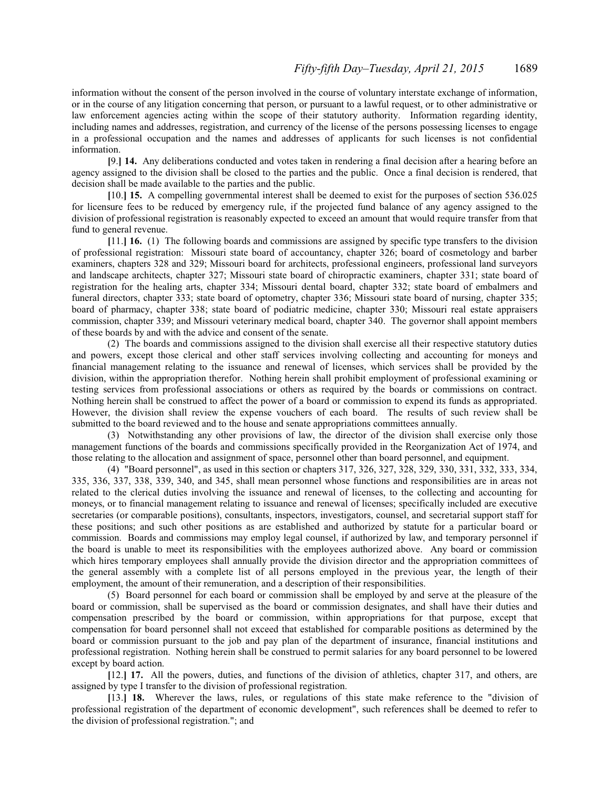information without the consent of the person involved in the course of voluntary interstate exchange of information, or in the course of any litigation concerning that person, or pursuant to a lawful request, or to other administrative or law enforcement agencies acting within the scope of their statutory authority. Information regarding identity, including names and addresses, registration, and currency of the license of the persons possessing licenses to engage in a professional occupation and the names and addresses of applicants for such licenses is not confidential information.

**[**9.**] 14.** Any deliberations conducted and votes taken in rendering a final decision after a hearing before an agency assigned to the division shall be closed to the parties and the public. Once a final decision is rendered, that decision shall be made available to the parties and the public.

**[**10.**] 15.** A compelling governmental interest shall be deemed to exist for the purposes of section 536.025 for licensure fees to be reduced by emergency rule, if the projected fund balance of any agency assigned to the division of professional registration is reasonably expected to exceed an amount that would require transfer from that fund to general revenue.

**[**11.**] 16.** (1) The following boards and commissions are assigned by specific type transfers to the division of professional registration: Missouri state board of accountancy, chapter 326; board of cosmetology and barber examiners, chapters 328 and 329; Missouri board for architects, professional engineers, professional land surveyors and landscape architects, chapter 327; Missouri state board of chiropractic examiners, chapter 331; state board of registration for the healing arts, chapter 334; Missouri dental board, chapter 332; state board of embalmers and funeral directors, chapter 333; state board of optometry, chapter 336; Missouri state board of nursing, chapter 335; board of pharmacy, chapter 338; state board of podiatric medicine, chapter 330; Missouri real estate appraisers commission, chapter 339; and Missouri veterinary medical board, chapter 340. The governor shall appoint members of these boards by and with the advice and consent of the senate.

(2) The boards and commissions assigned to the division shall exercise all their respective statutory duties and powers, except those clerical and other staff services involving collecting and accounting for moneys and financial management relating to the issuance and renewal of licenses, which services shall be provided by the division, within the appropriation therefor. Nothing herein shall prohibit employment of professional examining or testing services from professional associations or others as required by the boards or commissions on contract. Nothing herein shall be construed to affect the power of a board or commission to expend its funds as appropriated. However, the division shall review the expense vouchers of each board. The results of such review shall be submitted to the board reviewed and to the house and senate appropriations committees annually.

(3) Notwithstanding any other provisions of law, the director of the division shall exercise only those management functions of the boards and commissions specifically provided in the Reorganization Act of 1974, and those relating to the allocation and assignment of space, personnel other than board personnel, and equipment.

(4) "Board personnel", as used in this section or chapters 317, 326, 327, 328, 329, 330, 331, 332, 333, 334, 335, 336, 337, 338, 339, 340, and 345, shall mean personnel whose functions and responsibilities are in areas not related to the clerical duties involving the issuance and renewal of licenses, to the collecting and accounting for moneys, or to financial management relating to issuance and renewal of licenses; specifically included are executive secretaries (or comparable positions), consultants, inspectors, investigators, counsel, and secretarial support staff for these positions; and such other positions as are established and authorized by statute for a particular board or commission. Boards and commissions may employ legal counsel, if authorized by law, and temporary personnel if the board is unable to meet its responsibilities with the employees authorized above. Any board or commission which hires temporary employees shall annually provide the division director and the appropriation committees of the general assembly with a complete list of all persons employed in the previous year, the length of their employment, the amount of their remuneration, and a description of their responsibilities.

(5) Board personnel for each board or commission shall be employed by and serve at the pleasure of the board or commission, shall be supervised as the board or commission designates, and shall have their duties and compensation prescribed by the board or commission, within appropriations for that purpose, except that compensation for board personnel shall not exceed that established for comparable positions as determined by the board or commission pursuant to the job and pay plan of the department of insurance, financial institutions and professional registration. Nothing herein shall be construed to permit salaries for any board personnel to be lowered except by board action.

**[**12.**] 17.** All the powers, duties, and functions of the division of athletics, chapter 317, and others, are assigned by type I transfer to the division of professional registration.

**[**13.**] 18.** Wherever the laws, rules, or regulations of this state make reference to the "division of professional registration of the department of economic development", such references shall be deemed to refer to the division of professional registration."; and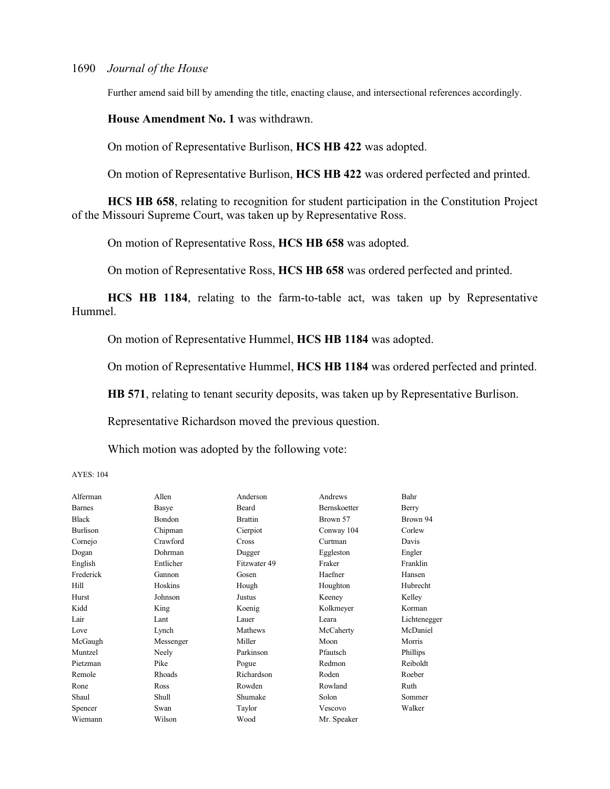Further amend said bill by amending the title, enacting clause, and intersectional references accordingly.

**House Amendment No. 1** was withdrawn.

On motion of Representative Burlison, **HCS HB 422** was adopted.

On motion of Representative Burlison, **HCS HB 422** was ordered perfected and printed.

**HCS HB 658**, relating to recognition for student participation in the Constitution Project of the Missouri Supreme Court, was taken up by Representative Ross.

On motion of Representative Ross, **HCS HB 658** was adopted.

On motion of Representative Ross, **HCS HB 658** was ordered perfected and printed.

**HCS HB 1184**, relating to the farm-to-table act, was taken up by Representative Hummel.

On motion of Representative Hummel, **HCS HB 1184** was adopted.

On motion of Representative Hummel, **HCS HB 1184** was ordered perfected and printed.

**HB 571**, relating to tenant security deposits, was taken up by Representative Burlison.

Representative Richardson moved the previous question.

Which motion was adopted by the following vote:

| Alferman      | Allen     | Anderson       | Andrews      | Bahr         |
|---------------|-----------|----------------|--------------|--------------|
| <b>Barnes</b> | Basye     | Beard          | Bernskoetter | Berry        |
| <b>Black</b>  | Bondon    | <b>Brattin</b> | Brown 57     | Brown 94     |
| Burlison      | Chipman   | Cierpiot       | Conway 104   | Corlew       |
| Cornejo       | Crawford  | Cross          | Curtman      | Davis        |
| Dogan         | Dohrman   | Dugger         | Eggleston    | Engler       |
| English       | Entlicher | Fitzwater 49   | Fraker       | Franklin     |
| Frederick     | Gannon    | Gosen          | Haefner      | Hansen       |
| Hill          | Hoskins   | Hough          | Houghton     | Hubrecht     |
| Hurst         | Johnson   | Justus         | Keeney       | Kelley       |
| Kidd          | King      | Koenig         | Kolkmeyer    | Korman       |
| Lair          | Lant      | Lauer          | Leara        | Lichtenegger |
| Love          | Lynch     | Mathews        | McCaherty    | McDaniel     |
| McGaugh       | Messenger | Miller         | Moon         | Morris       |
| Muntzel       | Neely     | Parkinson      | Pfautsch     | Phillips     |
| Pietzman      | Pike      | Pogue          | Redmon       | Reiboldt     |
| Remole        | Rhoads    | Richardson     | Roden        | Roeber       |
| Rone          | Ross      | Rowden         | Rowland      | Ruth         |
| Shaul         | Shull     | Shumake        | Solon        | Sommer       |
| Spencer       | Swan      | Taylor         | Vescovo      | Walker       |
| Wiemann       | Wilson    | Wood           | Mr. Speaker  |              |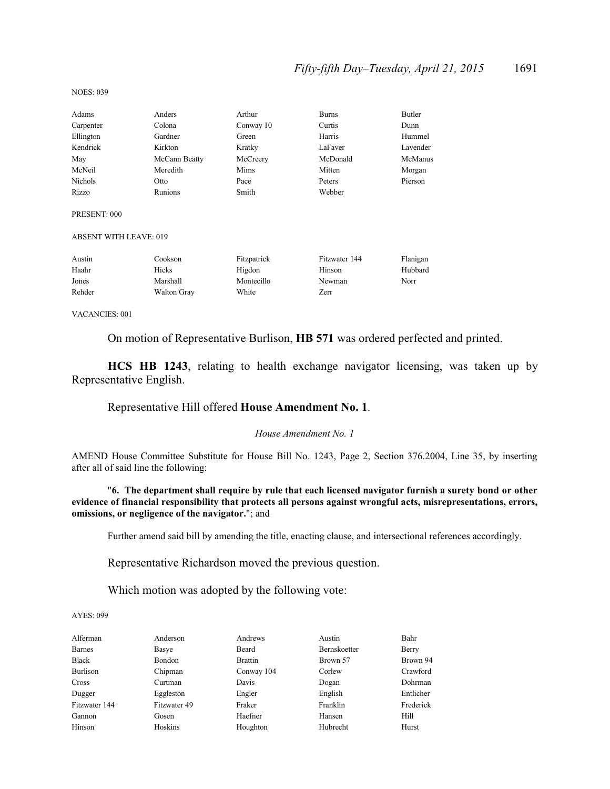### *Fifty-fifth Day–Tuesday, April 21, 2015* 1691

| Adams                         | Anders             | Arthur      | <b>Burns</b>  | Butler   |
|-------------------------------|--------------------|-------------|---------------|----------|
| Carpenter                     | Colona             | Conway 10   | Curtis        | Dunn     |
| Ellington                     | Gardner            | Green       | Harris        | Hummel   |
| Kendrick                      | Kirkton            | Kratky      | LaFaver       | Lavender |
| May                           | McCann Beatty      | McCreery    | McDonald      | McManus  |
| McNeil                        | Meredith           | Mims        | Mitten        | Morgan   |
| <b>Nichols</b>                | Otto               | Pace        | Peters        | Pierson  |
| Rizzo                         | Runions            | Smith       | Webber        |          |
| PRESENT: 000                  |                    |             |               |          |
| <b>ABSENT WITH LEAVE: 019</b> |                    |             |               |          |
| Austin                        | Cookson            | Fitzpatrick | Fitzwater 144 | Flanigan |
| Haahr                         | Hicks              | Higdon      | Hinson        | Hubbard  |
| Jones                         | Marshall           | Montecillo  | Newman        | Norr     |
| Rehder                        | <b>Walton Gray</b> | White       | Zerr          |          |

VACANCIES: 001

NOES: 039

On motion of Representative Burlison, **HB 571** was ordered perfected and printed.

**HCS HB 1243**, relating to health exchange navigator licensing, was taken up by Representative English.

### Representative Hill offered **House Amendment No. 1**.

#### *House Amendment No. 1*

AMEND House Committee Substitute for House Bill No. 1243, Page 2, Section 376.2004, Line 35, by inserting after all of said line the following:

"**6. The department shall require by rule that each licensed navigator furnish a surety bond or other evidence of financial responsibility that protects all persons against wrongful acts, misrepresentations, errors, omissions, or negligence of the navigator.**"; and

Further amend said bill by amending the title, enacting clause, and intersectional references accordingly.

Representative Richardson moved the previous question.

Which motion was adopted by the following vote:

| Alferman      | Anderson     | Andrews        | Austin       | Bahr      |
|---------------|--------------|----------------|--------------|-----------|
| <b>Barnes</b> | Basye        | Beard          | Bernskoetter | Berry     |
| Black         | Bondon       | <b>Brattin</b> | Brown 57     | Brown 94  |
| Burlison      | Chipman      | Conway 104     | Corlew       | Crawford  |
| Cross         | Curtman      | Davis          | Dogan        | Dohrman   |
| Dugger        | Eggleston    | Engler         | English      | Entlicher |
| Fitzwater 144 | Fitzwater 49 | Fraker         | Franklin     | Frederick |
| Gannon        | Gosen        | Haefner        | Hansen       | Hill      |
| Hinson        | Hoskins      | Houghton       | Hubrecht     | Hurst     |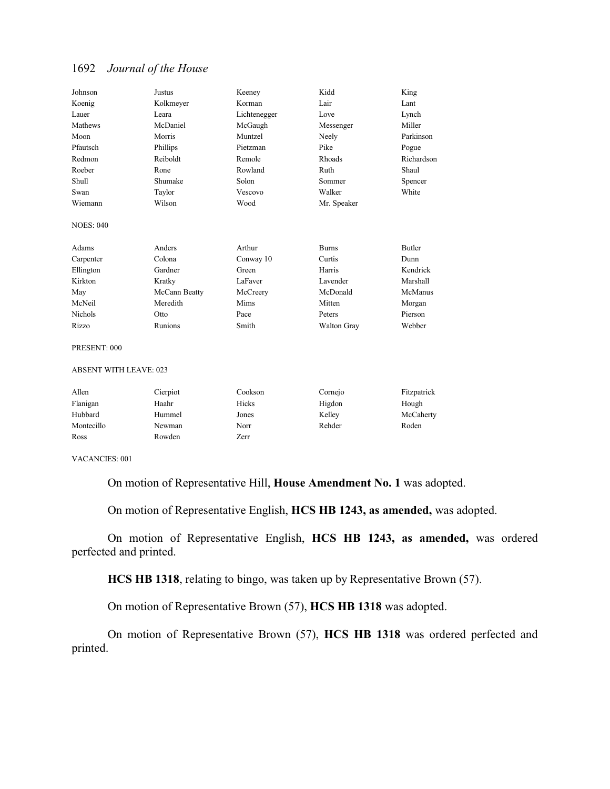| Johnson                       | <b>Justus</b> | Keeney       | Kidd         | King          |
|-------------------------------|---------------|--------------|--------------|---------------|
| Koenig                        | Kolkmeyer     | Korman       | Lair         | Lant          |
| Lauer                         | Leara         | Lichtenegger | Love         | Lynch         |
| Mathews                       | McDaniel      | McGaugh      | Messenger    | Miller        |
| Moon                          | Morris        | Muntzel      | Neely        | Parkinson     |
| Pfautsch                      | Phillips      | Pietzman     | Pike         | Pogue         |
| Redmon                        | Reiboldt      | Remole       | Rhoads       | Richardson    |
| Roeber                        | Rone          | Rowland      | Ruth         | Shaul         |
| Shull                         | Shumake       | Solon        | Sommer       | Spencer       |
| Swan                          | Taylor        | Vescovo      | Walker       | White         |
| Wiemann                       | Wilson        | Wood         | Mr. Speaker  |               |
| <b>NOES: 040</b>              |               |              |              |               |
| Adams                         | Anders        | Arthur       | <b>Burns</b> | <b>Butler</b> |
| Carpenter                     | Colona        | Conway 10    | Curtis       | Dunn          |
| Ellington                     | Gardner       | Green        | Harris       | Kendrick      |
| Kirkton                       | Kratky        | LaFaver      | Lavender     | Marshall      |
| May                           | McCann Beatty | McCreery     | McDonald     | McManus       |
| McNeil                        | Meredith      | Mims         | Mitten       | Morgan        |
| <b>Nichols</b>                | Otto          | Pace         | Peters       | Pierson       |
| Rizzo                         | Runions       | Smith        | Walton Gray  | Webber        |
| PRESENT: 000                  |               |              |              |               |
| <b>ABSENT WITH LEAVE: 023</b> |               |              |              |               |
| Allen                         | Cierpiot      | Cookson      | Cornejo      | Fitzpatrick   |
| Flanigan                      | Haahr         | Hicks        | Higdon       | Hough         |
| Hubbard                       | Hummel        | Jones        | Kelley       | McCaherty     |

Montecillo Newman Norr Rehder Roden

VACANCIES: 001

Ross Rowden Zerr

On motion of Representative Hill, **House Amendment No. 1** was adopted.

On motion of Representative English, **HCS HB 1243, as amended,** was adopted.

On motion of Representative English, **HCS HB 1243, as amended,** was ordered perfected and printed.

**HCS HB 1318**, relating to bingo, was taken up by Representative Brown (57).

On motion of Representative Brown (57), **HCS HB 1318** was adopted.

On motion of Representative Brown (57), **HCS HB 1318** was ordered perfected and printed.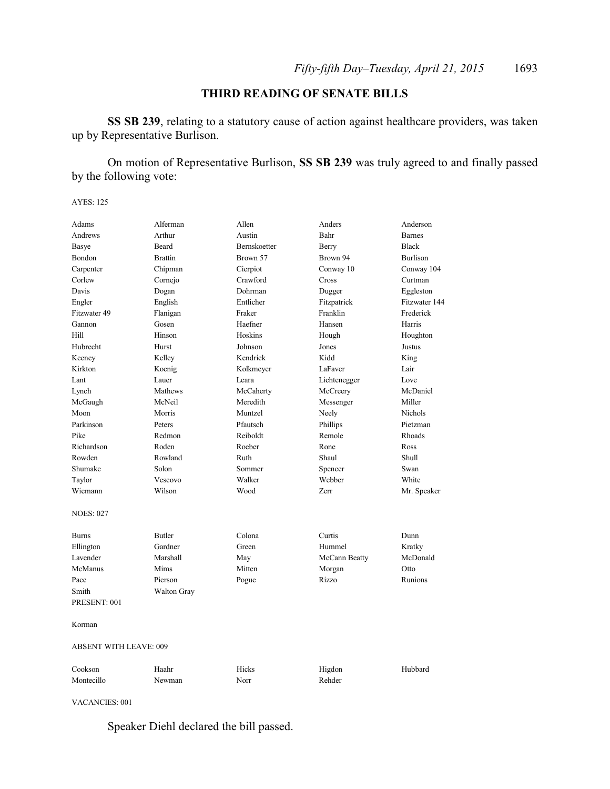### **THIRD READING OF SENATE BILLS**

**SS SB 239**, relating to a statutory cause of action against healthcare providers, was taken up by Representative Burlison.

On motion of Representative Burlison, **SS SB 239** was truly agreed to and finally passed by the following vote:

AYES: 125

| Adams                         | Alferman           | Allen        | Anders        | Anderson        |
|-------------------------------|--------------------|--------------|---------------|-----------------|
| Andrews                       | Arthur             | Austin       | Bahr          | <b>Barnes</b>   |
| <b>Basye</b>                  | <b>Beard</b>       | Bernskoetter | Berry         | <b>Black</b>    |
| Bondon                        | <b>Brattin</b>     | Brown 57     | Brown 94      | <b>Burlison</b> |
| Carpenter                     | Chipman            | Cierpiot     | Conway 10     | Conway 104      |
| Corlew                        | Cornejo            | Crawford     | Cross         | Curtman         |
| Davis                         | Dogan              | Dohrman      | Dugger        | Eggleston       |
| Engler                        | English            | Entlicher    | Fitzpatrick   | Fitzwater 144   |
| Fitzwater 49                  | Flanigan           | Fraker       | Franklin      | Frederick       |
| Gannon                        | Gosen              | Haefner      | Hansen        | Harris          |
| Hill                          | Hinson             | Hoskins      | Hough         | Houghton        |
| Hubrecht                      | Hurst              | Johnson      | Jones         | Justus          |
| Keeney                        | Kelley             | Kendrick     | Kidd          | King            |
| Kirkton                       | Koenig             | Kolkmeyer    | LaFaver       | Lair            |
| Lant                          | Lauer              | Leara        | Lichtenegger  | Love            |
| Lynch                         | Mathews            | McCaherty    | McCreery      | McDaniel        |
| McGaugh                       | McNeil             | Meredith     | Messenger     | Miller          |
| Moon                          | Morris             | Muntzel      | Neely         | <b>Nichols</b>  |
| Parkinson                     | Peters             | Pfautsch     | Phillips      | Pietzman        |
| Pike                          | Redmon             | Reiboldt     | Remole        | Rhoads          |
| Richardson                    | Roden              | Roeber       | Rone          | Ross            |
| Rowden                        | Rowland            | Ruth         | Shaul         | Shull           |
| Shumake                       | Solon              | Sommer       | Spencer       | Swan            |
| Taylor                        | Vescovo            | Walker       | Webber        | White           |
| Wiemann                       | Wilson             | Wood         | Zerr          | Mr. Speaker     |
| <b>NOES: 027</b>              |                    |              |               |                 |
| <b>Burns</b>                  | <b>Butler</b>      | Colona       | Curtis        | Dunn            |
| Ellington                     | Gardner            | Green        | Hummel        | Kratky          |
| Lavender                      | Marshall           | May          | McCann Beatty | McDonald        |
| McManus                       | Mims               | Mitten       | Morgan        | Otto            |
| Pace                          | Pierson            | Pogue        | Rizzo         | Runions         |
| Smith                         | <b>Walton Gray</b> |              |               |                 |
| PRESENT: 001                  |                    |              |               |                 |
| Korman                        |                    |              |               |                 |
| <b>ABSENT WITH LEAVE: 009</b> |                    |              |               |                 |
| Cookson                       | Haahr              | Hicks        | Higdon        | Hubbard         |
| Montecillo                    | Newman             | Norr         | Rehder        |                 |

VACANCIES: 001

Speaker Diehl declared the bill passed.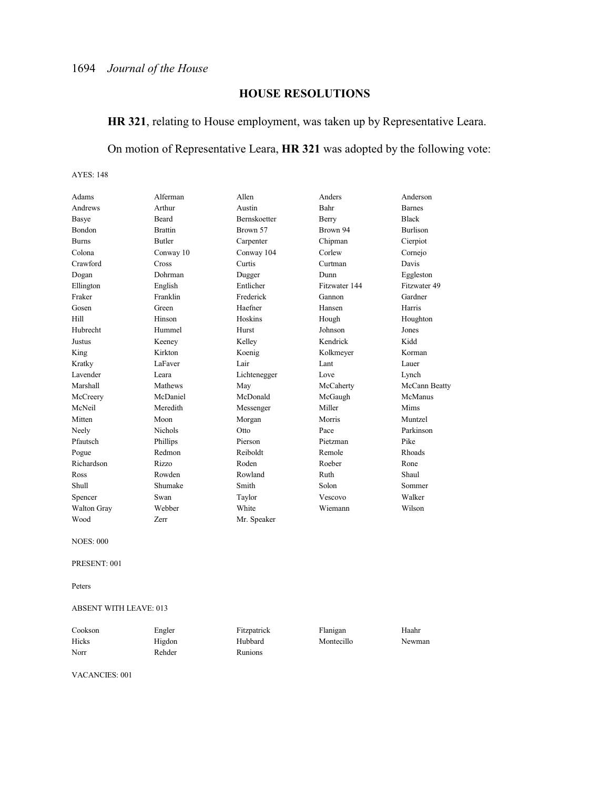### **HOUSE RESOLUTIONS**

### **HR 321**, relating to House employment, was taken up by Representative Leara.

### On motion of Representative Leara, **HR 321** was adopted by the following vote:

AYES: 148

| Adams        | Alferman       | Allen               | Anders        | Anderson        |
|--------------|----------------|---------------------|---------------|-----------------|
| Andrews      | Arthur         | Austin              | Bahr          | <b>Barnes</b>   |
| Basye        | <b>Beard</b>   | <b>Bernskoetter</b> | Berry         | <b>Black</b>    |
| Bondon       | <b>Brattin</b> | Brown 57            | Brown 94      | <b>Burlison</b> |
| <b>Burns</b> | <b>Butler</b>  | Carpenter           | Chipman       | Cierpiot        |
| Colona       | Conway 10      | Conway 104          | Corlew        | Cornejo         |
| Crawford     | Cross          | Curtis              | Curtman       | Davis           |
| Dogan        | Dohrman        | Dugger              | Dunn          | Eggleston       |
| Ellington    | English        | Entlicher           | Fitzwater 144 | Fitzwater 49    |
| Fraker       | Franklin       | Frederick           | Gannon        | Gardner         |
| Gosen        | Green          | Haefner             | Hansen        | Harris          |
| Hill         | Hinson         | Hoskins             | Hough         | Houghton        |
| Hubrecht     | Hummel         | Hurst               | Johnson       | Jones           |
| Justus       | Keeney         | Kelley              | Kendrick      | Kidd            |
| King         | Kirkton        | Koenig              | Kolkmeyer     | Korman          |
| Kratky       | LaFaver        | Lair                | Lant          | Lauer           |
| Lavender     | Leara          | Lichtenegger        | Love          | Lynch           |
| Marshall     | Mathews        | May                 | McCaherty     | McCann Beatty   |
| McCreery     | McDaniel       | McDonald            | McGaugh       | McManus         |
| McNeil       | Meredith       | Messenger           | Miller        | <b>Mims</b>     |
| Mitten       | Moon           | Morgan              | Morris        | Muntzel         |
| Neely        | <b>Nichols</b> | Otto                | Pace          | Parkinson       |
| Pfautsch     | Phillips       | Pierson             | Pietzman      | Pike            |
| Pogue        | Redmon         | Reiboldt            | Remole        | Rhoads          |
| Richardson   | <b>Rizzo</b>   | Roden               | Roeber        | Rone            |
| Ross         | Rowden         | Rowland             | Ruth          | Shaul           |
| Shull        | Shumake        | Smith               | Solon         | Sommer          |
| Spencer      | Swan           | Taylor              | Vescovo       | Walker          |
| Walton Gray  | Webber         | White               | Wiemann       | Wilson          |
| Wood         | Zerr           | Mr. Speaker         |               |                 |
|              |                |                     |               |                 |

NOES: 000

PRESENT: 001

Peters

#### ABSENT WITH LEAVE: 013

| Cookson | Engler | Fitzpatrick    | Flanigan   | Haahr  |
|---------|--------|----------------|------------|--------|
| Hicks   | Higdon | Hubbard        | Montecillo | Newman |
| Norr    | Rehder | <b>Runions</b> |            |        |

VACANCIES: 001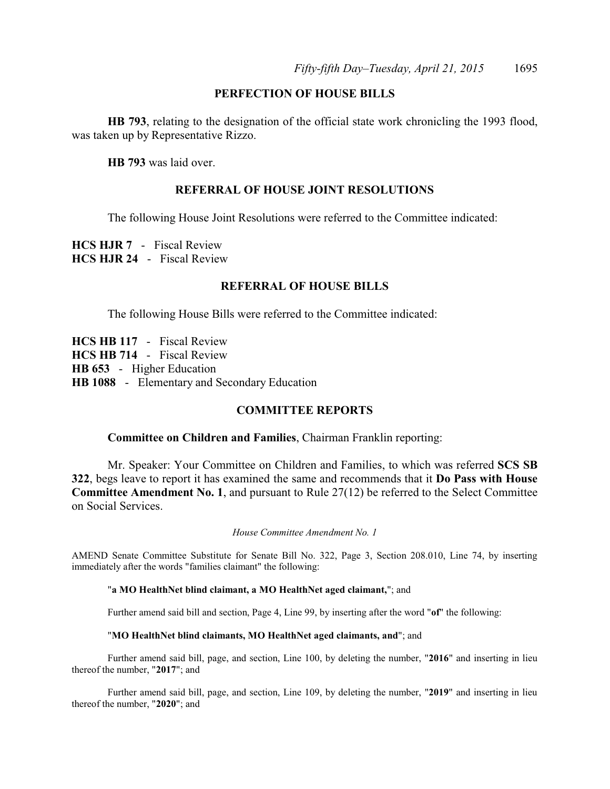### **PERFECTION OF HOUSE BILLS**

**HB 793**, relating to the designation of the official state work chronicling the 1993 flood, was taken up by Representative Rizzo.

**HB 793** was laid over.

#### **REFERRAL OF HOUSE JOINT RESOLUTIONS**

The following House Joint Resolutions were referred to the Committee indicated:

**HCS HJR 7** - Fiscal Review **HCS HJR 24** - Fiscal Review

### **REFERRAL OF HOUSE BILLS**

The following House Bills were referred to the Committee indicated:

**HCS HB 117** - Fiscal Review **HCS HB 714** - Fiscal Review **HB 653** - Higher Education **HB 1088** - Elementary and Secondary Education

#### **COMMITTEE REPORTS**

#### **Committee on Children and Families**, Chairman Franklin reporting:

Mr. Speaker: Your Committee on Children and Families, to which was referred **SCS SB 322**, begs leave to report it has examined the same and recommends that it **Do Pass with House Committee Amendment No. 1**, and pursuant to Rule 27(12) be referred to the Select Committee on Social Services.

*House Committee Amendment No. 1*

AMEND Senate Committee Substitute for Senate Bill No. 322, Page 3, Section 208.010, Line 74, by inserting immediately after the words "families claimant" the following:

#### "**a MO HealthNet blind claimant, a MO HealthNet aged claimant,**"; and

Further amend said bill and section, Page 4, Line 99, by inserting after the word "**of**" the following:

#### "**MO HealthNet blind claimants, MO HealthNet aged claimants, and**"; and

Further amend said bill, page, and section, Line 100, by deleting the number, "**2016**" and inserting in lieu thereof the number, "**2017**"; and

Further amend said bill, page, and section, Line 109, by deleting the number, "**2019**" and inserting in lieu thereof the number, "**2020**"; and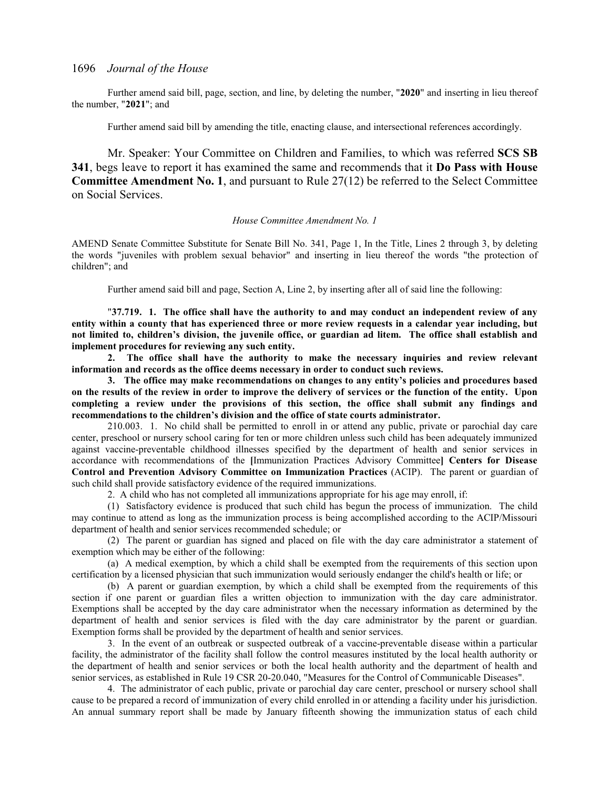Further amend said bill, page, section, and line, by deleting the number, "**2020**" and inserting in lieu thereof the number, "**2021**"; and

Further amend said bill by amending the title, enacting clause, and intersectional references accordingly.

Mr. Speaker: Your Committee on Children and Families, to which was referred **SCS SB 341**, begs leave to report it has examined the same and recommends that it **Do Pass with House Committee Amendment No. 1**, and pursuant to Rule 27(12) be referred to the Select Committee on Social Services.

#### *House Committee Amendment No. 1*

AMEND Senate Committee Substitute for Senate Bill No. 341, Page 1, In the Title, Lines 2 through 3, by deleting the words "juveniles with problem sexual behavior" and inserting in lieu thereof the words "the protection of children"; and

Further amend said bill and page, Section A, Line 2, by inserting after all of said line the following:

"**37.719. 1. The office shall have the authority to and may conduct an independent review of any entity within a county that has experienced three or more review requests in a calendar year including, but not limited to, children's division, the juvenile office, or guardian ad litem. The office shall establish and implement procedures for reviewing any such entity.**

**2. The office shall have the authority to make the necessary inquiries and review relevant information and records as the office deems necessary in order to conduct such reviews.**

**3. The office may make recommendations on changes to any entity's policies and procedures based on the results of the review in order to improve the delivery of services or the function of the entity. Upon completing a review under the provisions of this section, the office shall submit any findings and recommendations to the children's division and the office of state courts administrator.**

210.003. 1. No child shall be permitted to enroll in or attend any public, private or parochial day care center, preschool or nursery school caring for ten or more children unless such child has been adequately immunized against vaccine-preventable childhood illnesses specified by the department of health and senior services in accordance with recommendations of the **[**Immunization Practices Advisory Committee**] Centers for Disease Control and Prevention Advisory Committee on Immunization Practices** (ACIP). The parent or guardian of such child shall provide satisfactory evidence of the required immunizations.

2. A child who has not completed all immunizations appropriate for his age may enroll, if:

(1) Satisfactory evidence is produced that such child has begun the process of immunization. The child may continue to attend as long as the immunization process is being accomplished according to the ACIP/Missouri department of health and senior services recommended schedule; or

(2) The parent or guardian has signed and placed on file with the day care administrator a statement of exemption which may be either of the following:

(a) A medical exemption, by which a child shall be exempted from the requirements of this section upon certification by a licensed physician that such immunization would seriously endanger the child's health or life; or

(b) A parent or guardian exemption, by which a child shall be exempted from the requirements of this section if one parent or guardian files a written objection to immunization with the day care administrator. Exemptions shall be accepted by the day care administrator when the necessary information as determined by the department of health and senior services is filed with the day care administrator by the parent or guardian. Exemption forms shall be provided by the department of health and senior services.

3. In the event of an outbreak or suspected outbreak of a vaccine-preventable disease within a particular facility, the administrator of the facility shall follow the control measures instituted by the local health authority or the department of health and senior services or both the local health authority and the department of health and senior services, as established in Rule 19 CSR 20-20.040, "Measures for the Control of Communicable Diseases".

4. The administrator of each public, private or parochial day care center, preschool or nursery school shall cause to be prepared a record of immunization of every child enrolled in or attending a facility under his jurisdiction. An annual summary report shall be made by January fifteenth showing the immunization status of each child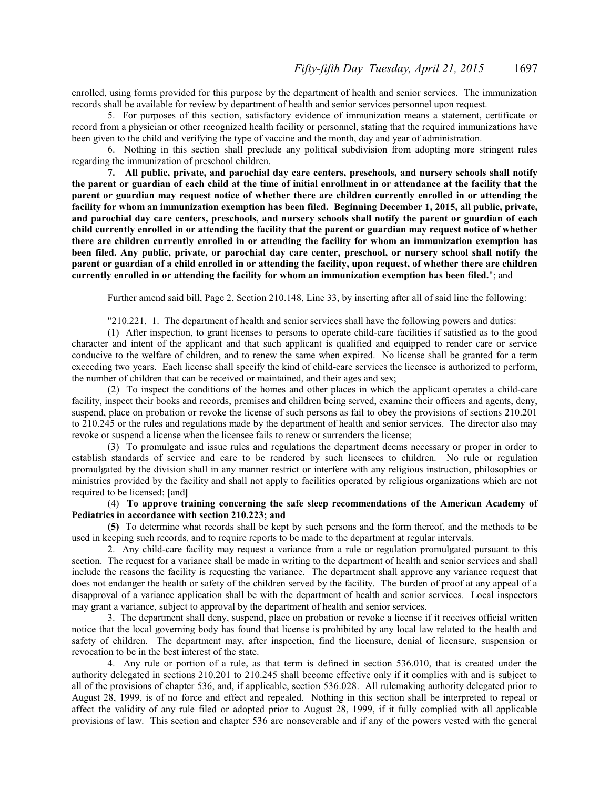enrolled, using forms provided for this purpose by the department of health and senior services. The immunization records shall be available for review by department of health and senior services personnel upon request.

5. For purposes of this section, satisfactory evidence of immunization means a statement, certificate or record from a physician or other recognized health facility or personnel, stating that the required immunizations have been given to the child and verifying the type of vaccine and the month, day and year of administration.

6. Nothing in this section shall preclude any political subdivision from adopting more stringent rules regarding the immunization of preschool children.

**7. All public, private, and parochial day care centers, preschools, and nursery schools shall notify the parent or guardian of each child at the time of initial enrollment in or attendance at the facility that the parent or guardian may request notice of whether there are children currently enrolled in or attending the facility for whom an immunization exemption has been filed. Beginning December 1, 2015, all public, private, and parochial day care centers, preschools, and nursery schools shall notify the parent or guardian of each child currently enrolled in or attending the facility that the parent or guardian may request notice of whether there are children currently enrolled in or attending the facility for whom an immunization exemption has been filed. Any public, private, or parochial day care center, preschool, or nursery school shall notify the parent or guardian of a child enrolled in or attending the facility, upon request, of whether there are children currently enrolled in or attending the facility for whom an immunization exemption has been filed.**"; and

Further amend said bill, Page 2, Section 210.148, Line 33, by inserting after all of said line the following:

"210.221. 1. The department of health and senior services shall have the following powers and duties:

(1) After inspection, to grant licenses to persons to operate child-care facilities if satisfied as to the good character and intent of the applicant and that such applicant is qualified and equipped to render care or service conducive to the welfare of children, and to renew the same when expired. No license shall be granted for a term exceeding two years. Each license shall specify the kind of child-care services the licensee is authorized to perform, the number of children that can be received or maintained, and their ages and sex;

(2) To inspect the conditions of the homes and other places in which the applicant operates a child-care facility, inspect their books and records, premises and children being served, examine their officers and agents, deny, suspend, place on probation or revoke the license of such persons as fail to obey the provisions of sections 210.201 to 210.245 or the rules and regulations made by the department of health and senior services. The director also may revoke or suspend a license when the licensee fails to renew or surrenders the license;

(3) To promulgate and issue rules and regulations the department deems necessary or proper in order to establish standards of service and care to be rendered by such licensees to children. No rule or regulation promulgated by the division shall in any manner restrict or interfere with any religious instruction, philosophies or ministries provided by the facility and shall not apply to facilities operated by religious organizations which are not required to be licensed; **[**and**]**

(4) **To approve training concerning the safe sleep recommendations of the American Academy of Pediatrics in accordance with section 210.223; and**

**(5)** To determine what records shall be kept by such persons and the form thereof, and the methods to be used in keeping such records, and to require reports to be made to the department at regular intervals.

2. Any child-care facility may request a variance from a rule or regulation promulgated pursuant to this section. The request for a variance shall be made in writing to the department of health and senior services and shall include the reasons the facility is requesting the variance. The department shall approve any variance request that does not endanger the health or safety of the children served by the facility. The burden of proof at any appeal of a disapproval of a variance application shall be with the department of health and senior services. Local inspectors may grant a variance, subject to approval by the department of health and senior services.

3. The department shall deny, suspend, place on probation or revoke a license if it receives official written notice that the local governing body has found that license is prohibited by any local law related to the health and safety of children. The department may, after inspection, find the licensure, denial of licensure, suspension or revocation to be in the best interest of the state.

4. Any rule or portion of a rule, as that term is defined in section 536.010, that is created under the authority delegated in sections 210.201 to 210.245 shall become effective only if it complies with and is subject to all of the provisions of chapter 536, and, if applicable, section 536.028. All rulemaking authority delegated prior to August 28, 1999, is of no force and effect and repealed. Nothing in this section shall be interpreted to repeal or affect the validity of any rule filed or adopted prior to August 28, 1999, if it fully complied with all applicable provisions of law. This section and chapter 536 are nonseverable and if any of the powers vested with the general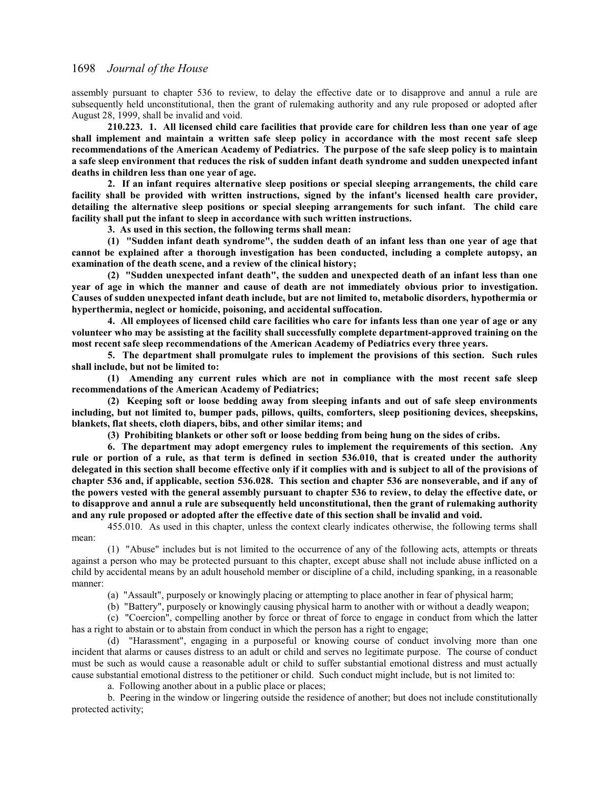assembly pursuant to chapter 536 to review, to delay the effective date or to disapprove and annul a rule are subsequently held unconstitutional, then the grant of rulemaking authority and any rule proposed or adopted after August 28, 1999, shall be invalid and void.

**210.223. 1. All licensed child care facilities that provide care for children less than one year of age shall implement and maintain a written safe sleep policy in accordance with the most recent safe sleep recommendations of the American Academy of Pediatrics. The purpose of the safe sleep policy is to maintain a safe sleep environment that reduces the risk of sudden infant death syndrome and sudden unexpected infant deaths in children less than one year of age.**

**2. If an infant requires alternative sleep positions or special sleeping arrangements, the child care facility shall be provided with written instructions, signed by the infant's licensed health care provider, detailing the alternative sleep positions or special sleeping arrangements for such infant. The child care facility shall put the infant to sleep in accordance with such written instructions.**

**3. As used in this section, the following terms shall mean:**

**(1) "Sudden infant death syndrome", the sudden death of an infant less than one year of age that cannot be explained after a thorough investigation has been conducted, including a complete autopsy, an examination of the death scene, and a review of the clinical history;**

**(2) "Sudden unexpected infant death", the sudden and unexpected death of an infant less than one year of age in which the manner and cause of death are not immediately obvious prior to investigation. Causes of sudden unexpected infant death include, but are not limited to, metabolic disorders, hypothermia or hyperthermia, neglect or homicide, poisoning, and accidental suffocation.**

**4. All employees of licensed child care facilities who care for infants less than one year of age or any volunteer who may be assisting at the facility shall successfully complete department-approved training on the most recent safe sleep recommendations of the American Academy of Pediatrics every three years.**

**5. The department shall promulgate rules to implement the provisions of this section. Such rules shall include, but not be limited to:**

**(1) Amending any current rules which are not in compliance with the most recent safe sleep recommendations of the American Academy of Pediatrics;**

**(2) Keeping soft or loose bedding away from sleeping infants and out of safe sleep environments including, but not limited to, bumper pads, pillows, quilts, comforters, sleep positioning devices, sheepskins, blankets, flat sheets, cloth diapers, bibs, and other similar items; and**

**(3) Prohibiting blankets or other soft or loose bedding from being hung on the sides of cribs.**

**6. The department may adopt emergency rules to implement the requirements of this section. Any rule or portion of a rule, as that term is defined in section 536.010, that is created under the authority delegated in this section shall become effective only if it complies with and is subject to all of the provisions of chapter 536 and, if applicable, section 536.028. This section and chapter 536 are nonseverable, and if any of the powers vested with the general assembly pursuant to chapter 536 to review, to delay the effective date, or to disapprove and annul a rule are subsequently held unconstitutional, then the grant of rulemaking authority and any rule proposed or adopted after the effective date of this section shall be invalid and void.**

455.010. As used in this chapter, unless the context clearly indicates otherwise, the following terms shall mean:

(1) "Abuse" includes but is not limited to the occurrence of any of the following acts, attempts or threats against a person who may be protected pursuant to this chapter, except abuse shall not include abuse inflicted on a child by accidental means by an adult household member or discipline of a child, including spanking, in a reasonable manner:

(a) "Assault", purposely or knowingly placing or attempting to place another in fear of physical harm;

(b) "Battery", purposely or knowingly causing physical harm to another with or without a deadly weapon;

(c) "Coercion", compelling another by force or threat of force to engage in conduct from which the latter has a right to abstain or to abstain from conduct in which the person has a right to engage;

(d) "Harassment", engaging in a purposeful or knowing course of conduct involving more than one incident that alarms or causes distress to an adult or child and serves no legitimate purpose. The course of conduct must be such as would cause a reasonable adult or child to suffer substantial emotional distress and must actually cause substantial emotional distress to the petitioner or child. Such conduct might include, but is not limited to:

a. Following another about in a public place or places;

b. Peering in the window or lingering outside the residence of another; but does not include constitutionally protected activity;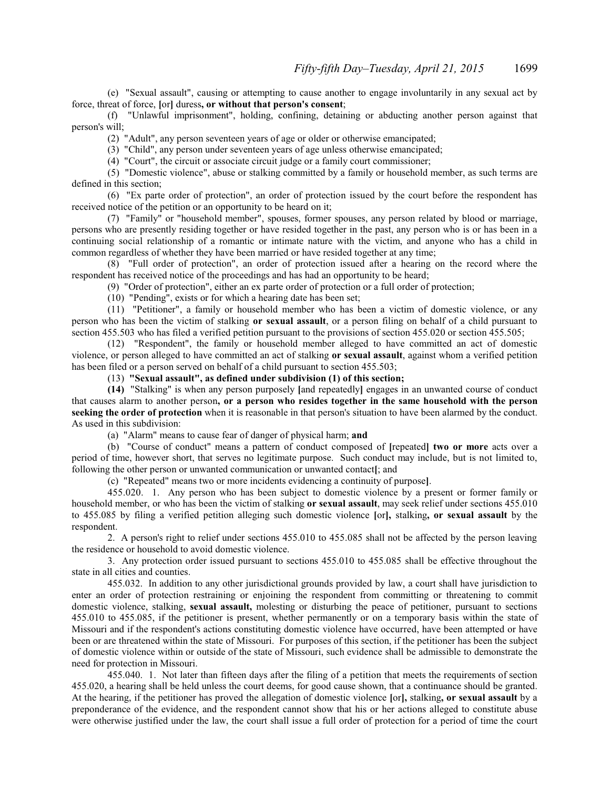(e) "Sexual assault", causing or attempting to cause another to engage involuntarily in any sexual act by force, threat of force, **[**or**]** duress**, or without that person's consent**;

(f) "Unlawful imprisonment", holding, confining, detaining or abducting another person against that person's will;

(2) "Adult", any person seventeen years of age or older or otherwise emancipated;

(3) "Child", any person under seventeen years of age unless otherwise emancipated;

(4) "Court", the circuit or associate circuit judge or a family court commissioner;

(5) "Domestic violence", abuse or stalking committed by a family or household member, as such terms are defined in this section;

(6) "Ex parte order of protection", an order of protection issued by the court before the respondent has received notice of the petition or an opportunity to be heard on it;

(7) "Family" or "household member", spouses, former spouses, any person related by blood or marriage, persons who are presently residing together or have resided together in the past, any person who is or has been in a continuing social relationship of a romantic or intimate nature with the victim, and anyone who has a child in common regardless of whether they have been married or have resided together at any time;

(8) "Full order of protection", an order of protection issued after a hearing on the record where the respondent has received notice of the proceedings and has had an opportunity to be heard;

(9) "Order of protection", either an ex parte order of protection or a full order of protection;

(10) "Pending", exists or for which a hearing date has been set;

(11) "Petitioner", a family or household member who has been a victim of domestic violence, or any person who has been the victim of stalking **or sexual assault**, or a person filing on behalf of a child pursuant to section 455.503 who has filed a verified petition pursuant to the provisions of section 455.020 or section 455.505;

(12) "Respondent", the family or household member alleged to have committed an act of domestic violence, or person alleged to have committed an act of stalking **or sexual assault**, against whom a verified petition has been filed or a person served on behalf of a child pursuant to section 455.503;

(13) **"Sexual assault", as defined under subdivision (1) of this section;**

**(14)** "Stalking" is when any person purposely **[**and repeatedly**]** engages in an unwanted course of conduct that causes alarm to another person**, or a person who resides together in the same household with the person seeking the order of protection** when it is reasonable in that person's situation to have been alarmed by the conduct. As used in this subdivision:

(a) "Alarm" means to cause fear of danger of physical harm; **and**

(b) "Course of conduct" means a pattern of conduct composed of **[**repeated**] two or more** acts over a period of time, however short, that serves no legitimate purpose. Such conduct may include, but is not limited to, following the other person or unwanted communication or unwanted contact**[**; and

(c) "Repeated" means two or more incidents evidencing a continuity of purpose**]**.

455.020. 1. Any person who has been subject to domestic violence by a present or former family or household member, or who has been the victim of stalking **or sexual assault**, may seek relief under sections 455.010 to 455.085 by filing a verified petition alleging such domestic violence **[**or**],** stalking**, or sexual assault** by the respondent.

2. A person's right to relief under sections 455.010 to 455.085 shall not be affected by the person leaving the residence or household to avoid domestic violence.

3. Any protection order issued pursuant to sections 455.010 to 455.085 shall be effective throughout the state in all cities and counties.

455.032. In addition to any other jurisdictional grounds provided by law, a court shall have jurisdiction to enter an order of protection restraining or enjoining the respondent from committing or threatening to commit domestic violence, stalking, **sexual assault,** molesting or disturbing the peace of petitioner, pursuant to sections 455.010 to 455.085, if the petitioner is present, whether permanently or on a temporary basis within the state of Missouri and if the respondent's actions constituting domestic violence have occurred, have been attempted or have been or are threatened within the state of Missouri. For purposes of this section, if the petitioner has been the subject of domestic violence within or outside of the state of Missouri, such evidence shall be admissible to demonstrate the need for protection in Missouri.

455.040. 1. Not later than fifteen days after the filing of a petition that meets the requirements of section 455.020, a hearing shall be held unless the court deems, for good cause shown, that a continuance should be granted. At the hearing, if the petitioner has proved the allegation of domestic violence **[**or**],** stalking**, or sexual assault** by a preponderance of the evidence, and the respondent cannot show that his or her actions alleged to constitute abuse were otherwise justified under the law, the court shall issue a full order of protection for a period of time the court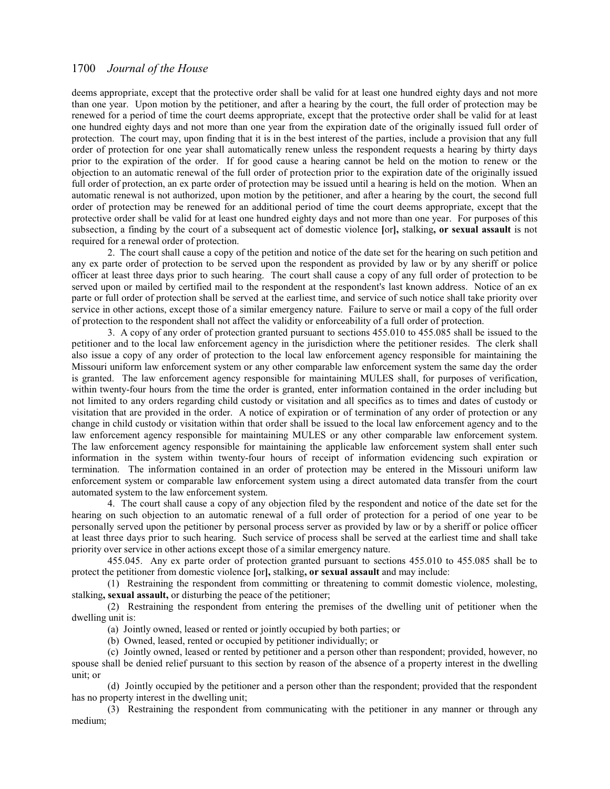deems appropriate, except that the protective order shall be valid for at least one hundred eighty days and not more than one year. Upon motion by the petitioner, and after a hearing by the court, the full order of protection may be renewed for a period of time the court deems appropriate, except that the protective order shall be valid for at least one hundred eighty days and not more than one year from the expiration date of the originally issued full order of protection. The court may, upon finding that it is in the best interest of the parties, include a provision that any full order of protection for one year shall automatically renew unless the respondent requests a hearing by thirty days prior to the expiration of the order. If for good cause a hearing cannot be held on the motion to renew or the objection to an automatic renewal of the full order of protection prior to the expiration date of the originally issued full order of protection, an ex parte order of protection may be issued until a hearing is held on the motion. When an automatic renewal is not authorized, upon motion by the petitioner, and after a hearing by the court, the second full order of protection may be renewed for an additional period of time the court deems appropriate, except that the protective order shall be valid for at least one hundred eighty days and not more than one year. For purposes of this subsection, a finding by the court of a subsequent act of domestic violence **[**or**],** stalking**, or sexual assault** is not required for a renewal order of protection.

2. The court shall cause a copy of the petition and notice of the date set for the hearing on such petition and any ex parte order of protection to be served upon the respondent as provided by law or by any sheriff or police officer at least three days prior to such hearing. The court shall cause a copy of any full order of protection to be served upon or mailed by certified mail to the respondent at the respondent's last known address. Notice of an ex parte or full order of protection shall be served at the earliest time, and service of such notice shall take priority over service in other actions, except those of a similar emergency nature. Failure to serve or mail a copy of the full order of protection to the respondent shall not affect the validity or enforceability of a full order of protection.

3. A copy of any order of protection granted pursuant to sections 455.010 to 455.085 shall be issued to the petitioner and to the local law enforcement agency in the jurisdiction where the petitioner resides. The clerk shall also issue a copy of any order of protection to the local law enforcement agency responsible for maintaining the Missouri uniform law enforcement system or any other comparable law enforcement system the same day the order is granted. The law enforcement agency responsible for maintaining MULES shall, for purposes of verification, within twenty-four hours from the time the order is granted, enter information contained in the order including but not limited to any orders regarding child custody or visitation and all specifics as to times and dates of custody or visitation that are provided in the order. A notice of expiration or of termination of any order of protection or any change in child custody or visitation within that order shall be issued to the local law enforcement agency and to the law enforcement agency responsible for maintaining MULES or any other comparable law enforcement system. The law enforcement agency responsible for maintaining the applicable law enforcement system shall enter such information in the system within twenty-four hours of receipt of information evidencing such expiration or termination. The information contained in an order of protection may be entered in the Missouri uniform law enforcement system or comparable law enforcement system using a direct automated data transfer from the court automated system to the law enforcement system.

4. The court shall cause a copy of any objection filed by the respondent and notice of the date set for the hearing on such objection to an automatic renewal of a full order of protection for a period of one year to be personally served upon the petitioner by personal process server as provided by law or by a sheriff or police officer at least three days prior to such hearing. Such service of process shall be served at the earliest time and shall take priority over service in other actions except those of a similar emergency nature.

455.045. Any ex parte order of protection granted pursuant to sections 455.010 to 455.085 shall be to protect the petitioner from domestic violence **[**or**],** stalking**, or sexual assault** and may include:

(1) Restraining the respondent from committing or threatening to commit domestic violence, molesting, stalking**, sexual assault,** or disturbing the peace of the petitioner;

(2) Restraining the respondent from entering the premises of the dwelling unit of petitioner when the dwelling unit is:

(a) Jointly owned, leased or rented or jointly occupied by both parties; or

(b) Owned, leased, rented or occupied by petitioner individually; or

(c) Jointly owned, leased or rented by petitioner and a person other than respondent; provided, however, no spouse shall be denied relief pursuant to this section by reason of the absence of a property interest in the dwelling unit; or

(d) Jointly occupied by the petitioner and a person other than the respondent; provided that the respondent has no property interest in the dwelling unit;

(3) Restraining the respondent from communicating with the petitioner in any manner or through any medium;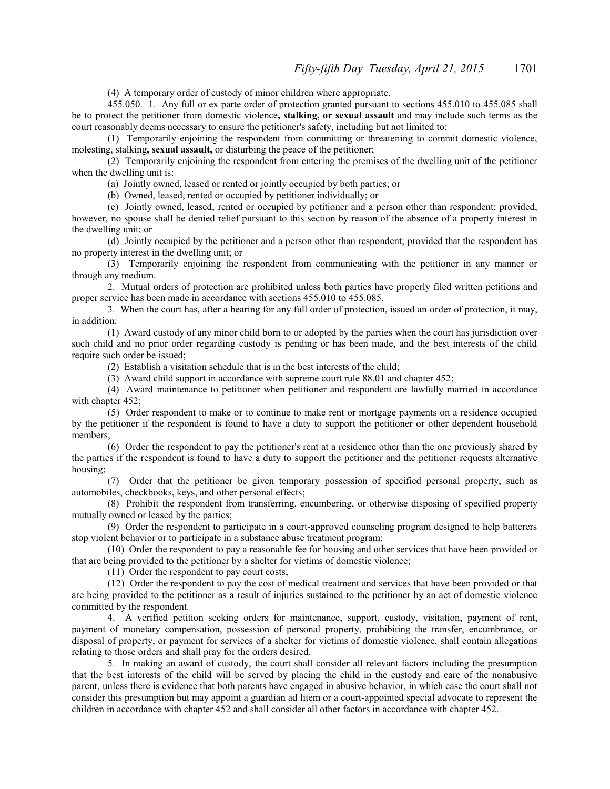(4) A temporary order of custody of minor children where appropriate.

455.050. 1. Any full or ex parte order of protection granted pursuant to sections 455.010 to 455.085 shall be to protect the petitioner from domestic violence**, stalking, or sexual assault** and may include such terms as the court reasonably deems necessary to ensure the petitioner's safety, including but not limited to:

(1) Temporarily enjoining the respondent from committing or threatening to commit domestic violence, molesting, stalking**, sexual assault,** or disturbing the peace of the petitioner;

(2) Temporarily enjoining the respondent from entering the premises of the dwelling unit of the petitioner when the dwelling unit is:

(a) Jointly owned, leased or rented or jointly occupied by both parties; or

(b) Owned, leased, rented or occupied by petitioner individually; or

(c) Jointly owned, leased, rented or occupied by petitioner and a person other than respondent; provided,

however, no spouse shall be denied relief pursuant to this section by reason of the absence of a property interest in the dwelling unit; or

(d) Jointly occupied by the petitioner and a person other than respondent; provided that the respondent has no property interest in the dwelling unit; or

(3) Temporarily enjoining the respondent from communicating with the petitioner in any manner or through any medium.

2. Mutual orders of protection are prohibited unless both parties have properly filed written petitions and proper service has been made in accordance with sections 455.010 to 455.085.

3. When the court has, after a hearing for any full order of protection, issued an order of protection, it may, in addition:

(1) Award custody of any minor child born to or adopted by the parties when the court has jurisdiction over such child and no prior order regarding custody is pending or has been made, and the best interests of the child require such order be issued;

(2) Establish a visitation schedule that is in the best interests of the child;

(3) Award child support in accordance with supreme court rule 88.01 and chapter 452;

(4) Award maintenance to petitioner when petitioner and respondent are lawfully married in accordance with chapter 452;

(5) Order respondent to make or to continue to make rent or mortgage payments on a residence occupied by the petitioner if the respondent is found to have a duty to support the petitioner or other dependent household members;

(6) Order the respondent to pay the petitioner's rent at a residence other than the one previously shared by the parties if the respondent is found to have a duty to support the petitioner and the petitioner requests alternative housing;

(7) Order that the petitioner be given temporary possession of specified personal property, such as automobiles, checkbooks, keys, and other personal effects;

(8) Prohibit the respondent from transferring, encumbering, or otherwise disposing of specified property mutually owned or leased by the parties;

(9) Order the respondent to participate in a court-approved counseling program designed to help batterers stop violent behavior or to participate in a substance abuse treatment program;

(10) Order the respondent to pay a reasonable fee for housing and other services that have been provided or that are being provided to the petitioner by a shelter for victims of domestic violence;

(11) Order the respondent to pay court costs;

(12) Order the respondent to pay the cost of medical treatment and services that have been provided or that are being provided to the petitioner as a result of injuries sustained to the petitioner by an act of domestic violence committed by the respondent.

4. A verified petition seeking orders for maintenance, support, custody, visitation, payment of rent, payment of monetary compensation, possession of personal property, prohibiting the transfer, encumbrance, or disposal of property, or payment for services of a shelter for victims of domestic violence, shall contain allegations relating to those orders and shall pray for the orders desired.

5. In making an award of custody, the court shall consider all relevant factors including the presumption that the best interests of the child will be served by placing the child in the custody and care of the nonabusive parent, unless there is evidence that both parents have engaged in abusive behavior, in which case the court shall not consider this presumption but may appoint a guardian ad litem or a court-appointed special advocate to represent the children in accordance with chapter 452 and shall consider all other factors in accordance with chapter 452.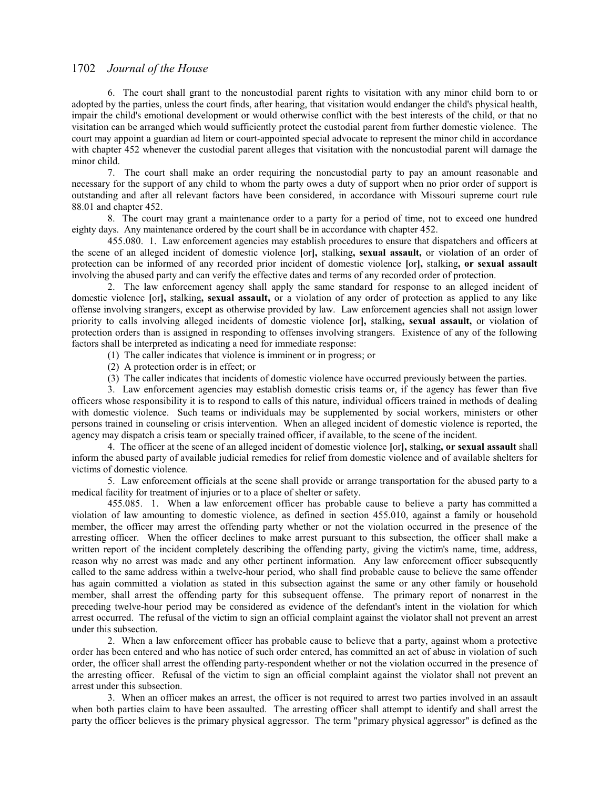6. The court shall grant to the noncustodial parent rights to visitation with any minor child born to or adopted by the parties, unless the court finds, after hearing, that visitation would endanger the child's physical health, impair the child's emotional development or would otherwise conflict with the best interests of the child, or that no visitation can be arranged which would sufficiently protect the custodial parent from further domestic violence. The court may appoint a guardian ad litem or court-appointed special advocate to represent the minor child in accordance with chapter 452 whenever the custodial parent alleges that visitation with the noncustodial parent will damage the minor child.

7. The court shall make an order requiring the noncustodial party to pay an amount reasonable and necessary for the support of any child to whom the party owes a duty of support when no prior order of support is outstanding and after all relevant factors have been considered, in accordance with Missouri supreme court rule 88.01 and chapter 452.

8. The court may grant a maintenance order to a party for a period of time, not to exceed one hundred eighty days. Any maintenance ordered by the court shall be in accordance with chapter 452.

455.080. 1. Law enforcement agencies may establish procedures to ensure that dispatchers and officers at the scene of an alleged incident of domestic violence **[**or**],** stalking**, sexual assault,** or violation of an order of protection can be informed of any recorded prior incident of domestic violence **[**or**],** stalking**, or sexual assault** involving the abused party and can verify the effective dates and terms of any recorded order of protection.

2. The law enforcement agency shall apply the same standard for response to an alleged incident of domestic violence **[**or**],** stalking**, sexual assault,** or a violation of any order of protection as applied to any like offense involving strangers, except as otherwise provided by law. Law enforcement agencies shall not assign lower priority to calls involving alleged incidents of domestic violence **[**or**],** stalking**, sexual assault,** or violation of protection orders than is assigned in responding to offenses involving strangers. Existence of any of the following factors shall be interpreted as indicating a need for immediate response:

(1) The caller indicates that violence is imminent or in progress; or

- (2) A protection order is in effect; or
- (3) The caller indicates that incidents of domestic violence have occurred previously between the parties.

3. Law enforcement agencies may establish domestic crisis teams or, if the agency has fewer than five officers whose responsibility it is to respond to calls of this nature, individual officers trained in methods of dealing with domestic violence. Such teams or individuals may be supplemented by social workers, ministers or other persons trained in counseling or crisis intervention. When an alleged incident of domestic violence is reported, the agency may dispatch a crisis team or specially trained officer, if available, to the scene of the incident.

4. The officer at the scene of an alleged incident of domestic violence **[**or**],** stalking**, or sexual assault** shall inform the abused party of available judicial remedies for relief from domestic violence and of available shelters for victims of domestic violence.

5. Law enforcement officials at the scene shall provide or arrange transportation for the abused party to a medical facility for treatment of injuries or to a place of shelter or safety.

 455.085. 1. When a law enforcement officer has probable cause to believe a party has committed a violation of law amounting to domestic violence, as defined in section 455.010, against a family or household member, the officer may arrest the offending party whether or not the violation occurred in the presence of the arresting officer. When the officer declines to make arrest pursuant to this subsection, the officer shall make a written report of the incident completely describing the offending party, giving the victim's name, time, address, reason why no arrest was made and any other pertinent information. Any law enforcement officer subsequently called to the same address within a twelve-hour period, who shall find probable cause to believe the same offender has again committed a violation as stated in this subsection against the same or any other family or household member, shall arrest the offending party for this subsequent offense. The primary report of nonarrest in the preceding twelve-hour period may be considered as evidence of the defendant's intent in the violation for which arrest occurred. The refusal of the victim to sign an official complaint against the violator shall not prevent an arrest under this subsection.

2. When a law enforcement officer has probable cause to believe that a party, against whom a protective order has been entered and who has notice of such order entered, has committed an act of abuse in violation of such order, the officer shall arrest the offending party-respondent whether or not the violation occurred in the presence of the arresting officer. Refusal of the victim to sign an official complaint against the violator shall not prevent an arrest under this subsection.

3. When an officer makes an arrest, the officer is not required to arrest two parties involved in an assault when both parties claim to have been assaulted. The arresting officer shall attempt to identify and shall arrest the party the officer believes is the primary physical aggressor. The term "primary physical aggressor" is defined as the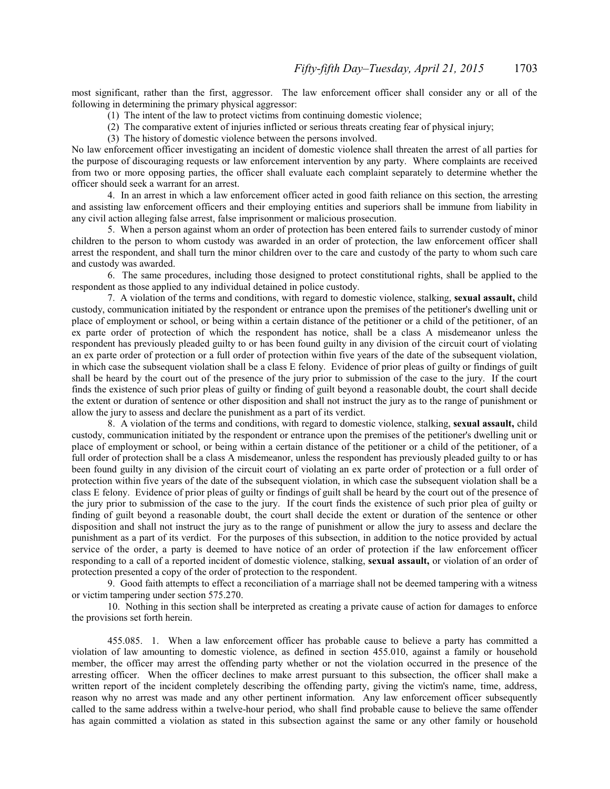most significant, rather than the first, aggressor. The law enforcement officer shall consider any or all of the following in determining the primary physical aggressor:

- (1) The intent of the law to protect victims from continuing domestic violence;
- (2) The comparative extent of injuries inflicted or serious threats creating fear of physical injury;
- (3) The history of domestic violence between the persons involved.

No law enforcement officer investigating an incident of domestic violence shall threaten the arrest of all parties for the purpose of discouraging requests or law enforcement intervention by any party. Where complaints are received from two or more opposing parties, the officer shall evaluate each complaint separately to determine whether the officer should seek a warrant for an arrest.

4. In an arrest in which a law enforcement officer acted in good faith reliance on this section, the arresting and assisting law enforcement officers and their employing entities and superiors shall be immune from liability in any civil action alleging false arrest, false imprisonment or malicious prosecution.

5. When a person against whom an order of protection has been entered fails to surrender custody of minor children to the person to whom custody was awarded in an order of protection, the law enforcement officer shall arrest the respondent, and shall turn the minor children over to the care and custody of the party to whom such care and custody was awarded.

6. The same procedures, including those designed to protect constitutional rights, shall be applied to the respondent as those applied to any individual detained in police custody.

7. A violation of the terms and conditions, with regard to domestic violence, stalking, **sexual assault,** child custody, communication initiated by the respondent or entrance upon the premises of the petitioner's dwelling unit or place of employment or school, or being within a certain distance of the petitioner or a child of the petitioner, of an ex parte order of protection of which the respondent has notice, shall be a class A misdemeanor unless the respondent has previously pleaded guilty to or has been found guilty in any division of the circuit court of violating an ex parte order of protection or a full order of protection within five years of the date of the subsequent violation, in which case the subsequent violation shall be a class E felony. Evidence of prior pleas of guilty or findings of guilt shall be heard by the court out of the presence of the jury prior to submission of the case to the jury. If the court finds the existence of such prior pleas of guilty or finding of guilt beyond a reasonable doubt, the court shall decide the extent or duration of sentence or other disposition and shall not instruct the jury as to the range of punishment or allow the jury to assess and declare the punishment as a part of its verdict.

8. A violation of the terms and conditions, with regard to domestic violence, stalking, **sexual assault,** child custody, communication initiated by the respondent or entrance upon the premises of the petitioner's dwelling unit or place of employment or school, or being within a certain distance of the petitioner or a child of the petitioner, of a full order of protection shall be a class A misdemeanor, unless the respondent has previously pleaded guilty to or has been found guilty in any division of the circuit court of violating an ex parte order of protection or a full order of protection within five years of the date of the subsequent violation, in which case the subsequent violation shall be a class E felony. Evidence of prior pleas of guilty or findings of guilt shall be heard by the court out of the presence of the jury prior to submission of the case to the jury. If the court finds the existence of such prior plea of guilty or finding of guilt beyond a reasonable doubt, the court shall decide the extent or duration of the sentence or other disposition and shall not instruct the jury as to the range of punishment or allow the jury to assess and declare the punishment as a part of its verdict. For the purposes of this subsection, in addition to the notice provided by actual service of the order, a party is deemed to have notice of an order of protection if the law enforcement officer responding to a call of a reported incident of domestic violence, stalking, **sexual assault,** or violation of an order of protection presented a copy of the order of protection to the respondent.

9. Good faith attempts to effect a reconciliation of a marriage shall not be deemed tampering with a witness or victim tampering under section 575.270.

10. Nothing in this section shall be interpreted as creating a private cause of action for damages to enforce the provisions set forth herein.

455.085. 1. When a law enforcement officer has probable cause to believe a party has committed a violation of law amounting to domestic violence, as defined in section 455.010, against a family or household member, the officer may arrest the offending party whether or not the violation occurred in the presence of the arresting officer. When the officer declines to make arrest pursuant to this subsection, the officer shall make a written report of the incident completely describing the offending party, giving the victim's name, time, address, reason why no arrest was made and any other pertinent information. Any law enforcement officer subsequently called to the same address within a twelve-hour period, who shall find probable cause to believe the same offender has again committed a violation as stated in this subsection against the same or any other family or household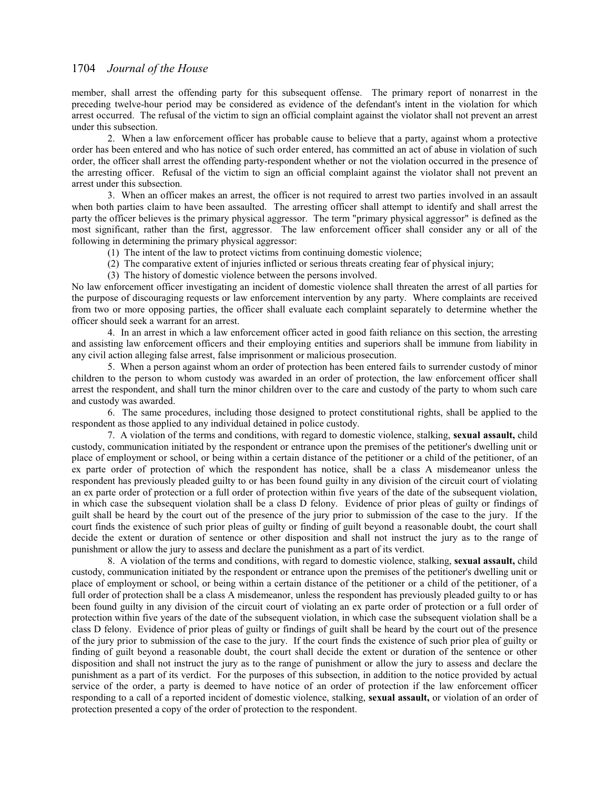member, shall arrest the offending party for this subsequent offense. The primary report of nonarrest in the preceding twelve-hour period may be considered as evidence of the defendant's intent in the violation for which arrest occurred. The refusal of the victim to sign an official complaint against the violator shall not prevent an arrest under this subsection.

2. When a law enforcement officer has probable cause to believe that a party, against whom a protective order has been entered and who has notice of such order entered, has committed an act of abuse in violation of such order, the officer shall arrest the offending party-respondent whether or not the violation occurred in the presence of the arresting officer. Refusal of the victim to sign an official complaint against the violator shall not prevent an arrest under this subsection.

3. When an officer makes an arrest, the officer is not required to arrest two parties involved in an assault when both parties claim to have been assaulted. The arresting officer shall attempt to identify and shall arrest the party the officer believes is the primary physical aggressor. The term "primary physical aggressor" is defined as the most significant, rather than the first, aggressor. The law enforcement officer shall consider any or all of the following in determining the primary physical aggressor:

- (1) The intent of the law to protect victims from continuing domestic violence;
- (2) The comparative extent of injuries inflicted or serious threats creating fear of physical injury;
- (3) The history of domestic violence between the persons involved.

No law enforcement officer investigating an incident of domestic violence shall threaten the arrest of all parties for the purpose of discouraging requests or law enforcement intervention by any party. Where complaints are received from two or more opposing parties, the officer shall evaluate each complaint separately to determine whether the officer should seek a warrant for an arrest.

4. In an arrest in which a law enforcement officer acted in good faith reliance on this section, the arresting and assisting law enforcement officers and their employing entities and superiors shall be immune from liability in any civil action alleging false arrest, false imprisonment or malicious prosecution.

5. When a person against whom an order of protection has been entered fails to surrender custody of minor children to the person to whom custody was awarded in an order of protection, the law enforcement officer shall arrest the respondent, and shall turn the minor children over to the care and custody of the party to whom such care and custody was awarded.

6. The same procedures, including those designed to protect constitutional rights, shall be applied to the respondent as those applied to any individual detained in police custody.

7. A violation of the terms and conditions, with regard to domestic violence, stalking, **sexual assault,** child custody, communication initiated by the respondent or entrance upon the premises of the petitioner's dwelling unit or place of employment or school, or being within a certain distance of the petitioner or a child of the petitioner, of an ex parte order of protection of which the respondent has notice, shall be a class A misdemeanor unless the respondent has previously pleaded guilty to or has been found guilty in any division of the circuit court of violating an ex parte order of protection or a full order of protection within five years of the date of the subsequent violation, in which case the subsequent violation shall be a class D felony. Evidence of prior pleas of guilty or findings of guilt shall be heard by the court out of the presence of the jury prior to submission of the case to the jury. If the court finds the existence of such prior pleas of guilty or finding of guilt beyond a reasonable doubt, the court shall decide the extent or duration of sentence or other disposition and shall not instruct the jury as to the range of punishment or allow the jury to assess and declare the punishment as a part of its verdict.

8. A violation of the terms and conditions, with regard to domestic violence, stalking, **sexual assault,** child custody, communication initiated by the respondent or entrance upon the premises of the petitioner's dwelling unit or place of employment or school, or being within a certain distance of the petitioner or a child of the petitioner, of a full order of protection shall be a class A misdemeanor, unless the respondent has previously pleaded guilty to or has been found guilty in any division of the circuit court of violating an ex parte order of protection or a full order of protection within five years of the date of the subsequent violation, in which case the subsequent violation shall be a class D felony. Evidence of prior pleas of guilty or findings of guilt shall be heard by the court out of the presence of the jury prior to submission of the case to the jury. If the court finds the existence of such prior plea of guilty or finding of guilt beyond a reasonable doubt, the court shall decide the extent or duration of the sentence or other disposition and shall not instruct the jury as to the range of punishment or allow the jury to assess and declare the punishment as a part of its verdict. For the purposes of this subsection, in addition to the notice provided by actual service of the order, a party is deemed to have notice of an order of protection if the law enforcement officer responding to a call of a reported incident of domestic violence, stalking, **sexual assault,** or violation of an order of protection presented a copy of the order of protection to the respondent.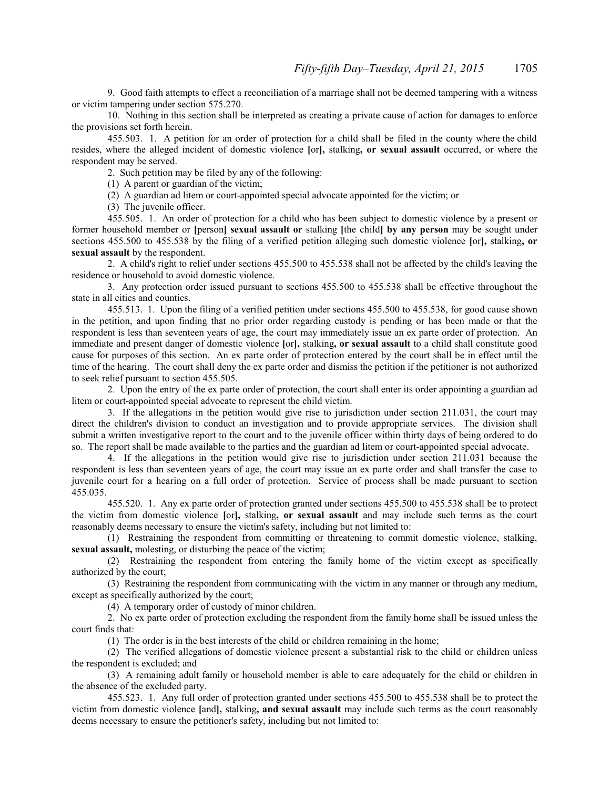9. Good faith attempts to effect a reconciliation of a marriage shall not be deemed tampering with a witness or victim tampering under section 575.270.

10. Nothing in this section shall be interpreted as creating a private cause of action for damages to enforce the provisions set forth herein.

 455.503. 1. A petition for an order of protection for a child shall be filed in the county where the child resides, where the alleged incident of domestic violence **[**or**],** stalking**, or sexual assault** occurred, or where the respondent may be served.

2. Such petition may be filed by any of the following:

(1) A parent or guardian of the victim;

(2) A guardian ad litem or court-appointed special advocate appointed for the victim; or

(3) The juvenile officer.

455.505. 1. An order of protection for a child who has been subject to domestic violence by a present or former household member or **[**person**] sexual assault or** stalking **[**the child**] by any person** may be sought under sections 455.500 to 455.538 by the filing of a verified petition alleging such domestic violence **[**or**],** stalking**, or sexual assault** by the respondent.

2. A child's right to relief under sections 455.500 to 455.538 shall not be affected by the child's leaving the residence or household to avoid domestic violence.

3. Any protection order issued pursuant to sections 455.500 to 455.538 shall be effective throughout the state in all cities and counties.

455.513. 1. Upon the filing of a verified petition under sections 455.500 to 455.538, for good cause shown in the petition, and upon finding that no prior order regarding custody is pending or has been made or that the respondent is less than seventeen years of age, the court may immediately issue an ex parte order of protection. An immediate and present danger of domestic violence **[**or**],** stalking**, or sexual assault** to a child shall constitute good cause for purposes of this section. An ex parte order of protection entered by the court shall be in effect until the time of the hearing. The court shall deny the ex parte order and dismiss the petition if the petitioner is not authorized to seek relief pursuant to section 455.505.

2. Upon the entry of the ex parte order of protection, the court shall enter its order appointing a guardian ad litem or court-appointed special advocate to represent the child victim.

3. If the allegations in the petition would give rise to jurisdiction under section 211.031, the court may direct the children's division to conduct an investigation and to provide appropriate services. The division shall submit a written investigative report to the court and to the juvenile officer within thirty days of being ordered to do so. The report shall be made available to the parties and the guardian ad litem or court-appointed special advocate.

4. If the allegations in the petition would give rise to jurisdiction under section 211.031 because the respondent is less than seventeen years of age, the court may issue an ex parte order and shall transfer the case to juvenile court for a hearing on a full order of protection. Service of process shall be made pursuant to section 455.035.

 455.520. 1. Any ex parte order of protection granted under sections 455.500 to 455.538 shall be to protect the victim from domestic violence **[**or**],** stalking**, or sexual assault** and may include such terms as the court reasonably deems necessary to ensure the victim's safety, including but not limited to:

(1) Restraining the respondent from committing or threatening to commit domestic violence, stalking, **sexual assault,** molesting, or disturbing the peace of the victim;

(2) Restraining the respondent from entering the family home of the victim except as specifically authorized by the court;

(3) Restraining the respondent from communicating with the victim in any manner or through any medium, except as specifically authorized by the court;

(4) A temporary order of custody of minor children.

2. No ex parte order of protection excluding the respondent from the family home shall be issued unless the court finds that:

(1) The order is in the best interests of the child or children remaining in the home;

(2) The verified allegations of domestic violence present a substantial risk to the child or children unless the respondent is excluded; and

(3) A remaining adult family or household member is able to care adequately for the child or children in the absence of the excluded party.

 455.523. 1. Any full order of protection granted under sections 455.500 to 455.538 shall be to protect the victim from domestic violence **[**and**],** stalking**, and sexual assault** may include such terms as the court reasonably deems necessary to ensure the petitioner's safety, including but not limited to: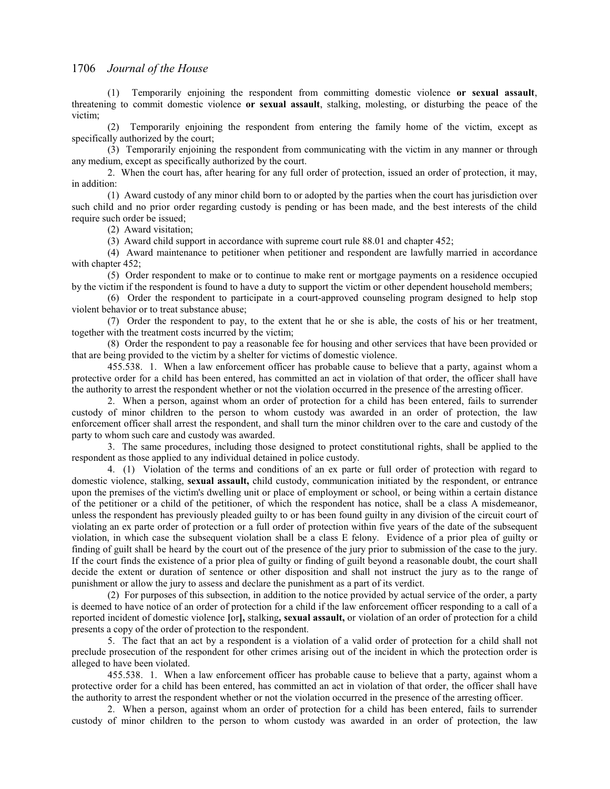(1) Temporarily enjoining the respondent from committing domestic violence **or sexual assault**, threatening to commit domestic violence **or sexual assault**, stalking, molesting, or disturbing the peace of the victim;

(2) Temporarily enjoining the respondent from entering the family home of the victim, except as specifically authorized by the court;

(3) Temporarily enjoining the respondent from communicating with the victim in any manner or through any medium, except as specifically authorized by the court.

2. When the court has, after hearing for any full order of protection, issued an order of protection, it may, in addition:

(1) Award custody of any minor child born to or adopted by the parties when the court has jurisdiction over such child and no prior order regarding custody is pending or has been made, and the best interests of the child require such order be issued;

(2) Award visitation;

(3) Award child support in accordance with supreme court rule 88.01 and chapter 452;

(4) Award maintenance to petitioner when petitioner and respondent are lawfully married in accordance with chapter 452;

(5) Order respondent to make or to continue to make rent or mortgage payments on a residence occupied by the victim if the respondent is found to have a duty to support the victim or other dependent household members;

(6) Order the respondent to participate in a court-approved counseling program designed to help stop violent behavior or to treat substance abuse;

(7) Order the respondent to pay, to the extent that he or she is able, the costs of his or her treatment, together with the treatment costs incurred by the victim;

(8) Order the respondent to pay a reasonable fee for housing and other services that have been provided or that are being provided to the victim by a shelter for victims of domestic violence.

455.538. 1. When a law enforcement officer has probable cause to believe that a party, against whom a protective order for a child has been entered, has committed an act in violation of that order, the officer shall have the authority to arrest the respondent whether or not the violation occurred in the presence of the arresting officer.

2. When a person, against whom an order of protection for a child has been entered, fails to surrender custody of minor children to the person to whom custody was awarded in an order of protection, the law enforcement officer shall arrest the respondent, and shall turn the minor children over to the care and custody of the party to whom such care and custody was awarded.

3. The same procedures, including those designed to protect constitutional rights, shall be applied to the respondent as those applied to any individual detained in police custody.

4. (1) Violation of the terms and conditions of an ex parte or full order of protection with regard to domestic violence, stalking, **sexual assault,** child custody, communication initiated by the respondent, or entrance upon the premises of the victim's dwelling unit or place of employment or school, or being within a certain distance of the petitioner or a child of the petitioner, of which the respondent has notice, shall be a class A misdemeanor, unless the respondent has previously pleaded guilty to or has been found guilty in any division of the circuit court of violating an ex parte order of protection or a full order of protection within five years of the date of the subsequent violation, in which case the subsequent violation shall be a class E felony. Evidence of a prior plea of guilty or finding of guilt shall be heard by the court out of the presence of the jury prior to submission of the case to the jury. If the court finds the existence of a prior plea of guilty or finding of guilt beyond a reasonable doubt, the court shall decide the extent or duration of sentence or other disposition and shall not instruct the jury as to the range of punishment or allow the jury to assess and declare the punishment as a part of its verdict.

(2) For purposes of this subsection, in addition to the notice provided by actual service of the order, a party is deemed to have notice of an order of protection for a child if the law enforcement officer responding to a call of a reported incident of domestic violence **[**or**],** stalking**, sexual assault,** or violation of an order of protection for a child presents a copy of the order of protection to the respondent.

5. The fact that an act by a respondent is a violation of a valid order of protection for a child shall not preclude prosecution of the respondent for other crimes arising out of the incident in which the protection order is alleged to have been violated.

455.538. 1. When a law enforcement officer has probable cause to believe that a party, against whom a protective order for a child has been entered, has committed an act in violation of that order, the officer shall have the authority to arrest the respondent whether or not the violation occurred in the presence of the arresting officer.

2. When a person, against whom an order of protection for a child has been entered, fails to surrender custody of minor children to the person to whom custody was awarded in an order of protection, the law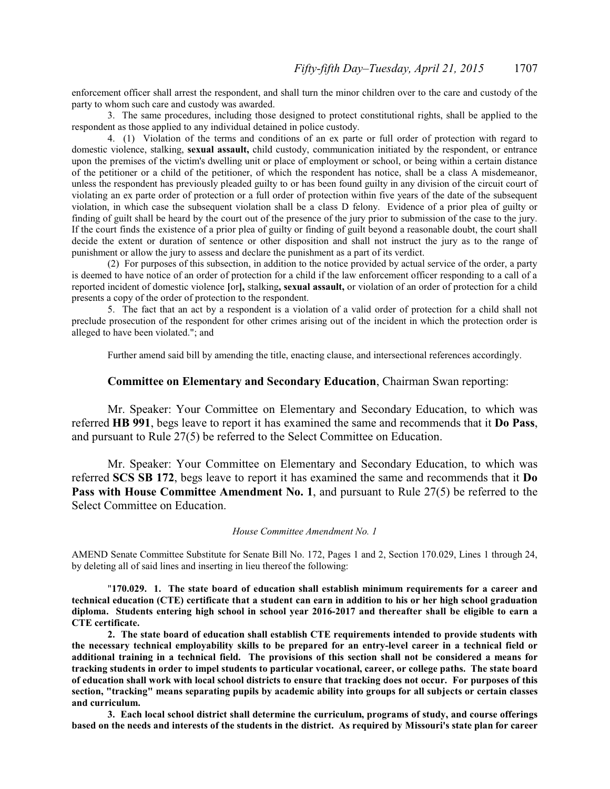enforcement officer shall arrest the respondent, and shall turn the minor children over to the care and custody of the party to whom such care and custody was awarded.

3. The same procedures, including those designed to protect constitutional rights, shall be applied to the respondent as those applied to any individual detained in police custody.

4. (1) Violation of the terms and conditions of an ex parte or full order of protection with regard to domestic violence, stalking, **sexual assault,** child custody, communication initiated by the respondent, or entrance upon the premises of the victim's dwelling unit or place of employment or school, or being within a certain distance of the petitioner or a child of the petitioner, of which the respondent has notice, shall be a class A misdemeanor, unless the respondent has previously pleaded guilty to or has been found guilty in any division of the circuit court of violating an ex parte order of protection or a full order of protection within five years of the date of the subsequent violation, in which case the subsequent violation shall be a class D felony. Evidence of a prior plea of guilty or finding of guilt shall be heard by the court out of the presence of the jury prior to submission of the case to the jury. If the court finds the existence of a prior plea of guilty or finding of guilt beyond a reasonable doubt, the court shall decide the extent or duration of sentence or other disposition and shall not instruct the jury as to the range of punishment or allow the jury to assess and declare the punishment as a part of its verdict.

(2) For purposes of this subsection, in addition to the notice provided by actual service of the order, a party is deemed to have notice of an order of protection for a child if the law enforcement officer responding to a call of a reported incident of domestic violence **[**or**],** stalking**, sexual assault,** or violation of an order of protection for a child presents a copy of the order of protection to the respondent.

5. The fact that an act by a respondent is a violation of a valid order of protection for a child shall not preclude prosecution of the respondent for other crimes arising out of the incident in which the protection order is alleged to have been violated."; and

Further amend said bill by amending the title, enacting clause, and intersectional references accordingly.

### **Committee on Elementary and Secondary Education**, Chairman Swan reporting:

Mr. Speaker: Your Committee on Elementary and Secondary Education, to which was referred **HB 991**, begs leave to report it has examined the same and recommends that it **Do Pass**, and pursuant to Rule 27(5) be referred to the Select Committee on Education.

Mr. Speaker: Your Committee on Elementary and Secondary Education, to which was referred **SCS SB 172**, begs leave to report it has examined the same and recommends that it **Do Pass with House Committee Amendment No. 1**, and pursuant to Rule 27(5) be referred to the Select Committee on Education.

## *House Committee Amendment No. 1*

AMEND Senate Committee Substitute for Senate Bill No. 172, Pages 1 and 2, Section 170.029, Lines 1 through 24, by deleting all of said lines and inserting in lieu thereof the following:

"**170.029. 1. The state board of education shall establish minimum requirements for a career and technical education (CTE) certificate that a student can earn in addition to his or her high school graduation diploma. Students entering high school in school year 2016-2017 and thereafter shall be eligible to earn a CTE certificate.**

**2. The state board of education shall establish CTE requirements intended to provide students with the necessary technical employability skills to be prepared for an entry-level career in a technical field or additional training in a technical field. The provisions of this section shall not be considered a means for tracking students in order to impel students to particular vocational, career, or college paths. The state board of education shall work with local school districts to ensure that tracking does not occur. For purposes of this section, "tracking" means separating pupils by academic ability into groups for all subjects or certain classes and curriculum.**

**3. Each local school district shall determine the curriculum, programs of study, and course offerings based on the needs and interests of the students in the district. As required by Missouri's state plan for career**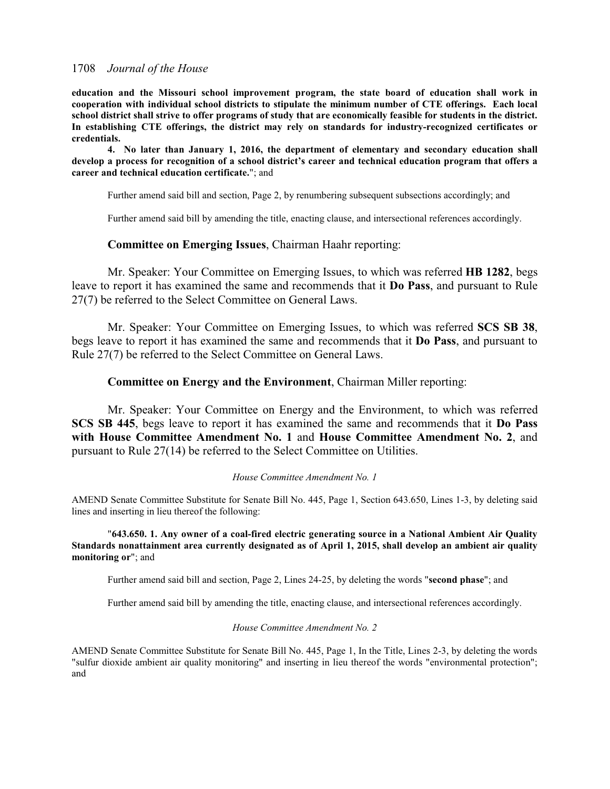**education and the Missouri school improvement program, the state board of education shall work in cooperation with individual school districts to stipulate the minimum number of CTE offerings. Each local school district shall strive to offer programs of study that are economically feasible for students in the district. In establishing CTE offerings, the district may rely on standards for industry-recognized certificates or credentials.**

**4. No later than January 1, 2016, the department of elementary and secondary education shall develop a process for recognition of a school district's career and technical education program that offers a career and technical education certificate.**"; and

Further amend said bill and section, Page 2, by renumbering subsequent subsections accordingly; and

Further amend said bill by amending the title, enacting clause, and intersectional references accordingly.

# **Committee on Emerging Issues**, Chairman Haahr reporting:

Mr. Speaker: Your Committee on Emerging Issues, to which was referred **HB 1282**, begs leave to report it has examined the same and recommends that it **Do Pass**, and pursuant to Rule 27(7) be referred to the Select Committee on General Laws.

Mr. Speaker: Your Committee on Emerging Issues, to which was referred **SCS SB 38**, begs leave to report it has examined the same and recommends that it **Do Pass**, and pursuant to Rule 27(7) be referred to the Select Committee on General Laws.

# **Committee on Energy and the Environment**, Chairman Miller reporting:

Mr. Speaker: Your Committee on Energy and the Environment, to which was referred **SCS SB 445**, begs leave to report it has examined the same and recommends that it **Do Pass with House Committee Amendment No. 1** and **House Committee Amendment No. 2**, and pursuant to Rule 27(14) be referred to the Select Committee on Utilities.

### *House Committee Amendment No. 1*

AMEND Senate Committee Substitute for Senate Bill No. 445, Page 1, Section 643.650, Lines 1-3, by deleting said lines and inserting in lieu thereof the following:

"**643.650. 1. Any owner of a coal-fired electric generating source in a National Ambient Air Quality Standards nonattainment area currently designated as of April 1, 2015, shall develop an ambient air quality monitoring or**"; and

Further amend said bill and section, Page 2, Lines 24-25, by deleting the words "**second phase**"; and

Further amend said bill by amending the title, enacting clause, and intersectional references accordingly.

#### *House Committee Amendment No. 2*

AMEND Senate Committee Substitute for Senate Bill No. 445, Page 1, In the Title, Lines 2-3, by deleting the words "sulfur dioxide ambient air quality monitoring" and inserting in lieu thereof the words "environmental protection"; and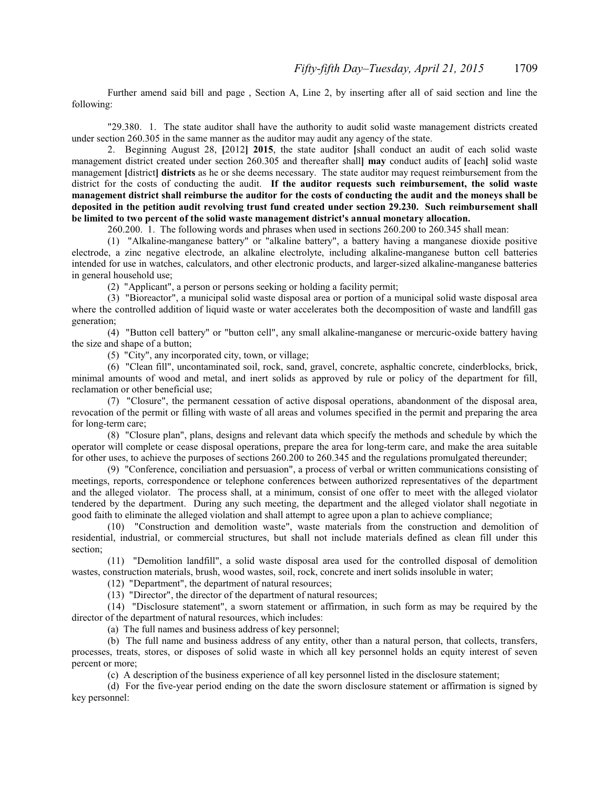Further amend said bill and page , Section A, Line 2, by inserting after all of said section and line the following:

"29.380. 1. The state auditor shall have the authority to audit solid waste management districts created under section 260.305 in the same manner as the auditor may audit any agency of the state.

2. Beginning August 28, **[**2012**] 2015**, the state auditor **[**shall conduct an audit of each solid waste management district created under section 260.305 and thereafter shall**] may** conduct audits of **[**each**]** solid waste management **[**district**] districts** as he or she deems necessary. The state auditor may request reimbursement from the district for the costs of conducting the audit. **If the auditor requests such reimbursement, the solid waste management district shall reimburse the auditor for the costs of conducting the audit and the moneys shall be deposited in the petition audit revolving trust fund created under section 29.230. Such reimbursement shall be limited to two percent of the solid waste management district's annual monetary allocation.**

260.200. 1. The following words and phrases when used in sections 260.200 to 260.345 shall mean:

(1) "Alkaline-manganese battery" or "alkaline battery", a battery having a manganese dioxide positive electrode, a zinc negative electrode, an alkaline electrolyte, including alkaline-manganese button cell batteries intended for use in watches, calculators, and other electronic products, and larger-sized alkaline-manganese batteries in general household use;

(2) "Applicant", a person or persons seeking or holding a facility permit;

(3) "Bioreactor", a municipal solid waste disposal area or portion of a municipal solid waste disposal area where the controlled addition of liquid waste or water accelerates both the decomposition of waste and landfill gas generation;

(4) "Button cell battery" or "button cell", any small alkaline-manganese or mercuric-oxide battery having the size and shape of a button;

(5) "City", any incorporated city, town, or village;

(6) "Clean fill", uncontaminated soil, rock, sand, gravel, concrete, asphaltic concrete, cinderblocks, brick, minimal amounts of wood and metal, and inert solids as approved by rule or policy of the department for fill, reclamation or other beneficial use;

(7) "Closure", the permanent cessation of active disposal operations, abandonment of the disposal area, revocation of the permit or filling with waste of all areas and volumes specified in the permit and preparing the area for long-term care;

(8) "Closure plan", plans, designs and relevant data which specify the methods and schedule by which the operator will complete or cease disposal operations, prepare the area for long-term care, and make the area suitable for other uses, to achieve the purposes of sections 260.200 to 260.345 and the regulations promulgated thereunder;

(9) "Conference, conciliation and persuasion", a process of verbal or written communications consisting of meetings, reports, correspondence or telephone conferences between authorized representatives of the department and the alleged violator. The process shall, at a minimum, consist of one offer to meet with the alleged violator tendered by the department. During any such meeting, the department and the alleged violator shall negotiate in good faith to eliminate the alleged violation and shall attempt to agree upon a plan to achieve compliance;

(10) "Construction and demolition waste", waste materials from the construction and demolition of residential, industrial, or commercial structures, but shall not include materials defined as clean fill under this section;

(11) "Demolition landfill", a solid waste disposal area used for the controlled disposal of demolition wastes, construction materials, brush, wood wastes, soil, rock, concrete and inert solids insoluble in water;

(12) "Department", the department of natural resources;

(13) "Director", the director of the department of natural resources;

(14) "Disclosure statement", a sworn statement or affirmation, in such form as may be required by the director of the department of natural resources, which includes:

(a) The full names and business address of key personnel;

(b) The full name and business address of any entity, other than a natural person, that collects, transfers, processes, treats, stores, or disposes of solid waste in which all key personnel holds an equity interest of seven percent or more;

(c) A description of the business experience of all key personnel listed in the disclosure statement;

(d) For the five-year period ending on the date the sworn disclosure statement or affirmation is signed by key personnel: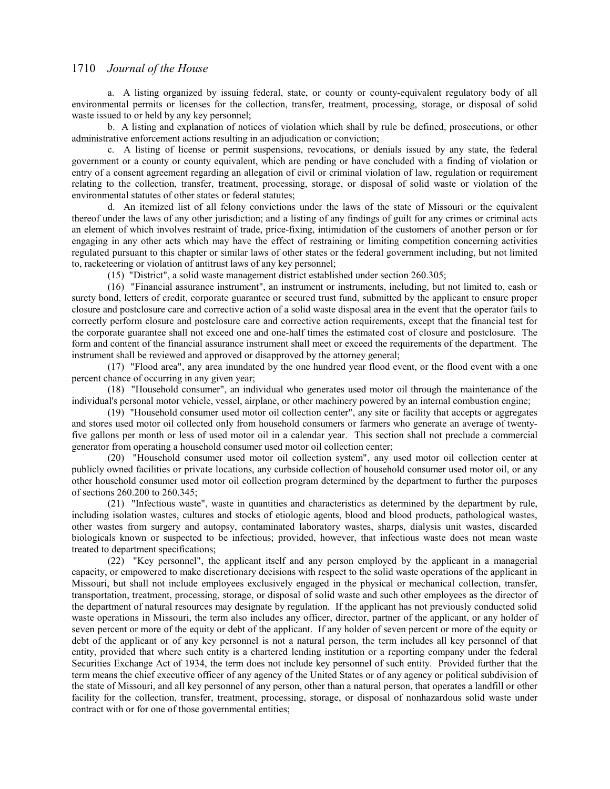a. A listing organized by issuing federal, state, or county or county-equivalent regulatory body of all environmental permits or licenses for the collection, transfer, treatment, processing, storage, or disposal of solid waste issued to or held by any key personnel;

b. A listing and explanation of notices of violation which shall by rule be defined, prosecutions, or other administrative enforcement actions resulting in an adjudication or conviction;

c. A listing of license or permit suspensions, revocations, or denials issued by any state, the federal government or a county or county equivalent, which are pending or have concluded with a finding of violation or entry of a consent agreement regarding an allegation of civil or criminal violation of law, regulation or requirement relating to the collection, transfer, treatment, processing, storage, or disposal of solid waste or violation of the environmental statutes of other states or federal statutes;

d. An itemized list of all felony convictions under the laws of the state of Missouri or the equivalent thereof under the laws of any other jurisdiction; and a listing of any findings of guilt for any crimes or criminal acts an element of which involves restraint of trade, price-fixing, intimidation of the customers of another person or for engaging in any other acts which may have the effect of restraining or limiting competition concerning activities regulated pursuant to this chapter or similar laws of other states or the federal government including, but not limited to, racketeering or violation of antitrust laws of any key personnel;

(15) "District", a solid waste management district established under section 260.305;

(16) "Financial assurance instrument", an instrument or instruments, including, but not limited to, cash or surety bond, letters of credit, corporate guarantee or secured trust fund, submitted by the applicant to ensure proper closure and postclosure care and corrective action of a solid waste disposal area in the event that the operator fails to correctly perform closure and postclosure care and corrective action requirements, except that the financial test for the corporate guarantee shall not exceed one and one-half times the estimated cost of closure and postclosure. The form and content of the financial assurance instrument shall meet or exceed the requirements of the department. The instrument shall be reviewed and approved or disapproved by the attorney general;

(17) "Flood area", any area inundated by the one hundred year flood event, or the flood event with a one percent chance of occurring in any given year;

(18) "Household consumer", an individual who generates used motor oil through the maintenance of the individual's personal motor vehicle, vessel, airplane, or other machinery powered by an internal combustion engine;

(19) "Household consumer used motor oil collection center", any site or facility that accepts or aggregates and stores used motor oil collected only from household consumers or farmers who generate an average of twentyfive gallons per month or less of used motor oil in a calendar year. This section shall not preclude a commercial generator from operating a household consumer used motor oil collection center;

(20) "Household consumer used motor oil collection system", any used motor oil collection center at publicly owned facilities or private locations, any curbside collection of household consumer used motor oil, or any other household consumer used motor oil collection program determined by the department to further the purposes of sections 260.200 to 260.345;

(21) "Infectious waste", waste in quantities and characteristics as determined by the department by rule, including isolation wastes, cultures and stocks of etiologic agents, blood and blood products, pathological wastes, other wastes from surgery and autopsy, contaminated laboratory wastes, sharps, dialysis unit wastes, discarded biologicals known or suspected to be infectious; provided, however, that infectious waste does not mean waste treated to department specifications;

(22) "Key personnel", the applicant itself and any person employed by the applicant in a managerial capacity, or empowered to make discretionary decisions with respect to the solid waste operations of the applicant in Missouri, but shall not include employees exclusively engaged in the physical or mechanical collection, transfer, transportation, treatment, processing, storage, or disposal of solid waste and such other employees as the director of the department of natural resources may designate by regulation. If the applicant has not previously conducted solid waste operations in Missouri, the term also includes any officer, director, partner of the applicant, or any holder of seven percent or more of the equity or debt of the applicant. If any holder of seven percent or more of the equity or debt of the applicant or of any key personnel is not a natural person, the term includes all key personnel of that entity, provided that where such entity is a chartered lending institution or a reporting company under the federal Securities Exchange Act of 1934, the term does not include key personnel of such entity. Provided further that the term means the chief executive officer of any agency of the United States or of any agency or political subdivision of the state of Missouri, and all key personnel of any person, other than a natural person, that operates a landfill or other facility for the collection, transfer, treatment, processing, storage, or disposal of nonhazardous solid waste under contract with or for one of those governmental entities;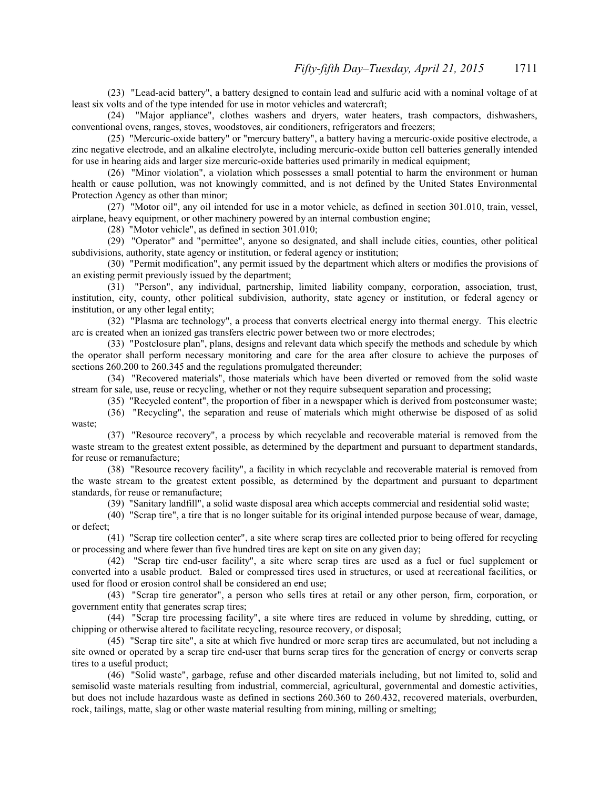(23) "Lead-acid battery", a battery designed to contain lead and sulfuric acid with a nominal voltage of at least six volts and of the type intended for use in motor vehicles and watercraft;

(24) "Major appliance", clothes washers and dryers, water heaters, trash compactors, dishwashers, conventional ovens, ranges, stoves, woodstoves, air conditioners, refrigerators and freezers;

(25) "Mercuric-oxide battery" or "mercury battery", a battery having a mercuric-oxide positive electrode, a zinc negative electrode, and an alkaline electrolyte, including mercuric-oxide button cell batteries generally intended for use in hearing aids and larger size mercuric-oxide batteries used primarily in medical equipment;

(26) "Minor violation", a violation which possesses a small potential to harm the environment or human health or cause pollution, was not knowingly committed, and is not defined by the United States Environmental Protection Agency as other than minor;

(27) "Motor oil", any oil intended for use in a motor vehicle, as defined in section 301.010, train, vessel, airplane, heavy equipment, or other machinery powered by an internal combustion engine;

(28) "Motor vehicle", as defined in section 301.010;

(29) "Operator" and "permittee", anyone so designated, and shall include cities, counties, other political subdivisions, authority, state agency or institution, or federal agency or institution;

(30) "Permit modification", any permit issued by the department which alters or modifies the provisions of an existing permit previously issued by the department;

(31) "Person", any individual, partnership, limited liability company, corporation, association, trust, institution, city, county, other political subdivision, authority, state agency or institution, or federal agency or institution, or any other legal entity;

(32) "Plasma arc technology", a process that converts electrical energy into thermal energy. This electric arc is created when an ionized gas transfers electric power between two or more electrodes;

(33) "Postclosure plan", plans, designs and relevant data which specify the methods and schedule by which the operator shall perform necessary monitoring and care for the area after closure to achieve the purposes of sections 260.200 to 260.345 and the regulations promulgated thereunder;

(34) "Recovered materials", those materials which have been diverted or removed from the solid waste stream for sale, use, reuse or recycling, whether or not they require subsequent separation and processing;

(35) "Recycled content", the proportion of fiber in a newspaper which is derived from postconsumer waste;

(36) "Recycling", the separation and reuse of materials which might otherwise be disposed of as solid waste;

(37) "Resource recovery", a process by which recyclable and recoverable material is removed from the waste stream to the greatest extent possible, as determined by the department and pursuant to department standards, for reuse or remanufacture;

(38) "Resource recovery facility", a facility in which recyclable and recoverable material is removed from the waste stream to the greatest extent possible, as determined by the department and pursuant to department standards, for reuse or remanufacture;

(39) "Sanitary landfill", a solid waste disposal area which accepts commercial and residential solid waste;

(40) "Scrap tire", a tire that is no longer suitable for its original intended purpose because of wear, damage, or defect;

(41) "Scrap tire collection center", a site where scrap tires are collected prior to being offered for recycling or processing and where fewer than five hundred tires are kept on site on any given day;

(42) "Scrap tire end-user facility", a site where scrap tires are used as a fuel or fuel supplement or converted into a usable product. Baled or compressed tires used in structures, or used at recreational facilities, or used for flood or erosion control shall be considered an end use;

(43) "Scrap tire generator", a person who sells tires at retail or any other person, firm, corporation, or government entity that generates scrap tires;

(44) "Scrap tire processing facility", a site where tires are reduced in volume by shredding, cutting, or chipping or otherwise altered to facilitate recycling, resource recovery, or disposal;

(45) "Scrap tire site", a site at which five hundred or more scrap tires are accumulated, but not including a site owned or operated by a scrap tire end-user that burns scrap tires for the generation of energy or converts scrap tires to a useful product;

(46) "Solid waste", garbage, refuse and other discarded materials including, but not limited to, solid and semisolid waste materials resulting from industrial, commercial, agricultural, governmental and domestic activities, but does not include hazardous waste as defined in sections 260.360 to 260.432, recovered materials, overburden, rock, tailings, matte, slag or other waste material resulting from mining, milling or smelting;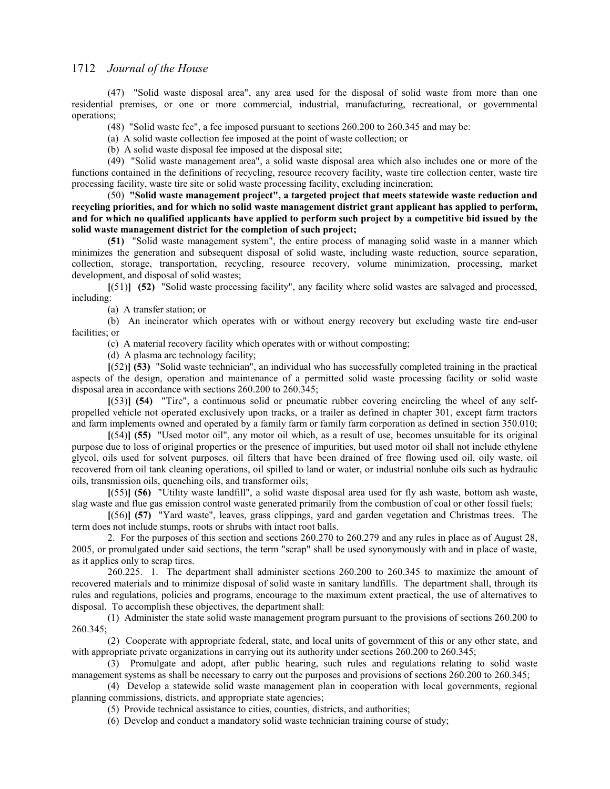(47) "Solid waste disposal area", any area used for the disposal of solid waste from more than one residential premises, or one or more commercial, industrial, manufacturing, recreational, or governmental operations;

(48) "Solid waste fee", a fee imposed pursuant to sections 260.200 to 260.345 and may be:

(a) A solid waste collection fee imposed at the point of waste collection; or

(b) A solid waste disposal fee imposed at the disposal site;

(49) "Solid waste management area", a solid waste disposal area which also includes one or more of the functions contained in the definitions of recycling, resource recovery facility, waste tire collection center, waste tire processing facility, waste tire site or solid waste processing facility, excluding incineration;

(50) **"Solid waste management project", a targeted project that meets statewide waste reduction and recycling priorities, and for which no solid waste management district grant applicant has applied to perform, and for which no qualified applicants have applied to perform such project by a competitive bid issued by the solid waste management district for the completion of such project;**

**(51)** "Solid waste management system", the entire process of managing solid waste in a manner which minimizes the generation and subsequent disposal of solid waste, including waste reduction, source separation, collection, storage, transportation, recycling, resource recovery, volume minimization, processing, market development, and disposal of solid wastes;

**[**(51)**] (52)** "Solid waste processing facility", any facility where solid wastes are salvaged and processed, including:

(a) A transfer station; or

(b) An incinerator which operates with or without energy recovery but excluding waste tire end-user facilities; or

(c) A material recovery facility which operates with or without composting;

(d) A plasma arc technology facility;

**[**(52)**] (53)** "Solid waste technician", an individual who has successfully completed training in the practical aspects of the design, operation and maintenance of a permitted solid waste processing facility or solid waste disposal area in accordance with sections 260.200 to 260.345;

**[**(53)**] (54)** "Tire", a continuous solid or pneumatic rubber covering encircling the wheel of any selfpropelled vehicle not operated exclusively upon tracks, or a trailer as defined in chapter 301, except farm tractors and farm implements owned and operated by a family farm or family farm corporation as defined in section 350.010;

**[**(54)**] (55)** "Used motor oil", any motor oil which, as a result of use, becomes unsuitable for its original purpose due to loss of original properties or the presence of impurities, but used motor oil shall not include ethylene glycol, oils used for solvent purposes, oil filters that have been drained of free flowing used oil, oily waste, oil recovered from oil tank cleaning operations, oil spilled to land or water, or industrial nonlube oils such as hydraulic oils, transmission oils, quenching oils, and transformer oils;

**[**(55)**] (56)** "Utility waste landfill", a solid waste disposal area used for fly ash waste, bottom ash waste, slag waste and flue gas emission control waste generated primarily from the combustion of coal or other fossil fuels;

**[**(56)**] (57)** "Yard waste", leaves, grass clippings, yard and garden vegetation and Christmas trees. The term does not include stumps, roots or shrubs with intact root balls.

2. For the purposes of this section and sections 260.270 to 260.279 and any rules in place as of August 28, 2005, or promulgated under said sections, the term "scrap" shall be used synonymously with and in place of waste, as it applies only to scrap tires.

260.225. 1. The department shall administer sections 260.200 to 260.345 to maximize the amount of recovered materials and to minimize disposal of solid waste in sanitary landfills. The department shall, through its rules and regulations, policies and programs, encourage to the maximum extent practical, the use of alternatives to disposal. To accomplish these objectives, the department shall:

(1) Administer the state solid waste management program pursuant to the provisions of sections 260.200 to 260.345;

(2) Cooperate with appropriate federal, state, and local units of government of this or any other state, and with appropriate private organizations in carrying out its authority under sections 260.200 to 260.345;

(3) Promulgate and adopt, after public hearing, such rules and regulations relating to solid waste management systems as shall be necessary to carry out the purposes and provisions of sections 260.200 to 260.345;

(4) Develop a statewide solid waste management plan in cooperation with local governments, regional planning commissions, districts, and appropriate state agencies;

(5) Provide technical assistance to cities, counties, districts, and authorities;

(6) Develop and conduct a mandatory solid waste technician training course of study;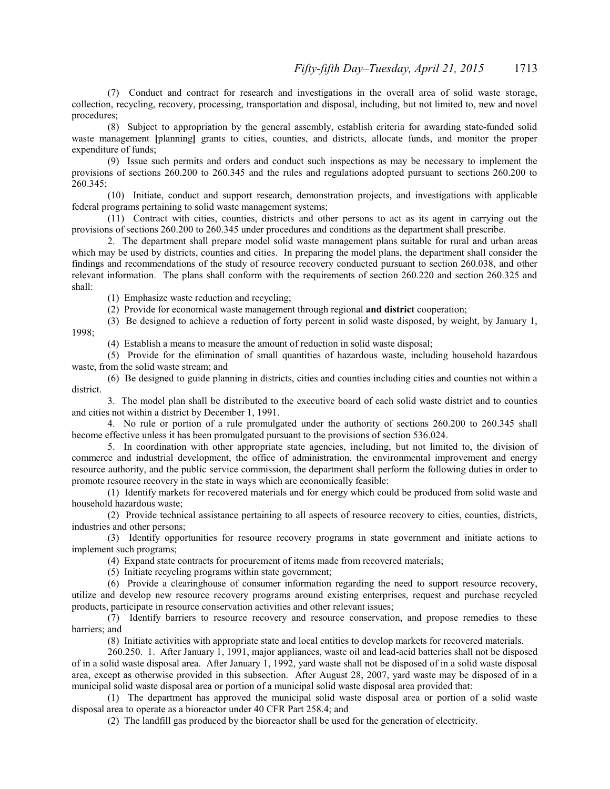(7) Conduct and contract for research and investigations in the overall area of solid waste storage, collection, recycling, recovery, processing, transportation and disposal, including, but not limited to, new and novel procedures;

(8) Subject to appropriation by the general assembly, establish criteria for awarding state-funded solid waste management **[planning]** grants to cities, counties, and districts, allocate funds, and monitor the proper expenditure of funds;

(9) Issue such permits and orders and conduct such inspections as may be necessary to implement the provisions of sections 260.200 to 260.345 and the rules and regulations adopted pursuant to sections 260.200 to 260.345;

(10) Initiate, conduct and support research, demonstration projects, and investigations with applicable federal programs pertaining to solid waste management systems;

(11) Contract with cities, counties, districts and other persons to act as its agent in carrying out the provisions of sections 260.200 to 260.345 under procedures and conditions as the department shall prescribe.

2. The department shall prepare model solid waste management plans suitable for rural and urban areas which may be used by districts, counties and cities. In preparing the model plans, the department shall consider the findings and recommendations of the study of resource recovery conducted pursuant to section 260.038, and other relevant information. The plans shall conform with the requirements of section 260.220 and section 260.325 and shall:

(1) Emphasize waste reduction and recycling;

(2) Provide for economical waste management through regional **and district** cooperation;

(3) Be designed to achieve a reduction of forty percent in solid waste disposed, by weight, by January 1,

1998;

(4) Establish a means to measure the amount of reduction in solid waste disposal;

(5) Provide for the elimination of small quantities of hazardous waste, including household hazardous waste, from the solid waste stream; and

(6) Be designed to guide planning in districts, cities and counties including cities and counties not within a district.

3. The model plan shall be distributed to the executive board of each solid waste district and to counties and cities not within a district by December 1, 1991.

4. No rule or portion of a rule promulgated under the authority of sections 260.200 to 260.345 shall become effective unless it has been promulgated pursuant to the provisions of section 536.024.

5. In coordination with other appropriate state agencies, including, but not limited to, the division of commerce and industrial development, the office of administration, the environmental improvement and energy resource authority, and the public service commission, the department shall perform the following duties in order to promote resource recovery in the state in ways which are economically feasible:

(1) Identify markets for recovered materials and for energy which could be produced from solid waste and household hazardous waste;

(2) Provide technical assistance pertaining to all aspects of resource recovery to cities, counties, districts, industries and other persons;

(3) Identify opportunities for resource recovery programs in state government and initiate actions to implement such programs;

(4) Expand state contracts for procurement of items made from recovered materials;

(5) Initiate recycling programs within state government;

(6) Provide a clearinghouse of consumer information regarding the need to support resource recovery, utilize and develop new resource recovery programs around existing enterprises, request and purchase recycled products, participate in resource conservation activities and other relevant issues;

(7) Identify barriers to resource recovery and resource conservation, and propose remedies to these barriers; and

(8) Initiate activities with appropriate state and local entities to develop markets for recovered materials.

260.250. 1. After January 1, 1991, major appliances, waste oil and lead-acid batteries shall not be disposed of in a solid waste disposal area. After January 1, 1992, yard waste shall not be disposed of in a solid waste disposal area, except as otherwise provided in this subsection. After August 28, 2007, yard waste may be disposed of in a municipal solid waste disposal area or portion of a municipal solid waste disposal area provided that:

(1) The department has approved the municipal solid waste disposal area or portion of a solid waste disposal area to operate as a bioreactor under 40 CFR Part 258.4; and

(2) The landfill gas produced by the bioreactor shall be used for the generation of electricity.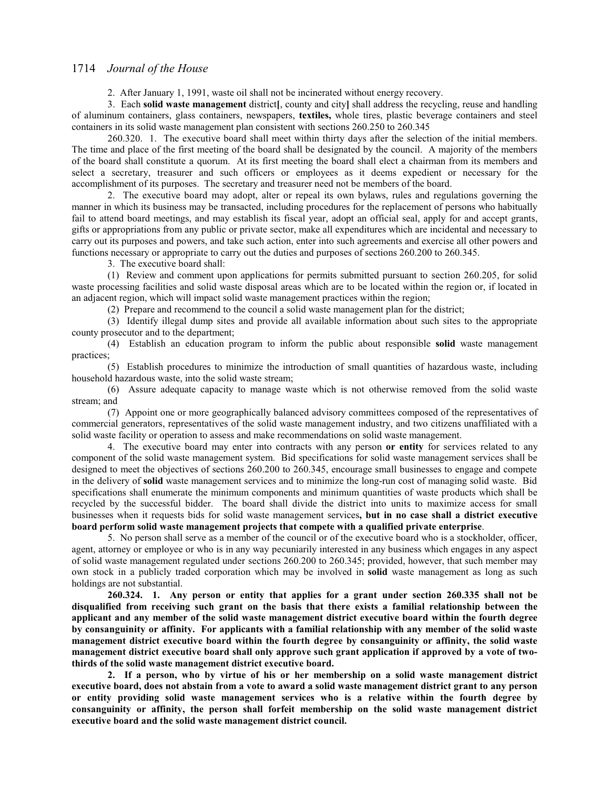2. After January 1, 1991, waste oil shall not be incinerated without energy recovery.

3. Each **solid waste management** district**[**, county and city**]** shall address the recycling, reuse and handling of aluminum containers, glass containers, newspapers, **textiles,** whole tires, plastic beverage containers and steel containers in its solid waste management plan consistent with sections 260.250 to 260.345

260.320. 1. The executive board shall meet within thirty days after the selection of the initial members. The time and place of the first meeting of the board shall be designated by the council. A majority of the members of the board shall constitute a quorum. At its first meeting the board shall elect a chairman from its members and select a secretary, treasurer and such officers or employees as it deems expedient or necessary for the accomplishment of its purposes. The secretary and treasurer need not be members of the board.

2. The executive board may adopt, alter or repeal its own bylaws, rules and regulations governing the manner in which its business may be transacted, including procedures for the replacement of persons who habitually fail to attend board meetings, and may establish its fiscal year, adopt an official seal, apply for and accept grants, gifts or appropriations from any public or private sector, make all expenditures which are incidental and necessary to carry out its purposes and powers, and take such action, enter into such agreements and exercise all other powers and functions necessary or appropriate to carry out the duties and purposes of sections 260.200 to 260.345.

3. The executive board shall:

(1) Review and comment upon applications for permits submitted pursuant to section 260.205, for solid waste processing facilities and solid waste disposal areas which are to be located within the region or, if located in an adjacent region, which will impact solid waste management practices within the region;

(2) Prepare and recommend to the council a solid waste management plan for the district;

(3) Identify illegal dump sites and provide all available information about such sites to the appropriate county prosecutor and to the department;

(4) Establish an education program to inform the public about responsible **solid** waste management practices;

(5) Establish procedures to minimize the introduction of small quantities of hazardous waste, including household hazardous waste, into the solid waste stream;

(6) Assure adequate capacity to manage waste which is not otherwise removed from the solid waste stream; and

(7) Appoint one or more geographically balanced advisory committees composed of the representatives of commercial generators, representatives of the solid waste management industry, and two citizens unaffiliated with a solid waste facility or operation to assess and make recommendations on solid waste management.

4. The executive board may enter into contracts with any person **or entity** for services related to any component of the solid waste management system. Bid specifications for solid waste management services shall be designed to meet the objectives of sections 260.200 to 260.345, encourage small businesses to engage and compete in the delivery of **solid** waste management services and to minimize the long-run cost of managing solid waste. Bid specifications shall enumerate the minimum components and minimum quantities of waste products which shall be recycled by the successful bidder. The board shall divide the district into units to maximize access for small businesses when it requests bids for solid waste management services**, but in no case shall a district executive board perform solid waste management projects that compete with a qualified private enterprise**.

5. No person shall serve as a member of the council or of the executive board who is a stockholder, officer, agent, attorney or employee or who is in any way pecuniarily interested in any business which engages in any aspect of solid waste management regulated under sections 260.200 to 260.345; provided, however, that such member may own stock in a publicly traded corporation which may be involved in **solid** waste management as long as such holdings are not substantial.

**260.324. 1. Any person or entity that applies for a grant under section 260.335 shall not be disqualified from receiving such grant on the basis that there exists a familial relationship between the applicant and any member of the solid waste management district executive board within the fourth degree by consanguinity or affinity. For applicants with a familial relationship with any member of the solid waste management district executive board within the fourth degree by consanguinity or affinity, the solid waste management district executive board shall only approve such grant application if approved by a vote of twothirds of the solid waste management district executive board.**

**2. If a person, who by virtue of his or her membership on a solid waste management district executive board, does not abstain from a vote to award a solid waste management district grant to any person or entity providing solid waste management services who is a relative within the fourth degree by consanguinity or affinity, the person shall forfeit membership on the solid waste management district executive board and the solid waste management district council.**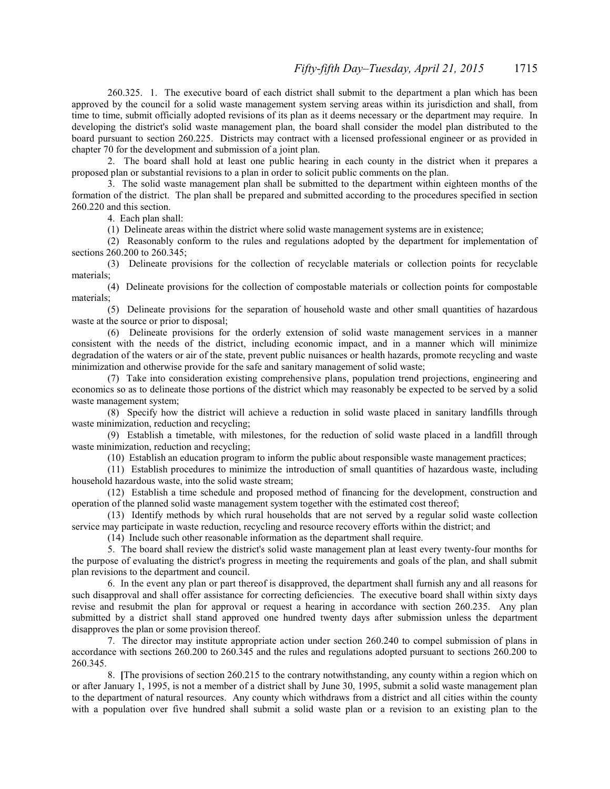260.325. 1. The executive board of each district shall submit to the department a plan which has been approved by the council for a solid waste management system serving areas within its jurisdiction and shall, from time to time, submit officially adopted revisions of its plan as it deems necessary or the department may require. In developing the district's solid waste management plan, the board shall consider the model plan distributed to the board pursuant to section 260.225. Districts may contract with a licensed professional engineer or as provided in chapter 70 for the development and submission of a joint plan.

2. The board shall hold at least one public hearing in each county in the district when it prepares a proposed plan or substantial revisions to a plan in order to solicit public comments on the plan.

3. The solid waste management plan shall be submitted to the department within eighteen months of the formation of the district. The plan shall be prepared and submitted according to the procedures specified in section 260.220 and this section.

4. Each plan shall:

(1) Delineate areas within the district where solid waste management systems are in existence;

(2) Reasonably conform to the rules and regulations adopted by the department for implementation of sections 260.200 to 260.345;

(3) Delineate provisions for the collection of recyclable materials or collection points for recyclable materials;

(4) Delineate provisions for the collection of compostable materials or collection points for compostable materials;

(5) Delineate provisions for the separation of household waste and other small quantities of hazardous waste at the source or prior to disposal;

(6) Delineate provisions for the orderly extension of solid waste management services in a manner consistent with the needs of the district, including economic impact, and in a manner which will minimize degradation of the waters or air of the state, prevent public nuisances or health hazards, promote recycling and waste minimization and otherwise provide for the safe and sanitary management of solid waste;

(7) Take into consideration existing comprehensive plans, population trend projections, engineering and economics so as to delineate those portions of the district which may reasonably be expected to be served by a solid waste management system;

(8) Specify how the district will achieve a reduction in solid waste placed in sanitary landfills through waste minimization, reduction and recycling;

(9) Establish a timetable, with milestones, for the reduction of solid waste placed in a landfill through waste minimization, reduction and recycling;

(10) Establish an education program to inform the public about responsible waste management practices;

(11) Establish procedures to minimize the introduction of small quantities of hazardous waste, including household hazardous waste, into the solid waste stream;

(12) Establish a time schedule and proposed method of financing for the development, construction and operation of the planned solid waste management system together with the estimated cost thereof;

(13) Identify methods by which rural households that are not served by a regular solid waste collection service may participate in waste reduction, recycling and resource recovery efforts within the district; and

(14) Include such other reasonable information as the department shall require.

5. The board shall review the district's solid waste management plan at least every twenty-four months for the purpose of evaluating the district's progress in meeting the requirements and goals of the plan, and shall submit plan revisions to the department and council.

6. In the event any plan or part thereof is disapproved, the department shall furnish any and all reasons for such disapproval and shall offer assistance for correcting deficiencies. The executive board shall within sixty days revise and resubmit the plan for approval or request a hearing in accordance with section 260.235. Any plan submitted by a district shall stand approved one hundred twenty days after submission unless the department disapproves the plan or some provision thereof.

7. The director may institute appropriate action under section 260.240 to compel submission of plans in accordance with sections 260.200 to 260.345 and the rules and regulations adopted pursuant to sections 260.200 to 260.345.

8. **[**The provisions of section 260.215 to the contrary notwithstanding, any county within a region which on or after January 1, 1995, is not a member of a district shall by June 30, 1995, submit a solid waste management plan to the department of natural resources. Any county which withdraws from a district and all cities within the county with a population over five hundred shall submit a solid waste plan or a revision to an existing plan to the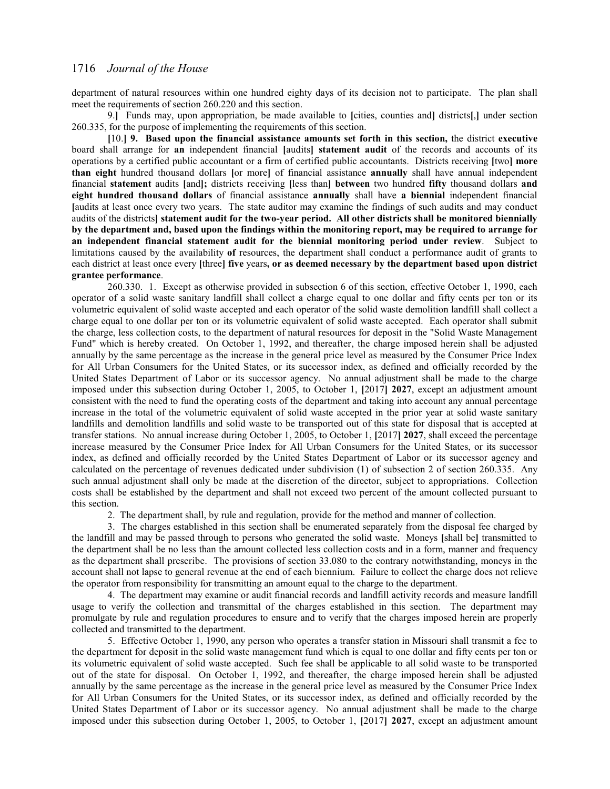department of natural resources within one hundred eighty days of its decision not to participate. The plan shall meet the requirements of section 260.220 and this section.

9.**]** Funds may, upon appropriation, be made available to **[**cities, counties and**]** districts**[**,**]** under section 260.335, for the purpose of implementing the requirements of this section.

**[**10.**] 9. Based upon the financial assistance amounts set forth in this section,** the district **executive** board shall arrange for **an** independent financial **[**audits**] statement audit** of the records and accounts of its operations by a certified public accountant or a firm of certified public accountants. Districts receiving **[**two**] more than eight** hundred thousand dollars **[**or more**]** of financial assistance **annually** shall have annual independent financial **statement** audits **[**and**];** districts receiving **[**less than**] between** two hundred **fifty** thousand dollars **and eight hundred thousand dollars** of financial assistance **annually** shall have **a biennial** independent financial **[**audits at least once every two years. The state auditor may examine the findings of such audits and may conduct audits of the districts**] statement audit for the two-year period. All other districts shall be monitored biennially by the department and, based upon the findings within the monitoring report, may be required to arrange for an independent financial statement audit for the biennial monitoring period under review**. Subject to limitations caused by the availability **of** resources, the department shall conduct a performance audit of grants to each district at least once every **[**three**] five** years**, or as deemed necessary by the department based upon district grantee performance**.

260.330. 1. Except as otherwise provided in subsection 6 of this section, effective October 1, 1990, each operator of a solid waste sanitary landfill shall collect a charge equal to one dollar and fifty cents per ton or its volumetric equivalent of solid waste accepted and each operator of the solid waste demolition landfill shall collect a charge equal to one dollar per ton or its volumetric equivalent of solid waste accepted. Each operator shall submit the charge, less collection costs, to the department of natural resources for deposit in the "Solid Waste Management Fund" which is hereby created. On October 1, 1992, and thereafter, the charge imposed herein shall be adjusted annually by the same percentage as the increase in the general price level as measured by the Consumer Price Index for All Urban Consumers for the United States, or its successor index, as defined and officially recorded by the United States Department of Labor or its successor agency. No annual adjustment shall be made to the charge imposed under this subsection during October 1, 2005, to October 1, **[**2017**] 2027**, except an adjustment amount consistent with the need to fund the operating costs of the department and taking into account any annual percentage increase in the total of the volumetric equivalent of solid waste accepted in the prior year at solid waste sanitary landfills and demolition landfills and solid waste to be transported out of this state for disposal that is accepted at transfer stations. No annual increase during October 1, 2005, to October 1, **[**2017**] 2027**, shall exceed the percentage increase measured by the Consumer Price Index for All Urban Consumers for the United States, or its successor index, as defined and officially recorded by the United States Department of Labor or its successor agency and calculated on the percentage of revenues dedicated under subdivision (1) of subsection 2 of section 260.335. Any such annual adjustment shall only be made at the discretion of the director, subject to appropriations. Collection costs shall be established by the department and shall not exceed two percent of the amount collected pursuant to this section.

2. The department shall, by rule and regulation, provide for the method and manner of collection.

3. The charges established in this section shall be enumerated separately from the disposal fee charged by the landfill and may be passed through to persons who generated the solid waste. Moneys **[**shall be**]** transmitted to the department shall be no less than the amount collected less collection costs and in a form, manner and frequency as the department shall prescribe. The provisions of section 33.080 to the contrary notwithstanding, moneys in the account shall not lapse to general revenue at the end of each biennium. Failure to collect the charge does not relieve the operator from responsibility for transmitting an amount equal to the charge to the department.

4. The department may examine or audit financial records and landfill activity records and measure landfill usage to verify the collection and transmittal of the charges established in this section. The department may promulgate by rule and regulation procedures to ensure and to verify that the charges imposed herein are properly collected and transmitted to the department.

5. Effective October 1, 1990, any person who operates a transfer station in Missouri shall transmit a fee to the department for deposit in the solid waste management fund which is equal to one dollar and fifty cents per ton or its volumetric equivalent of solid waste accepted. Such fee shall be applicable to all solid waste to be transported out of the state for disposal. On October 1, 1992, and thereafter, the charge imposed herein shall be adjusted annually by the same percentage as the increase in the general price level as measured by the Consumer Price Index for All Urban Consumers for the United States, or its successor index, as defined and officially recorded by the United States Department of Labor or its successor agency. No annual adjustment shall be made to the charge imposed under this subsection during October 1, 2005, to October 1, **[**2017**] 2027**, except an adjustment amount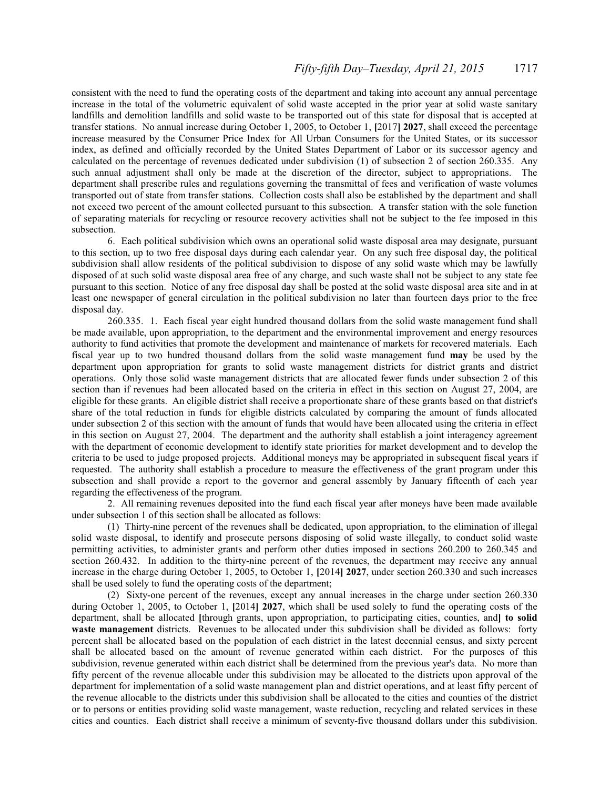consistent with the need to fund the operating costs of the department and taking into account any annual percentage increase in the total of the volumetric equivalent of solid waste accepted in the prior year at solid waste sanitary landfills and demolition landfills and solid waste to be transported out of this state for disposal that is accepted at transfer stations. No annual increase during October 1, 2005, to October 1, **[**2017**] 2027**, shall exceed the percentage increase measured by the Consumer Price Index for All Urban Consumers for the United States, or its successor index, as defined and officially recorded by the United States Department of Labor or its successor agency and calculated on the percentage of revenues dedicated under subdivision (1) of subsection 2 of section 260.335. Any such annual adjustment shall only be made at the discretion of the director, subject to appropriations. The department shall prescribe rules and regulations governing the transmittal of fees and verification of waste volumes transported out of state from transfer stations. Collection costs shall also be established by the department and shall not exceed two percent of the amount collected pursuant to this subsection. A transfer station with the sole function of separating materials for recycling or resource recovery activities shall not be subject to the fee imposed in this subsection.

6. Each political subdivision which owns an operational solid waste disposal area may designate, pursuant to this section, up to two free disposal days during each calendar year. On any such free disposal day, the political subdivision shall allow residents of the political subdivision to dispose of any solid waste which may be lawfully disposed of at such solid waste disposal area free of any charge, and such waste shall not be subject to any state fee pursuant to this section. Notice of any free disposal day shall be posted at the solid waste disposal area site and in at least one newspaper of general circulation in the political subdivision no later than fourteen days prior to the free disposal day.

 260.335. 1. Each fiscal year eight hundred thousand dollars from the solid waste management fund shall be made available, upon appropriation, to the department and the environmental improvement and energy resources authority to fund activities that promote the development and maintenance of markets for recovered materials. Each fiscal year up to two hundred thousand dollars from the solid waste management fund **may** be used by the department upon appropriation for grants to solid waste management districts for district grants and district operations. Only those solid waste management districts that are allocated fewer funds under subsection 2 of this section than if revenues had been allocated based on the criteria in effect in this section on August 27, 2004, are eligible for these grants. An eligible district shall receive a proportionate share of these grants based on that district's share of the total reduction in funds for eligible districts calculated by comparing the amount of funds allocated under subsection 2 of this section with the amount of funds that would have been allocated using the criteria in effect in this section on August 27, 2004. The department and the authority shall establish a joint interagency agreement with the department of economic development to identify state priorities for market development and to develop the criteria to be used to judge proposed projects. Additional moneys may be appropriated in subsequent fiscal years if requested. The authority shall establish a procedure to measure the effectiveness of the grant program under this subsection and shall provide a report to the governor and general assembly by January fifteenth of each year regarding the effectiveness of the program.

2. All remaining revenues deposited into the fund each fiscal year after moneys have been made available under subsection 1 of this section shall be allocated as follows:

(1) Thirty-nine percent of the revenues shall be dedicated, upon appropriation, to the elimination of illegal solid waste disposal, to identify and prosecute persons disposing of solid waste illegally, to conduct solid waste permitting activities, to administer grants and perform other duties imposed in sections 260.200 to 260.345 and section 260.432. In addition to the thirty-nine percent of the revenues, the department may receive any annual increase in the charge during October 1, 2005, to October 1, **[**2014**] 2027**, under section 260.330 and such increases shall be used solely to fund the operating costs of the department;

(2) Sixty-one percent of the revenues, except any annual increases in the charge under section 260.330 during October 1, 2005, to October 1, **[**2014**] 2027**, which shall be used solely to fund the operating costs of the department, shall be allocated **[**through grants, upon appropriation, to participating cities, counties, and**] to solid waste management** districts. Revenues to be allocated under this subdivision shall be divided as follows: forty percent shall be allocated based on the population of each district in the latest decennial census, and sixty percent shall be allocated based on the amount of revenue generated within each district. For the purposes of this subdivision, revenue generated within each district shall be determined from the previous year's data. No more than fifty percent of the revenue allocable under this subdivision may be allocated to the districts upon approval of the department for implementation of a solid waste management plan and district operations, and at least fifty percent of the revenue allocable to the districts under this subdivision shall be allocated to the cities and counties of the district or to persons or entities providing solid waste management, waste reduction, recycling and related services in these cities and counties. Each district shall receive a minimum of seventy-five thousand dollars under this subdivision.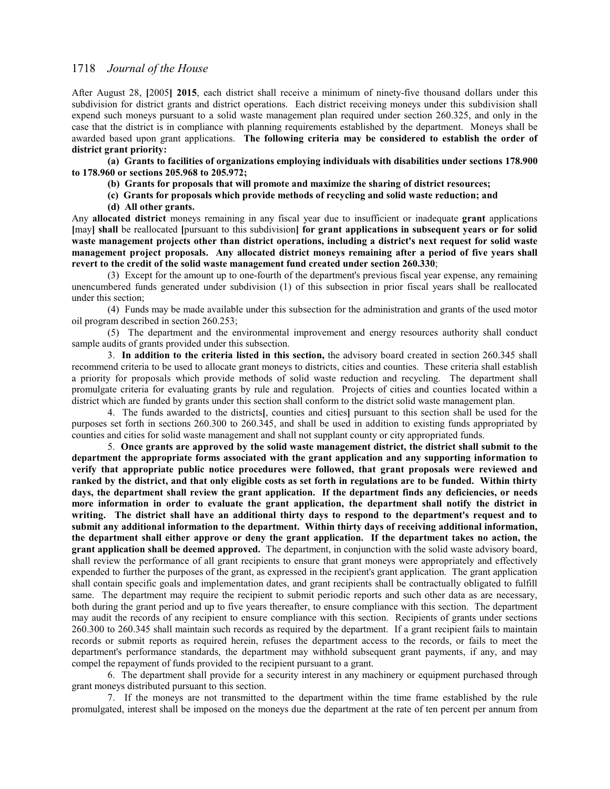After August 28, **[**2005**] 2015**, each district shall receive a minimum of ninety-five thousand dollars under this subdivision for district grants and district operations. Each district receiving moneys under this subdivision shall expend such moneys pursuant to a solid waste management plan required under section 260.325, and only in the case that the district is in compliance with planning requirements established by the department. Moneys shall be awarded based upon grant applications. **The following criteria may be considered to establish the order of district grant priority:**

**(a) Grants to facilities of organizations employing individuals with disabilities under sections 178.900 to 178.960 or sections 205.968 to 205.972;**

**(b) Grants for proposals that will promote and maximize the sharing of district resources;**

**(c) Grants for proposals which provide methods of recycling and solid waste reduction; and**

**(d) All other grants.**

Any **allocated district** moneys remaining in any fiscal year due to insufficient or inadequate **grant** applications **[**may**] shall** be reallocated **[**pursuant to this subdivision**] for grant applications in subsequent years or for solid waste management projects other than district operations, including a district's next request for solid waste management project proposals. Any allocated district moneys remaining after a period of five years shall revert to the credit of the solid waste management fund created under section 260.330**;

(3) Except for the amount up to one-fourth of the department's previous fiscal year expense, any remaining unencumbered funds generated under subdivision (1) of this subsection in prior fiscal years shall be reallocated under this section;

(4) Funds may be made available under this subsection for the administration and grants of the used motor oil program described in section 260.253;

(5) The department and the environmental improvement and energy resources authority shall conduct sample audits of grants provided under this subsection.

3. **In addition to the criteria listed in this section,** the advisory board created in section 260.345 shall recommend criteria to be used to allocate grant moneys to districts, cities and counties. These criteria shall establish a priority for proposals which provide methods of solid waste reduction and recycling. The department shall promulgate criteria for evaluating grants by rule and regulation. Projects of cities and counties located within a district which are funded by grants under this section shall conform to the district solid waste management plan.

4. The funds awarded to the districts**[**, counties and cities**]** pursuant to this section shall be used for the purposes set forth in sections 260.300 to 260.345, and shall be used in addition to existing funds appropriated by counties and cities for solid waste management and shall not supplant county or city appropriated funds.

5. **Once grants are approved by the solid waste management district, the district shall submit to the department the appropriate forms associated with the grant application and any supporting information to verify that appropriate public notice procedures were followed, that grant proposals were reviewed and ranked by the district, and that only eligible costs as set forth in regulations are to be funded. Within thirty days, the department shall review the grant application. If the department finds any deficiencies, or needs more information in order to evaluate the grant application, the department shall notify the district in writing. The district shall have an additional thirty days to respond to the department's request and to submit any additional information to the department. Within thirty days of receiving additional information, the department shall either approve or deny the grant application. If the department takes no action, the grant application shall be deemed approved.** The department, in conjunction with the solid waste advisory board, shall review the performance of all grant recipients to ensure that grant moneys were appropriately and effectively expended to further the purposes of the grant, as expressed in the recipient's grant application. The grant application shall contain specific goals and implementation dates, and grant recipients shall be contractually obligated to fulfill same. The department may require the recipient to submit periodic reports and such other data as are necessary, both during the grant period and up to five years thereafter, to ensure compliance with this section. The department may audit the records of any recipient to ensure compliance with this section. Recipients of grants under sections 260.300 to 260.345 shall maintain such records as required by the department. If a grant recipient fails to maintain records or submit reports as required herein, refuses the department access to the records, or fails to meet the department's performance standards, the department may withhold subsequent grant payments, if any, and may compel the repayment of funds provided to the recipient pursuant to a grant.

6. The department shall provide for a security interest in any machinery or equipment purchased through grant moneys distributed pursuant to this section.

7. If the moneys are not transmitted to the department within the time frame established by the rule promulgated, interest shall be imposed on the moneys due the department at the rate of ten percent per annum from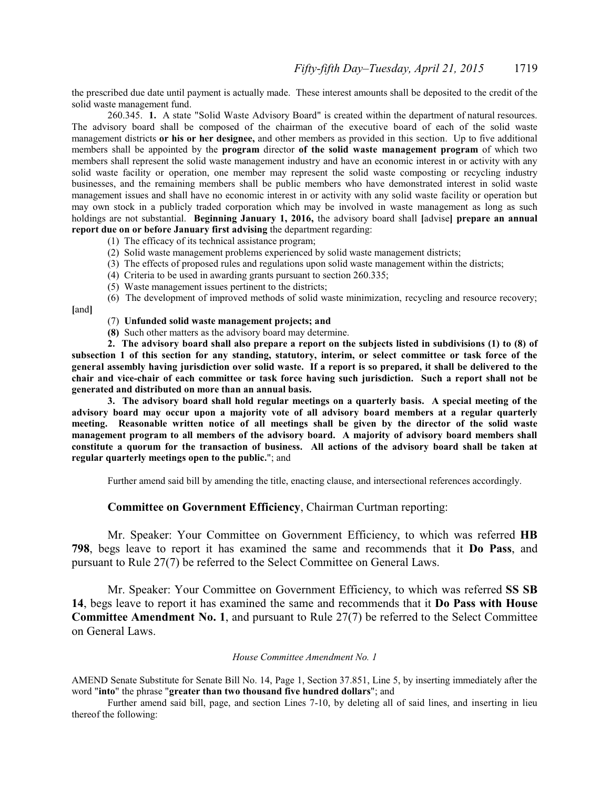the prescribed due date until payment is actually made. These interest amounts shall be deposited to the credit of the solid waste management fund.

 260.345. **1.** A state "Solid Waste Advisory Board" is created within the department of natural resources. The advisory board shall be composed of the chairman of the executive board of each of the solid waste management districts **or his or her designee,** and other members as provided in this section. Up to five additional members shall be appointed by the **program** director **of the solid waste management program** of which two members shall represent the solid waste management industry and have an economic interest in or activity with any solid waste facility or operation, one member may represent the solid waste composting or recycling industry businesses, and the remaining members shall be public members who have demonstrated interest in solid waste management issues and shall have no economic interest in or activity with any solid waste facility or operation but may own stock in a publicly traded corporation which may be involved in waste management as long as such holdings are not substantial. **Beginning January 1, 2016,** the advisory board shall **[**advise**] prepare an annual report due on or before January first advising** the department regarding:

- (1) The efficacy of its technical assistance program;
- (2) Solid waste management problems experienced by solid waste management districts;
- (3) The effects of proposed rules and regulations upon solid waste management within the districts;
- (4) Criteria to be used in awarding grants pursuant to section 260.335;
- (5) Waste management issues pertinent to the districts;

(6) The development of improved methods of solid waste minimization, recycling and resource recovery; **[**and**]**

- (7) **Unfunded solid waste management projects; and**
- **(8)** Such other matters as the advisory board may determine.

**2. The advisory board shall also prepare a report on the subjects listed in subdivisions (1) to (8) of subsection 1 of this section for any standing, statutory, interim, or select committee or task force of the general assembly having jurisdiction over solid waste. If a report is so prepared, it shall be delivered to the chair and vice-chair of each committee or task force having such jurisdiction. Such a report shall not be generated and distributed on more than an annual basis.**

**3. The advisory board shall hold regular meetings on a quarterly basis. A special meeting of the advisory board may occur upon a majority vote of all advisory board members at a regular quarterly meeting. Reasonable written notice of all meetings shall be given by the director of the solid waste management program to all members of the advisory board. A majority of advisory board members shall constitute a quorum for the transaction of business. All actions of the advisory board shall be taken at regular quarterly meetings open to the public.**"; and

Further amend said bill by amending the title, enacting clause, and intersectional references accordingly.

## **Committee on Government Efficiency**, Chairman Curtman reporting:

Mr. Speaker: Your Committee on Government Efficiency, to which was referred **HB 798**, begs leave to report it has examined the same and recommends that it **Do Pass**, and pursuant to Rule 27(7) be referred to the Select Committee on General Laws.

Mr. Speaker: Your Committee on Government Efficiency, to which was referred **SS SB 14**, begs leave to report it has examined the same and recommends that it **Do Pass with House Committee Amendment No. 1**, and pursuant to Rule 27(7) be referred to the Select Committee on General Laws.

#### *House Committee Amendment No. 1*

AMEND Senate Substitute for Senate Bill No. 14, Page 1, Section 37.851, Line 5, by inserting immediately after the word "**into**" the phrase "**greater than two thousand five hundred dollars**"; and

Further amend said bill, page, and section Lines 7-10, by deleting all of said lines, and inserting in lieu thereof the following: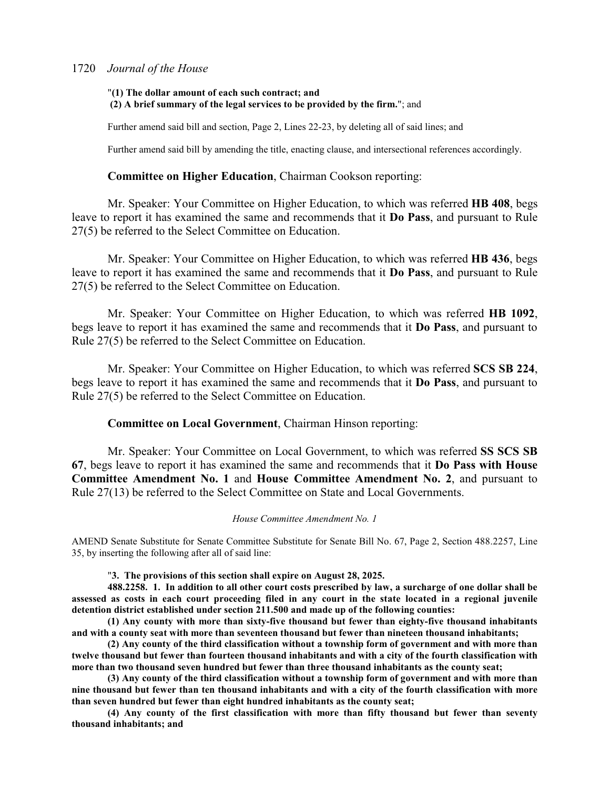# "**(1) The dollar amount of each such contract; and (2) A brief summary of the legal services to be provided by the firm.**"; and

Further amend said bill and section, Page 2, Lines 22-23, by deleting all of said lines; and

Further amend said bill by amending the title, enacting clause, and intersectional references accordingly.

# **Committee on Higher Education**, Chairman Cookson reporting:

Mr. Speaker: Your Committee on Higher Education, to which was referred **HB 408**, begs leave to report it has examined the same and recommends that it **Do Pass**, and pursuant to Rule 27(5) be referred to the Select Committee on Education.

Mr. Speaker: Your Committee on Higher Education, to which was referred **HB 436**, begs leave to report it has examined the same and recommends that it **Do Pass**, and pursuant to Rule 27(5) be referred to the Select Committee on Education.

Mr. Speaker: Your Committee on Higher Education, to which was referred **HB 1092**, begs leave to report it has examined the same and recommends that it **Do Pass**, and pursuant to Rule 27(5) be referred to the Select Committee on Education.

Mr. Speaker: Your Committee on Higher Education, to which was referred **SCS SB 224**, begs leave to report it has examined the same and recommends that it **Do Pass**, and pursuant to Rule 27(5) be referred to the Select Committee on Education.

# **Committee on Local Government**, Chairman Hinson reporting:

Mr. Speaker: Your Committee on Local Government, to which was referred **SS SCS SB 67**, begs leave to report it has examined the same and recommends that it **Do Pass with House Committee Amendment No. 1** and **House Committee Amendment No. 2**, and pursuant to Rule 27(13) be referred to the Select Committee on State and Local Governments.

#### *House Committee Amendment No. 1*

AMEND Senate Substitute for Senate Committee Substitute for Senate Bill No. 67, Page 2, Section 488.2257, Line 35, by inserting the following after all of said line:

"**3. The provisions of this section shall expire on August 28, 2025.**

**488.2258. 1. In addition to all other court costs prescribed by law, a surcharge of one dollar shall be assessed as costs in each court proceeding filed in any court in the state located in a regional juvenile detention district established under section 211.500 and made up of the following counties:**

**(1) Any county with more than sixty-five thousand but fewer than eighty-five thousand inhabitants and with a county seat with more than seventeen thousand but fewer than nineteen thousand inhabitants;**

**(2) Any county of the third classification without a township form of government and with more than twelve thousand but fewer than fourteen thousand inhabitants and with a city of the fourth classification with more than two thousand seven hundred but fewer than three thousand inhabitants as the county seat;**

**(3) Any county of the third classification without a township form of government and with more than nine thousand but fewer than ten thousand inhabitants and with a city of the fourth classification with more than seven hundred but fewer than eight hundred inhabitants as the county seat;**

**(4) Any county of the first classification with more than fifty thousand but fewer than seventy thousand inhabitants; and**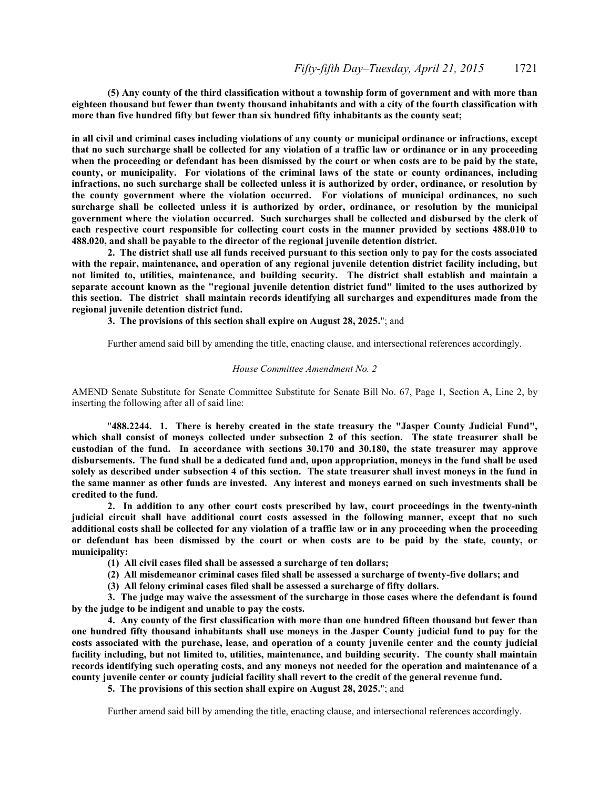**(5) Any county of the third classification without a township form of government and with more than eighteen thousand but fewer than twenty thousand inhabitants and with a city of the fourth classification with more than five hundred fifty but fewer than six hundred fifty inhabitants as the county seat;**

**in all civil and criminal cases including violations of any county or municipal ordinance or infractions, except that no such surcharge shall be collected for any violation of a traffic law or ordinance or in any proceeding when the proceeding or defendant has been dismissed by the court or when costs are to be paid by the state, county, or municipality. For violations of the criminal laws of the state or county ordinances, including infractions, no such surcharge shall be collected unless it is authorized by order, ordinance, or resolution by the county government where the violation occurred. For violations of municipal ordinances, no such surcharge shall be collected unless it is authorized by order, ordinance, or resolution by the municipal government where the violation occurred. Such surcharges shall be collected and disbursed by the clerk of each respective court responsible for collecting court costs in the manner provided by sections 488.010 to 488.020, and shall be payable to the director of the regional juvenile detention district.**

**2. The district shall use all funds received pursuant to this section only to pay for the costs associated with the repair, maintenance, and operation of any regional juvenile detention district facility including, but not limited to, utilities, maintenance, and building security. The district shall establish and maintain a separate account known as the "regional juvenile detention district fund" limited to the uses authorized by this section. The district shall maintain records identifying all surcharges and expenditures made from the regional juvenile detention district fund.**

**3. The provisions of this section shall expire on August 28, 2025.**"; and

Further amend said bill by amending the title, enacting clause, and intersectional references accordingly.

#### *House Committee Amendment No. 2*

AMEND Senate Substitute for Senate Committee Substitute for Senate Bill No. 67, Page 1, Section A, Line 2, by inserting the following after all of said line:

"**488.2244. 1. There is hereby created in the state treasury the "Jasper County Judicial Fund", which shall consist of moneys collected under subsection 2 of this section. The state treasurer shall be custodian of the fund. In accordance with sections 30.170 and 30.180, the state treasurer may approve disbursements. The fund shall be a dedicated fund and, upon appropriation, moneys in the fund shall be used solely as described under subsection 4 of this section. The state treasurer shall invest moneys in the fund in the same manner as other funds are invested. Any interest and moneys earned on such investments shall be credited to the fund.**

**2. In addition to any other court costs prescribed by law, court proceedings in the twenty-ninth judicial circuit shall have additional court costs assessed in the following manner, except that no such additional costs shall be collected for any violation of a traffic law or in any proceeding when the proceeding or defendant has been dismissed by the court or when costs are to be paid by the state, county, or municipality:**

**(1) All civil cases filed shall be assessed a surcharge of ten dollars;**

**(2) All misdemeanor criminal cases filed shall be assessed a surcharge of twenty-five dollars; and**

**(3) All felony criminal cases filed shall be assessed a surcharge of fifty dollars.**

**3. The judge may waive the assessment of the surcharge in those cases where the defendant is found by the judge to be indigent and unable to pay the costs.**

**4. Any county of the first classification with more than one hundred fifteen thousand but fewer than one hundred fifty thousand inhabitants shall use moneys in the Jasper County judicial fund to pay for the costs associated with the purchase, lease, and operation of a county juvenile center and the county judicial facility including, but not limited to, utilities, maintenance, and building security. The county shall maintain records identifying such operating costs, and any moneys not needed for the operation and maintenance of a county juvenile center or county judicial facility shall revert to the credit of the general revenue fund.**

**5. The provisions of this section shall expire on August 28, 2025.**"; and

Further amend said bill by amending the title, enacting clause, and intersectional references accordingly.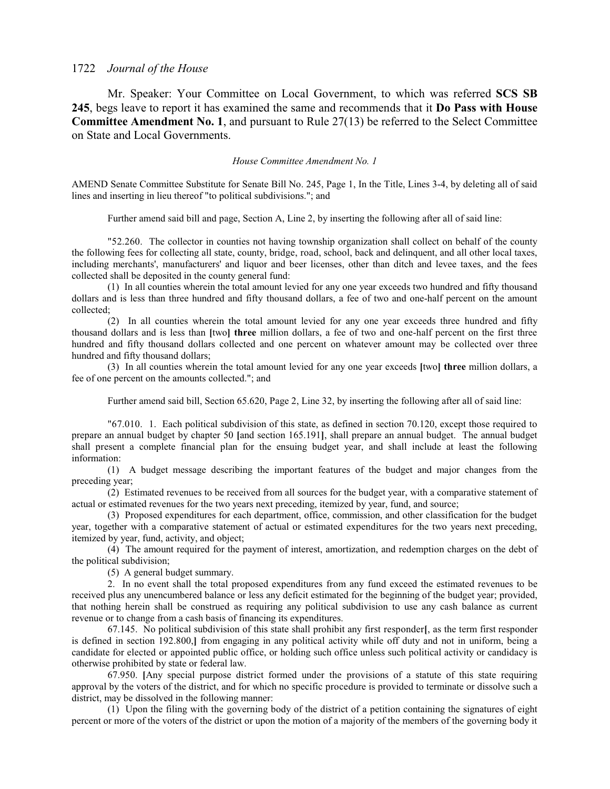Mr. Speaker: Your Committee on Local Government, to which was referred **SCS SB 245**, begs leave to report it has examined the same and recommends that it **Do Pass with House Committee Amendment No. 1**, and pursuant to Rule 27(13) be referred to the Select Committee on State and Local Governments.

*House Committee Amendment No. 1*

AMEND Senate Committee Substitute for Senate Bill No. 245, Page 1, In the Title, Lines 3-4, by deleting all of said lines and inserting in lieu thereof "to political subdivisions."; and

Further amend said bill and page, Section A, Line 2, by inserting the following after all of said line:

"52.260. The collector in counties not having township organization shall collect on behalf of the county the following fees for collecting all state, county, bridge, road, school, back and delinquent, and all other local taxes, including merchants', manufacturers' and liquor and beer licenses, other than ditch and levee taxes, and the fees collected shall be deposited in the county general fund:

(1) In all counties wherein the total amount levied for any one year exceeds two hundred and fifty thousand dollars and is less than three hundred and fifty thousand dollars, a fee of two and one-half percent on the amount collected;

(2) In all counties wherein the total amount levied for any one year exceeds three hundred and fifty thousand dollars and is less than **[**two**] three** million dollars, a fee of two and one-half percent on the first three hundred and fifty thousand dollars collected and one percent on whatever amount may be collected over three hundred and fifty thousand dollars;

(3) In all counties wherein the total amount levied for any one year exceeds **[**two**] three** million dollars, a fee of one percent on the amounts collected."; and

Further amend said bill, Section 65.620, Page 2, Line 32, by inserting the following after all of said line:

"67.010. 1. Each political subdivision of this state, as defined in section 70.120, except those required to prepare an annual budget by chapter 50 **[**and section 165.191**]**, shall prepare an annual budget. The annual budget shall present a complete financial plan for the ensuing budget year, and shall include at least the following information:

(1) A budget message describing the important features of the budget and major changes from the preceding year;

(2) Estimated revenues to be received from all sources for the budget year, with a comparative statement of actual or estimated revenues for the two years next preceding, itemized by year, fund, and source;

(3) Proposed expenditures for each department, office, commission, and other classification for the budget year, together with a comparative statement of actual or estimated expenditures for the two years next preceding, itemized by year, fund, activity, and object;

(4) The amount required for the payment of interest, amortization, and redemption charges on the debt of the political subdivision;

(5) A general budget summary.

2. In no event shall the total proposed expenditures from any fund exceed the estimated revenues to be received plus any unencumbered balance or less any deficit estimated for the beginning of the budget year; provided, that nothing herein shall be construed as requiring any political subdivision to use any cash balance as current revenue or to change from a cash basis of financing its expenditures.

67.145. No political subdivision of this state shall prohibit any first responder**[**, as the term first responder is defined in section 192.800,**]** from engaging in any political activity while off duty and not in uniform, being a candidate for elected or appointed public office, or holding such office unless such political activity or candidacy is otherwise prohibited by state or federal law.

67.950. **[**Any special purpose district formed under the provisions of a statute of this state requiring approval by the voters of the district, and for which no specific procedure is provided to terminate or dissolve such a district, may be dissolved in the following manner:

(1) Upon the filing with the governing body of the district of a petition containing the signatures of eight percent or more of the voters of the district or upon the motion of a majority of the members of the governing body it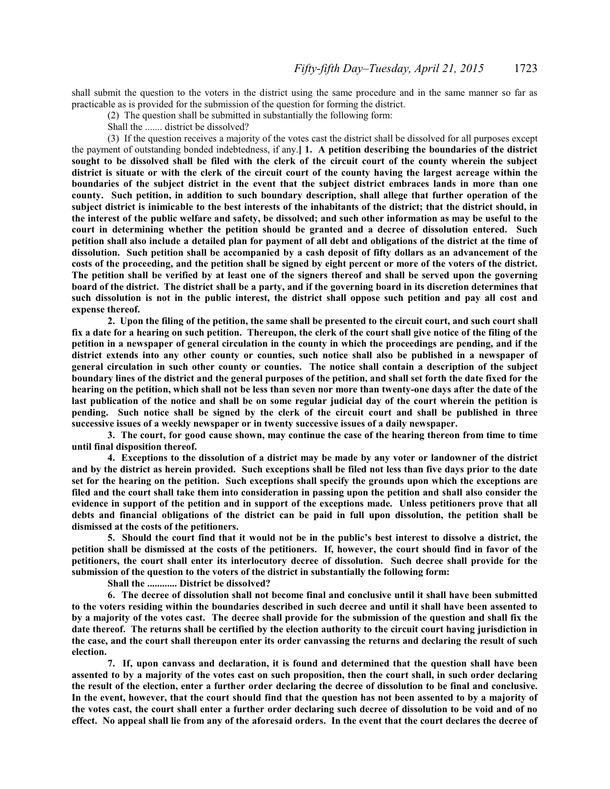shall submit the question to the voters in the district using the same procedure and in the same manner so far as practicable as is provided for the submission of the question for forming the district.

(2) The question shall be submitted in substantially the following form:

Shall the ....... district be dissolved?

(3) If the question receives a majority of the votes cast the district shall be dissolved for all purposes except the payment of outstanding bonded indebtedness, if any.**] 1. A petition describing the boundaries of the district sought to be dissolved shall be filed with the clerk of the circuit court of the county wherein the subject district is situate or with the clerk of the circuit court of the county having the largest acreage within the boundaries of the subject district in the event that the subject district embraces lands in more than one county. Such petition, in addition to such boundary description, shall allege that further operation of the subject district is inimicable to the best interests of the inhabitants of the district; that the district should, in the interest of the public welfare and safety, be dissolved; and such other information as may be useful to the court in determining whether the petition should be granted and a decree of dissolution entered. Such petition shall also include a detailed plan for payment of all debt and obligations of the district at the time of dissolution. Such petition shall be accompanied by a cash deposit of fifty dollars as an advancement of the costs of the proceeding, and the petition shall be signed by eight percent or more of the voters of the district. The petition shall be verified by at least one of the signers thereof and shall be served upon the governing board of the district. The district shall be a party, and if the governing board in its discretion determines that such dissolution is not in the public interest, the district shall oppose such petition and pay all cost and expense thereof.**

**2. Upon the filing of the petition, the same shall be presented to the circuit court, and such court shall fix a date for a hearing on such petition. Thereupon, the clerk of the court shall give notice of the filing of the petition in a newspaper of general circulation in the county in which the proceedings are pending, and if the district extends into any other county or counties, such notice shall also be published in a newspaper of general circulation in such other county or counties. The notice shall contain a description of the subject boundary lines of the district and the general purposes of the petition, and shall set forth the date fixed for the hearing on the petition, which shall not be less than seven nor more than twenty-one days after the date of the last publication of the notice and shall be on some regular judicial day of the court wherein the petition is pending. Such notice shall be signed by the clerk of the circuit court and shall be published in three successive issues of a weekly newspaper or in twenty successive issues of a daily newspaper.**

**3. The court, for good cause shown, may continue the case of the hearing thereon from time to time until final disposition thereof.**

**4. Exceptions to the dissolution of a district may be made by any voter or landowner of the district and by the district as herein provided. Such exceptions shall be filed not less than five days prior to the date set for the hearing on the petition. Such exceptions shall specify the grounds upon which the exceptions are filed and the court shall take them into consideration in passing upon the petition and shall also consider the evidence in support of the petition and in support of the exceptions made. Unless petitioners prove that all debts and financial obligations of the district can be paid in full upon dissolution, the petition shall be dismissed at the costs of the petitioners.**

**5. Should the court find that it would not be in the public's best interest to dissolve a district, the petition shall be dismissed at the costs of the petitioners. If, however, the court should find in favor of the petitioners, the court shall enter its interlocutory decree of dissolution. Such decree shall provide for the submission of the question to the voters of the district in substantially the following form:**

**Shall the ............ District be dissolved?**

**6. The decree of dissolution shall not become final and conclusive until it shall have been submitted to the voters residing within the boundaries described in such decree and until it shall have been assented to by a majority of the votes cast. The decree shall provide for the submission of the question and shall fix the date thereof. The returns shall be certified by the election authority to the circuit court having jurisdiction in the case, and the court shall thereupon enter its order canvassing the returns and declaring the result of such election.**

**7. If, upon canvass and declaration, it is found and determined that the question shall have been assented to by a majority of the votes cast on such proposition, then the court shall, in such order declaring the result of the election, enter a further order declaring the decree of dissolution to be final and conclusive. In the event, however, that the court should find that the question has not been assented to by a majority of the votes cast, the court shall enter a further order declaring such decree of dissolution to be void and of no effect. No appeal shall lie from any of the aforesaid orders. In the event that the court declares the decree of**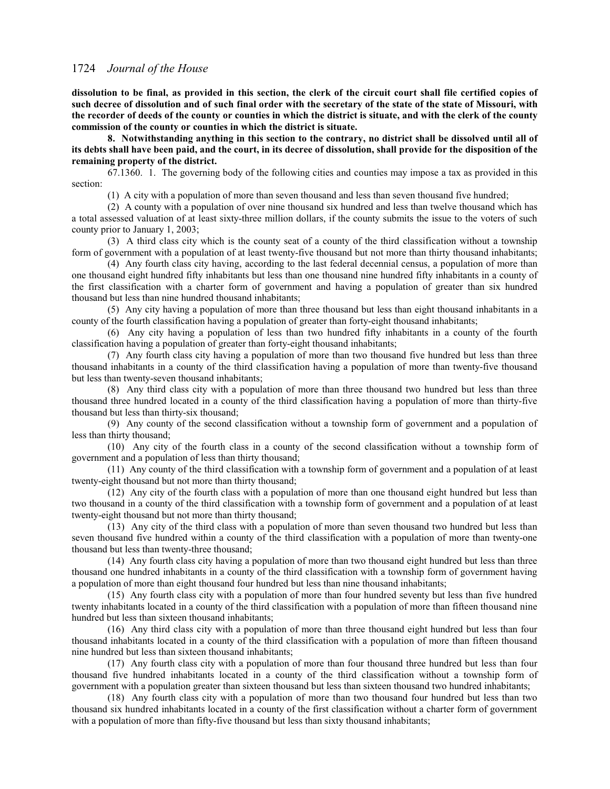**dissolution to be final, as provided in this section, the clerk of the circuit court shall file certified copies of such decree of dissolution and of such final order with the secretary of the state of the state of Missouri, with the recorder of deeds of the county or counties in which the district is situate, and with the clerk of the county commission of the county or counties in which the district is situate.**

**8. Notwithstanding anything in this section to the contrary, no district shall be dissolved until all of its debts shall have been paid, and the court, in its decree of dissolution, shall provide for the disposition of the remaining property of the district.**

67.1360. 1. The governing body of the following cities and counties may impose a tax as provided in this section:

(1) A city with a population of more than seven thousand and less than seven thousand five hundred;

(2) A county with a population of over nine thousand six hundred and less than twelve thousand which has a total assessed valuation of at least sixty-three million dollars, if the county submits the issue to the voters of such county prior to January 1, 2003;

(3) A third class city which is the county seat of a county of the third classification without a township form of government with a population of at least twenty-five thousand but not more than thirty thousand inhabitants;

(4) Any fourth class city having, according to the last federal decennial census, a population of more than one thousand eight hundred fifty inhabitants but less than one thousand nine hundred fifty inhabitants in a county of the first classification with a charter form of government and having a population of greater than six hundred thousand but less than nine hundred thousand inhabitants;

(5) Any city having a population of more than three thousand but less than eight thousand inhabitants in a county of the fourth classification having a population of greater than forty-eight thousand inhabitants;

(6) Any city having a population of less than two hundred fifty inhabitants in a county of the fourth classification having a population of greater than forty-eight thousand inhabitants;

(7) Any fourth class city having a population of more than two thousand five hundred but less than three thousand inhabitants in a county of the third classification having a population of more than twenty-five thousand but less than twenty-seven thousand inhabitants;

(8) Any third class city with a population of more than three thousand two hundred but less than three thousand three hundred located in a county of the third classification having a population of more than thirty-five thousand but less than thirty-six thousand;

(9) Any county of the second classification without a township form of government and a population of less than thirty thousand;

(10) Any city of the fourth class in a county of the second classification without a township form of government and a population of less than thirty thousand;

(11) Any county of the third classification with a township form of government and a population of at least twenty-eight thousand but not more than thirty thousand;

(12) Any city of the fourth class with a population of more than one thousand eight hundred but less than two thousand in a county of the third classification with a township form of government and a population of at least twenty-eight thousand but not more than thirty thousand;

(13) Any city of the third class with a population of more than seven thousand two hundred but less than seven thousand five hundred within a county of the third classification with a population of more than twenty-one thousand but less than twenty-three thousand;

(14) Any fourth class city having a population of more than two thousand eight hundred but less than three thousand one hundred inhabitants in a county of the third classification with a township form of government having a population of more than eight thousand four hundred but less than nine thousand inhabitants;

(15) Any fourth class city with a population of more than four hundred seventy but less than five hundred twenty inhabitants located in a county of the third classification with a population of more than fifteen thousand nine hundred but less than sixteen thousand inhabitants;

(16) Any third class city with a population of more than three thousand eight hundred but less than four thousand inhabitants located in a county of the third classification with a population of more than fifteen thousand nine hundred but less than sixteen thousand inhabitants;

(17) Any fourth class city with a population of more than four thousand three hundred but less than four thousand five hundred inhabitants located in a county of the third classification without a township form of government with a population greater than sixteen thousand but less than sixteen thousand two hundred inhabitants;

(18) Any fourth class city with a population of more than two thousand four hundred but less than two thousand six hundred inhabitants located in a county of the first classification without a charter form of government with a population of more than fifty-five thousand but less than sixty thousand inhabitants;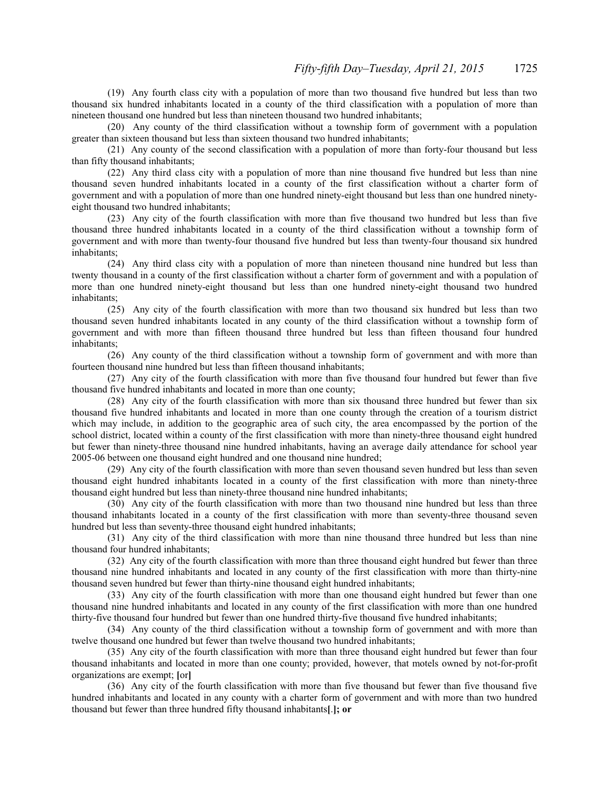(19) Any fourth class city with a population of more than two thousand five hundred but less than two thousand six hundred inhabitants located in a county of the third classification with a population of more than nineteen thousand one hundred but less than nineteen thousand two hundred inhabitants;

(20) Any county of the third classification without a township form of government with a population greater than sixteen thousand but less than sixteen thousand two hundred inhabitants;

(21) Any county of the second classification with a population of more than forty-four thousand but less than fifty thousand inhabitants;

(22) Any third class city with a population of more than nine thousand five hundred but less than nine thousand seven hundred inhabitants located in a county of the first classification without a charter form of government and with a population of more than one hundred ninety-eight thousand but less than one hundred ninetyeight thousand two hundred inhabitants;

(23) Any city of the fourth classification with more than five thousand two hundred but less than five thousand three hundred inhabitants located in a county of the third classification without a township form of government and with more than twenty-four thousand five hundred but less than twenty-four thousand six hundred inhabitants;

(24) Any third class city with a population of more than nineteen thousand nine hundred but less than twenty thousand in a county of the first classification without a charter form of government and with a population of more than one hundred ninety-eight thousand but less than one hundred ninety-eight thousand two hundred inhabitants;

(25) Any city of the fourth classification with more than two thousand six hundred but less than two thousand seven hundred inhabitants located in any county of the third classification without a township form of government and with more than fifteen thousand three hundred but less than fifteen thousand four hundred inhabitants;

(26) Any county of the third classification without a township form of government and with more than fourteen thousand nine hundred but less than fifteen thousand inhabitants;

(27) Any city of the fourth classification with more than five thousand four hundred but fewer than five thousand five hundred inhabitants and located in more than one county;

(28) Any city of the fourth classification with more than six thousand three hundred but fewer than six thousand five hundred inhabitants and located in more than one county through the creation of a tourism district which may include, in addition to the geographic area of such city, the area encompassed by the portion of the school district, located within a county of the first classification with more than ninety-three thousand eight hundred but fewer than ninety-three thousand nine hundred inhabitants, having an average daily attendance for school year 2005-06 between one thousand eight hundred and one thousand nine hundred;

(29) Any city of the fourth classification with more than seven thousand seven hundred but less than seven thousand eight hundred inhabitants located in a county of the first classification with more than ninety-three thousand eight hundred but less than ninety-three thousand nine hundred inhabitants;

(30) Any city of the fourth classification with more than two thousand nine hundred but less than three thousand inhabitants located in a county of the first classification with more than seventy-three thousand seven hundred but less than seventy-three thousand eight hundred inhabitants;

(31) Any city of the third classification with more than nine thousand three hundred but less than nine thousand four hundred inhabitants;

(32) Any city of the fourth classification with more than three thousand eight hundred but fewer than three thousand nine hundred inhabitants and located in any county of the first classification with more than thirty-nine thousand seven hundred but fewer than thirty-nine thousand eight hundred inhabitants;

(33) Any city of the fourth classification with more than one thousand eight hundred but fewer than one thousand nine hundred inhabitants and located in any county of the first classification with more than one hundred thirty-five thousand four hundred but fewer than one hundred thirty-five thousand five hundred inhabitants;

(34) Any county of the third classification without a township form of government and with more than twelve thousand one hundred but fewer than twelve thousand two hundred inhabitants;

(35) Any city of the fourth classification with more than three thousand eight hundred but fewer than four thousand inhabitants and located in more than one county; provided, however, that motels owned by not-for-profit organizations are exempt; **[**or**]**

(36) Any city of the fourth classification with more than five thousand but fewer than five thousand five hundred inhabitants and located in any county with a charter form of government and with more than two hundred thousand but fewer than three hundred fifty thousand inhabitants**[**.**]; or**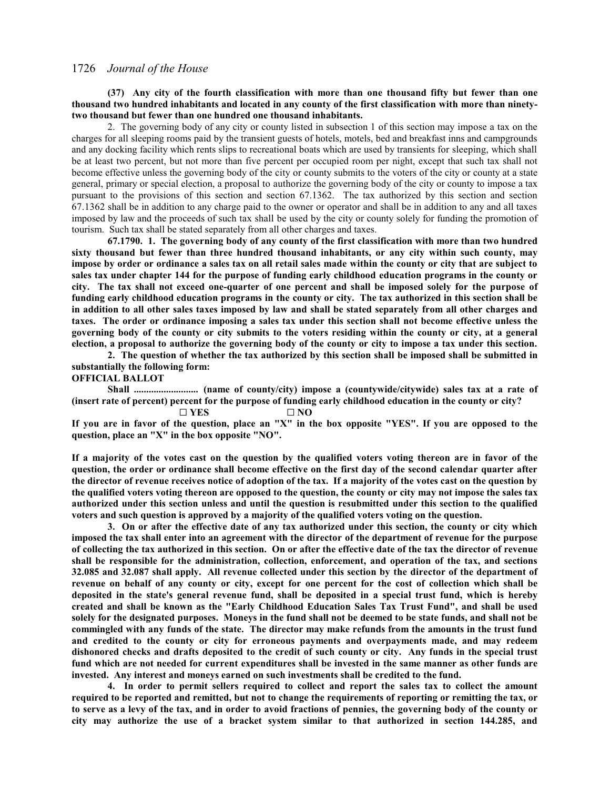**(37) Any city of the fourth classification with more than one thousand fifty but fewer than one thousand two hundred inhabitants and located in any county of the first classification with more than ninetytwo thousand but fewer than one hundred one thousand inhabitants.**

2. The governing body of any city or county listed in subsection 1 of this section may impose a tax on the charges for all sleeping rooms paid by the transient guests of hotels, motels, bed and breakfast inns and campgrounds and any docking facility which rents slips to recreational boats which are used by transients for sleeping, which shall be at least two percent, but not more than five percent per occupied room per night, except that such tax shall not become effective unless the governing body of the city or county submits to the voters of the city or county at a state general, primary or special election, a proposal to authorize the governing body of the city or county to impose a tax pursuant to the provisions of this section and section 67.1362. The tax authorized by this section and section 67.1362 shall be in addition to any charge paid to the owner or operator and shall be in addition to any and all taxes imposed by law and the proceeds of such tax shall be used by the city or county solely for funding the promotion of tourism. Such tax shall be stated separately from all other charges and taxes.

**67.1790. 1. The governing body of any county of the first classification with more than two hundred sixty thousand but fewer than three hundred thousand inhabitants, or any city within such county, may impose by order or ordinance a sales tax on all retail sales made within the county or city that are subject to sales tax under chapter 144 for the purpose of funding early childhood education programs in the county or city. The tax shall not exceed one-quarter of one percent and shall be imposed solely for the purpose of funding early childhood education programs in the county or city. The tax authorized in this section shall be in addition to all other sales taxes imposed by law and shall be stated separately from all other charges and taxes. The order or ordinance imposing a sales tax under this section shall not become effective unless the governing body of the county or city submits to the voters residing within the county or city, at a general election, a proposal to authorize the governing body of the county or city to impose a tax under this section.**

**2. The question of whether the tax authorized by this section shall be imposed shall be submitted in substantially the following form:**

**OFFICIAL BALLOT**

**Shall .......................... (name of county/city) impose a (countywide/citywide) sales tax at a rate of (insert rate of percent) percent for the purpose of funding early childhood education in the county or city?**

G **YES** G **NO**

**If you are in favor of the question, place an "X" in the box opposite "YES". If you are opposed to the question, place an "X" in the box opposite "NO".**

**If a majority of the votes cast on the question by the qualified voters voting thereon are in favor of the question, the order or ordinance shall become effective on the first day of the second calendar quarter after the director of revenue receives notice of adoption of the tax. If a majority of the votes cast on the question by the qualified voters voting thereon are opposed to the question, the county or city may not impose the sales tax authorized under this section unless and until the question is resubmitted under this section to the qualified voters and such question is approved by a majority of the qualified voters voting on the question.**

**3. On or after the effective date of any tax authorized under this section, the county or city which imposed the tax shall enter into an agreement with the director of the department of revenue for the purpose of collecting the tax authorized in this section. On or after the effective date of the tax the director of revenue shall be responsible for the administration, collection, enforcement, and operation of the tax, and sections 32.085 and 32.087 shall apply. All revenue collected under this section by the director of the department of revenue on behalf of any county or city, except for one percent for the cost of collection which shall be deposited in the state's general revenue fund, shall be deposited in a special trust fund, which is hereby created and shall be known as the "Early Childhood Education Sales Tax Trust Fund", and shall be used solely for the designated purposes. Moneys in the fund shall not be deemed to be state funds, and shall not be commingled with any funds of the state. The director may make refunds from the amounts in the trust fund and credited to the county or city for erroneous payments and overpayments made, and may redeem dishonored checks and drafts deposited to the credit of such county or city. Any funds in the special trust fund which are not needed for current expenditures shall be invested in the same manner as other funds are invested. Any interest and moneys earned on such investments shall be credited to the fund.**

**4. In order to permit sellers required to collect and report the sales tax to collect the amount required to be reported and remitted, but not to change the requirements of reporting or remitting the tax, or to serve as a levy of the tax, and in order to avoid fractions of pennies, the governing body of the county or city may authorize the use of a bracket system similar to that authorized in section 144.285, and**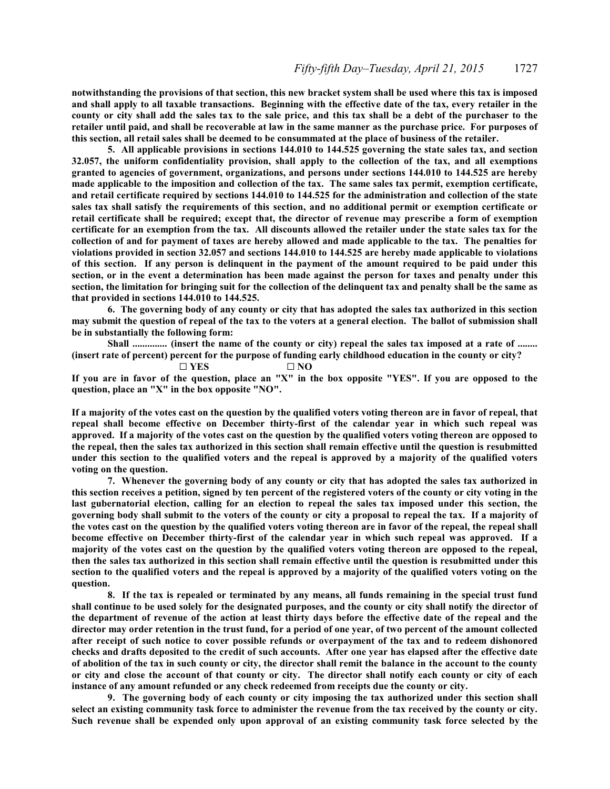**notwithstanding the provisions of that section, this new bracket system shall be used where this tax is imposed and shall apply to all taxable transactions. Beginning with the effective date of the tax, every retailer in the county or city shall add the sales tax to the sale price, and this tax shall be a debt of the purchaser to the retailer until paid, and shall be recoverable at law in the same manner as the purchase price. For purposes of this section, all retail sales shall be deemed to be consummated at the place of business of the retailer.**

**5. All applicable provisions in sections 144.010 to 144.525 governing the state sales tax, and section 32.057, the uniform confidentiality provision, shall apply to the collection of the tax, and all exemptions granted to agencies of government, organizations, and persons under sections 144.010 to 144.525 are hereby made applicable to the imposition and collection of the tax. The same sales tax permit, exemption certificate, and retail certificate required by sections 144.010 to 144.525 for the administration and collection of the state sales tax shall satisfy the requirements of this section, and no additional permit or exemption certificate or retail certificate shall be required; except that, the director of revenue may prescribe a form of exemption certificate for an exemption from the tax. All discounts allowed the retailer under the state sales tax for the collection of and for payment of taxes are hereby allowed and made applicable to the tax. The penalties for violations provided in section 32.057 and sections 144.010 to 144.525 are hereby made applicable to violations of this section. If any person is delinquent in the payment of the amount required to be paid under this section, or in the event a determination has been made against the person for taxes and penalty under this section, the limitation for bringing suit for the collection of the delinquent tax and penalty shall be the same as that provided in sections 144.010 to 144.525.**

**6. The governing body of any county or city that has adopted the sales tax authorized in this section may submit the question of repeal of the tax to the voters at a general election. The ballot of submission shall be in substantially the following form:**

**Shall .............. (insert the name of the county or city) repeal the sales tax imposed at a rate of ........** (insert rate of percent) percent for the purpose of funding early childhood education in the county or city?<br> $\square$  YES  $\square$  NO

 $\square$  YES **If you are in favor of the question, place an "X" in the box opposite "YES". If you are opposed to the question, place an "X" in the box opposite "NO".**

**If a majority of the votes cast on the question by the qualified voters voting thereon are in favor of repeal, that repeal shall become effective on December thirty-first of the calendar year in which such repeal was approved. If a majority of the votes cast on the question by the qualified voters voting thereon are opposed to the repeal, then the sales tax authorized in this section shall remain effective until the question is resubmitted under this section to the qualified voters and the repeal is approved by a majority of the qualified voters voting on the question.**

**7. Whenever the governing body of any county or city that has adopted the sales tax authorized in this section receives a petition, signed by ten percent of the registered voters of the county or city voting in the last gubernatorial election, calling for an election to repeal the sales tax imposed under this section, the governing body shall submit to the voters of the county or city a proposal to repeal the tax. If a majority of the votes cast on the question by the qualified voters voting thereon are in favor of the repeal, the repeal shall become effective on December thirty-first of the calendar year in which such repeal was approved. If a majority of the votes cast on the question by the qualified voters voting thereon are opposed to the repeal, then the sales tax authorized in this section shall remain effective until the question is resubmitted under this section to the qualified voters and the repeal is approved by a majority of the qualified voters voting on the question.**

**8. If the tax is repealed or terminated by any means, all funds remaining in the special trust fund shall continue to be used solely for the designated purposes, and the county or city shall notify the director of the department of revenue of the action at least thirty days before the effective date of the repeal and the director may order retention in the trust fund, for a period of one year, of two percent of the amount collected after receipt of such notice to cover possible refunds or overpayment of the tax and to redeem dishonored checks and drafts deposited to the credit of such accounts. After one year has elapsed after the effective date of abolition of the tax in such county or city, the director shall remit the balance in the account to the county or city and close the account of that county or city. The director shall notify each county or city of each instance of any amount refunded or any check redeemed from receipts due the county or city.**

**9. The governing body of each county or city imposing the tax authorized under this section shall select an existing community task force to administer the revenue from the tax received by the county or city. Such revenue shall be expended only upon approval of an existing community task force selected by the**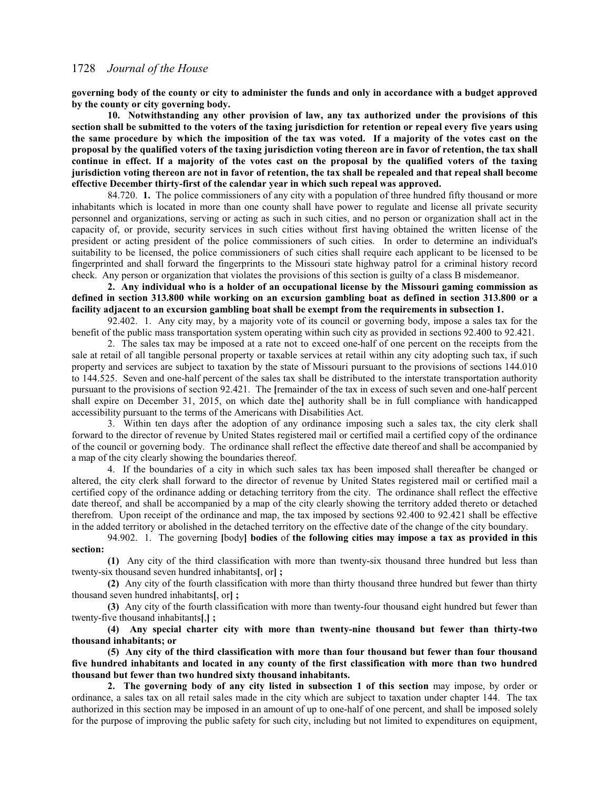**governing body of the county or city to administer the funds and only in accordance with a budget approved by the county or city governing body.**

**10. Notwithstanding any other provision of law, any tax authorized under the provisions of this section shall be submitted to the voters of the taxing jurisdiction for retention or repeal every five years using the same procedure by which the imposition of the tax was voted. If a majority of the votes cast on the proposal by the qualified voters of the taxing jurisdiction voting thereon are in favor of retention, the tax shall continue in effect. If a majority of the votes cast on the proposal by the qualified voters of the taxing jurisdiction voting thereon are not in favor of retention, the tax shall be repealed and that repeal shall become effective December thirty-first of the calendar year in which such repeal was approved.**

84.720. **1.** The police commissioners of any city with a population of three hundred fifty thousand or more inhabitants which is located in more than one county shall have power to regulate and license all private security personnel and organizations, serving or acting as such in such cities, and no person or organization shall act in the capacity of, or provide, security services in such cities without first having obtained the written license of the president or acting president of the police commissioners of such cities. In order to determine an individual's suitability to be licensed, the police commissioners of such cities shall require each applicant to be licensed to be fingerprinted and shall forward the fingerprints to the Missouri state highway patrol for a criminal history record check. Any person or organization that violates the provisions of this section is guilty of a class B misdemeanor.

**2. Any individual who is a holder of an occupational license by the Missouri gaming commission as defined in section 313.800 while working on an excursion gambling boat as defined in section 313.800 or a facility adjacent to an excursion gambling boat shall be exempt from the requirements in subsection 1.**

92.402. 1. Any city may, by a majority vote of its council or governing body, impose a sales tax for the benefit of the public mass transportation system operating within such city as provided in sections 92.400 to 92.421.

2. The sales tax may be imposed at a rate not to exceed one-half of one percent on the receipts from the sale at retail of all tangible personal property or taxable services at retail within any city adopting such tax, if such property and services are subject to taxation by the state of Missouri pursuant to the provisions of sections 144.010 to 144.525. Seven and one-half percent of the sales tax shall be distributed to the interstate transportation authority pursuant to the provisions of section 92.421. The **[**remainder of the tax in excess of such seven and one-half percent shall expire on December 31, 2015, on which date the**]** authority shall be in full compliance with handicapped accessibility pursuant to the terms of the Americans with Disabilities Act.

3. Within ten days after the adoption of any ordinance imposing such a sales tax, the city clerk shall forward to the director of revenue by United States registered mail or certified mail a certified copy of the ordinance of the council or governing body. The ordinance shall reflect the effective date thereof and shall be accompanied by a map of the city clearly showing the boundaries thereof.

4. If the boundaries of a city in which such sales tax has been imposed shall thereafter be changed or altered, the city clerk shall forward to the director of revenue by United States registered mail or certified mail a certified copy of the ordinance adding or detaching territory from the city. The ordinance shall reflect the effective date thereof, and shall be accompanied by a map of the city clearly showing the territory added thereto or detached therefrom. Upon receipt of the ordinance and map, the tax imposed by sections 92.400 to 92.421 shall be effective in the added territory or abolished in the detached territory on the effective date of the change of the city boundary.

94.902. 1. The governing **[**body**] bodies** of **the following cities may impose a tax as provided in this section:**

**(1)** Any city of the third classification with more than twenty-six thousand three hundred but less than twenty-six thousand seven hundred inhabitants**[**, or**] ;**

**(2)** Any city of the fourth classification with more than thirty thousand three hundred but fewer than thirty thousand seven hundred inhabitants**[**, or**] ;**

**(3)** Any city of the fourth classification with more than twenty-four thousand eight hundred but fewer than twenty-five thousand inhabitants**[**,**] ;**

**(4) Any special charter city with more than twenty-nine thousand but fewer than thirty-two thousand inhabitants; or**

**(5) Any city of the third classification with more than four thousand but fewer than four thousand five hundred inhabitants and located in any county of the first classification with more than two hundred thousand but fewer than two hundred sixty thousand inhabitants.**

**2. The governing body of any city listed in subsection 1 of this section** may impose, by order or ordinance, a sales tax on all retail sales made in the city which are subject to taxation under chapter 144. The tax authorized in this section may be imposed in an amount of up to one-half of one percent, and shall be imposed solely for the purpose of improving the public safety for such city, including but not limited to expenditures on equipment,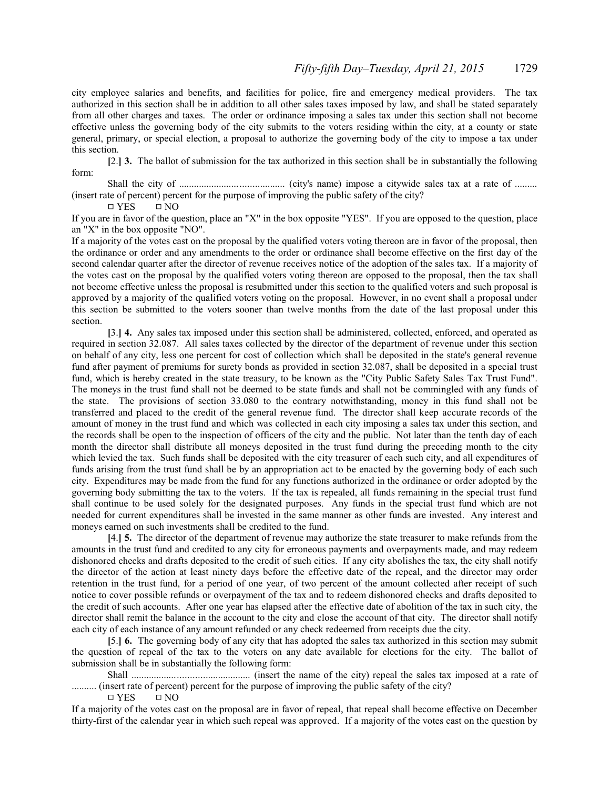city employee salaries and benefits, and facilities for police, fire and emergency medical providers. The tax authorized in this section shall be in addition to all other sales taxes imposed by law, and shall be stated separately from all other charges and taxes. The order or ordinance imposing a sales tax under this section shall not become effective unless the governing body of the city submits to the voters residing within the city, at a county or state general, primary, or special election, a proposal to authorize the governing body of the city to impose a tax under this section.

**[**2.**] 3.** The ballot of submission for the tax authorized in this section shall be in substantially the following form:

Shall the city of .......................................... (city's name) impose a citywide sales tax at a rate of ......... (insert rate of percent) percent for the purpose of improving the public safety of the city?

 $\Box$  YES  $\Box$  NO

If you are in favor of the question, place an "X" in the box opposite "YES". If you are opposed to the question, place an "X" in the box opposite "NO".

If a majority of the votes cast on the proposal by the qualified voters voting thereon are in favor of the proposal, then the ordinance or order and any amendments to the order or ordinance shall become effective on the first day of the second calendar quarter after the director of revenue receives notice of the adoption of the sales tax. If a majority of the votes cast on the proposal by the qualified voters voting thereon are opposed to the proposal, then the tax shall not become effective unless the proposal is resubmitted under this section to the qualified voters and such proposal is approved by a majority of the qualified voters voting on the proposal. However, in no event shall a proposal under this section be submitted to the voters sooner than twelve months from the date of the last proposal under this section.

**[**3.**] 4.** Any sales tax imposed under this section shall be administered, collected, enforced, and operated as required in section 32.087. All sales taxes collected by the director of the department of revenue under this section on behalf of any city, less one percent for cost of collection which shall be deposited in the state's general revenue fund after payment of premiums for surety bonds as provided in section 32.087, shall be deposited in a special trust fund, which is hereby created in the state treasury, to be known as the "City Public Safety Sales Tax Trust Fund". The moneys in the trust fund shall not be deemed to be state funds and shall not be commingled with any funds of the state. The provisions of section 33.080 to the contrary notwithstanding, money in this fund shall not be transferred and placed to the credit of the general revenue fund. The director shall keep accurate records of the amount of money in the trust fund and which was collected in each city imposing a sales tax under this section, and the records shall be open to the inspection of officers of the city and the public. Not later than the tenth day of each month the director shall distribute all moneys deposited in the trust fund during the preceding month to the city which levied the tax. Such funds shall be deposited with the city treasurer of each such city, and all expenditures of funds arising from the trust fund shall be by an appropriation act to be enacted by the governing body of each such city. Expenditures may be made from the fund for any functions authorized in the ordinance or order adopted by the governing body submitting the tax to the voters. If the tax is repealed, all funds remaining in the special trust fund shall continue to be used solely for the designated purposes. Any funds in the special trust fund which are not needed for current expenditures shall be invested in the same manner as other funds are invested. Any interest and moneys earned on such investments shall be credited to the fund.

**[**4.**] 5.** The director of the department of revenue may authorize the state treasurer to make refunds from the amounts in the trust fund and credited to any city for erroneous payments and overpayments made, and may redeem dishonored checks and drafts deposited to the credit of such cities. If any city abolishes the tax, the city shall notify the director of the action at least ninety days before the effective date of the repeal, and the director may order retention in the trust fund, for a period of one year, of two percent of the amount collected after receipt of such notice to cover possible refunds or overpayment of the tax and to redeem dishonored checks and drafts deposited to the credit of such accounts. After one year has elapsed after the effective date of abolition of the tax in such city, the director shall remit the balance in the account to the city and close the account of that city. The director shall notify each city of each instance of any amount refunded or any check redeemed from receipts due the city.

**[**5.**] 6.** The governing body of any city that has adopted the sales tax authorized in this section may submit the question of repeal of the tax to the voters on any date available for elections for the city. The ballot of submission shall be in substantially the following form:

Shall ............................................... (insert the name of the city) repeal the sales tax imposed at a rate of .......... (insert rate of percent) percent for the purpose of improving the public safety of the city?

 $\Box$  YES  $\Box$  NO

If a majority of the votes cast on the proposal are in favor of repeal, that repeal shall become effective on December thirty-first of the calendar year in which such repeal was approved. If a majority of the votes cast on the question by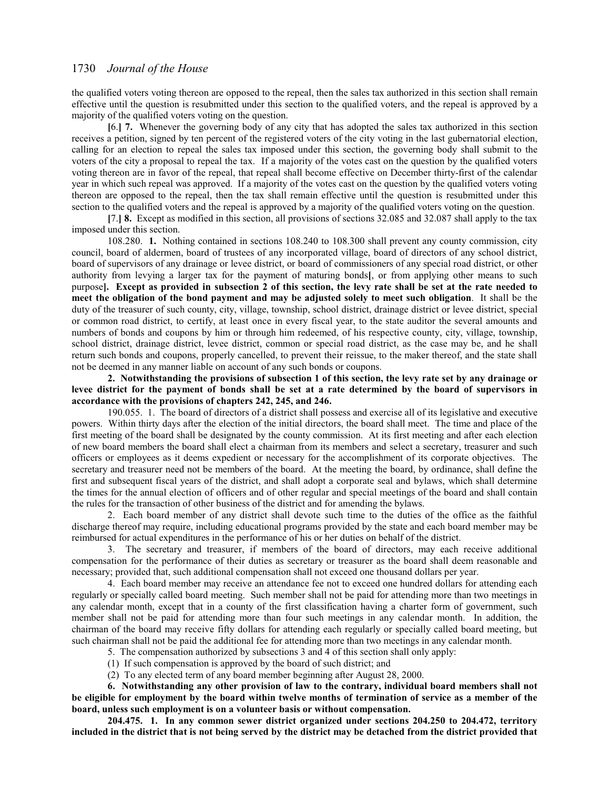the qualified voters voting thereon are opposed to the repeal, then the sales tax authorized in this section shall remain effective until the question is resubmitted under this section to the qualified voters, and the repeal is approved by a majority of the qualified voters voting on the question.

**[**6.**] 7.** Whenever the governing body of any city that has adopted the sales tax authorized in this section receives a petition, signed by ten percent of the registered voters of the city voting in the last gubernatorial election, calling for an election to repeal the sales tax imposed under this section, the governing body shall submit to the voters of the city a proposal to repeal the tax. If a majority of the votes cast on the question by the qualified voters voting thereon are in favor of the repeal, that repeal shall become effective on December thirty-first of the calendar year in which such repeal was approved. If a majority of the votes cast on the question by the qualified voters voting thereon are opposed to the repeal, then the tax shall remain effective until the question is resubmitted under this section to the qualified voters and the repeal is approved by a majority of the qualified voters voting on the question.

**[**7.**] 8.** Except as modified in this section, all provisions of sections 32.085 and 32.087 shall apply to the tax imposed under this section.

108.280. **1.** Nothing contained in sections 108.240 to 108.300 shall prevent any county commission, city council, board of aldermen, board of trustees of any incorporated village, board of directors of any school district, board of supervisors of any drainage or levee district, or board of commissioners of any special road district, or other authority from levying a larger tax for the payment of maturing bonds**[**, or from applying other means to such purpose**]. Except as provided in subsection 2 of this section, the levy rate shall be set at the rate needed to meet the obligation of the bond payment and may be adjusted solely to meet such obligation**. It shall be the duty of the treasurer of such county, city, village, township, school district, drainage district or levee district, special or common road district, to certify, at least once in every fiscal year, to the state auditor the several amounts and numbers of bonds and coupons by him or through him redeemed, of his respective county, city, village, township, school district, drainage district, levee district, common or special road district, as the case may be, and he shall return such bonds and coupons, properly cancelled, to prevent their reissue, to the maker thereof, and the state shall not be deemed in any manner liable on account of any such bonds or coupons.

**2. Notwithstanding the provisions of subsection 1 of this section, the levy rate set by any drainage or levee district for the payment of bonds shall be set at a rate determined by the board of supervisors in accordance with the provisions of chapters 242, 245, and 246.**

190.055. 1. The board of directors of a district shall possess and exercise all of its legislative and executive powers. Within thirty days after the election of the initial directors, the board shall meet. The time and place of the first meeting of the board shall be designated by the county commission. At its first meeting and after each election of new board members the board shall elect a chairman from its members and select a secretary, treasurer and such officers or employees as it deems expedient or necessary for the accomplishment of its corporate objectives. The secretary and treasurer need not be members of the board. At the meeting the board, by ordinance, shall define the first and subsequent fiscal years of the district, and shall adopt a corporate seal and bylaws, which shall determine the times for the annual election of officers and of other regular and special meetings of the board and shall contain the rules for the transaction of other business of the district and for amending the bylaws.

2. Each board member of any district shall devote such time to the duties of the office as the faithful discharge thereof may require, including educational programs provided by the state and each board member may be reimbursed for actual expenditures in the performance of his or her duties on behalf of the district.

3. The secretary and treasurer, if members of the board of directors, may each receive additional compensation for the performance of their duties as secretary or treasurer as the board shall deem reasonable and necessary; provided that, such additional compensation shall not exceed one thousand dollars per year.

4. Each board member may receive an attendance fee not to exceed one hundred dollars for attending each regularly or specially called board meeting. Such member shall not be paid for attending more than two meetings in any calendar month, except that in a county of the first classification having a charter form of government, such member shall not be paid for attending more than four such meetings in any calendar month. In addition, the chairman of the board may receive fifty dollars for attending each regularly or specially called board meeting, but such chairman shall not be paid the additional fee for attending more than two meetings in any calendar month.

5. The compensation authorized by subsections 3 and 4 of this section shall only apply:

(1) If such compensation is approved by the board of such district; and

(2) To any elected term of any board member beginning after August 28, 2000.

**6. Notwithstanding any other provision of law to the contrary, individual board members shall not be eligible for employment by the board within twelve months of termination of service as a member of the board, unless such employment is on a volunteer basis or without compensation.**

**204.475. 1. In any common sewer district organized under sections 204.250 to 204.472, territory included in the district that is not being served by the district may be detached from the district provided that**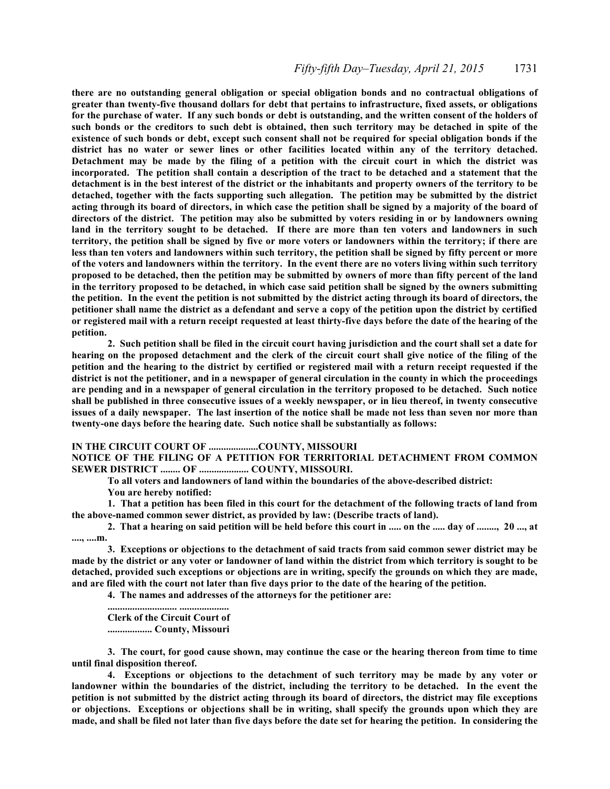# *Fifty-fifth Day–Tuesday, April 21, 2015* 1731

**there are no outstanding general obligation or special obligation bonds and no contractual obligations of greater than twenty-five thousand dollars for debt that pertains to infrastructure, fixed assets, or obligations for the purchase of water. If any such bonds or debt is outstanding, and the written consent of the holders of such bonds or the creditors to such debt is obtained, then such territory may be detached in spite of the existence of such bonds or debt, except such consent shall not be required for special obligation bonds if the district has no water or sewer lines or other facilities located within any of the territory detached. Detachment may be made by the filing of a petition with the circuit court in which the district was incorporated. The petition shall contain a description of the tract to be detached and a statement that the detachment is in the best interest of the district or the inhabitants and property owners of the territory to be detached, together with the facts supporting such allegation. The petition may be submitted by the district acting through its board of directors, in which case the petition shall be signed by a majority of the board of directors of the district. The petition may also be submitted by voters residing in or by landowners owning land in the territory sought to be detached. If there are more than ten voters and landowners in such territory, the petition shall be signed by five or more voters or landowners within the territory; if there are less than ten voters and landowners within such territory, the petition shall be signed by fifty percent or more of the voters and landowners within the territory. In the event there are no voters living within such territory proposed to be detached, then the petition may be submitted by owners of more than fifty percent of the land in the territory proposed to be detached, in which case said petition shall be signed by the owners submitting the petition. In the event the petition is not submitted by the district acting through its board of directors, the petitioner shall name the district as a defendant and serve a copy of the petition upon the district by certified or registered mail with a return receipt requested at least thirty-five days before the date of the hearing of the petition.**

**2. Such petition shall be filed in the circuit court having jurisdiction and the court shall set a date for hearing on the proposed detachment and the clerk of the circuit court shall give notice of the filing of the petition and the hearing to the district by certified or registered mail with a return receipt requested if the district is not the petitioner, and in a newspaper of general circulation in the county in which the proceedings are pending and in a newspaper of general circulation in the territory proposed to be detached. Such notice shall be published in three consecutive issues of a weekly newspaper, or in lieu thereof, in twenty consecutive issues of a daily newspaper. The last insertion of the notice shall be made not less than seven nor more than twenty-one days before the hearing date. Such notice shall be substantially as follows:**

#### **IN THE CIRCUIT COURT OF ....................COUNTY, MISSOURI**

**NOTICE OF THE FILING OF A PETITION FOR TERRITORIAL DETACHMENT FROM COMMON SEWER DISTRICT ........ OF .................... COUNTY, MISSOURI.**

**To all voters and landowners of land within the boundaries of the above-described district:**

**You are hereby notified:**

**1. That a petition has been filed in this court for the detachment of the following tracts of land from the above-named common sewer district, as provided by law: (Describe tracts of land).**

**2. That a hearing on said petition will be held before this court in ..... on the ..... day of ........, 20 ..., at ...., ....m.**

**3. Exceptions or objections to the detachment of said tracts from said common sewer district may be made by the district or any voter or landowner of land within the district from which territory is sought to be detached, provided such exceptions or objections are in writing, specify the grounds on which they are made, and are filed with the court not later than five days prior to the date of the hearing of the petition.**

**4. The names and addresses of the attorneys for the petitioner are:**

**............................ .................... Clerk of the Circuit Court of .................. County, Missouri**

**3. The court, for good cause shown, may continue the case or the hearing thereon from time to time until final disposition thereof.**

**4. Exceptions or objections to the detachment of such territory may be made by any voter or landowner within the boundaries of the district, including the territory to be detached. In the event the petition is not submitted by the district acting through its board of directors, the district may file exceptions or objections. Exceptions or objections shall be in writing, shall specify the grounds upon which they are made, and shall be filed not later than five days before the date set for hearing the petition. In considering the**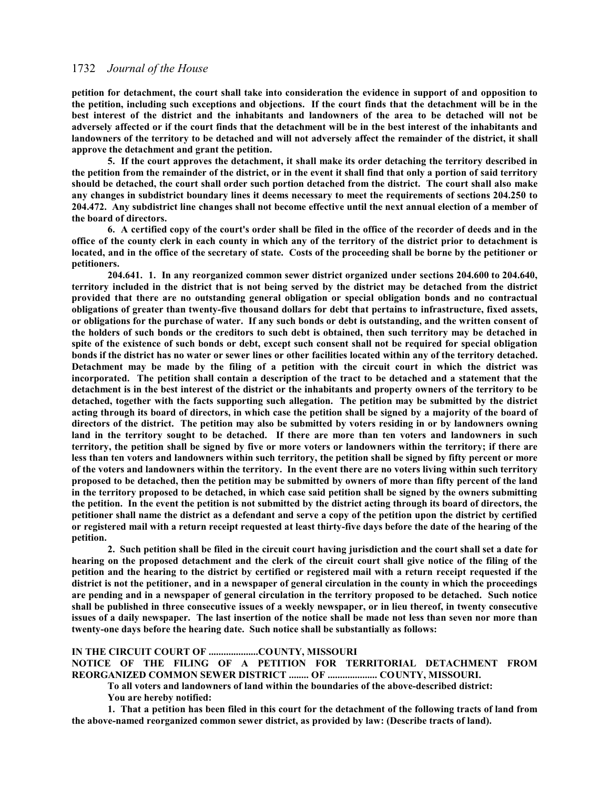**petition for detachment, the court shall take into consideration the evidence in support of and opposition to the petition, including such exceptions and objections. If the court finds that the detachment will be in the best interest of the district and the inhabitants and landowners of the area to be detached will not be adversely affected or if the court finds that the detachment will be in the best interest of the inhabitants and landowners of the territory to be detached and will not adversely affect the remainder of the district, it shall approve the detachment and grant the petition.**

**5. If the court approves the detachment, it shall make its order detaching the territory described in the petition from the remainder of the district, or in the event it shall find that only a portion of said territory should be detached, the court shall order such portion detached from the district. The court shall also make any changes in subdistrict boundary lines it deems necessary to meet the requirements of sections 204.250 to 204.472. Any subdistrict line changes shall not become effective until the next annual election of a member of the board of directors.**

**6. A certified copy of the court's order shall be filed in the office of the recorder of deeds and in the office of the county clerk in each county in which any of the territory of the district prior to detachment is located, and in the office of the secretary of state. Costs of the proceeding shall be borne by the petitioner or petitioners.**

 **204.641. 1. In any reorganized common sewer district organized under sections 204.600 to 204.640, territory included in the district that is not being served by the district may be detached from the district provided that there are no outstanding general obligation or special obligation bonds and no contractual obligations of greater than twenty-five thousand dollars for debt that pertains to infrastructure, fixed assets, or obligations for the purchase of water. If any such bonds or debt is outstanding, and the written consent of the holders of such bonds or the creditors to such debt is obtained, then such territory may be detached in spite of the existence of such bonds or debt, except such consent shall not be required for special obligation bonds if the district has no water or sewer lines or other facilities located within any of the territory detached. Detachment may be made by the filing of a petition with the circuit court in which the district was incorporated. The petition shall contain a description of the tract to be detached and a statement that the detachment is in the best interest of the district or the inhabitants and property owners of the territory to be detached, together with the facts supporting such allegation. The petition may be submitted by the district acting through its board of directors, in which case the petition shall be signed by a majority of the board of directors of the district. The petition may also be submitted by voters residing in or by landowners owning land in the territory sought to be detached. If there are more than ten voters and landowners in such territory, the petition shall be signed by five or more voters or landowners within the territory; if there are less than ten voters and landowners within such territory, the petition shall be signed by fifty percent or more of the voters and landowners within the territory. In the event there are no voters living within such territory proposed to be detached, then the petition may be submitted by owners of more than fifty percent of the land in the territory proposed to be detached, in which case said petition shall be signed by the owners submitting the petition. In the event the petition is not submitted by the district acting through its board of directors, the petitioner shall name the district as a defendant and serve a copy of the petition upon the district by certified or registered mail with a return receipt requested at least thirty-five days before the date of the hearing of the petition.**

**2. Such petition shall be filed in the circuit court having jurisdiction and the court shall set a date for hearing on the proposed detachment and the clerk of the circuit court shall give notice of the filing of the petition and the hearing to the district by certified or registered mail with a return receipt requested if the district is not the petitioner, and in a newspaper of general circulation in the county in which the proceedings are pending and in a newspaper of general circulation in the territory proposed to be detached. Such notice shall be published in three consecutive issues of a weekly newspaper, or in lieu thereof, in twenty consecutive issues of a daily newspaper. The last insertion of the notice shall be made not less than seven nor more than twenty-one days before the hearing date. Such notice shall be substantially as follows:**

#### **IN THE CIRCUIT COURT OF ....................COUNTY, MISSOURI**

**NOTICE OF THE FILING OF A PETITION FOR TERRITORIAL DETACHMENT FROM REORGANIZED COMMON SEWER DISTRICT ........ OF .................... COUNTY, MISSOURI.**

**To all voters and landowners of land within the boundaries of the above-described district:**

**You are hereby notified:**

**1. That a petition has been filed in this court for the detachment of the following tracts of land from the above-named reorganized common sewer district, as provided by law: (Describe tracts of land).**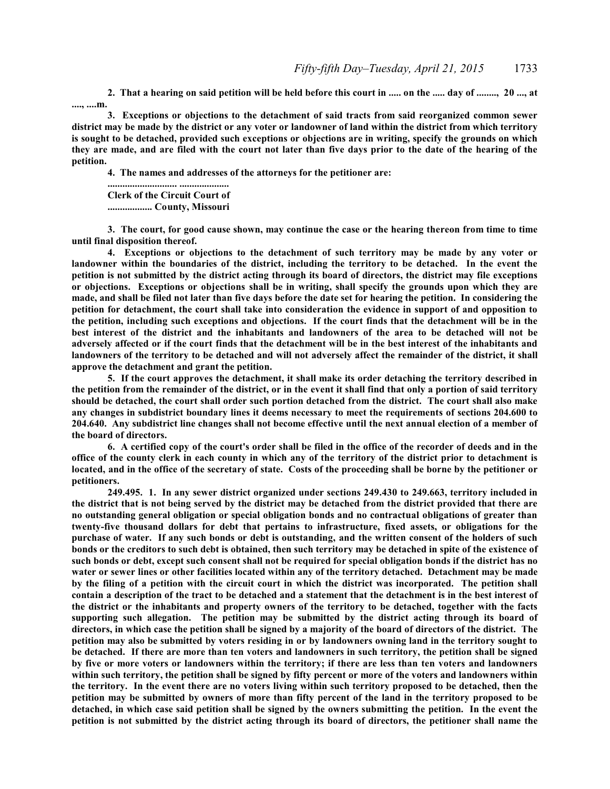**2. That a hearing on said petition will be held before this court in ..... on the ..... day of ........, 20 ..., at ...., ....m.**

**3. Exceptions or objections to the detachment of said tracts from said reorganized common sewer district may be made by the district or any voter or landowner of land within the district from which territory is sought to be detached, provided such exceptions or objections are in writing, specify the grounds on which they are made, and are filed with the court not later than five days prior to the date of the hearing of the petition.**

**4. The names and addresses of the attorneys for the petitioner are:**

**............................ .................... Clerk of the Circuit Court of .................. County, Missouri**

**3. The court, for good cause shown, may continue the case or the hearing thereon from time to time until final disposition thereof.**

**4. Exceptions or objections to the detachment of such territory may be made by any voter or landowner within the boundaries of the district, including the territory to be detached. In the event the petition is not submitted by the district acting through its board of directors, the district may file exceptions or objections. Exceptions or objections shall be in writing, shall specify the grounds upon which they are made, and shall be filed not later than five days before the date set for hearing the petition. In considering the petition for detachment, the court shall take into consideration the evidence in support of and opposition to the petition, including such exceptions and objections. If the court finds that the detachment will be in the best interest of the district and the inhabitants and landowners of the area to be detached will not be adversely affected or if the court finds that the detachment will be in the best interest of the inhabitants and landowners of the territory to be detached and will not adversely affect the remainder of the district, it shall approve the detachment and grant the petition.**

**5. If the court approves the detachment, it shall make its order detaching the territory described in the petition from the remainder of the district, or in the event it shall find that only a portion of said territory should be detached, the court shall order such portion detached from the district. The court shall also make any changes in subdistrict boundary lines it deems necessary to meet the requirements of sections 204.600 to 204.640. Any subdistrict line changes shall not become effective until the next annual election of a member of the board of directors.**

**6. A certified copy of the court's order shall be filed in the office of the recorder of deeds and in the office of the county clerk in each county in which any of the territory of the district prior to detachment is located, and in the office of the secretary of state. Costs of the proceeding shall be borne by the petitioner or petitioners.**

**249.495. 1. In any sewer district organized under sections 249.430 to 249.663, territory included in the district that is not being served by the district may be detached from the district provided that there are no outstanding general obligation or special obligation bonds and no contractual obligations of greater than twenty-five thousand dollars for debt that pertains to infrastructure, fixed assets, or obligations for the purchase of water. If any such bonds or debt is outstanding, and the written consent of the holders of such bonds or the creditors to such debt is obtained, then such territory may be detached in spite of the existence of such bonds or debt, except such consent shall not be required for special obligation bonds if the district has no water or sewer lines or other facilities located within any of the territory detached. Detachment may be made by the filing of a petition with the circuit court in which the district was incorporated. The petition shall contain a description of the tract to be detached and a statement that the detachment is in the best interest of the district or the inhabitants and property owners of the territory to be detached, together with the facts supporting such allegation. The petition may be submitted by the district acting through its board of directors, in which case the petition shall be signed by a majority of the board of directors of the district. The petition may also be submitted by voters residing in or by landowners owning land in the territory sought to be detached. If there are more than ten voters and landowners in such territory, the petition shall be signed by five or more voters or landowners within the territory; if there are less than ten voters and landowners within such territory, the petition shall be signed by fifty percent or more of the voters and landowners within the territory. In the event there are no voters living within such territory proposed to be detached, then the petition may be submitted by owners of more than fifty percent of the land in the territory proposed to be detached, in which case said petition shall be signed by the owners submitting the petition. In the event the petition is not submitted by the district acting through its board of directors, the petitioner shall name the**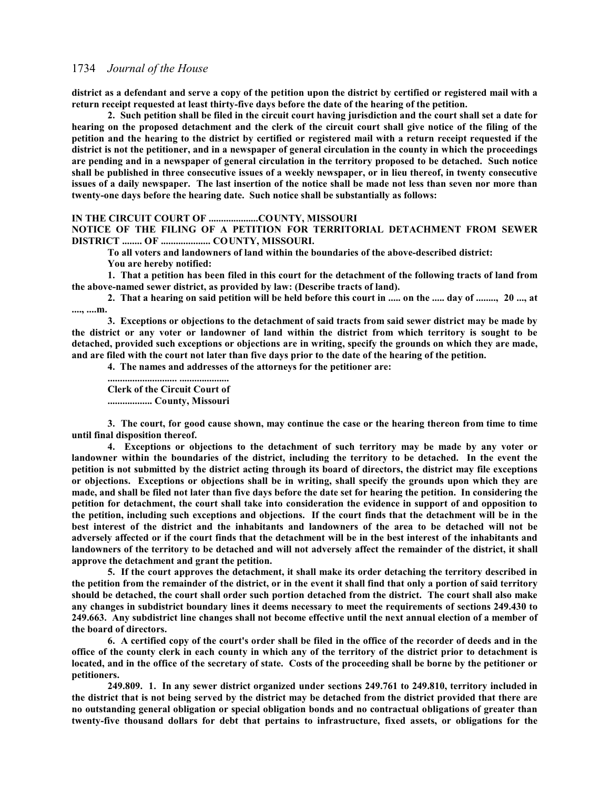**district as a defendant and serve a copy of the petition upon the district by certified or registered mail with a return receipt requested at least thirty-five days before the date of the hearing of the petition.**

**2. Such petition shall be filed in the circuit court having jurisdiction and the court shall set a date for hearing on the proposed detachment and the clerk of the circuit court shall give notice of the filing of the petition and the hearing to the district by certified or registered mail with a return receipt requested if the district is not the petitioner, and in a newspaper of general circulation in the county in which the proceedings are pending and in a newspaper of general circulation in the territory proposed to be detached. Such notice shall be published in three consecutive issues of a weekly newspaper, or in lieu thereof, in twenty consecutive issues of a daily newspaper. The last insertion of the notice shall be made not less than seven nor more than twenty-one days before the hearing date. Such notice shall be substantially as follows:**

#### **IN THE CIRCUIT COURT OF ....................COUNTY, MISSOURI**

**NOTICE OF THE FILING OF A PETITION FOR TERRITORIAL DETACHMENT FROM SEWER DISTRICT ........ OF .................... COUNTY, MISSOURI.**

**To all voters and landowners of land within the boundaries of the above-described district:**

**You are hereby notified:**

**1. That a petition has been filed in this court for the detachment of the following tracts of land from the above-named sewer district, as provided by law: (Describe tracts of land).** 

**2. That a hearing on said petition will be held before this court in ..... on the ..... day of ........, 20 ..., at ...., ....m.**

**3. Exceptions or objections to the detachment of said tracts from said sewer district may be made by the district or any voter or landowner of land within the district from which territory is sought to be detached, provided such exceptions or objections are in writing, specify the grounds on which they are made, and are filed with the court not later than five days prior to the date of the hearing of the petition.**

**4. The names and addresses of the attorneys for the petitioner are:**

**............................ .................... Clerk of the Circuit Court of .................. County, Missouri**

**3. The court, for good cause shown, may continue the case or the hearing thereon from time to time until final disposition thereof.**

**4. Exceptions or objections to the detachment of such territory may be made by any voter or landowner within the boundaries of the district, including the territory to be detached. In the event the petition is not submitted by the district acting through its board of directors, the district may file exceptions or objections. Exceptions or objections shall be in writing, shall specify the grounds upon which they are made, and shall be filed not later than five days before the date set for hearing the petition. In considering the petition for detachment, the court shall take into consideration the evidence in support of and opposition to the petition, including such exceptions and objections. If the court finds that the detachment will be in the best interest of the district and the inhabitants and landowners of the area to be detached will not be adversely affected or if the court finds that the detachment will be in the best interest of the inhabitants and landowners of the territory to be detached and will not adversely affect the remainder of the district, it shall approve the detachment and grant the petition.**

**5. If the court approves the detachment, it shall make its order detaching the territory described in the petition from the remainder of the district, or in the event it shall find that only a portion of said territory should be detached, the court shall order such portion detached from the district. The court shall also make any changes in subdistrict boundary lines it deems necessary to meet the requirements of sections 249.430 to 249.663. Any subdistrict line changes shall not become effective until the next annual election of a member of the board of directors.**

**6. A certified copy of the court's order shall be filed in the office of the recorder of deeds and in the office of the county clerk in each county in which any of the territory of the district prior to detachment is located, and in the office of the secretary of state. Costs of the proceeding shall be borne by the petitioner or petitioners.**

**249.809. 1. In any sewer district organized under sections 249.761 to 249.810, territory included in the district that is not being served by the district may be detached from the district provided that there are no outstanding general obligation or special obligation bonds and no contractual obligations of greater than twenty-five thousand dollars for debt that pertains to infrastructure, fixed assets, or obligations for the**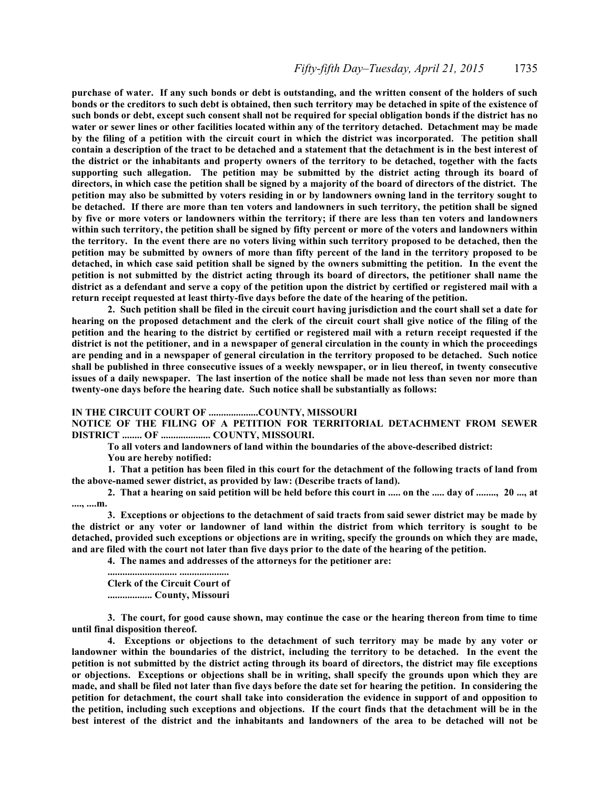### *Fifty-fifth Day–Tuesday, April 21, 2015* 1735

**purchase of water. If any such bonds or debt is outstanding, and the written consent of the holders of such bonds or the creditors to such debt is obtained, then such territory may be detached in spite of the existence of such bonds or debt, except such consent shall not be required for special obligation bonds if the district has no water or sewer lines or other facilities located within any of the territory detached. Detachment may be made by the filing of a petition with the circuit court in which the district was incorporated. The petition shall contain a description of the tract to be detached and a statement that the detachment is in the best interest of the district or the inhabitants and property owners of the territory to be detached, together with the facts supporting such allegation. The petition may be submitted by the district acting through its board of directors, in which case the petition shall be signed by a majority of the board of directors of the district. The petition may also be submitted by voters residing in or by landowners owning land in the territory sought to be detached. If there are more than ten voters and landowners in such territory, the petition shall be signed by five or more voters or landowners within the territory; if there are less than ten voters and landowners within such territory, the petition shall be signed by fifty percent or more of the voters and landowners within the territory. In the event there are no voters living within such territory proposed to be detached, then the petition may be submitted by owners of more than fifty percent of the land in the territory proposed to be detached, in which case said petition shall be signed by the owners submitting the petition. In the event the petition is not submitted by the district acting through its board of directors, the petitioner shall name the district as a defendant and serve a copy of the petition upon the district by certified or registered mail with a return receipt requested at least thirty-five days before the date of the hearing of the petition.**

**2. Such petition shall be filed in the circuit court having jurisdiction and the court shall set a date for hearing on the proposed detachment and the clerk of the circuit court shall give notice of the filing of the petition and the hearing to the district by certified or registered mail with a return receipt requested if the district is not the petitioner, and in a newspaper of general circulation in the county in which the proceedings are pending and in a newspaper of general circulation in the territory proposed to be detached. Such notice shall be published in three consecutive issues of a weekly newspaper, or in lieu thereof, in twenty consecutive issues of a daily newspaper. The last insertion of the notice shall be made not less than seven nor more than twenty-one days before the hearing date. Such notice shall be substantially as follows:**

#### **IN THE CIRCUIT COURT OF ....................COUNTY, MISSOURI**

**NOTICE OF THE FILING OF A PETITION FOR TERRITORIAL DETACHMENT FROM SEWER DISTRICT ........ OF .................... COUNTY, MISSOURI.**

**To all voters and landowners of land within the boundaries of the above-described district:**

**You are hereby notified:**

**1. That a petition has been filed in this court for the detachment of the following tracts of land from the above-named sewer district, as provided by law: (Describe tracts of land).**

**2. That a hearing on said petition will be held before this court in ..... on the ..... day of ........, 20 ..., at ...., ....m.**

**3. Exceptions or objections to the detachment of said tracts from said sewer district may be made by the district or any voter or landowner of land within the district from which territory is sought to be detached, provided such exceptions or objections are in writing, specify the grounds on which they are made, and are filed with the court not later than five days prior to the date of the hearing of the petition.**

**4. The names and addresses of the attorneys for the petitioner are:**

**............................ .................... Clerk of the Circuit Court of .................. County, Missouri**

**3. The court, for good cause shown, may continue the case or the hearing thereon from time to time until final disposition thereof.**

**4. Exceptions or objections to the detachment of such territory may be made by any voter or landowner within the boundaries of the district, including the territory to be detached. In the event the petition is not submitted by the district acting through its board of directors, the district may file exceptions or objections. Exceptions or objections shall be in writing, shall specify the grounds upon which they are made, and shall be filed not later than five days before the date set for hearing the petition. In considering the petition for detachment, the court shall take into consideration the evidence in support of and opposition to the petition, including such exceptions and objections. If the court finds that the detachment will be in the best interest of the district and the inhabitants and landowners of the area to be detached will not be**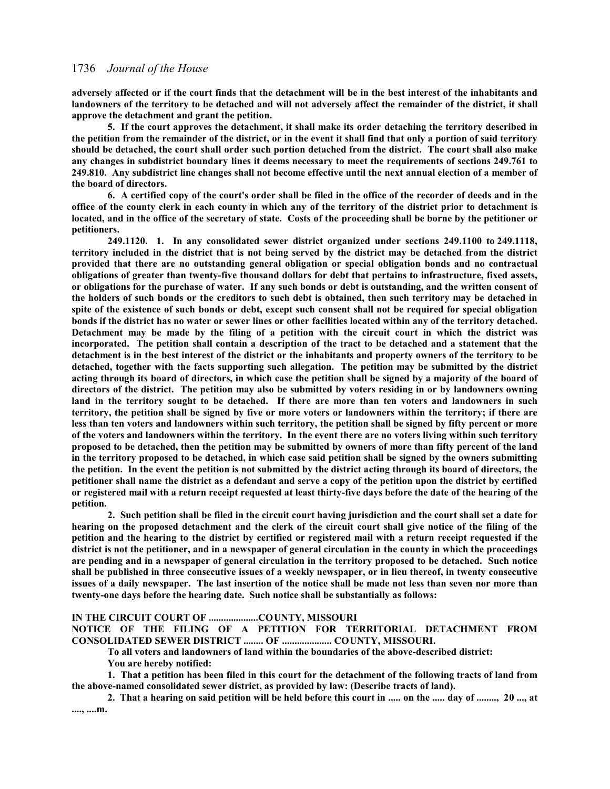**adversely affected or if the court finds that the detachment will be in the best interest of the inhabitants and landowners of the territory to be detached and will not adversely affect the remainder of the district, it shall approve the detachment and grant the petition.**

**5. If the court approves the detachment, it shall make its order detaching the territory described in the petition from the remainder of the district, or in the event it shall find that only a portion of said territory should be detached, the court shall order such portion detached from the district. The court shall also make any changes in subdistrict boundary lines it deems necessary to meet the requirements of sections 249.761 to 249.810. Any subdistrict line changes shall not become effective until the next annual election of a member of the board of directors.**

**6. A certified copy of the court's order shall be filed in the office of the recorder of deeds and in the office of the county clerk in each county in which any of the territory of the district prior to detachment is located, and in the office of the secretary of state. Costs of the proceeding shall be borne by the petitioner or petitioners.**

**249.1120. 1. In any consolidated sewer district organized under sections 249.1100 to 249.1118, territory included in the district that is not being served by the district may be detached from the district provided that there are no outstanding general obligation or special obligation bonds and no contractual obligations of greater than twenty-five thousand dollars for debt that pertains to infrastructure, fixed assets, or obligations for the purchase of water. If any such bonds or debt is outstanding, and the written consent of the holders of such bonds or the creditors to such debt is obtained, then such territory may be detached in spite of the existence of such bonds or debt, except such consent shall not be required for special obligation bonds if the district has no water or sewer lines or other facilities located within any of the territory detached. Detachment may be made by the filing of a petition with the circuit court in which the district was incorporated. The petition shall contain a description of the tract to be detached and a statement that the detachment is in the best interest of the district or the inhabitants and property owners of the territory to be detached, together with the facts supporting such allegation. The petition may be submitted by the district acting through its board of directors, in which case the petition shall be signed by a majority of the board of directors of the district. The petition may also be submitted by voters residing in or by landowners owning land in the territory sought to be detached. If there are more than ten voters and landowners in such territory, the petition shall be signed by five or more voters or landowners within the territory; if there are less than ten voters and landowners within such territory, the petition shall be signed by fifty percent or more of the voters and landowners within the territory. In the event there are no voters living within such territory proposed to be detached, then the petition may be submitted by owners of more than fifty percent of the land in the territory proposed to be detached, in which case said petition shall be signed by the owners submitting the petition. In the event the petition is not submitted by the district acting through its board of directors, the petitioner shall name the district as a defendant and serve a copy of the petition upon the district by certified or registered mail with a return receipt requested at least thirty-five days before the date of the hearing of the petition.**

**2. Such petition shall be filed in the circuit court having jurisdiction and the court shall set a date for hearing on the proposed detachment and the clerk of the circuit court shall give notice of the filing of the petition and the hearing to the district by certified or registered mail with a return receipt requested if the district is not the petitioner, and in a newspaper of general circulation in the county in which the proceedings are pending and in a newspaper of general circulation in the territory proposed to be detached. Such notice shall be published in three consecutive issues of a weekly newspaper, or in lieu thereof, in twenty consecutive issues of a daily newspaper. The last insertion of the notice shall be made not less than seven nor more than twenty-one days before the hearing date. Such notice shall be substantially as follows:**

**IN THE CIRCUIT COURT OF ....................COUNTY, MISSOURI**

**NOTICE OF THE FILING OF A PETITION FOR TERRITORIAL DETACHMENT FROM CONSOLIDATED SEWER DISTRICT ........ OF .................... COUNTY, MISSOURI.**

**To all voters and landowners of land within the boundaries of the above-described district:**

**You are hereby notified:**

**1. That a petition has been filed in this court for the detachment of the following tracts of land from the above-named consolidated sewer district, as provided by law: (Describe tracts of land).**

**2. That a hearing on said petition will be held before this court in ..... on the ..... day of ........, 20 ..., at ...., ....m.**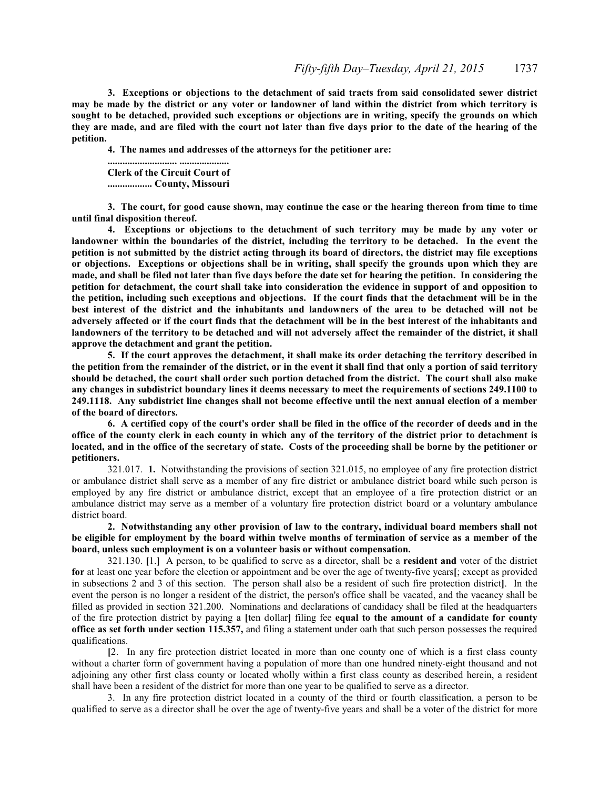**3. Exceptions or objections to the detachment of said tracts from said consolidated sewer district may be made by the district or any voter or landowner of land within the district from which territory is sought to be detached, provided such exceptions or objections are in writing, specify the grounds on which they are made, and are filed with the court not later than five days prior to the date of the hearing of the petition.**

**4. The names and addresses of the attorneys for the petitioner are:**

**............................ .................... Clerk of the Circuit Court of .................. County, Missouri**

**3. The court, for good cause shown, may continue the case or the hearing thereon from time to time until final disposition thereof.**

**4. Exceptions or objections to the detachment of such territory may be made by any voter or landowner within the boundaries of the district, including the territory to be detached. In the event the petition is not submitted by the district acting through its board of directors, the district may file exceptions or objections. Exceptions or objections shall be in writing, shall specify the grounds upon which they are made, and shall be filed not later than five days before the date set for hearing the petition. In considering the petition for detachment, the court shall take into consideration the evidence in support of and opposition to the petition, including such exceptions and objections. If the court finds that the detachment will be in the best interest of the district and the inhabitants and landowners of the area to be detached will not be adversely affected or if the court finds that the detachment will be in the best interest of the inhabitants and landowners of the territory to be detached and will not adversely affect the remainder of the district, it shall approve the detachment and grant the petition.**

**5. If the court approves the detachment, it shall make its order detaching the territory described in the petition from the remainder of the district, or in the event it shall find that only a portion of said territory should be detached, the court shall order such portion detached from the district. The court shall also make any changes in subdistrict boundary lines it deems necessary to meet the requirements of sections 249.1100 to 249.1118. Any subdistrict line changes shall not become effective until the next annual election of a member of the board of directors.**

**6. A certified copy of the court's order shall be filed in the office of the recorder of deeds and in the office of the county clerk in each county in which any of the territory of the district prior to detachment is located, and in the office of the secretary of state. Costs of the proceeding shall be borne by the petitioner or petitioners.**

321.017. **1.** Notwithstanding the provisions of section 321.015, no employee of any fire protection district or ambulance district shall serve as a member of any fire district or ambulance district board while such person is employed by any fire district or ambulance district, except that an employee of a fire protection district or an ambulance district may serve as a member of a voluntary fire protection district board or a voluntary ambulance district board.

**2. Notwithstanding any other provision of law to the contrary, individual board members shall not be eligible for employment by the board within twelve months of termination of service as a member of the board, unless such employment is on a volunteer basis or without compensation.**

321.130. **[**1.**]** A person, to be qualified to serve as a director, shall be a **resident and** voter of the district **for** at least one year before the election or appointment and be over the age of twenty-five years**[**; except as provided in subsections 2 and 3 of this section. The person shall also be a resident of such fire protection district**]**. In the event the person is no longer a resident of the district, the person's office shall be vacated, and the vacancy shall be filled as provided in section 321.200. Nominations and declarations of candidacy shall be filed at the headquarters of the fire protection district by paying a **[**ten dollar**]** filing fee **equal to the amount of a candidate for county office as set forth under section 115.357,** and filing a statement under oath that such person possesses the required qualifications.

**[**2. In any fire protection district located in more than one county one of which is a first class county without a charter form of government having a population of more than one hundred ninety-eight thousand and not adjoining any other first class county or located wholly within a first class county as described herein, a resident shall have been a resident of the district for more than one year to be qualified to serve as a director.

3. In any fire protection district located in a county of the third or fourth classification, a person to be qualified to serve as a director shall be over the age of twenty-five years and shall be a voter of the district for more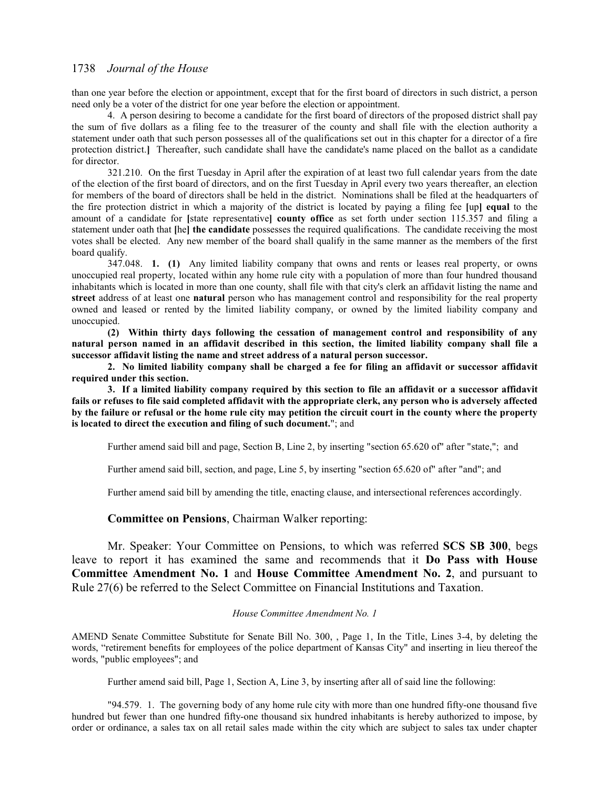than one year before the election or appointment, except that for the first board of directors in such district, a person need only be a voter of the district for one year before the election or appointment.

4. A person desiring to become a candidate for the first board of directors of the proposed district shall pay the sum of five dollars as a filing fee to the treasurer of the county and shall file with the election authority a statement under oath that such person possesses all of the qualifications set out in this chapter for a director of a fire protection district.**]** Thereafter, such candidate shall have the candidate's name placed on the ballot as a candidate for director.

321.210. On the first Tuesday in April after the expiration of at least two full calendar years from the date of the election of the first board of directors, and on the first Tuesday in April every two years thereafter, an election for members of the board of directors shall be held in the district. Nominations shall be filed at the headquarters of the fire protection district in which a majority of the district is located by paying a filing fee **[**up**] equal** to the amount of a candidate for **[**state representative**] county office** as set forth under section 115.357 and filing a statement under oath that **[**he**] the candidate** possesses the required qualifications. The candidate receiving the most votes shall be elected. Any new member of the board shall qualify in the same manner as the members of the first board qualify.

347.048. **1. (1)** Any limited liability company that owns and rents or leases real property, or owns unoccupied real property, located within any home rule city with a population of more than four hundred thousand inhabitants which is located in more than one county, shall file with that city's clerk an affidavit listing the name and **street** address of at least one **natural** person who has management control and responsibility for the real property owned and leased or rented by the limited liability company, or owned by the limited liability company and unoccupied.

**(2) Within thirty days following the cessation of management control and responsibility of any natural person named in an affidavit described in this section, the limited liability company shall file a successor affidavit listing the name and street address of a natural person successor.**

**2. No limited liability company shall be charged a fee for filing an affidavit or successor affidavit required under this section.**

**3. If a limited liability company required by this section to file an affidavit or a successor affidavit fails or refuses to file said completed affidavit with the appropriate clerk, any person who is adversely affected by the failure or refusal or the home rule city may petition the circuit court in the county where the property is located to direct the execution and filing of such document.**"; and

Further amend said bill and page, Section B, Line 2, by inserting "section 65.620 of" after "state,"; and

Further amend said bill, section, and page, Line 5, by inserting "section 65.620 of" after "and"; and

Further amend said bill by amending the title, enacting clause, and intersectional references accordingly.

#### **Committee on Pensions**, Chairman Walker reporting:

Mr. Speaker: Your Committee on Pensions, to which was referred **SCS SB 300**, begs leave to report it has examined the same and recommends that it **Do Pass with House Committee Amendment No. 1** and **House Committee Amendment No. 2**, and pursuant to Rule 27(6) be referred to the Select Committee on Financial Institutions and Taxation.

#### *House Committee Amendment No. 1*

AMEND Senate Committee Substitute for Senate Bill No. 300, , Page 1, In the Title, Lines 3-4, by deleting the words, "retirement benefits for employees of the police department of Kansas City" and inserting in lieu thereof the words, "public employees"; and

Further amend said bill, Page 1, Section A, Line 3, by inserting after all of said line the following:

"94.579. 1. The governing body of any home rule city with more than one hundred fifty-one thousand five hundred but fewer than one hundred fifty-one thousand six hundred inhabitants is hereby authorized to impose, by order or ordinance, a sales tax on all retail sales made within the city which are subject to sales tax under chapter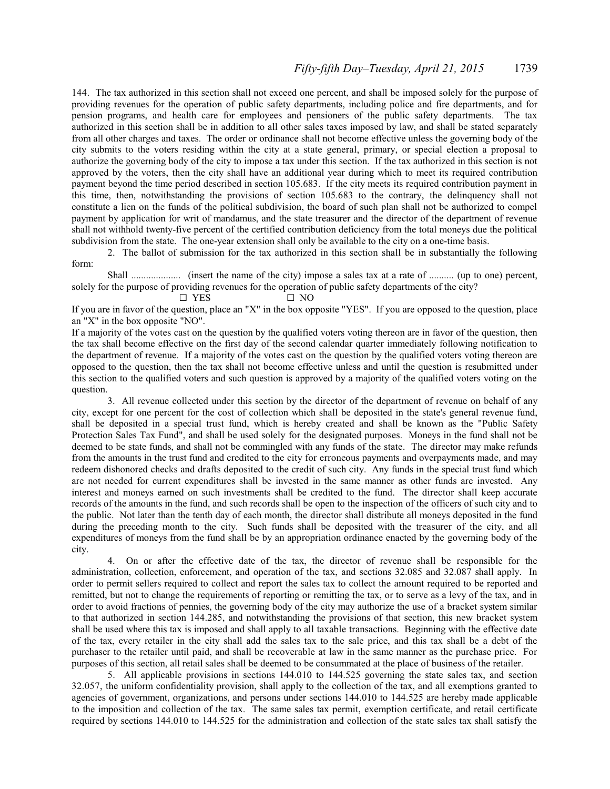144. The tax authorized in this section shall not exceed one percent, and shall be imposed solely for the purpose of providing revenues for the operation of public safety departments, including police and fire departments, and for pension programs, and health care for employees and pensioners of the public safety departments. The tax authorized in this section shall be in addition to all other sales taxes imposed by law, and shall be stated separately from all other charges and taxes. The order or ordinance shall not become effective unless the governing body of the city submits to the voters residing within the city at a state general, primary, or special election a proposal to authorize the governing body of the city to impose a tax under this section. If the tax authorized in this section is not approved by the voters, then the city shall have an additional year during which to meet its required contribution payment beyond the time period described in section 105.683. If the city meets its required contribution payment in this time, then, notwithstanding the provisions of section 105.683 to the contrary, the delinquency shall not constitute a lien on the funds of the political subdivision, the board of such plan shall not be authorized to compel payment by application for writ of mandamus, and the state treasurer and the director of the department of revenue shall not withhold twenty-five percent of the certified contribution deficiency from the total moneys due the political subdivision from the state. The one-year extension shall only be available to the city on a one-time basis.

2. The ballot of submission for the tax authorized in this section shall be in substantially the following form:

Shall .................... (insert the name of the city) impose a sales tax at a rate of .......... (up to one) percent, solely for the purpose of providing revenues for the operation of public safety departments of the city?

 $\Box$  YES  $\Box$  NO

If you are in favor of the question, place an "X" in the box opposite "YES". If you are opposed to the question, place an "X" in the box opposite "NO".

If a majority of the votes cast on the question by the qualified voters voting thereon are in favor of the question, then the tax shall become effective on the first day of the second calendar quarter immediately following notification to the department of revenue. If a majority of the votes cast on the question by the qualified voters voting thereon are opposed to the question, then the tax shall not become effective unless and until the question is resubmitted under this section to the qualified voters and such question is approved by a majority of the qualified voters voting on the question.

3. All revenue collected under this section by the director of the department of revenue on behalf of any city, except for one percent for the cost of collection which shall be deposited in the state's general revenue fund, shall be deposited in a special trust fund, which is hereby created and shall be known as the "Public Safety Protection Sales Tax Fund", and shall be used solely for the designated purposes. Moneys in the fund shall not be deemed to be state funds, and shall not be commingled with any funds of the state. The director may make refunds from the amounts in the trust fund and credited to the city for erroneous payments and overpayments made, and may redeem dishonored checks and drafts deposited to the credit of such city. Any funds in the special trust fund which are not needed for current expenditures shall be invested in the same manner as other funds are invested. Any interest and moneys earned on such investments shall be credited to the fund. The director shall keep accurate records of the amounts in the fund, and such records shall be open to the inspection of the officers of such city and to the public. Not later than the tenth day of each month, the director shall distribute all moneys deposited in the fund during the preceding month to the city. Such funds shall be deposited with the treasurer of the city, and all expenditures of moneys from the fund shall be by an appropriation ordinance enacted by the governing body of the city.

4. On or after the effective date of the tax, the director of revenue shall be responsible for the administration, collection, enforcement, and operation of the tax, and sections 32.085 and 32.087 shall apply. In order to permit sellers required to collect and report the sales tax to collect the amount required to be reported and remitted, but not to change the requirements of reporting or remitting the tax, or to serve as a levy of the tax, and in order to avoid fractions of pennies, the governing body of the city may authorize the use of a bracket system similar to that authorized in section 144.285, and notwithstanding the provisions of that section, this new bracket system shall be used where this tax is imposed and shall apply to all taxable transactions. Beginning with the effective date of the tax, every retailer in the city shall add the sales tax to the sale price, and this tax shall be a debt of the purchaser to the retailer until paid, and shall be recoverable at law in the same manner as the purchase price. For purposes of this section, all retail sales shall be deemed to be consummated at the place of business of the retailer.

5. All applicable provisions in sections 144.010 to 144.525 governing the state sales tax, and section 32.057, the uniform confidentiality provision, shall apply to the collection of the tax, and all exemptions granted to agencies of government, organizations, and persons under sections 144.010 to 144.525 are hereby made applicable to the imposition and collection of the tax. The same sales tax permit, exemption certificate, and retail certificate required by sections 144.010 to 144.525 for the administration and collection of the state sales tax shall satisfy the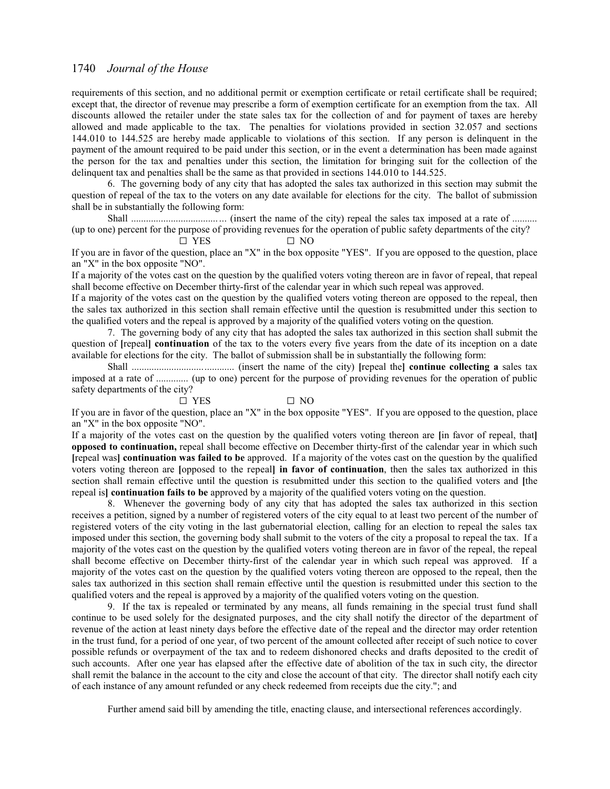requirements of this section, and no additional permit or exemption certificate or retail certificate shall be required; except that, the director of revenue may prescribe a form of exemption certificate for an exemption from the tax. All discounts allowed the retailer under the state sales tax for the collection of and for payment of taxes are hereby allowed and made applicable to the tax. The penalties for violations provided in section 32.057 and sections 144.010 to 144.525 are hereby made applicable to violations of this section. If any person is delinquent in the payment of the amount required to be paid under this section, or in the event a determination has been made against the person for the tax and penalties under this section, the limitation for bringing suit for the collection of the delinquent tax and penalties shall be the same as that provided in sections 144.010 to 144.525.

6. The governing body of any city that has adopted the sales tax authorized in this section may submit the question of repeal of the tax to the voters on any date available for elections for the city. The ballot of submission shall be in substantially the following form:

Shall ...................................... (insert the name of the city) repeal the sales tax imposed at a rate of .......... (up to one) percent for the purpose of providing revenues for the operation of public safety departments of the city?  $\Box$  YES  $\Box$  NO

If you are in favor of the question, place an "X" in the box opposite "YES". If you are opposed to the question, place an "X" in the box opposite "NO".

If a majority of the votes cast on the question by the qualified voters voting thereon are in favor of repeal, that repeal shall become effective on December thirty-first of the calendar year in which such repeal was approved.

If a majority of the votes cast on the question by the qualified voters voting thereon are opposed to the repeal, then the sales tax authorized in this section shall remain effective until the question is resubmitted under this section to the qualified voters and the repeal is approved by a majority of the qualified voters voting on the question.

7. The governing body of any city that has adopted the sales tax authorized in this section shall submit the question of **[**repeal**] continuation** of the tax to the voters every five years from the date of its inception on a date available for elections for the city. The ballot of submission shall be in substantially the following form:

Shall ......................................... (insert the name of the city) **[**repeal the**] continue collecting a** sales tax imposed at a rate of ............. (up to one) percent for the purpose of providing revenues for the operation of public safety departments of the city?

 $\square$  YES  $\square$  NO

If you are in favor of the question, place an "X" in the box opposite "YES". If you are opposed to the question, place an "X" in the box opposite "NO".

If a majority of the votes cast on the question by the qualified voters voting thereon are **[**in favor of repeal, that**] opposed to continuation,** repeal shall become effective on December thirty-first of the calendar year in which such **[**repeal was**] continuation was failed to be** approved. If a majority of the votes cast on the question by the qualified voters voting thereon are **[**opposed to the repeal**] in favor of continuation**, then the sales tax authorized in this section shall remain effective until the question is resubmitted under this section to the qualified voters and **[**the repeal is**] continuation fails to be** approved by a majority of the qualified voters voting on the question.

8. Whenever the governing body of any city that has adopted the sales tax authorized in this section receives a petition, signed by a number of registered voters of the city equal to at least two percent of the number of registered voters of the city voting in the last gubernatorial election, calling for an election to repeal the sales tax imposed under this section, the governing body shall submit to the voters of the city a proposal to repeal the tax. If a majority of the votes cast on the question by the qualified voters voting thereon are in favor of the repeal, the repeal shall become effective on December thirty-first of the calendar year in which such repeal was approved. If a majority of the votes cast on the question by the qualified voters voting thereon are opposed to the repeal, then the sales tax authorized in this section shall remain effective until the question is resubmitted under this section to the qualified voters and the repeal is approved by a majority of the qualified voters voting on the question.

9. If the tax is repealed or terminated by any means, all funds remaining in the special trust fund shall continue to be used solely for the designated purposes, and the city shall notify the director of the department of revenue of the action at least ninety days before the effective date of the repeal and the director may order retention in the trust fund, for a period of one year, of two percent of the amount collected after receipt of such notice to cover possible refunds or overpayment of the tax and to redeem dishonored checks and drafts deposited to the credit of such accounts. After one year has elapsed after the effective date of abolition of the tax in such city, the director shall remit the balance in the account to the city and close the account of that city. The director shall notify each city of each instance of any amount refunded or any check redeemed from receipts due the city."; and

Further amend said bill by amending the title, enacting clause, and intersectional references accordingly.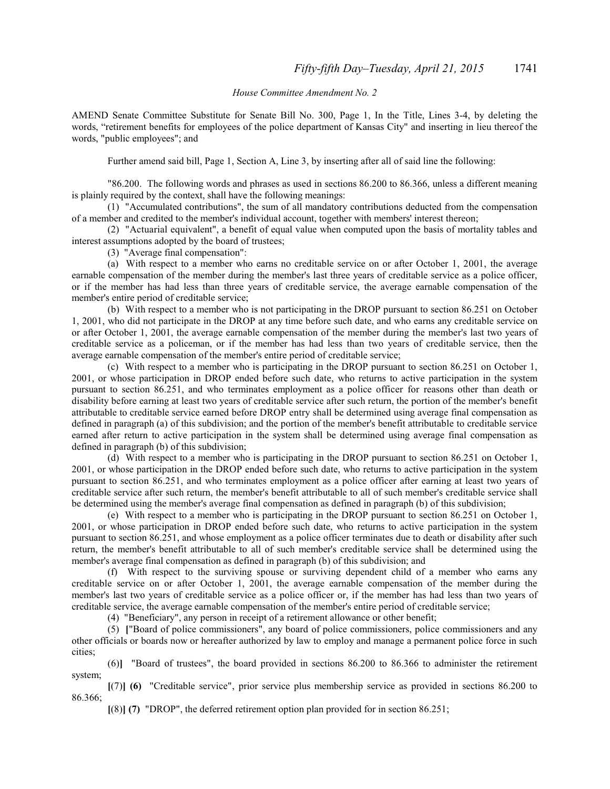### *House Committee Amendment No. 2*

AMEND Senate Committee Substitute for Senate Bill No. 300, Page 1, In the Title, Lines 3-4, by deleting the words, "retirement benefits for employees of the police department of Kansas City" and inserting in lieu thereof the words, "public employees"; and

Further amend said bill, Page 1, Section A, Line 3, by inserting after all of said line the following:

"86.200. The following words and phrases as used in sections 86.200 to 86.366, unless a different meaning is plainly required by the context, shall have the following meanings:

(1) "Accumulated contributions", the sum of all mandatory contributions deducted from the compensation of a member and credited to the member's individual account, together with members' interest thereon;

(2) "Actuarial equivalent", a benefit of equal value when computed upon the basis of mortality tables and interest assumptions adopted by the board of trustees;

(3) "Average final compensation":

(a) With respect to a member who earns no creditable service on or after October 1, 2001, the average earnable compensation of the member during the member's last three years of creditable service as a police officer, or if the member has had less than three years of creditable service, the average earnable compensation of the member's entire period of creditable service;

(b) With respect to a member who is not participating in the DROP pursuant to section 86.251 on October 1, 2001, who did not participate in the DROP at any time before such date, and who earns any creditable service on or after October 1, 2001, the average earnable compensation of the member during the member's last two years of creditable service as a policeman, or if the member has had less than two years of creditable service, then the average earnable compensation of the member's entire period of creditable service;

(c) With respect to a member who is participating in the DROP pursuant to section 86.251 on October 1, 2001, or whose participation in DROP ended before such date, who returns to active participation in the system pursuant to section 86.251, and who terminates employment as a police officer for reasons other than death or disability before earning at least two years of creditable service after such return, the portion of the member's benefit attributable to creditable service earned before DROP entry shall be determined using average final compensation as defined in paragraph (a) of this subdivision; and the portion of the member's benefit attributable to creditable service earned after return to active participation in the system shall be determined using average final compensation as defined in paragraph (b) of this subdivision;

(d) With respect to a member who is participating in the DROP pursuant to section 86.251 on October 1, 2001, or whose participation in the DROP ended before such date, who returns to active participation in the system pursuant to section 86.251, and who terminates employment as a police officer after earning at least two years of creditable service after such return, the member's benefit attributable to all of such member's creditable service shall be determined using the member's average final compensation as defined in paragraph (b) of this subdivision;

(e) With respect to a member who is participating in the DROP pursuant to section 86.251 on October 1, 2001, or whose participation in DROP ended before such date, who returns to active participation in the system pursuant to section 86.251, and whose employment as a police officer terminates due to death or disability after such return, the member's benefit attributable to all of such member's creditable service shall be determined using the member's average final compensation as defined in paragraph (b) of this subdivision; and

(f) With respect to the surviving spouse or surviving dependent child of a member who earns any creditable service on or after October 1, 2001, the average earnable compensation of the member during the member's last two years of creditable service as a police officer or, if the member has had less than two years of creditable service, the average earnable compensation of the member's entire period of creditable service;

(4) "Beneficiary", any person in receipt of a retirement allowance or other benefit;

(5) **[**"Board of police commissioners", any board of police commissioners, police commissioners and any other officials or boards now or hereafter authorized by law to employ and manage a permanent police force in such cities;

(6)**]** "Board of trustees", the board provided in sections 86.200 to 86.366 to administer the retirement system;

**[**(7)**] (6)** "Creditable service", prior service plus membership service as provided in sections 86.200 to 86.366;

**[**(8)**] (7)** "DROP", the deferred retirement option plan provided for in section 86.251;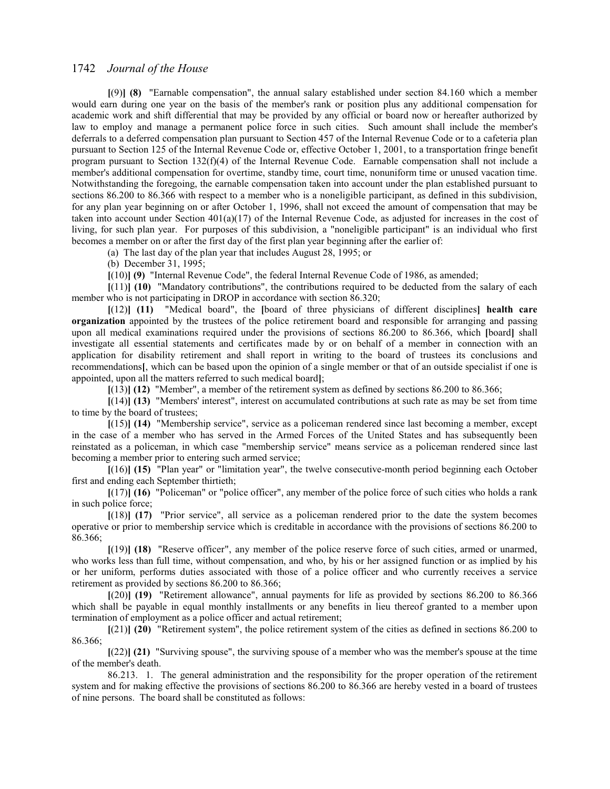**[**(9)**] (8)** "Earnable compensation", the annual salary established under section 84.160 which a member would earn during one year on the basis of the member's rank or position plus any additional compensation for academic work and shift differential that may be provided by any official or board now or hereafter authorized by law to employ and manage a permanent police force in such cities. Such amount shall include the member's deferrals to a deferred compensation plan pursuant to Section 457 of the Internal Revenue Code or to a cafeteria plan pursuant to Section 125 of the Internal Revenue Code or, effective October 1, 2001, to a transportation fringe benefit program pursuant to Section 132(f)(4) of the Internal Revenue Code. Earnable compensation shall not include a member's additional compensation for overtime, standby time, court time, nonuniform time or unused vacation time. Notwithstanding the foregoing, the earnable compensation taken into account under the plan established pursuant to sections 86.200 to 86.366 with respect to a member who is a noneligible participant, as defined in this subdivision, for any plan year beginning on or after October 1, 1996, shall not exceed the amount of compensation that may be taken into account under Section 401(a)(17) of the Internal Revenue Code, as adjusted for increases in the cost of living, for such plan year. For purposes of this subdivision, a "noneligible participant" is an individual who first becomes a member on or after the first day of the first plan year beginning after the earlier of:

(a) The last day of the plan year that includes August 28, 1995; or

(b) December 31, 1995;

**[**(10)**] (9)** "Internal Revenue Code", the federal Internal Revenue Code of 1986, as amended;

**[**(11)**] (10)** "Mandatory contributions", the contributions required to be deducted from the salary of each member who is not participating in DROP in accordance with section 86.320;

**[**(12)**] (11)** "Medical board", the **[**board of three physicians of different disciplines**] health care organization** appointed by the trustees of the police retirement board and responsible for arranging and passing upon all medical examinations required under the provisions of sections 86.200 to 86.366, which **[**board**]** shall investigate all essential statements and certificates made by or on behalf of a member in connection with an application for disability retirement and shall report in writing to the board of trustees its conclusions and recommendations**[**, which can be based upon the opinion of a single member or that of an outside specialist if one is appointed, upon all the matters referred to such medical board**]**;

**[**(13)**] (12)** "Member", a member of the retirement system as defined by sections 86.200 to 86.366;

**[**(14)**] (13)** "Members' interest", interest on accumulated contributions at such rate as may be set from time to time by the board of trustees;

**[**(15)**] (14)** "Membership service", service as a policeman rendered since last becoming a member, except in the case of a member who has served in the Armed Forces of the United States and has subsequently been reinstated as a policeman, in which case "membership service" means service as a policeman rendered since last becoming a member prior to entering such armed service;

**[**(16)**] (15)** "Plan year" or "limitation year", the twelve consecutive-month period beginning each October first and ending each September thirtieth;

**[**(17)**] (16)** "Policeman" or "police officer", any member of the police force of such cities who holds a rank in such police force;

**[**(18)**] (17)** "Prior service", all service as a policeman rendered prior to the date the system becomes operative or prior to membership service which is creditable in accordance with the provisions of sections 86.200 to 86.366;

**[**(19)**] (18)** "Reserve officer", any member of the police reserve force of such cities, armed or unarmed, who works less than full time, without compensation, and who, by his or her assigned function or as implied by his or her uniform, performs duties associated with those of a police officer and who currently receives a service retirement as provided by sections 86.200 to 86.366;

**[**(20)**] (19)** "Retirement allowance", annual payments for life as provided by sections 86.200 to 86.366 which shall be payable in equal monthly installments or any benefits in lieu thereof granted to a member upon termination of employment as a police officer and actual retirement;

**[**(21)**] (20)** "Retirement system", the police retirement system of the cities as defined in sections 86.200 to 86.366;

**[**(22)**] (21)** "Surviving spouse", the surviving spouse of a member who was the member's spouse at the time of the member's death.

 86.213. 1. The general administration and the responsibility for the proper operation of the retirement system and for making effective the provisions of sections 86.200 to 86.366 are hereby vested in a board of trustees of nine persons. The board shall be constituted as follows: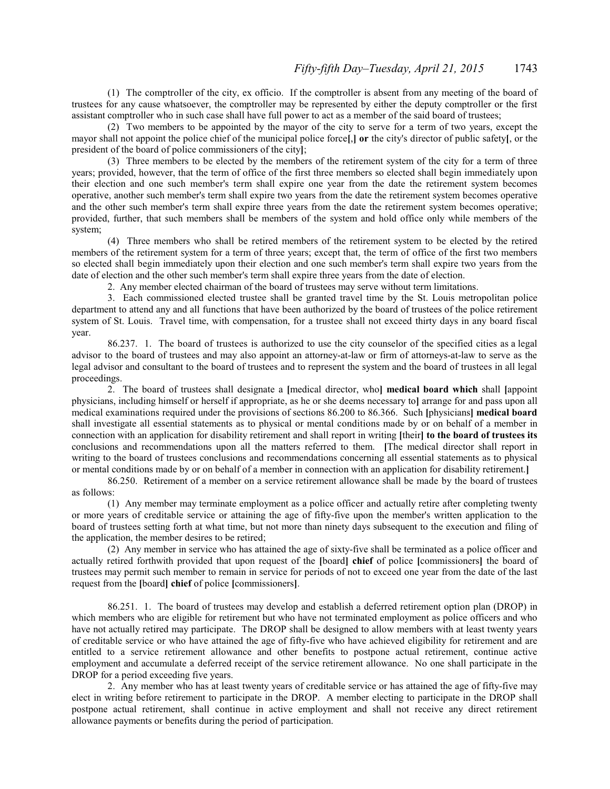(1) The comptroller of the city, ex officio. If the comptroller is absent from any meeting of the board of trustees for any cause whatsoever, the comptroller may be represented by either the deputy comptroller or the first assistant comptroller who in such case shall have full power to act as a member of the said board of trustees;

(2) Two members to be appointed by the mayor of the city to serve for a term of two years, except the mayor shall not appoint the police chief of the municipal police force**[**,**] or** the city's director of public safety**[**, or the president of the board of police commissioners of the city**]**;

(3) Three members to be elected by the members of the retirement system of the city for a term of three years; provided, however, that the term of office of the first three members so elected shall begin immediately upon their election and one such member's term shall expire one year from the date the retirement system becomes operative, another such member's term shall expire two years from the date the retirement system becomes operative and the other such member's term shall expire three years from the date the retirement system becomes operative; provided, further, that such members shall be members of the system and hold office only while members of the system;

(4) Three members who shall be retired members of the retirement system to be elected by the retired members of the retirement system for a term of three years; except that, the term of office of the first two members so elected shall begin immediately upon their election and one such member's term shall expire two years from the date of election and the other such member's term shall expire three years from the date of election.

2. Any member elected chairman of the board of trustees may serve without term limitations.

3. Each commissioned elected trustee shall be granted travel time by the St. Louis metropolitan police department to attend any and all functions that have been authorized by the board of trustees of the police retirement system of St. Louis. Travel time, with compensation, for a trustee shall not exceed thirty days in any board fiscal year.

 86.237. 1. The board of trustees is authorized to use the city counselor of the specified cities as a legal advisor to the board of trustees and may also appoint an attorney-at-law or firm of attorneys-at-law to serve as the legal advisor and consultant to the board of trustees and to represent the system and the board of trustees in all legal proceedings.

2. The board of trustees shall designate a **[**medical director, who**] medical board which** shall **[**appoint physicians, including himself or herself if appropriate, as he or she deems necessary to**]** arrange for and pass upon all medical examinations required under the provisions of sections 86.200 to 86.366. Such **[**physicians**] medical board** shall investigate all essential statements as to physical or mental conditions made by or on behalf of a member in connection with an application for disability retirement and shall report in writing **[**their**] to the board of trustees its** conclusions and recommendations upon all the matters referred to them. **[**The medical director shall report in writing to the board of trustees conclusions and recommendations concerning all essential statements as to physical or mental conditions made by or on behalf of a member in connection with an application for disability retirement.**]**

 86.250. Retirement of a member on a service retirement allowance shall be made by the board of trustees as follows:

(1) Any member may terminate employment as a police officer and actually retire after completing twenty or more years of creditable service or attaining the age of fifty-five upon the member's written application to the board of trustees setting forth at what time, but not more than ninety days subsequent to the execution and filing of the application, the member desires to be retired;

(2) Any member in service who has attained the age of sixty-five shall be terminated as a police officer and actually retired forthwith provided that upon request of the **[**board**] chief** of police **[**commissioners**]** the board of trustees may permit such member to remain in service for periods of not to exceed one year from the date of the last request from the **[**board**] chief** of police **[**commissioners**]**.

86.251. 1. The board of trustees may develop and establish a deferred retirement option plan (DROP) in which members who are eligible for retirement but who have not terminated employment as police officers and who have not actually retired may participate. The DROP shall be designed to allow members with at least twenty years of creditable service or who have attained the age of fifty-five who have achieved eligibility for retirement and are entitled to a service retirement allowance and other benefits to postpone actual retirement, continue active employment and accumulate a deferred receipt of the service retirement allowance. No one shall participate in the DROP for a period exceeding five years.

2. Any member who has at least twenty years of creditable service or has attained the age of fifty-five may elect in writing before retirement to participate in the DROP. A member electing to participate in the DROP shall postpone actual retirement, shall continue in active employment and shall not receive any direct retirement allowance payments or benefits during the period of participation.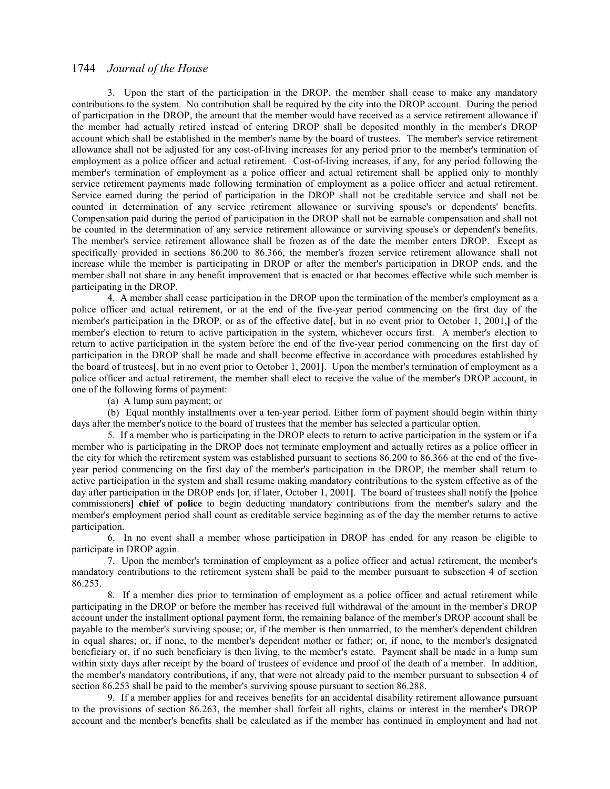3. Upon the start of the participation in the DROP, the member shall cease to make any mandatory contributions to the system. No contribution shall be required by the city into the DROP account. During the period of participation in the DROP, the amount that the member would have received as a service retirement allowance if the member had actually retired instead of entering DROP shall be deposited monthly in the member's DROP account which shall be established in the member's name by the board of trustees. The member's service retirement allowance shall not be adjusted for any cost-of-living increases for any period prior to the member's termination of employment as a police officer and actual retirement. Cost-of-living increases, if any, for any period following the member's termination of employment as a police officer and actual retirement shall be applied only to monthly service retirement payments made following termination of employment as a police officer and actual retirement. Service earned during the period of participation in the DROP shall not be creditable service and shall not be counted in determination of any service retirement allowance or surviving spouse's or dependents' benefits. Compensation paid during the period of participation in the DROP shall not be earnable compensation and shall not be counted in the determination of any service retirement allowance or surviving spouse's or dependent's benefits. The member's service retirement allowance shall be frozen as of the date the member enters DROP. Except as specifically provided in sections 86.200 to 86.366, the member's frozen service retirement allowance shall not increase while the member is participating in DROP or after the member's participation in DROP ends, and the member shall not share in any benefit improvement that is enacted or that becomes effective while such member is participating in the DROP.

4. A member shall cease participation in the DROP upon the termination of the member's employment as a police officer and actual retirement, or at the end of the five-year period commencing on the first day of the member's participation in the DROP, or as of the effective date**[**, but in no event prior to October 1, 2001,**]** of the member's election to return to active participation in the system, whichever occurs first. A member's election to return to active participation in the system before the end of the five-year period commencing on the first day of participation in the DROP shall be made and shall become effective in accordance with procedures established by the board of trustees**[**, but in no event prior to October 1, 2001**]**. Upon the member's termination of employment as a police officer and actual retirement, the member shall elect to receive the value of the member's DROP account, in one of the following forms of payment:

(a) A lump sum payment; or

(b) Equal monthly installments over a ten-year period. Either form of payment should begin within thirty days after the member's notice to the board of trustees that the member has selected a particular option.

5. If a member who is participating in the DROP elects to return to active participation in the system or if a member who is participating in the DROP does not terminate employment and actually retires as a police officer in the city for which the retirement system was established pursuant to sections 86.200 to 86.366 at the end of the fiveyear period commencing on the first day of the member's participation in the DROP, the member shall return to active participation in the system and shall resume making mandatory contributions to the system effective as of the day after participation in the DROP ends **[**or, if later, October 1, 2001**]**. The board of trustees shall notify the **[**police commissioners**] chief of police** to begin deducting mandatory contributions from the member's salary and the member's employment period shall count as creditable service beginning as of the day the member returns to active participation.

6. In no event shall a member whose participation in DROP has ended for any reason be eligible to participate in DROP again.

7. Upon the member's termination of employment as a police officer and actual retirement, the member's mandatory contributions to the retirement system shall be paid to the member pursuant to subsection 4 of section 86.253.

8. If a member dies prior to termination of employment as a police officer and actual retirement while participating in the DROP or before the member has received full withdrawal of the amount in the member's DROP account under the installment optional payment form, the remaining balance of the member's DROP account shall be payable to the member's surviving spouse; or, if the member is then unmarried, to the member's dependent children in equal shares; or, if none, to the member's dependent mother or father; or, if none, to the member's designated beneficiary or, if no such beneficiary is then living, to the member's estate. Payment shall be made in a lump sum within sixty days after receipt by the board of trustees of evidence and proof of the death of a member. In addition, the member's mandatory contributions, if any, that were not already paid to the member pursuant to subsection 4 of section 86.253 shall be paid to the member's surviving spouse pursuant to section 86.288.

9. If a member applies for and receives benefits for an accidental disability retirement allowance pursuant to the provisions of section 86.263, the member shall forfeit all rights, claims or interest in the member's DROP account and the member's benefits shall be calculated as if the member has continued in employment and had not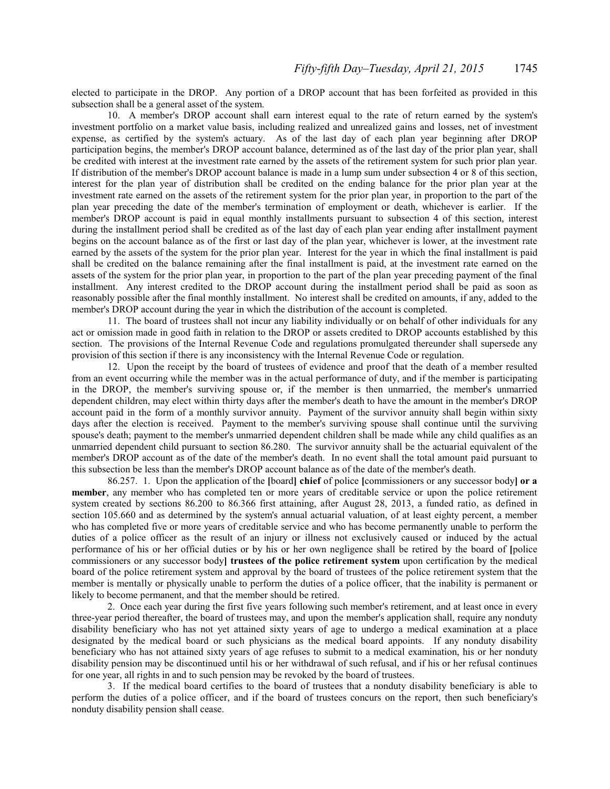elected to participate in the DROP. Any portion of a DROP account that has been forfeited as provided in this subsection shall be a general asset of the system.

10. A member's DROP account shall earn interest equal to the rate of return earned by the system's investment portfolio on a market value basis, including realized and unrealized gains and losses, net of investment expense, as certified by the system's actuary. As of the last day of each plan year beginning after DROP participation begins, the member's DROP account balance, determined as of the last day of the prior plan year, shall be credited with interest at the investment rate earned by the assets of the retirement system for such prior plan year. If distribution of the member's DROP account balance is made in a lump sum under subsection 4 or 8 of this section, interest for the plan year of distribution shall be credited on the ending balance for the prior plan year at the investment rate earned on the assets of the retirement system for the prior plan year, in proportion to the part of the plan year preceding the date of the member's termination of employment or death, whichever is earlier. If the member's DROP account is paid in equal monthly installments pursuant to subsection 4 of this section, interest during the installment period shall be credited as of the last day of each plan year ending after installment payment begins on the account balance as of the first or last day of the plan year, whichever is lower, at the investment rate earned by the assets of the system for the prior plan year. Interest for the year in which the final installment is paid shall be credited on the balance remaining after the final installment is paid, at the investment rate earned on the assets of the system for the prior plan year, in proportion to the part of the plan year preceding payment of the final installment. Any interest credited to the DROP account during the installment period shall be paid as soon as reasonably possible after the final monthly installment. No interest shall be credited on amounts, if any, added to the member's DROP account during the year in which the distribution of the account is completed.

11. The board of trustees shall not incur any liability individually or on behalf of other individuals for any act or omission made in good faith in relation to the DROP or assets credited to DROP accounts established by this section. The provisions of the Internal Revenue Code and regulations promulgated thereunder shall supersede any provision of this section if there is any inconsistency with the Internal Revenue Code or regulation.

12. Upon the receipt by the board of trustees of evidence and proof that the death of a member resulted from an event occurring while the member was in the actual performance of duty, and if the member is participating in the DROP, the member's surviving spouse or, if the member is then unmarried, the member's unmarried dependent children, may elect within thirty days after the member's death to have the amount in the member's DROP account paid in the form of a monthly survivor annuity. Payment of the survivor annuity shall begin within sixty days after the election is received. Payment to the member's surviving spouse shall continue until the surviving spouse's death; payment to the member's unmarried dependent children shall be made while any child qualifies as an unmarried dependent child pursuant to section 86.280. The survivor annuity shall be the actuarial equivalent of the member's DROP account as of the date of the member's death. In no event shall the total amount paid pursuant to this subsection be less than the member's DROP account balance as of the date of the member's death.

 86.257. 1. Upon the application of the **[**board**] chief** of police **[**commissioners or any successor body**] or a member**, any member who has completed ten or more years of creditable service or upon the police retirement system created by sections 86.200 to 86.366 first attaining, after August 28, 2013, a funded ratio, as defined in section 105.660 and as determined by the system's annual actuarial valuation, of at least eighty percent, a member who has completed five or more years of creditable service and who has become permanently unable to perform the duties of a police officer as the result of an injury or illness not exclusively caused or induced by the actual performance of his or her official duties or by his or her own negligence shall be retired by the board of **[**police commissioners or any successor body**] trustees of the police retirement system** upon certification by the medical board of the police retirement system and approval by the board of trustees of the police retirement system that the member is mentally or physically unable to perform the duties of a police officer, that the inability is permanent or likely to become permanent, and that the member should be retired.

2. Once each year during the first five years following such member's retirement, and at least once in every three-year period thereafter, the board of trustees may, and upon the member's application shall, require any nonduty disability beneficiary who has not yet attained sixty years of age to undergo a medical examination at a place designated by the medical board or such physicians as the medical board appoints. If any nonduty disability beneficiary who has not attained sixty years of age refuses to submit to a medical examination, his or her nonduty disability pension may be discontinued until his or her withdrawal of such refusal, and if his or her refusal continues for one year, all rights in and to such pension may be revoked by the board of trustees.

3. If the medical board certifies to the board of trustees that a nonduty disability beneficiary is able to perform the duties of a police officer, and if the board of trustees concurs on the report, then such beneficiary's nonduty disability pension shall cease.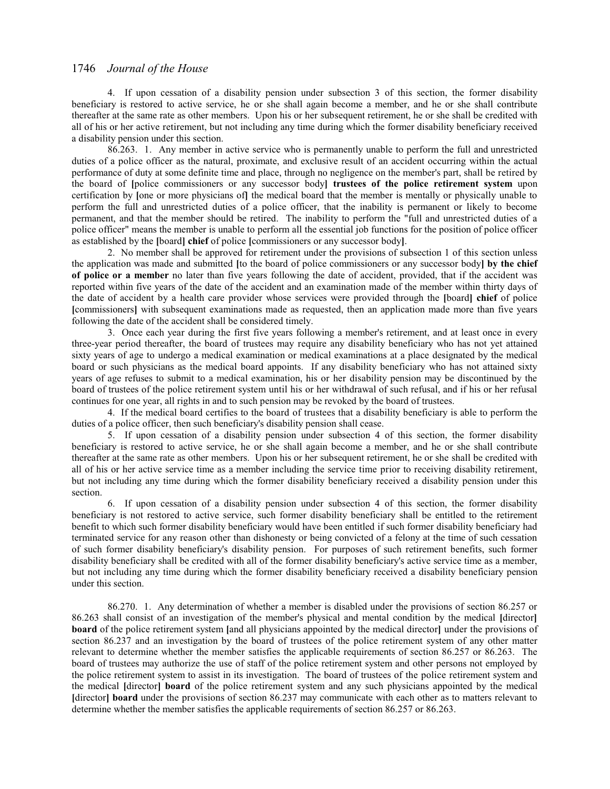4. If upon cessation of a disability pension under subsection 3 of this section, the former disability beneficiary is restored to active service, he or she shall again become a member, and he or she shall contribute thereafter at the same rate as other members. Upon his or her subsequent retirement, he or she shall be credited with all of his or her active retirement, but not including any time during which the former disability beneficiary received a disability pension under this section.

86.263. 1. Any member in active service who is permanently unable to perform the full and unrestricted duties of a police officer as the natural, proximate, and exclusive result of an accident occurring within the actual performance of duty at some definite time and place, through no negligence on the member's part, shall be retired by the board of **[**police commissioners or any successor body**] trustees of the police retirement system** upon certification by **[**one or more physicians of**]** the medical board that the member is mentally or physically unable to perform the full and unrestricted duties of a police officer, that the inability is permanent or likely to become permanent, and that the member should be retired. The inability to perform the "full and unrestricted duties of a police officer" means the member is unable to perform all the essential job functions for the position of police officer as established by the **[**board**] chief** of police **[**commissioners or any successor body**]**.

2. No member shall be approved for retirement under the provisions of subsection 1 of this section unless the application was made and submitted **[**to the board of police commissioners or any successor body**] by the chief of police or a member** no later than five years following the date of accident, provided, that if the accident was reported within five years of the date of the accident and an examination made of the member within thirty days of the date of accident by a health care provider whose services were provided through the **[**board**] chief** of police **[**commissioners**]** with subsequent examinations made as requested, then an application made more than five years following the date of the accident shall be considered timely.

3. Once each year during the first five years following a member's retirement, and at least once in every three-year period thereafter, the board of trustees may require any disability beneficiary who has not yet attained sixty years of age to undergo a medical examination or medical examinations at a place designated by the medical board or such physicians as the medical board appoints. If any disability beneficiary who has not attained sixty years of age refuses to submit to a medical examination, his or her disability pension may be discontinued by the board of trustees of the police retirement system until his or her withdrawal of such refusal, and if his or her refusal continues for one year, all rights in and to such pension may be revoked by the board of trustees.

4. If the medical board certifies to the board of trustees that a disability beneficiary is able to perform the duties of a police officer, then such beneficiary's disability pension shall cease.

5. If upon cessation of a disability pension under subsection 4 of this section, the former disability beneficiary is restored to active service, he or she shall again become a member, and he or she shall contribute thereafter at the same rate as other members. Upon his or her subsequent retirement, he or she shall be credited with all of his or her active service time as a member including the service time prior to receiving disability retirement, but not including any time during which the former disability beneficiary received a disability pension under this section.

6. If upon cessation of a disability pension under subsection 4 of this section, the former disability beneficiary is not restored to active service, such former disability beneficiary shall be entitled to the retirement benefit to which such former disability beneficiary would have been entitled if such former disability beneficiary had terminated service for any reason other than dishonesty or being convicted of a felony at the time of such cessation of such former disability beneficiary's disability pension. For purposes of such retirement benefits, such former disability beneficiary shall be credited with all of the former disability beneficiary's active service time as a member, but not including any time during which the former disability beneficiary received a disability beneficiary pension under this section.

86.270. 1. Any determination of whether a member is disabled under the provisions of section 86.257 or 86.263 shall consist of an investigation of the member's physical and mental condition by the medical **[**director**] board** of the police retirement system **[**and all physicians appointed by the medical director**]** under the provisions of section 86.237 and an investigation by the board of trustees of the police retirement system of any other matter relevant to determine whether the member satisfies the applicable requirements of section 86.257 or 86.263. The board of trustees may authorize the use of staff of the police retirement system and other persons not employed by the police retirement system to assist in its investigation. The board of trustees of the police retirement system and the medical **[**director**] board** of the police retirement system and any such physicians appointed by the medical **[**director**] board** under the provisions of section 86.237 may communicate with each other as to matters relevant to determine whether the member satisfies the applicable requirements of section 86.257 or 86.263.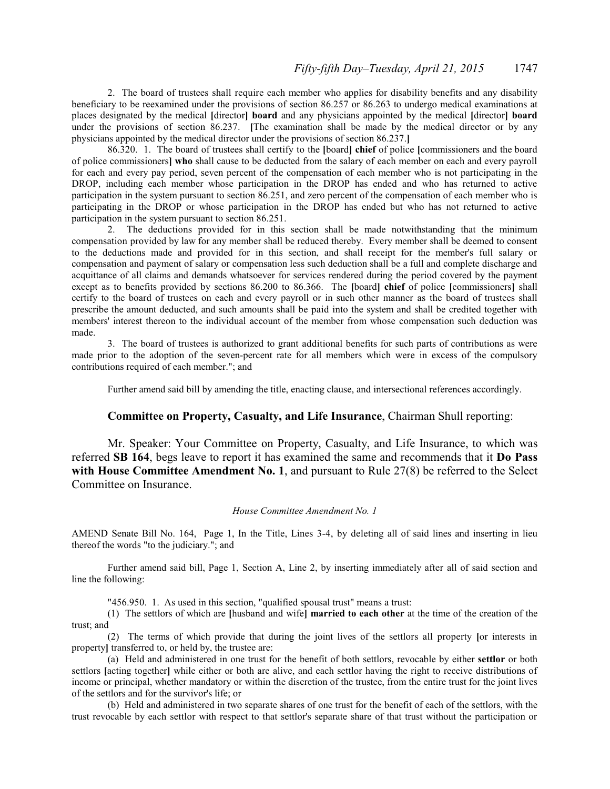2. The board of trustees shall require each member who applies for disability benefits and any disability beneficiary to be reexamined under the provisions of section 86.257 or 86.263 to undergo medical examinations at places designated by the medical **[**director**] board** and any physicians appointed by the medical **[**director**] board** under the provisions of section 86.237. [The examination shall be made by the medical director or by any physicians appointed by the medical director under the provisions of section 86.237.**]**

86.320. 1. The board of trustees shall certify to the **[**board**] chief** of police **[**commissioners and the board of police commissioners**] who** shall cause to be deducted from the salary of each member on each and every payroll for each and every pay period, seven percent of the compensation of each member who is not participating in the DROP, including each member whose participation in the DROP has ended and who has returned to active participation in the system pursuant to section 86.251, and zero percent of the compensation of each member who is participating in the DROP or whose participation in the DROP has ended but who has not returned to active participation in the system pursuant to section 86.251.

2. The deductions provided for in this section shall be made notwithstanding that the minimum compensation provided by law for any member shall be reduced thereby. Every member shall be deemed to consent to the deductions made and provided for in this section, and shall receipt for the member's full salary or compensation and payment of salary or compensation less such deduction shall be a full and complete discharge and acquittance of all claims and demands whatsoever for services rendered during the period covered by the payment except as to benefits provided by sections 86.200 to 86.366. The **[**board**] chief** of police **[**commissioners**]** shall certify to the board of trustees on each and every payroll or in such other manner as the board of trustees shall prescribe the amount deducted, and such amounts shall be paid into the system and shall be credited together with members' interest thereon to the individual account of the member from whose compensation such deduction was made.

3. The board of trustees is authorized to grant additional benefits for such parts of contributions as were made prior to the adoption of the seven-percent rate for all members which were in excess of the compulsory contributions required of each member."; and

Further amend said bill by amending the title, enacting clause, and intersectional references accordingly.

## **Committee on Property, Casualty, and Life Insurance**, Chairman Shull reporting:

Mr. Speaker: Your Committee on Property, Casualty, and Life Insurance, to which was referred **SB 164**, begs leave to report it has examined the same and recommends that it **Do Pass with House Committee Amendment No. 1**, and pursuant to Rule 27(8) be referred to the Select Committee on Insurance.

### *House Committee Amendment No. 1*

AMEND Senate Bill No. 164, Page 1, In the Title, Lines 3-4, by deleting all of said lines and inserting in lieu thereof the words "to the judiciary."; and

Further amend said bill, Page 1, Section A, Line 2, by inserting immediately after all of said section and line the following:

"456.950. 1. As used in this section, "qualified spousal trust" means a trust:

(1) The settlors of which are **[**husband and wife**] married to each other** at the time of the creation of the trust; and

(2) The terms of which provide that during the joint lives of the settlors all property **[**or interests in property**]** transferred to, or held by, the trustee are:

(a) Held and administered in one trust for the benefit of both settlors, revocable by either **settlor** or both settlors **[**acting together**]** while either or both are alive, and each settlor having the right to receive distributions of income or principal, whether mandatory or within the discretion of the trustee, from the entire trust for the joint lives of the settlors and for the survivor's life; or

(b) Held and administered in two separate shares of one trust for the benefit of each of the settlors, with the trust revocable by each settlor with respect to that settlor's separate share of that trust without the participation or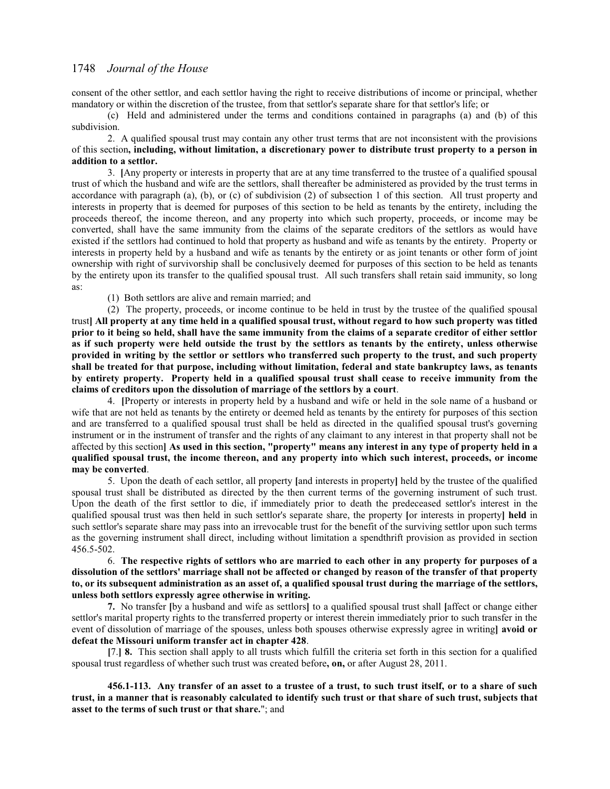consent of the other settlor, and each settlor having the right to receive distributions of income or principal, whether mandatory or within the discretion of the trustee, from that settlor's separate share for that settlor's life; or

(c) Held and administered under the terms and conditions contained in paragraphs (a) and (b) of this subdivision.

2. A qualified spousal trust may contain any other trust terms that are not inconsistent with the provisions of this section**, including, without limitation, a discretionary power to distribute trust property to a person in addition to a settlor.**

3. **[**Any property or interests in property that are at any time transferred to the trustee of a qualified spousal trust of which the husband and wife are the settlors, shall thereafter be administered as provided by the trust terms in accordance with paragraph (a), (b), or (c) of subdivision (2) of subsection 1 of this section. All trust property and interests in property that is deemed for purposes of this section to be held as tenants by the entirety, including the proceeds thereof, the income thereon, and any property into which such property, proceeds, or income may be converted, shall have the same immunity from the claims of the separate creditors of the settlors as would have existed if the settlors had continued to hold that property as husband and wife as tenants by the entirety. Property or interests in property held by a husband and wife as tenants by the entirety or as joint tenants or other form of joint ownership with right of survivorship shall be conclusively deemed for purposes of this section to be held as tenants by the entirety upon its transfer to the qualified spousal trust. All such transfers shall retain said immunity, so long as:

(1) Both settlors are alive and remain married; and

(2) The property, proceeds, or income continue to be held in trust by the trustee of the qualified spousal trust**] All property at any time held in a qualified spousal trust, without regard to how such property was titled prior to it being so held, shall have the same immunity from the claims of a separate creditor of either settlor as if such property were held outside the trust by the settlors as tenants by the entirety, unless otherwise provided in writing by the settlor or settlors who transferred such property to the trust, and such property shall be treated for that purpose, including without limitation, federal and state bankruptcy laws, as tenants by entirety property. Property held in a qualified spousal trust shall cease to receive immunity from the claims of creditors upon the dissolution of marriage of the settlors by a court**.

4. **[**Property or interests in property held by a husband and wife or held in the sole name of a husband or wife that are not held as tenants by the entirety or deemed held as tenants by the entirety for purposes of this section and are transferred to a qualified spousal trust shall be held as directed in the qualified spousal trust's governing instrument or in the instrument of transfer and the rights of any claimant to any interest in that property shall not be affected by this section**] As used in this section, "property" means any interest in any type of property held in a qualified spousal trust, the income thereon, and any property into which such interest, proceeds, or income may be converted**.

5. Upon the death of each settlor, all property **[**and interests in property**]** held by the trustee of the qualified spousal trust shall be distributed as directed by the then current terms of the governing instrument of such trust. Upon the death of the first settlor to die, if immediately prior to death the predeceased settlor's interest in the qualified spousal trust was then held in such settlor's separate share, the property **[**or interests in property**] held** in such settlor's separate share may pass into an irrevocable trust for the benefit of the surviving settlor upon such terms as the governing instrument shall direct, including without limitation a spendthrift provision as provided in section 456.5-502.

6. **The respective rights of settlors who are married to each other in any property for purposes of a dissolution of the settlors' marriage shall not be affected or changed by reason of the transfer of that property to, or its subsequent administration as an asset of, a qualified spousal trust during the marriage of the settlors, unless both settlors expressly agree otherwise in writing.**

**7.** No transfer **[**by a husband and wife as settlors**]** to a qualified spousal trust shall **[**affect or change either settlor's marital property rights to the transferred property or interest therein immediately prior to such transfer in the event of dissolution of marriage of the spouses, unless both spouses otherwise expressly agree in writing**] avoid or defeat the Missouri uniform transfer act in chapter 428**.

**[**7.**] 8.** This section shall apply to all trusts which fulfill the criteria set forth in this section for a qualified spousal trust regardless of whether such trust was created before**, on,** or after August 28, 2011.

**456.1-113. Any transfer of an asset to a trustee of a trust, to such trust itself, or to a share of such trust, in a manner that is reasonably calculated to identify such trust or that share of such trust, subjects that asset to the terms of such trust or that share.**"; and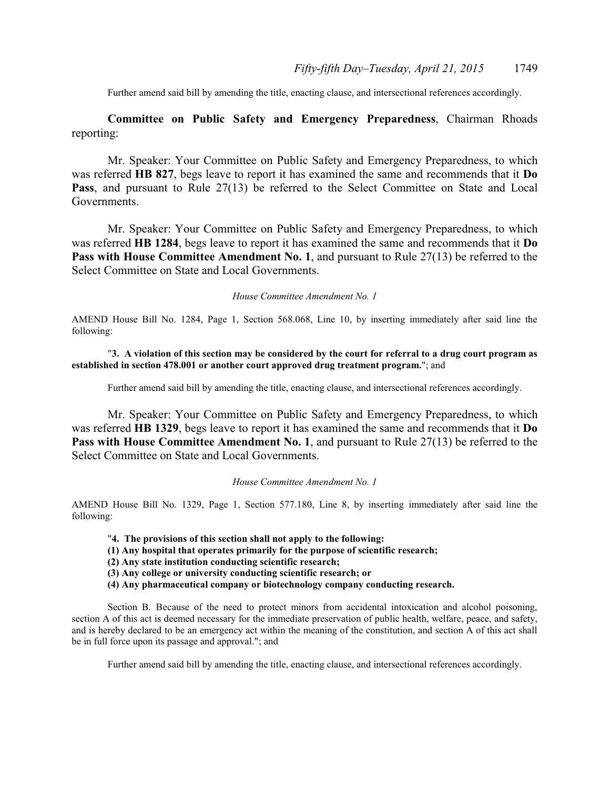Further amend said bill by amending the title, enacting clause, and intersectional references accordingly.

**Committee on Public Safety and Emergency Preparedness**, Chairman Rhoads reporting:

Mr. Speaker: Your Committee on Public Safety and Emergency Preparedness, to which was referred **HB 827**, begs leave to report it has examined the same and recommends that it **Do** Pass, and pursuant to Rule 27(13) be referred to the Select Committee on State and Local Governments.

Mr. Speaker: Your Committee on Public Safety and Emergency Preparedness, to which was referred **HB 1284**, begs leave to report it has examined the same and recommends that it **Do Pass with House Committee Amendment No. 1, and pursuant to Rule 27(13) be referred to the** Select Committee on State and Local Governments.

#### *House Committee Amendment No. 1*

AMEND House Bill No. 1284, Page 1, Section 568.068, Line 10, by inserting immediately after said line the following:

### "**3. A violation of this section may be considered by the court for referral to a drug court program as established in section 478.001 or another court approved drug treatment program.**"; and

Further amend said bill by amending the title, enacting clause, and intersectional references accordingly.

Mr. Speaker: Your Committee on Public Safety and Emergency Preparedness, to which was referred **HB 1329**, begs leave to report it has examined the same and recommends that it **Do Pass with House Committee Amendment No. 1, and pursuant to Rule 27(13) be referred to the** Select Committee on State and Local Governments.

#### *House Committee Amendment No. 1*

AMEND House Bill No. 1329, Page 1, Section 577.180, Line 8, by inserting immediately after said line the following:

- "**4. The provisions of this section shall not apply to the following:**
- **(1) Any hospital that operates primarily for the purpose of scientific research;**
- **(2) Any state institution conducting scientific research;**
- **(3) Any college or university conducting scientific research; or**
- **(4) Any pharmaceutical company or biotechnology company conducting research.**

Section B. Because of the need to protect minors from accidental intoxication and alcohol poisoning, section A of this act is deemed necessary for the immediate preservation of public health, welfare, peace, and safety, and is hereby declared to be an emergency act within the meaning of the constitution, and section A of this act shall be in full force upon its passage and approval."; and

Further amend said bill by amending the title, enacting clause, and intersectional references accordingly.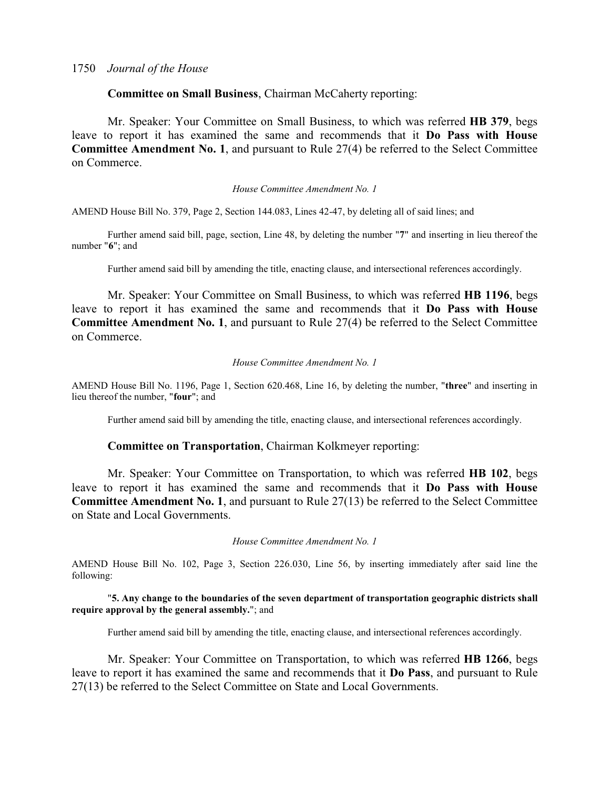## **Committee on Small Business**, Chairman McCaherty reporting:

Mr. Speaker: Your Committee on Small Business, to which was referred **HB 379**, begs leave to report it has examined the same and recommends that it **Do Pass with House Committee Amendment No. 1**, and pursuant to Rule 27(4) be referred to the Select Committee on Commerce.

### *House Committee Amendment No. 1*

AMEND House Bill No. 379, Page 2, Section 144.083, Lines 42-47, by deleting all of said lines; and

Further amend said bill, page, section, Line 48, by deleting the number "**7**" and inserting in lieu thereof the number "**6**"; and

Further amend said bill by amending the title, enacting clause, and intersectional references accordingly.

Mr. Speaker: Your Committee on Small Business, to which was referred **HB 1196**, begs leave to report it has examined the same and recommends that it **Do Pass with House Committee Amendment No. 1**, and pursuant to Rule 27(4) be referred to the Select Committee on Commerce.

### *House Committee Amendment No. 1*

AMEND House Bill No. 1196, Page 1, Section 620.468, Line 16, by deleting the number, "**three**" and inserting in lieu thereof the number, "**four**"; and

Further amend said bill by amending the title, enacting clause, and intersectional references accordingly.

## **Committee on Transportation**, Chairman Kolkmeyer reporting:

Mr. Speaker: Your Committee on Transportation, to which was referred **HB 102**, begs leave to report it has examined the same and recommends that it **Do Pass with House Committee Amendment No. 1**, and pursuant to Rule 27(13) be referred to the Select Committee on State and Local Governments.

### *House Committee Amendment No. 1*

AMEND House Bill No. 102, Page 3, Section 226.030, Line 56, by inserting immediately after said line the following:

### "**5. Any change to the boundaries of the seven department of transportation geographic districts shall require approval by the general assembly.**"; and

Further amend said bill by amending the title, enacting clause, and intersectional references accordingly.

Mr. Speaker: Your Committee on Transportation, to which was referred **HB 1266**, begs leave to report it has examined the same and recommends that it **Do Pass**, and pursuant to Rule 27(13) be referred to the Select Committee on State and Local Governments.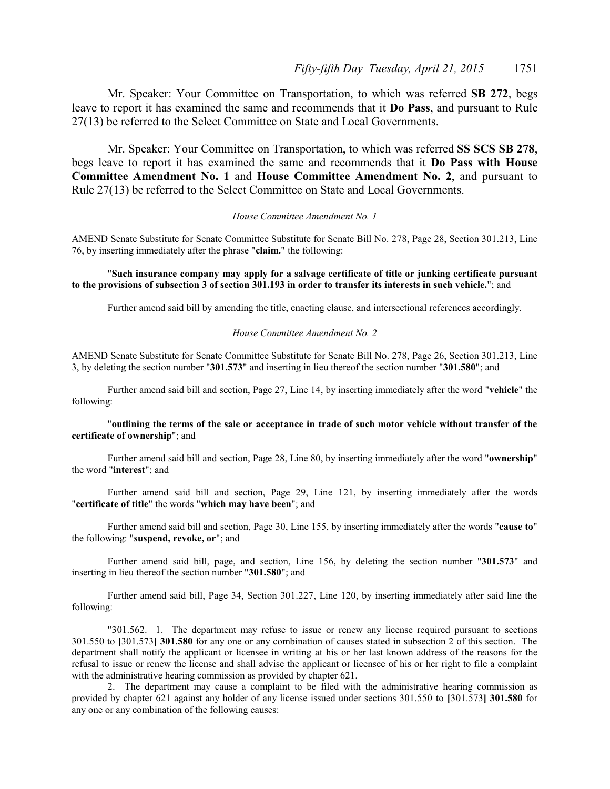Mr. Speaker: Your Committee on Transportation, to which was referred **SB 272**, begs leave to report it has examined the same and recommends that it **Do Pass**, and pursuant to Rule 27(13) be referred to the Select Committee on State and Local Governments.

Mr. Speaker: Your Committee on Transportation, to which was referred **SS SCS SB 278**, begs leave to report it has examined the same and recommends that it **Do Pass with House Committee Amendment No. 1** and **House Committee Amendment No. 2**, and pursuant to Rule 27(13) be referred to the Select Committee on State and Local Governments.

### *House Committee Amendment No. 1*

AMEND Senate Substitute for Senate Committee Substitute for Senate Bill No. 278, Page 28, Section 301.213, Line 76, by inserting immediately after the phrase "**claim.**" the following:

### "**Such insurance company may apply for a salvage certificate of title or junking certificate pursuant to the provisions of subsection 3 of section 301.193 in order to transfer its interests in such vehicle.**"; and

Further amend said bill by amending the title, enacting clause, and intersectional references accordingly.

#### *House Committee Amendment No. 2*

AMEND Senate Substitute for Senate Committee Substitute for Senate Bill No. 278, Page 26, Section 301.213, Line 3, by deleting the section number "**301.573**" and inserting in lieu thereof the section number "**301.580**"; and

Further amend said bill and section, Page 27, Line 14, by inserting immediately after the word "**vehicle**" the following:

### "**outlining the terms of the sale or acceptance in trade of such motor vehicle without transfer of the certificate of ownership**"; and

Further amend said bill and section, Page 28, Line 80, by inserting immediately after the word "**ownership**" the word "**interest**"; and

Further amend said bill and section, Page 29, Line 121, by inserting immediately after the words "**certificate of title**" the words "**which may have been**"; and

Further amend said bill and section, Page 30, Line 155, by inserting immediately after the words "**cause to**" the following: "**suspend, revoke, or**"; and

Further amend said bill, page, and section, Line 156, by deleting the section number "**301.573**" and inserting in lieu thereof the section number "**301.580**"; and

Further amend said bill, Page 34, Section 301.227, Line 120, by inserting immediately after said line the following:

"301.562. 1. The department may refuse to issue or renew any license required pursuant to sections 301.550 to **[**301.573**] 301.580** for any one or any combination of causes stated in subsection 2 of this section. The department shall notify the applicant or licensee in writing at his or her last known address of the reasons for the refusal to issue or renew the license and shall advise the applicant or licensee of his or her right to file a complaint with the administrative hearing commission as provided by chapter 621.

2. The department may cause a complaint to be filed with the administrative hearing commission as provided by chapter 621 against any holder of any license issued under sections 301.550 to **[**301.573**] 301.580** for any one or any combination of the following causes: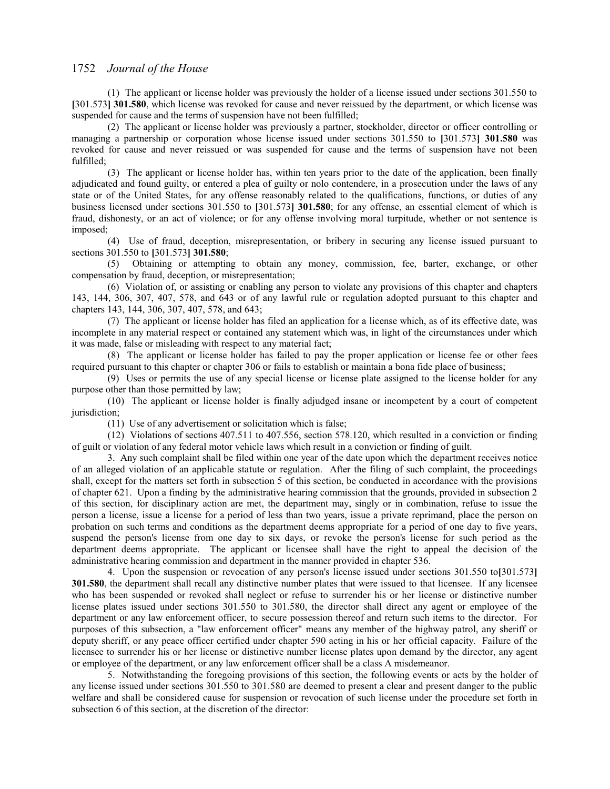(1) The applicant or license holder was previously the holder of a license issued under sections 301.550 to **[**301.573**] 301.580**, which license was revoked for cause and never reissued by the department, or which license was suspended for cause and the terms of suspension have not been fulfilled;

(2) The applicant or license holder was previously a partner, stockholder, director or officer controlling or managing a partnership or corporation whose license issued under sections 301.550 to **[**301.573**] 301.580** was revoked for cause and never reissued or was suspended for cause and the terms of suspension have not been fulfilled;

(3) The applicant or license holder has, within ten years prior to the date of the application, been finally adjudicated and found guilty, or entered a plea of guilty or nolo contendere, in a prosecution under the laws of any state or of the United States, for any offense reasonably related to the qualifications, functions, or duties of any business licensed under sections 301.550 to **[**301.573**] 301.580**; for any offense, an essential element of which is fraud, dishonesty, or an act of violence; or for any offense involving moral turpitude, whether or not sentence is imposed;

(4) Use of fraud, deception, misrepresentation, or bribery in securing any license issued pursuant to sections 301.550 to **[**301.573**] 301.580**;

(5) Obtaining or attempting to obtain any money, commission, fee, barter, exchange, or other compensation by fraud, deception, or misrepresentation;

(6) Violation of, or assisting or enabling any person to violate any provisions of this chapter and chapters 143, 144, 306, 307, 407, 578, and 643 or of any lawful rule or regulation adopted pursuant to this chapter and chapters 143, 144, 306, 307, 407, 578, and 643;

(7) The applicant or license holder has filed an application for a license which, as of its effective date, was incomplete in any material respect or contained any statement which was, in light of the circumstances under which it was made, false or misleading with respect to any material fact;

(8) The applicant or license holder has failed to pay the proper application or license fee or other fees required pursuant to this chapter or chapter 306 or fails to establish or maintain a bona fide place of business;

(9) Uses or permits the use of any special license or license plate assigned to the license holder for any purpose other than those permitted by law;

(10) The applicant or license holder is finally adjudged insane or incompetent by a court of competent jurisdiction;

(11) Use of any advertisement or solicitation which is false;

(12) Violations of sections 407.511 to 407.556, section 578.120, which resulted in a conviction or finding of guilt or violation of any federal motor vehicle laws which result in a conviction or finding of guilt.

3. Any such complaint shall be filed within one year of the date upon which the department receives notice of an alleged violation of an applicable statute or regulation. After the filing of such complaint, the proceedings shall, except for the matters set forth in subsection 5 of this section, be conducted in accordance with the provisions of chapter 621. Upon a finding by the administrative hearing commission that the grounds, provided in subsection 2 of this section, for disciplinary action are met, the department may, singly or in combination, refuse to issue the person a license, issue a license for a period of less than two years, issue a private reprimand, place the person on probation on such terms and conditions as the department deems appropriate for a period of one day to five years, suspend the person's license from one day to six days, or revoke the person's license for such period as the department deems appropriate. The applicant or licensee shall have the right to appeal the decision of the administrative hearing commission and department in the manner provided in chapter 536.

4. Upon the suspension or revocation of any person's license issued under sections 301.550 to**[**301.573**] 301.580**, the department shall recall any distinctive number plates that were issued to that licensee. If any licensee who has been suspended or revoked shall neglect or refuse to surrender his or her license or distinctive number license plates issued under sections 301.550 to 301.580, the director shall direct any agent or employee of the department or any law enforcement officer, to secure possession thereof and return such items to the director. For purposes of this subsection, a "law enforcement officer" means any member of the highway patrol, any sheriff or deputy sheriff, or any peace officer certified under chapter 590 acting in his or her official capacity. Failure of the licensee to surrender his or her license or distinctive number license plates upon demand by the director, any agent or employee of the department, or any law enforcement officer shall be a class A misdemeanor.

5. Notwithstanding the foregoing provisions of this section, the following events or acts by the holder of any license issued under sections 301.550 to 301.580 are deemed to present a clear and present danger to the public welfare and shall be considered cause for suspension or revocation of such license under the procedure set forth in subsection 6 of this section, at the discretion of the director: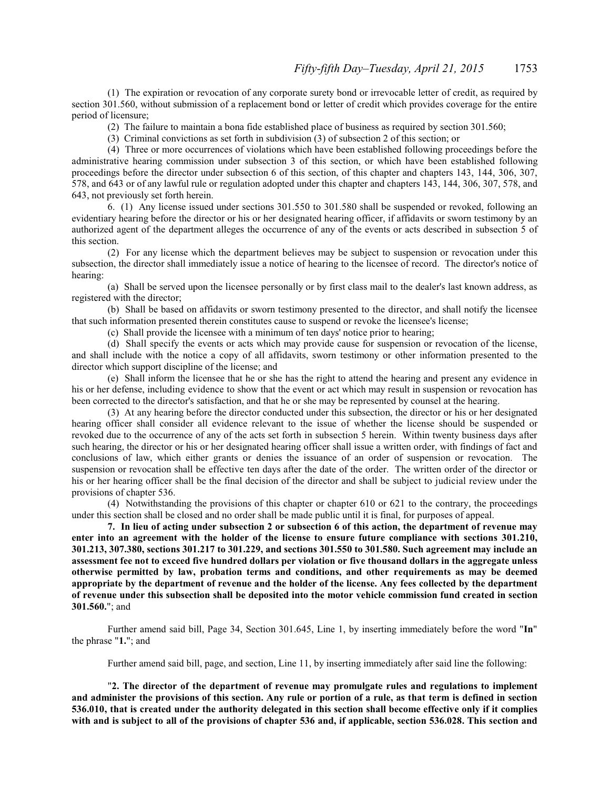(1) The expiration or revocation of any corporate surety bond or irrevocable letter of credit, as required by section 301.560, without submission of a replacement bond or letter of credit which provides coverage for the entire period of licensure;

(2) The failure to maintain a bona fide established place of business as required by section 301.560;

(3) Criminal convictions as set forth in subdivision (3) of subsection 2 of this section; or

(4) Three or more occurrences of violations which have been established following proceedings before the administrative hearing commission under subsection 3 of this section, or which have been established following proceedings before the director under subsection 6 of this section, of this chapter and chapters 143, 144, 306, 307, 578, and 643 or of any lawful rule or regulation adopted under this chapter and chapters 143, 144, 306, 307, 578, and 643, not previously set forth herein.

6. (1) Any license issued under sections 301.550 to 301.580 shall be suspended or revoked, following an evidentiary hearing before the director or his or her designated hearing officer, if affidavits or sworn testimony by an authorized agent of the department alleges the occurrence of any of the events or acts described in subsection 5 of this section.

(2) For any license which the department believes may be subject to suspension or revocation under this subsection, the director shall immediately issue a notice of hearing to the licensee of record. The director's notice of hearing:

(a) Shall be served upon the licensee personally or by first class mail to the dealer's last known address, as registered with the director;

(b) Shall be based on affidavits or sworn testimony presented to the director, and shall notify the licensee that such information presented therein constitutes cause to suspend or revoke the licensee's license;

(c) Shall provide the licensee with a minimum of ten days' notice prior to hearing;

(d) Shall specify the events or acts which may provide cause for suspension or revocation of the license, and shall include with the notice a copy of all affidavits, sworn testimony or other information presented to the director which support discipline of the license; and

(e) Shall inform the licensee that he or she has the right to attend the hearing and present any evidence in his or her defense, including evidence to show that the event or act which may result in suspension or revocation has been corrected to the director's satisfaction, and that he or she may be represented by counsel at the hearing.

(3) At any hearing before the director conducted under this subsection, the director or his or her designated hearing officer shall consider all evidence relevant to the issue of whether the license should be suspended or revoked due to the occurrence of any of the acts set forth in subsection 5 herein. Within twenty business days after such hearing, the director or his or her designated hearing officer shall issue a written order, with findings of fact and conclusions of law, which either grants or denies the issuance of an order of suspension or revocation. The suspension or revocation shall be effective ten days after the date of the order. The written order of the director or his or her hearing officer shall be the final decision of the director and shall be subject to judicial review under the provisions of chapter 536.

(4) Notwithstanding the provisions of this chapter or chapter 610 or 621 to the contrary, the proceedings under this section shall be closed and no order shall be made public until it is final, for purposes of appeal.

**7. In lieu of acting under subsection 2 or subsection 6 of this action, the department of revenue may enter into an agreement with the holder of the license to ensure future compliance with sections 301.210, 301.213, 307.380, sections 301.217 to 301.229, and sections 301.550 to 301.580. Such agreement may include an assessment fee not to exceed five hundred dollars per violation or five thousand dollars in the aggregate unless otherwise permitted by law, probation terms and conditions, and other requirements as may be deemed appropriate by the department of revenue and the holder of the license. Any fees collected by the department of revenue under this subsection shall be deposited into the motor vehicle commission fund created in section 301.560.**"; and

Further amend said bill, Page 34, Section 301.645, Line 1, by inserting immediately before the word "**In**" the phrase "**1.**"; and

Further amend said bill, page, and section, Line 11, by inserting immediately after said line the following:

"**2. The director of the department of revenue may promulgate rules and regulations to implement and administer the provisions of this section. Any rule or portion of a rule, as that term is defined in section 536.010, that is created under the authority delegated in this section shall become effective only if it complies with and is subject to all of the provisions of chapter 536 and, if applicable, section 536.028. This section and**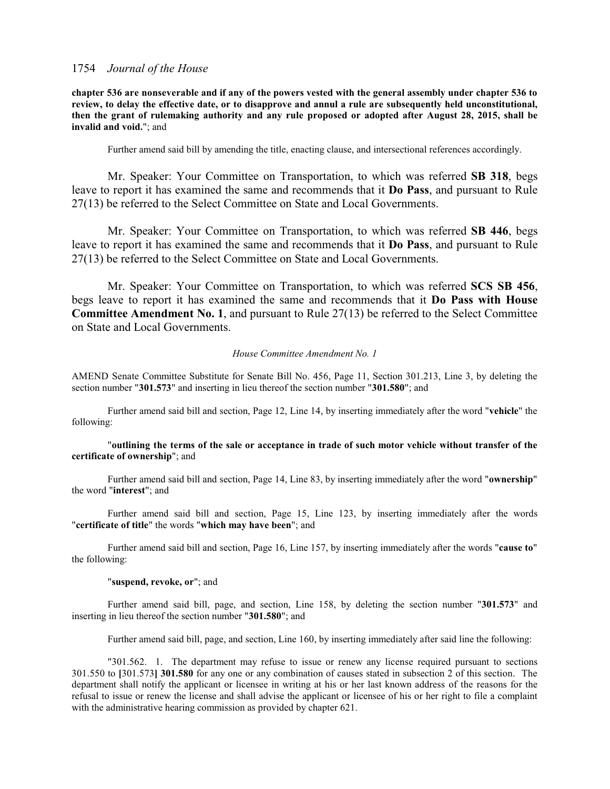**chapter 536 are nonseverable and if any of the powers vested with the general assembly under chapter 536 to review, to delay the effective date, or to disapprove and annul a rule are subsequently held unconstitutional, then the grant of rulemaking authority and any rule proposed or adopted after August 28, 2015, shall be invalid and void.**"; and

Further amend said bill by amending the title, enacting clause, and intersectional references accordingly.

Mr. Speaker: Your Committee on Transportation, to which was referred **SB 318**, begs leave to report it has examined the same and recommends that it **Do Pass**, and pursuant to Rule 27(13) be referred to the Select Committee on State and Local Governments.

Mr. Speaker: Your Committee on Transportation, to which was referred **SB 446**, begs leave to report it has examined the same and recommends that it **Do Pass**, and pursuant to Rule 27(13) be referred to the Select Committee on State and Local Governments.

Mr. Speaker: Your Committee on Transportation, to which was referred **SCS SB 456**, begs leave to report it has examined the same and recommends that it **Do Pass with House Committee Amendment No. 1**, and pursuant to Rule 27(13) be referred to the Select Committee on State and Local Governments.

#### *House Committee Amendment No. 1*

AMEND Senate Committee Substitute for Senate Bill No. 456, Page 11, Section 301.213, Line 3, by deleting the section number "**301.573**" and inserting in lieu thereof the section number "**301.580**"; and

Further amend said bill and section, Page 12, Line 14, by inserting immediately after the word "**vehicle**" the following:

### "**outlining the terms of the sale or acceptance in trade of such motor vehicle without transfer of the certificate of ownership**"; and

Further amend said bill and section, Page 14, Line 83, by inserting immediately after the word "**ownership**" the word "**interest**"; and

Further amend said bill and section, Page 15, Line 123, by inserting immediately after the words "**certificate of title**" the words "**which may have been**"; and

Further amend said bill and section, Page 16, Line 157, by inserting immediately after the words "**cause to**" the following:

### "**suspend, revoke, or**"; and

Further amend said bill, page, and section, Line 158, by deleting the section number "**301.573**" and inserting in lieu thereof the section number "**301.580**"; and

Further amend said bill, page, and section, Line 160, by inserting immediately after said line the following:

"301.562. 1. The department may refuse to issue or renew any license required pursuant to sections 301.550 to **[**301.573**] 301.580** for any one or any combination of causes stated in subsection 2 of this section. The department shall notify the applicant or licensee in writing at his or her last known address of the reasons for the refusal to issue or renew the license and shall advise the applicant or licensee of his or her right to file a complaint with the administrative hearing commission as provided by chapter 621.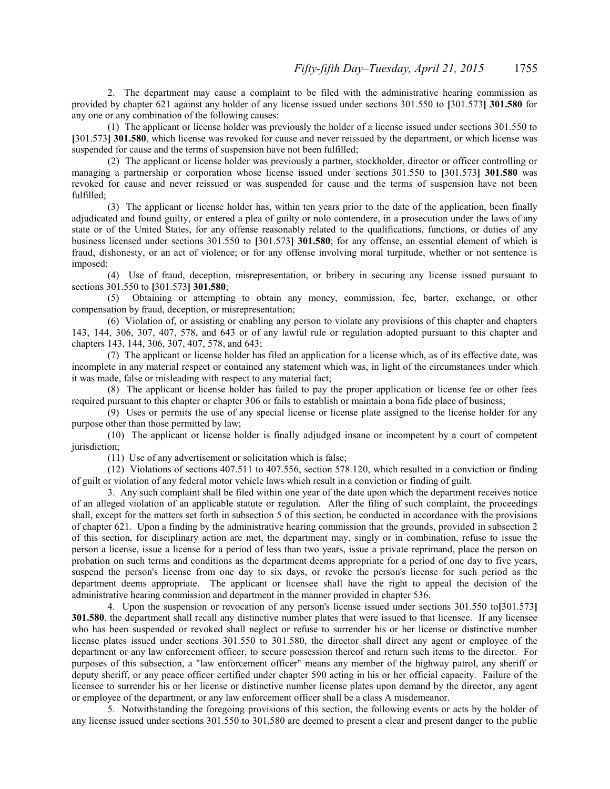2. The department may cause a complaint to be filed with the administrative hearing commission as provided by chapter 621 against any holder of any license issued under sections 301.550 to **[**301.573**] 301.580** for any one or any combination of the following causes:

(1) The applicant or license holder was previously the holder of a license issued under sections 301.550 to **[**301.573**] 301.580**, which license was revoked for cause and never reissued by the department, or which license was suspended for cause and the terms of suspension have not been fulfilled;

(2) The applicant or license holder was previously a partner, stockholder, director or officer controlling or managing a partnership or corporation whose license issued under sections 301.550 to **[**301.573**] 301.580** was revoked for cause and never reissued or was suspended for cause and the terms of suspension have not been fulfilled;

(3) The applicant or license holder has, within ten years prior to the date of the application, been finally adjudicated and found guilty, or entered a plea of guilty or nolo contendere, in a prosecution under the laws of any state or of the United States, for any offense reasonably related to the qualifications, functions, or duties of any business licensed under sections 301.550 to **[**301.573**] 301.580**; for any offense, an essential element of which is fraud, dishonesty, or an act of violence; or for any offense involving moral turpitude, whether or not sentence is imposed;

(4) Use of fraud, deception, misrepresentation, or bribery in securing any license issued pursuant to sections 301.550 to **[**301.573**] 301.580**;

(5) Obtaining or attempting to obtain any money, commission, fee, barter, exchange, or other compensation by fraud, deception, or misrepresentation;

(6) Violation of, or assisting or enabling any person to violate any provisions of this chapter and chapters 143, 144, 306, 307, 407, 578, and 643 or of any lawful rule or regulation adopted pursuant to this chapter and chapters 143, 144, 306, 307, 407, 578, and 643;

(7) The applicant or license holder has filed an application for a license which, as of its effective date, was incomplete in any material respect or contained any statement which was, in light of the circumstances under which it was made, false or misleading with respect to any material fact;

(8) The applicant or license holder has failed to pay the proper application or license fee or other fees required pursuant to this chapter or chapter 306 or fails to establish or maintain a bona fide place of business;

(9) Uses or permits the use of any special license or license plate assigned to the license holder for any purpose other than those permitted by law;

(10) The applicant or license holder is finally adjudged insane or incompetent by a court of competent jurisdiction;

(11) Use of any advertisement or solicitation which is false;

(12) Violations of sections 407.511 to 407.556, section 578.120, which resulted in a conviction or finding of guilt or violation of any federal motor vehicle laws which result in a conviction or finding of guilt.

3. Any such complaint shall be filed within one year of the date upon which the department receives notice of an alleged violation of an applicable statute or regulation. After the filing of such complaint, the proceedings shall, except for the matters set forth in subsection 5 of this section, be conducted in accordance with the provisions of chapter 621. Upon a finding by the administrative hearing commission that the grounds, provided in subsection 2 of this section, for disciplinary action are met, the department may, singly or in combination, refuse to issue the person a license, issue a license for a period of less than two years, issue a private reprimand, place the person on probation on such terms and conditions as the department deems appropriate for a period of one day to five years, suspend the person's license from one day to six days, or revoke the person's license for such period as the department deems appropriate. The applicant or licensee shall have the right to appeal the decision of the administrative hearing commission and department in the manner provided in chapter 536.

4. Upon the suspension or revocation of any person's license issued under sections 301.550 to**[**301.573**] 301.580**, the department shall recall any distinctive number plates that were issued to that licensee. If any licensee who has been suspended or revoked shall neglect or refuse to surrender his or her license or distinctive number license plates issued under sections 301.550 to 301.580, the director shall direct any agent or employee of the department or any law enforcement officer, to secure possession thereof and return such items to the director. For purposes of this subsection, a "law enforcement officer" means any member of the highway patrol, any sheriff or deputy sheriff, or any peace officer certified under chapter 590 acting in his or her official capacity. Failure of the licensee to surrender his or her license or distinctive number license plates upon demand by the director, any agent or employee of the department, or any law enforcement officer shall be a class A misdemeanor.

5. Notwithstanding the foregoing provisions of this section, the following events or acts by the holder of any license issued under sections 301.550 to 301.580 are deemed to present a clear and present danger to the public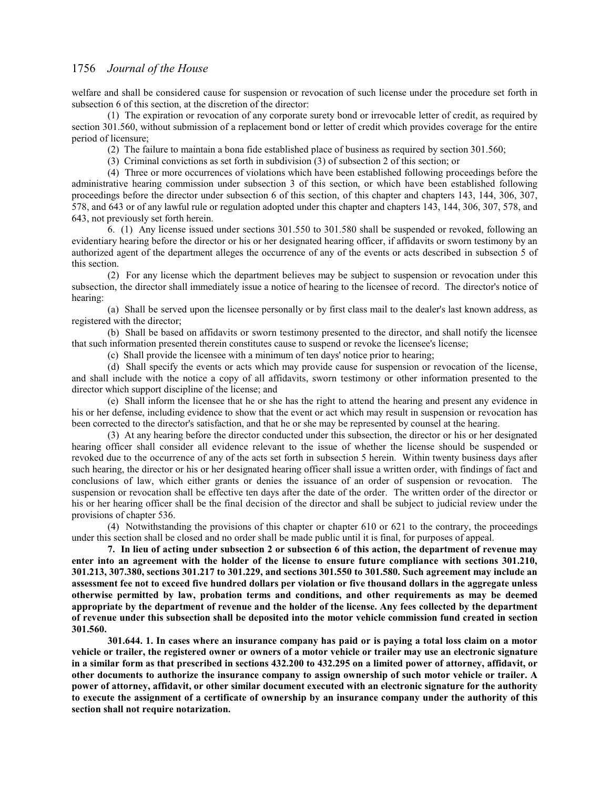welfare and shall be considered cause for suspension or revocation of such license under the procedure set forth in subsection 6 of this section, at the discretion of the director:

(1) The expiration or revocation of any corporate surety bond or irrevocable letter of credit, as required by section 301.560, without submission of a replacement bond or letter of credit which provides coverage for the entire period of licensure;

(2) The failure to maintain a bona fide established place of business as required by section 301.560;

(3) Criminal convictions as set forth in subdivision (3) of subsection 2 of this section; or

(4) Three or more occurrences of violations which have been established following proceedings before the administrative hearing commission under subsection 3 of this section, or which have been established following proceedings before the director under subsection 6 of this section, of this chapter and chapters 143, 144, 306, 307, 578, and 643 or of any lawful rule or regulation adopted under this chapter and chapters 143, 144, 306, 307, 578, and 643, not previously set forth herein.

6. (1) Any license issued under sections 301.550 to 301.580 shall be suspended or revoked, following an evidentiary hearing before the director or his or her designated hearing officer, if affidavits or sworn testimony by an authorized agent of the department alleges the occurrence of any of the events or acts described in subsection 5 of this section.

(2) For any license which the department believes may be subject to suspension or revocation under this subsection, the director shall immediately issue a notice of hearing to the licensee of record. The director's notice of hearing:

(a) Shall be served upon the licensee personally or by first class mail to the dealer's last known address, as registered with the director;

(b) Shall be based on affidavits or sworn testimony presented to the director, and shall notify the licensee that such information presented therein constitutes cause to suspend or revoke the licensee's license;

(c) Shall provide the licensee with a minimum of ten days' notice prior to hearing;

(d) Shall specify the events or acts which may provide cause for suspension or revocation of the license, and shall include with the notice a copy of all affidavits, sworn testimony or other information presented to the director which support discipline of the license; and

(e) Shall inform the licensee that he or she has the right to attend the hearing and present any evidence in his or her defense, including evidence to show that the event or act which may result in suspension or revocation has been corrected to the director's satisfaction, and that he or she may be represented by counsel at the hearing.

(3) At any hearing before the director conducted under this subsection, the director or his or her designated hearing officer shall consider all evidence relevant to the issue of whether the license should be suspended or revoked due to the occurrence of any of the acts set forth in subsection 5 herein. Within twenty business days after such hearing, the director or his or her designated hearing officer shall issue a written order, with findings of fact and conclusions of law, which either grants or denies the issuance of an order of suspension or revocation. The suspension or revocation shall be effective ten days after the date of the order. The written order of the director or his or her hearing officer shall be the final decision of the director and shall be subject to judicial review under the provisions of chapter 536.

(4) Notwithstanding the provisions of this chapter or chapter 610 or 621 to the contrary, the proceedings under this section shall be closed and no order shall be made public until it is final, for purposes of appeal.

**7. In lieu of acting under subsection 2 or subsection 6 of this action, the department of revenue may enter into an agreement with the holder of the license to ensure future compliance with sections 301.210, 301.213, 307.380, sections 301.217 to 301.229, and sections 301.550 to 301.580. Such agreement may include an assessment fee not to exceed five hundred dollars per violation or five thousand dollars in the aggregate unless otherwise permitted by law, probation terms and conditions, and other requirements as may be deemed appropriate by the department of revenue and the holder of the license. Any fees collected by the department of revenue under this subsection shall be deposited into the motor vehicle commission fund created in section 301.560.**

**301.644. 1. In cases where an insurance company has paid or is paying a total loss claim on a motor vehicle or trailer, the registered owner or owners of a motor vehicle or trailer may use an electronic signature in a similar form as that prescribed in sections 432.200 to 432.295 on a limited power of attorney, affidavit, or other documents to authorize the insurance company to assign ownership of such motor vehicle or trailer. A power of attorney, affidavit, or other similar document executed with an electronic signature for the authority to execute the assignment of a certificate of ownership by an insurance company under the authority of this section shall not require notarization.**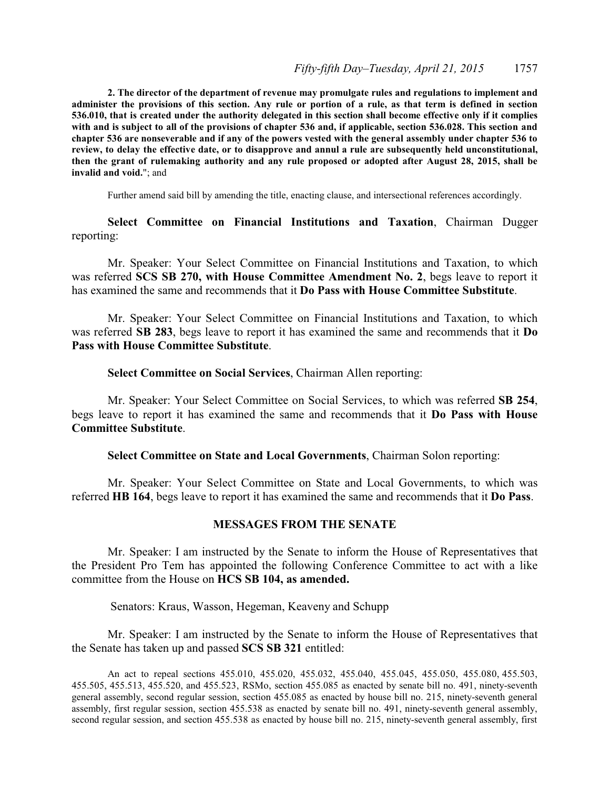**2. The director of the department of revenue may promulgate rules and regulations to implement and administer the provisions of this section. Any rule or portion of a rule, as that term is defined in section 536.010, that is created under the authority delegated in this section shall become effective only if it complies with and is subject to all of the provisions of chapter 536 and, if applicable, section 536.028. This section and chapter 536 are nonseverable and if any of the powers vested with the general assembly under chapter 536 to review, to delay the effective date, or to disapprove and annul a rule are subsequently held unconstitutional, then the grant of rulemaking authority and any rule proposed or adopted after August 28, 2015, shall be invalid and void.**"; and

Further amend said bill by amending the title, enacting clause, and intersectional references accordingly.

**Select Committee on Financial Institutions and Taxation**, Chairman Dugger reporting:

Mr. Speaker: Your Select Committee on Financial Institutions and Taxation, to which was referred **SCS SB 270, with House Committee Amendment No. 2**, begs leave to report it has examined the same and recommends that it **Do Pass with House Committee Substitute**.

Mr. Speaker: Your Select Committee on Financial Institutions and Taxation, to which was referred **SB 283**, begs leave to report it has examined the same and recommends that it **Do Pass with House Committee Substitute**.

**Select Committee on Social Services**, Chairman Allen reporting:

Mr. Speaker: Your Select Committee on Social Services, to which was referred **SB 254**, begs leave to report it has examined the same and recommends that it **Do Pass with House Committee Substitute**.

**Select Committee on State and Local Governments**, Chairman Solon reporting:

Mr. Speaker: Your Select Committee on State and Local Governments, to which was referred **HB 164**, begs leave to report it has examined the same and recommends that it **Do Pass**.

### **MESSAGES FROM THE SENATE**

Mr. Speaker: I am instructed by the Senate to inform the House of Representatives that the President Pro Tem has appointed the following Conference Committee to act with a like committee from the House on **HCS SB 104, as amended.** 

Senators: Kraus, Wasson, Hegeman, Keaveny and Schupp

Mr. Speaker: I am instructed by the Senate to inform the House of Representatives that the Senate has taken up and passed **SCS SB 321** entitled:

An act to repeal sections 455.010, 455.020, 455.032, 455.040, 455.045, 455.050, 455.080, 455.503, 455.505, 455.513, 455.520, and 455.523, RSMo, section 455.085 as enacted by senate bill no. 491, ninety-seventh general assembly, second regular session, section 455.085 as enacted by house bill no. 215, ninety-seventh general assembly, first regular session, section 455.538 as enacted by senate bill no. 491, ninety-seventh general assembly, second regular session, and section 455.538 as enacted by house bill no. 215, ninety-seventh general assembly, first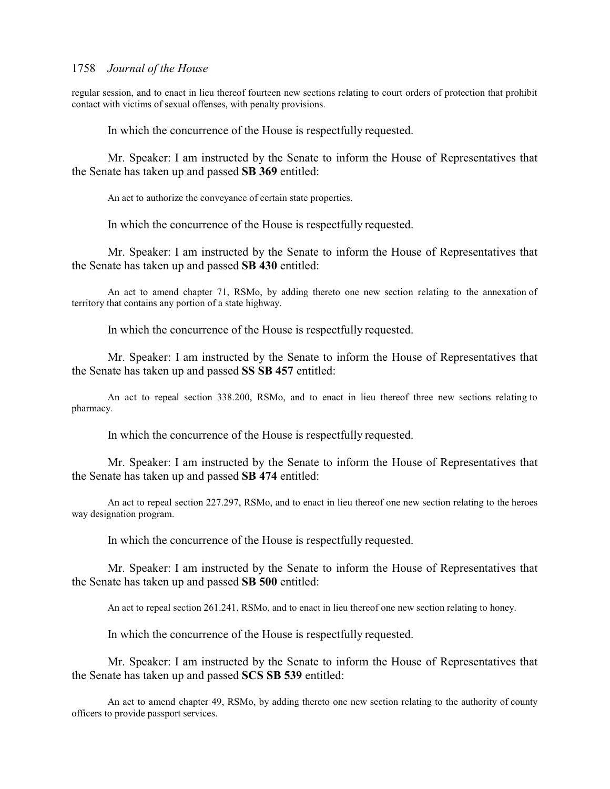regular session, and to enact in lieu thereof fourteen new sections relating to court orders of protection that prohibit contact with victims of sexual offenses, with penalty provisions.

In which the concurrence of the House is respectfully requested.

Mr. Speaker: I am instructed by the Senate to inform the House of Representatives that the Senate has taken up and passed **SB 369** entitled:

An act to authorize the conveyance of certain state properties.

In which the concurrence of the House is respectfully requested.

Mr. Speaker: I am instructed by the Senate to inform the House of Representatives that the Senate has taken up and passed **SB 430** entitled:

An act to amend chapter 71, RSMo, by adding thereto one new section relating to the annexation of territory that contains any portion of a state highway.

In which the concurrence of the House is respectfully requested.

Mr. Speaker: I am instructed by the Senate to inform the House of Representatives that the Senate has taken up and passed **SS SB 457** entitled:

An act to repeal section 338.200, RSMo, and to enact in lieu thereof three new sections relating to pharmacy.

In which the concurrence of the House is respectfully requested.

Mr. Speaker: I am instructed by the Senate to inform the House of Representatives that the Senate has taken up and passed **SB 474** entitled:

An act to repeal section 227.297, RSMo, and to enact in lieu thereof one new section relating to the heroes way designation program.

In which the concurrence of the House is respectfully requested.

Mr. Speaker: I am instructed by the Senate to inform the House of Representatives that the Senate has taken up and passed **SB 500** entitled:

An act to repeal section 261.241, RSMo, and to enact in lieu thereof one new section relating to honey.

In which the concurrence of the House is respectfully requested.

Mr. Speaker: I am instructed by the Senate to inform the House of Representatives that the Senate has taken up and passed **SCS SB 539** entitled:

An act to amend chapter 49, RSMo, by adding thereto one new section relating to the authority of county officers to provide passport services.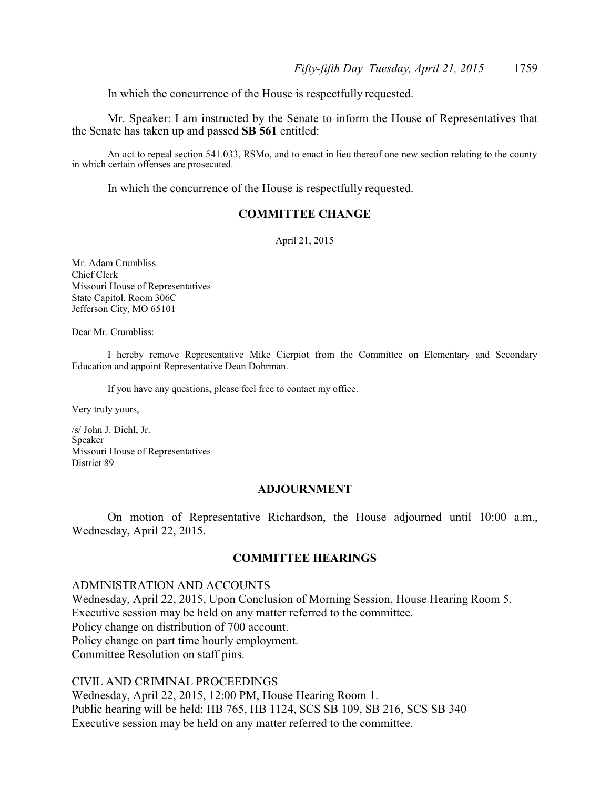In which the concurrence of the House is respectfully requested.

Mr. Speaker: I am instructed by the Senate to inform the House of Representatives that the Senate has taken up and passed **SB 561** entitled:

An act to repeal section 541.033, RSMo, and to enact in lieu thereof one new section relating to the county in which certain offenses are prosecuted.

In which the concurrence of the House is respectfully requested.

# **COMMITTEE CHANGE**

April 21, 2015

Mr. Adam Crumbliss Chief Clerk Missouri House of Representatives State Capitol, Room 306C Jefferson City, MO 65101

Dear Mr. Crumbliss:

I hereby remove Representative Mike Cierpiot from the Committee on Elementary and Secondary Education and appoint Representative Dean Dohrman.

If you have any questions, please feel free to contact my office.

Very truly yours,

/s/ John J. Diehl, Jr. Speaker Missouri House of Representatives District 89

### **ADJOURNMENT**

On motion of Representative Richardson, the House adjourned until 10:00 a.m., Wednesday, April 22, 2015.

## **COMMITTEE HEARINGS**

### ADMINISTRATION AND ACCOUNTS

Wednesday, April 22, 2015, Upon Conclusion of Morning Session, House Hearing Room 5. Executive session may be held on any matter referred to the committee. Policy change on distribution of 700 account. Policy change on part time hourly employment. Committee Resolution on staff pins.

CIVIL AND CRIMINAL PROCEEDINGS

Wednesday, April 22, 2015, 12:00 PM, House Hearing Room 1. Public hearing will be held: HB 765, HB 1124, SCS SB 109, SB 216, SCS SB 340 Executive session may be held on any matter referred to the committee.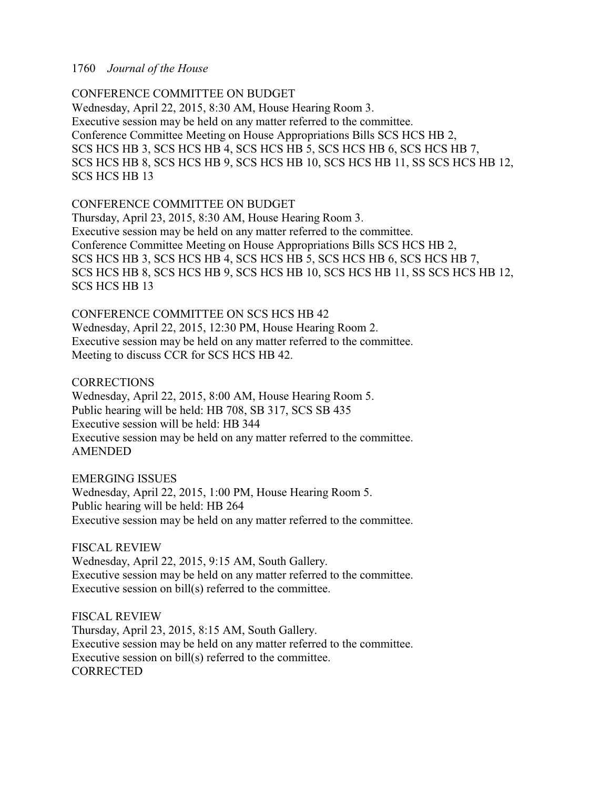## CONFERENCE COMMITTEE ON BUDGET

Wednesday, April 22, 2015, 8:30 AM, House Hearing Room 3. Executive session may be held on any matter referred to the committee. Conference Committee Meeting on House Appropriations Bills SCS HCS HB 2, SCS HCS HB 3, SCS HCS HB 4, SCS HCS HB 5, SCS HCS HB 6, SCS HCS HB 7, SCS HCS HB 8, SCS HCS HB 9, SCS HCS HB 10, SCS HCS HB 11, SS SCS HCS HB 12, SCS HCS HB 13

## CONFERENCE COMMITTEE ON BUDGET

Thursday, April 23, 2015, 8:30 AM, House Hearing Room 3. Executive session may be held on any matter referred to the committee. Conference Committee Meeting on House Appropriations Bills SCS HCS HB 2, SCS HCS HB 3, SCS HCS HB 4, SCS HCS HB 5, SCS HCS HB 6, SCS HCS HB 7, SCS HCS HB 8, SCS HCS HB 9, SCS HCS HB 10, SCS HCS HB 11, SS SCS HCS HB 12, SCS HCS HB 13

CONFERENCE COMMITTEE ON SCS HCS HB 42 Wednesday, April 22, 2015, 12:30 PM, House Hearing Room 2. Executive session may be held on any matter referred to the committee. Meeting to discuss CCR for SCS HCS HB 42.

CORRECTIONS

Wednesday, April 22, 2015, 8:00 AM, House Hearing Room 5. Public hearing will be held: HB 708, SB 317, SCS SB 435 Executive session will be held: HB 344 Executive session may be held on any matter referred to the committee. AMENDED

EMERGING ISSUES

Wednesday, April 22, 2015, 1:00 PM, House Hearing Room 5. Public hearing will be held: HB 264 Executive session may be held on any matter referred to the committee.

FISCAL REVIEW

Wednesday, April 22, 2015, 9:15 AM, South Gallery. Executive session may be held on any matter referred to the committee. Executive session on bill(s) referred to the committee.

FISCAL REVIEW Thursday, April 23, 2015, 8:15 AM, South Gallery. Executive session may be held on any matter referred to the committee. Executive session on bill(s) referred to the committee. **CORRECTED**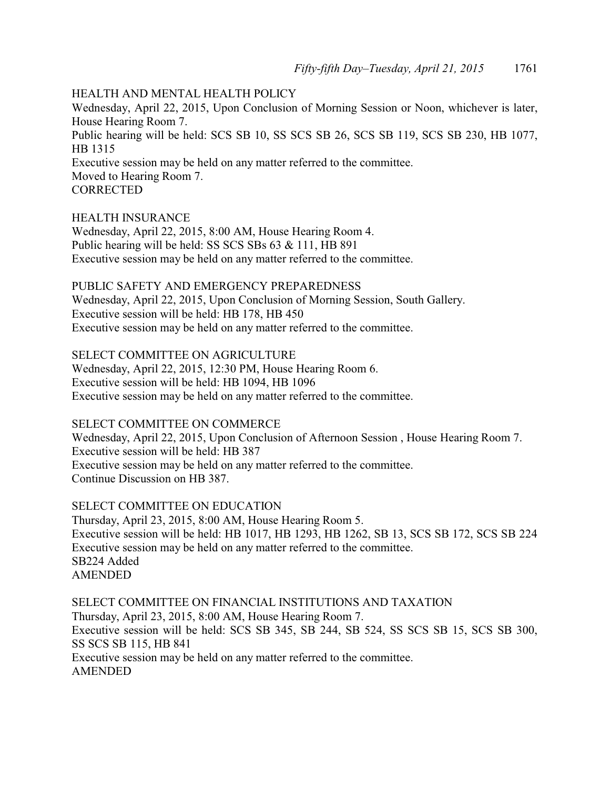# HEALTH AND MENTAL HEALTH POLICY

Wednesday, April 22, 2015, Upon Conclusion of Morning Session or Noon, whichever is later, House Hearing Room 7. Public hearing will be held: SCS SB 10, SS SCS SB 26, SCS SB 119, SCS SB 230, HB 1077, HB 1315 Executive session may be held on any matter referred to the committee. Moved to Hearing Room 7. **CORRECTED** 

# HEALTH INSURANCE

Wednesday, April 22, 2015, 8:00 AM, House Hearing Room 4. Public hearing will be held: SS SCS SBs 63 & 111, HB 891 Executive session may be held on any matter referred to the committee.

# PUBLIC SAFETY AND EMERGENCY PREPAREDNESS

Wednesday, April 22, 2015, Upon Conclusion of Morning Session, South Gallery. Executive session will be held: HB 178, HB 450 Executive session may be held on any matter referred to the committee.

SELECT COMMITTEE ON AGRICULTURE

Wednesday, April 22, 2015, 12:30 PM, House Hearing Room 6. Executive session will be held: HB 1094, HB 1096 Executive session may be held on any matter referred to the committee.

# SELECT COMMITTEE ON COMMERCE

Wednesday, April 22, 2015, Upon Conclusion of Afternoon Session , House Hearing Room 7. Executive session will be held: HB 387 Executive session may be held on any matter referred to the committee. Continue Discussion on HB 387.

SELECT COMMITTEE ON EDUCATION Thursday, April 23, 2015, 8:00 AM, House Hearing Room 5. Executive session will be held: HB 1017, HB 1293, HB 1262, SB 13, SCS SB 172, SCS SB 224 Executive session may be held on any matter referred to the committee. SB224 Added AMENDED

SELECT COMMITTEE ON FINANCIAL INSTITUTIONS AND TAXATION Thursday, April 23, 2015, 8:00 AM, House Hearing Room 7. Executive session will be held: SCS SB 345, SB 244, SB 524, SS SCS SB 15, SCS SB 300, SS SCS SB 115, HB 841 Executive session may be held on any matter referred to the committee. AMENDED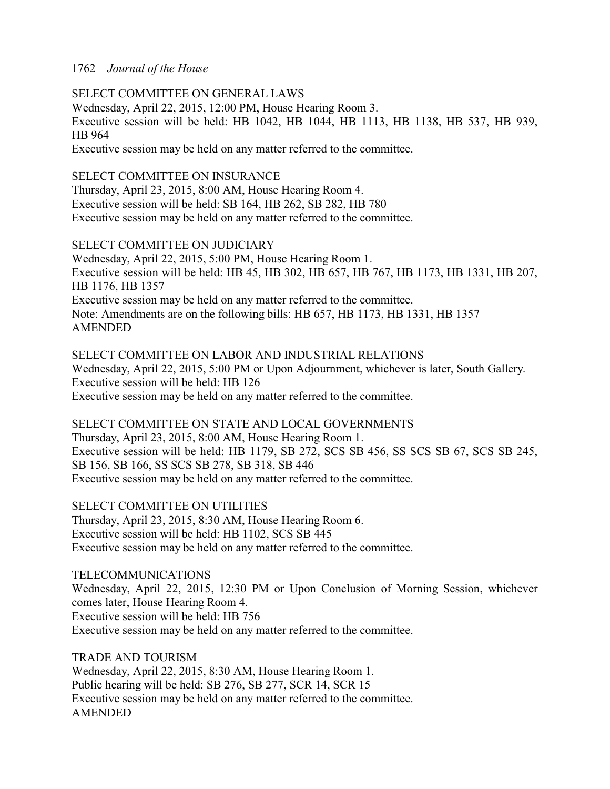SELECT COMMITTEE ON GENERAL LAWS Wednesday, April 22, 2015, 12:00 PM, House Hearing Room 3. Executive session will be held: HB 1042, HB 1044, HB 1113, HB 1138, HB 537, HB 939, HB 964 Executive session may be held on any matter referred to the committee.

# SELECT COMMITTEE ON INSURANCE

Thursday, April 23, 2015, 8:00 AM, House Hearing Room 4. Executive session will be held: SB 164, HB 262, SB 282, HB 780 Executive session may be held on any matter referred to the committee.

# SELECT COMMITTEE ON JUDICIARY

Wednesday, April 22, 2015, 5:00 PM, House Hearing Room 1. Executive session will be held: HB 45, HB 302, HB 657, HB 767, HB 1173, HB 1331, HB 207, HB 1176, HB 1357 Executive session may be held on any matter referred to the committee. Note: Amendments are on the following bills: HB 657, HB 1173, HB 1331, HB 1357 AMENDED

SELECT COMMITTEE ON LABOR AND INDUSTRIAL RELATIONS Wednesday, April 22, 2015, 5:00 PM or Upon Adjournment, whichever is later, South Gallery. Executive session will be held: HB 126 Executive session may be held on any matter referred to the committee.

SELECT COMMITTEE ON STATE AND LOCAL GOVERNMENTS Thursday, April 23, 2015, 8:00 AM, House Hearing Room 1. Executive session will be held: HB 1179, SB 272, SCS SB 456, SS SCS SB 67, SCS SB 245, SB 156, SB 166, SS SCS SB 278, SB 318, SB 446 Executive session may be held on any matter referred to the committee.

SELECT COMMITTEE ON UTILITIES Thursday, April 23, 2015, 8:30 AM, House Hearing Room 6. Executive session will be held: HB 1102, SCS SB 445 Executive session may be held on any matter referred to the committee.

# TELECOMMUNICATIONS

Wednesday, April 22, 2015, 12:30 PM or Upon Conclusion of Morning Session, whichever comes later, House Hearing Room 4. Executive session will be held: HB 756 Executive session may be held on any matter referred to the committee.

TRADE AND TOURISM Wednesday, April 22, 2015, 8:30 AM, House Hearing Room 1. Public hearing will be held: SB 276, SB 277, SCR 14, SCR 15 Executive session may be held on any matter referred to the committee. AMENDED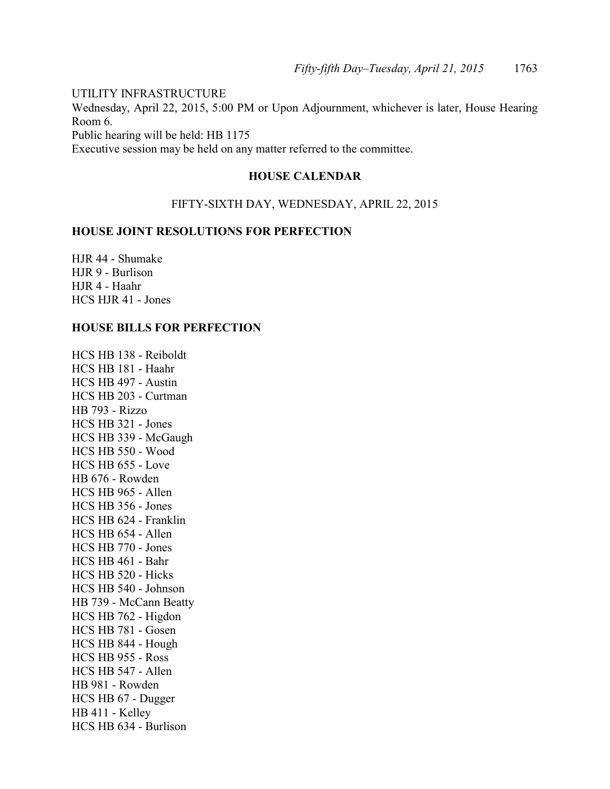UTILITY INFRASTRUCTURE

Wednesday, April 22, 2015, 5:00 PM or Upon Adjournment, whichever is later, House Hearing Room 6.

Public hearing will be held: HB 1175

Executive session may be held on any matter referred to the committee.

# **HOUSE CALENDAR**

## FIFTY-SIXTH DAY, WEDNESDAY, APRIL 22, 2015

## **HOUSE JOINT RESOLUTIONS FOR PERFECTION**

HJR 44 - Shumake HJR 9 - Burlison HJR 4 - Haahr HCS HJR 41 - Jones

## **HOUSE BILLS FOR PERFECTION**

HCS HB 138 - Reiboldt HCS HB 181 - Haahr HCS HB 497 - Austin HCS HB 203 - Curtman HB 793 - Rizzo HCS HB 321 - Jones HCS HB 339 - McGaugh HCS HB 550 - Wood HCS HB 655 - Love HB 676 - Rowden HCS HB 965 - Allen HCS HB 356 - Jones HCS HB 624 - Franklin HCS HB 654 - Allen HCS HB 770 - Jones HCS HB 461 - Bahr HCS HB 520 - Hicks HCS HB 540 - Johnson HB 739 - McCann Beatty HCS HB 762 - Higdon HCS HB 781 - Gosen HCS HB 844 - Hough HCS HB 955 - Ross HCS HB 547 - Allen HB 981 - Rowden HCS HB 67 - Dugger HB 411 - Kelley HCS HB 634 - Burlison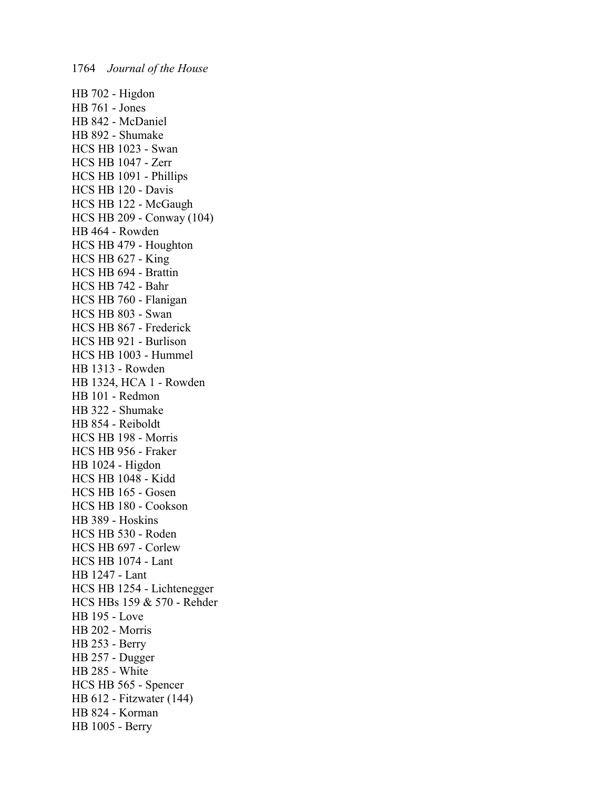HB 702 - Higdon HB 761 - Jones HB 842 - McDaniel HB 892 - Shumake HCS HB 1023 - Swan HCS HB 1047 - Zerr HCS HB 1091 - Phillips HCS HB 120 - Davis HCS HB 122 - McGaugh HCS HB 209 - Conway (104) HB 464 - Rowden HCS HB 479 - Houghton HCS HB 627 - King HCS HB 694 - Brattin HCS HB 742 - Bahr HCS HB 760 - Flanigan HCS HB 803 - Swan HCS HB 867 - Frederick HCS HB 921 - Burlison HCS HB 1003 - Hummel HB 1313 - Rowden HB 1324, HCA 1 - Rowden HB 101 - Redmon HB 322 - Shumake HB 854 - Reiboldt HCS HB 198 - Morris HCS HB 956 - Fraker HB 1024 - Higdon HCS HB 1048 - Kidd HCS HB 165 - Gosen HCS HB 180 - Cookson HB 389 - Hoskins HCS HB 530 - Roden HCS HB 697 - Corlew HCS HB 1074 - Lant HB 1247 - Lant HCS HB 1254 - Lichtenegger HCS HBs 159 & 570 - Rehder HB 195 - Love HB 202 - Morris HB 253 - Berry HB 257 - Dugger HB 285 - White HCS HB 565 - Spencer HB 612 - Fitzwater (144) HB 824 - Korman HB 1005 - Berry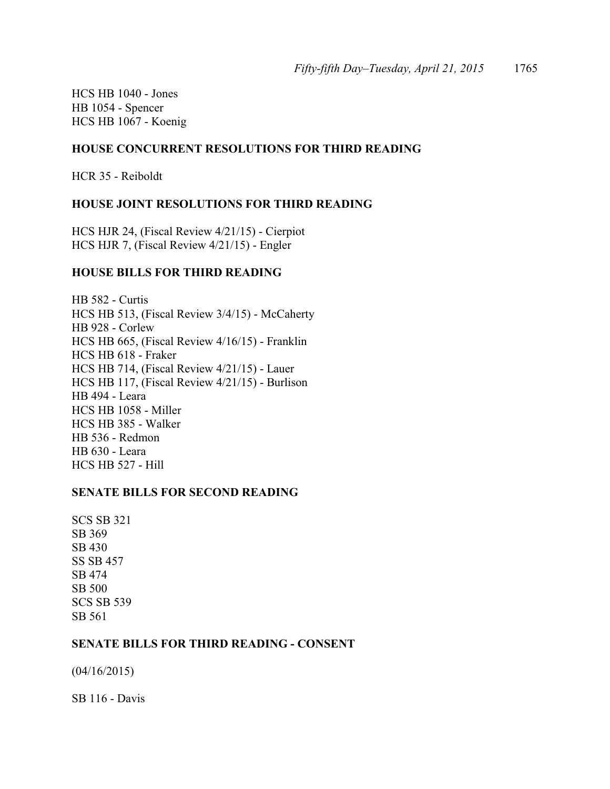HCS HB 1040 - Jones HB 1054 - Spencer HCS HB 1067 - Koenig

## **HOUSE CONCURRENT RESOLUTIONS FOR THIRD READING**

HCR 35 - Reiboldt

## **HOUSE JOINT RESOLUTIONS FOR THIRD READING**

HCS HJR 24, (Fiscal Review 4/21/15) - Cierpiot HCS HJR 7, (Fiscal Review 4/21/15) - Engler

## **HOUSE BILLS FOR THIRD READING**

HB 582 - Curtis HCS HB 513, (Fiscal Review 3/4/15) - McCaherty HB 928 - Corlew HCS HB 665, (Fiscal Review 4/16/15) - Franklin HCS HB 618 - Fraker HCS HB 714, (Fiscal Review 4/21/15) - Lauer HCS HB 117, (Fiscal Review 4/21/15) - Burlison HB 494 - Leara HCS HB 1058 - Miller HCS HB 385 - Walker HB 536 - Redmon HB 630 - Leara HCS HB 527 - Hill

## **SENATE BILLS FOR SECOND READING**

SCS SB 321 SB 369 SB 430 SS SB 457 SB 474 SB 500 SCS SB 539 SB 561

## **SENATE BILLS FOR THIRD READING - CONSENT**

(04/16/2015)

SB 116 - Davis